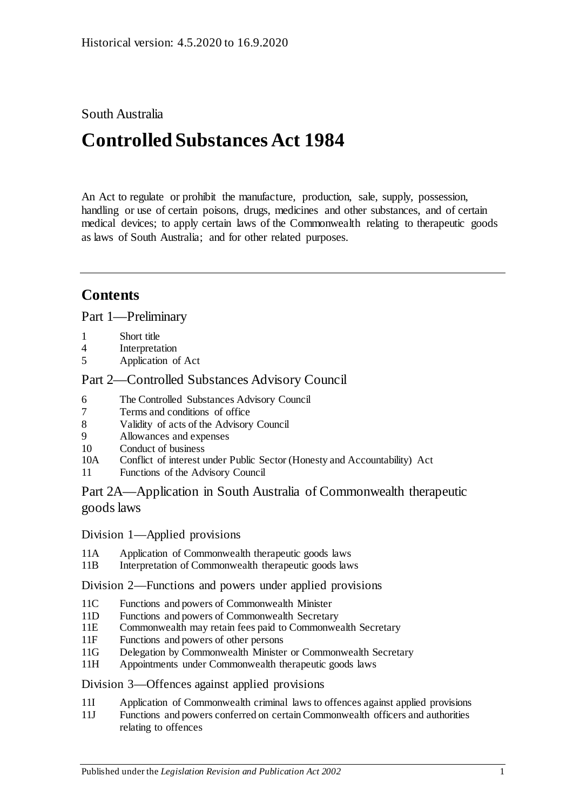# South Australia

# **Controlled Substances Act 1984**

An Act to regulate or prohibit the manufacture, production, sale, supply, possession, handling or use of certain poisons, drugs, medicines and other substances, and of certain medical devices; to apply certain laws of the Commonwealth relating to therapeutic goods as laws of South Australia; and for other related purposes.

# **Contents**

[Part 1—Preliminary](#page-5-0)

- 1 [Short title](#page-5-1)
- 4 [Interpretation](#page-5-2)
- 5 [Application of Act](#page-12-0)

# [Part 2—Controlled Substances Advisory Council](#page-12-1)

- 6 [The Controlled Substances Advisory Council](#page-12-2)
- 7 [Terms and conditions of office](#page-13-0)
- 8 [Validity of acts of the Advisory Council](#page-13-1)
- 9 [Allowances and expenses](#page-13-2)
- 10 [Conduct of business](#page-13-3)
- 10A Conflict of interest [under Public Sector \(Honesty and Accountability\) Act](#page-14-0)
- 11 [Functions of the Advisory Council](#page-14-1)

[Part 2A—Application in South Australia of Commonwealth therapeutic](#page-15-0)  [goods laws](#page-15-0)

Division [1—Applied provisions](#page-15-1)

- 11A [Application of Commonwealth therapeutic goods laws](#page-15-2)
- 11B [Interpretation of Commonwealth therapeutic goods laws](#page-15-3)

#### Division [2—Functions and powers under applied provisions](#page-15-4)

- 11C [Functions and powers of Commonwealth Minister](#page-15-5)
- 11D [Functions and powers of Commonwealth Secretary](#page-16-0)
- 11E [Commonwealth may retain fees paid to Commonwealth Secretary](#page-16-1)
- 11F [Functions and powers of other persons](#page-16-2)
- 11G [Delegation by Commonwealth Minister or Commonwealth Secretary](#page-16-3)
- 11H [Appointments under Commonwealth therapeutic goods laws](#page-16-4)

#### Division [3—Offences against applied provisions](#page-16-5)

- 11I [Application of Commonwealth criminal laws to offences against applied provisions](#page-16-6)
- 11J [Functions and powers conferred on certain Commonwealth officers and authorities](#page-17-0)  [relating to offences](#page-17-0)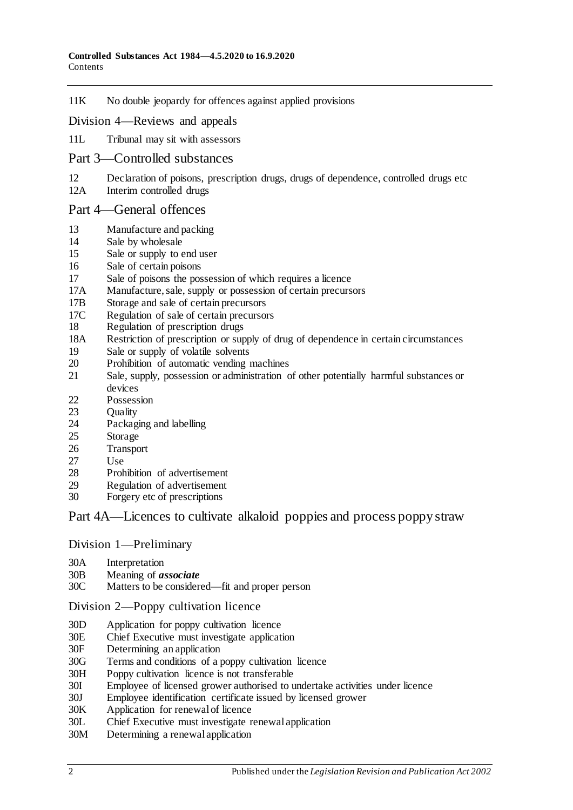#### 11K [No double jeopardy for offences against applied provisions](#page-17-1)

#### Division [4—Reviews and appeals](#page-17-2)

11L [Tribunal may sit with assessors](#page-17-3)

#### [Part 3—Controlled substances](#page-17-4)

- 12 [Declaration of poisons, prescription drugs, drugs of dependence, controlled drugs etc](#page-17-5)<br>12A Interim controlled drugs
- [Interim controlled drugs](#page-18-0)

#### [Part 4—General offences](#page-18-1)

- 13 [Manufacture and packing](#page-18-2)<br>14 Sale by wholesale
- [Sale by wholesale](#page-19-0)
- 15 [Sale or supply to end user](#page-19-1)
- 16 [Sale of certain poisons](#page-20-0)<br>17 Sale of poisons the pos
- 17 [Sale of poisons the possession of which requires a licence](#page-20-1)<br>17A Manufacture, sale, supply or possession of certain precurs
- [Manufacture, sale, supply or possession of certain precursors](#page-20-2)
- 17B [Storage and sale of certain precursors](#page-20-3)
- 17C [Regulation of sale of certain precursors](#page-22-0)
- 18 [Regulation of prescription drugs](#page-22-1)
- 18A [Restriction of prescription or supply of drug of dependence in certain circumstances](#page-26-0)
- 19 [Sale or supply of volatile solvents](#page-28-0)
- 20 [Prohibition of automatic vending machines](#page-28-1)
- 21 [Sale, supply, possession or administration of other potentially harmful substances or](#page-29-0)  [devices](#page-29-0)
- 22 [Possession](#page-29-1)<br>23 Ouality
- **[Quality](#page-29-2)**
- 24 [Packaging and](#page-29-3) labelling<br>25 Storage
- [Storage](#page-29-4)
- 26 [Transport](#page-30-0)<br>27 Use
- 27 [Use](#page-30-1)
- 28 [Prohibition of advertisement](#page-30-2)
- 29 [Regulation of advertisement](#page-30-3)
- 30 Forgery [etc of prescriptions](#page-30-4)

### [Part 4A—Licences to cultivate alkaloid poppies and process poppy straw](#page-31-0)

#### Division [1—Preliminary](#page-31-1)

- 30A [Interpretation](#page-31-2)
- 30B [Meaning of](#page-33-0) *associate*
- [Matters to be considered—fit and proper person](#page-34-0)

#### Division [2—Poppy cultivation licence](#page-36-0)

- 30D [Application for poppy cultivation licence](#page-36-1)
- 30E [Chief Executive must investigate application](#page-36-2)
- 30F [Determining an application](#page-37-0)
- 30G [Terms and conditions of a poppy cultivation licence](#page-37-1)
- 30H [Poppy cultivation licence is not transferable](#page-38-0)
- 30I [Employee of licensed grower authorised to undertake activities under licence](#page-38-1)
- 30J [Employee identification certificate issued by licensed grower](#page-39-0)
- 30K [Application for renewal of licence](#page-39-1)
- 30L [Chief Executive must investigate renewal application](#page-40-0)
- 30M [Determining a renewal application](#page-40-1)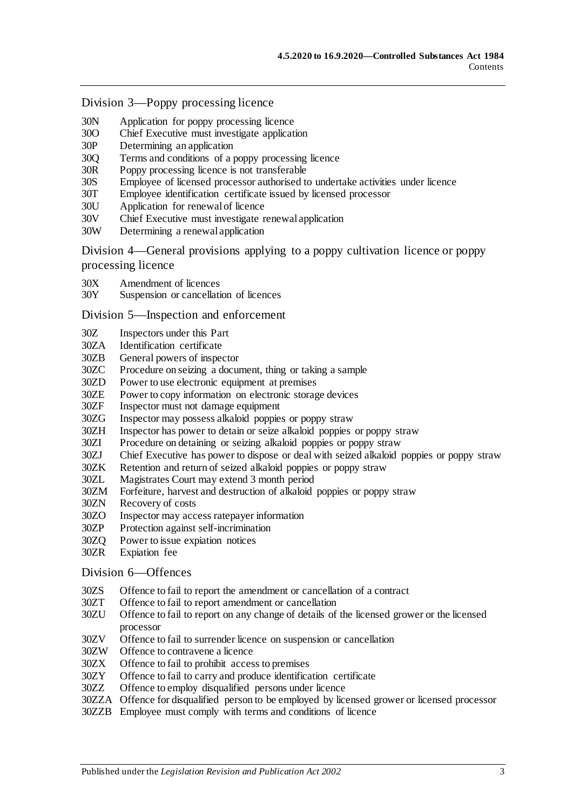Division [3—Poppy processing licence](#page-41-0)

- 30N [Application for poppy processing licence](#page-41-1)<br>30O Chief Executive must investigate applicat
- 300 [Chief Executive must investigate application](#page-42-0)<br>30P Determining an application
- 30P [Determining an application](#page-42-1)<br>30Q Terms and conditions of a p
- [Terms and conditions of a poppy processing licence](#page-42-2)
- 30R [Poppy processing licence is not transferable](#page-43-0)<br>30S Employee of licensed processor authorised to
- 30S [Employee of licensed processor authorised to undertake activities under licence](#page-43-1)
- 30T [Employee identification certificate issued by licensed processor](#page-44-0)<br>30U Application for renewal of licence
- 30U [Application for renewal of licence](#page-44-1)<br>30V Chief Executive must investigate re
- 30V [Chief Executive must investigate renewal application](#page-45-0)<br>30W Determining a renewal application
- [Determining a renewal application](#page-45-1)

Division [4—General provisions applying to a poppy cultivation licence or poppy](#page-46-0)  [processing licence](#page-46-0)

- 30X [Amendment of licences](#page-46-1)<br>30Y Suspension or cancellati
- [Suspension or cancellation of licences](#page-46-2)

Division [5—Inspection and enforcement](#page-47-0)

- 30Z [Inspectors under this Part](#page-47-1)
- 30ZA [Identification certificate](#page-47-2)
- 30ZB [General powers of inspector](#page-48-0)
- 30ZC [Procedure on seizing a document, thing or taking a sample](#page-48-1)
- 30ZD [Power to use electronic equipment at premises](#page-49-0)
- 30ZE [Power to copy information on electronic storage devices](#page-50-0)<br>30ZF Inspector must not damage equipment
- [Inspector must not damage equipment](#page-50-1)
- 30ZG [Inspector may possess alkaloid poppies or poppy straw](#page-50-2)
- 30ZH [Inspector has power to detain or seize alkaloid poppies or poppy straw](#page-50-3)
- 30ZI [Procedure on detaining or seizing alkaloid poppies or poppy straw](#page-50-4)
- 30ZJ [Chief Executive has power to dispose or deal with seized alkaloid poppies or poppy straw](#page-51-0)
- 30ZK [Retention and return of seized alkaloid poppies or poppy straw](#page-51-1)<br>30ZL Magistrates Court may extend 3 month period
- 30ZL [Magistrates Court may extend 3 month period](#page-52-0)
- [Forfeiture, harvest and destruction of alkaloid poppies or poppy straw](#page-52-1)
- 30ZN [Recovery of costs](#page-53-0)
- 30ZO [Inspector may access ratepayer information](#page-53-1)
- 30ZP [Protection against self-incrimination](#page-53-2)
- 30ZQ [Power to issue expiation notices](#page-53-3)
- 30ZR [Expiation fee](#page-53-4)

#### Division [6—Offences](#page-54-0)

- 30ZS [Offence to fail to report the amendment or cancellation of a contract](#page-54-1)
- 30ZT [Offence to fail to report amendment or cancellation](#page-54-2)
- 30ZU [Offence to fail to report on any change of details of the licensed grower or the licensed](#page-54-3)  [processor](#page-54-3)
- 30ZV [Offence to fail to surrender licence on suspension or cancellation](#page-55-0)
- 30ZW [Offence to contravene a licence](#page-55-1)
- 30ZX [Offence to fail to prohibit access to premises](#page-55-2)
- 30ZY [Offence to fail to carry and produce identification certificate](#page-56-0)
- 30ZZ [Offence to employ disqualified persons under licence](#page-56-1)
- 30ZZA [Offence for disqualified person to be employed by licensed grower or licensed processor](#page-57-0)
- 30ZZB Employee [must comply with terms and conditions of licence](#page-57-1)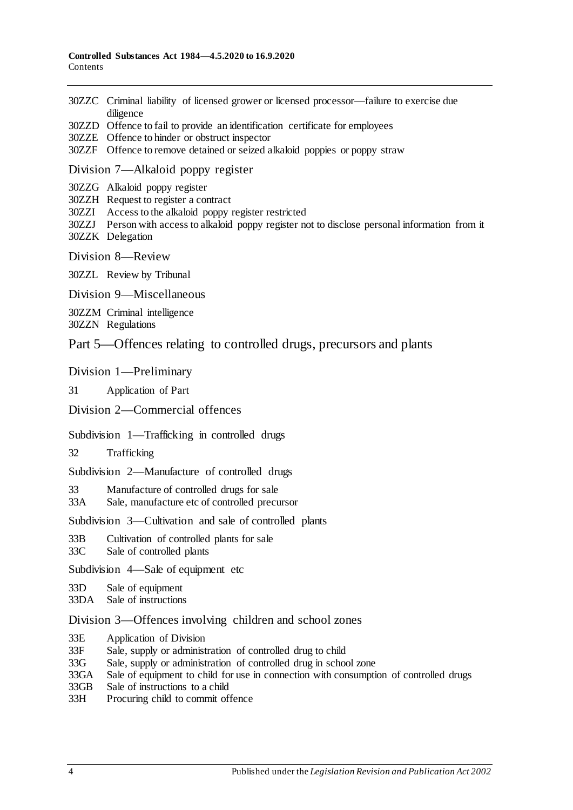- 30ZZC [Criminal liability of licensed grower or licensed processor—failure to exercise due](#page-58-0)  [diligence](#page-58-0)
- 30ZZD [Offence to fail to provide an identification certificate for employees](#page-58-1)
- 30ZZE [Offence to hinder or obstruct inspector](#page-58-2)
- 30ZZF [Offence to remove detained or seized alkaloid poppies or poppy straw](#page-59-0)

#### Division [7—Alkaloid poppy register](#page-59-1)

30ZZG [Alkaloid poppy register](#page-59-2)

30ZZH [Request to register a contract](#page-59-3)

30ZZI [Access to the alkaloid poppy register restricted](#page-60-0)

30ZZJ [Person with access to alkaloid poppy register not to disclose personal information from it](#page-60-1) 30ZZK [Delegation](#page-60-2)

Division [8—Review](#page-61-0)

30ZZL [Review by Tribunal](#page-61-1)

Division [9—Miscellaneous](#page-61-2)

30ZZM [Criminal intelligence](#page-61-3) 30ZZN [Regulations](#page-62-0)

[Part 5—Offences relating to controlled drugs, precursors and plants](#page-63-0)

[Division 1—Preliminary](#page-63-1)

31 [Application of Part](#page-63-2)

[Division 2—Commercial offences](#page-65-0)

#### [Subdivision 1—Trafficking in controlled drugs](#page-65-1)

32 [Trafficking](#page-65-2)

[Subdivision 2—Manufacture of controlled drugs](#page-67-0)

33 [Manufacture of controlled drugs for sale](#page-67-1)

33A [Sale, manufacture etc of controlled precursor](#page-68-0)

[Subdivision 3—Cultivation and sale of controlled plants](#page-70-0)

- 33B [Cultivation of controlled plants for sale](#page-70-1)
- 33C [Sale of controlled plants](#page-71-0)

[Subdivision 4—Sale of equipment etc](#page-72-0)

33D [Sale of equipment](#page-72-1)

33DA [Sale of instructions](#page-72-2)

[Division 3—Offences involving children and school zones](#page-72-3)

- 33E [Application of Division](#page-72-4)
- 33F [Sale, supply or administration of controlled drug to child](#page-73-0)
- 33G [Sale, supply or administration of controlled drug in school zone](#page-73-1)
- 33GA [Sale of equipment to child for use in connection with consumption of controlled drugs](#page-73-2)
- 33GB [Sale of instructions to a child](#page-74-0)

33H [Procuring child to commit offence](#page-74-1)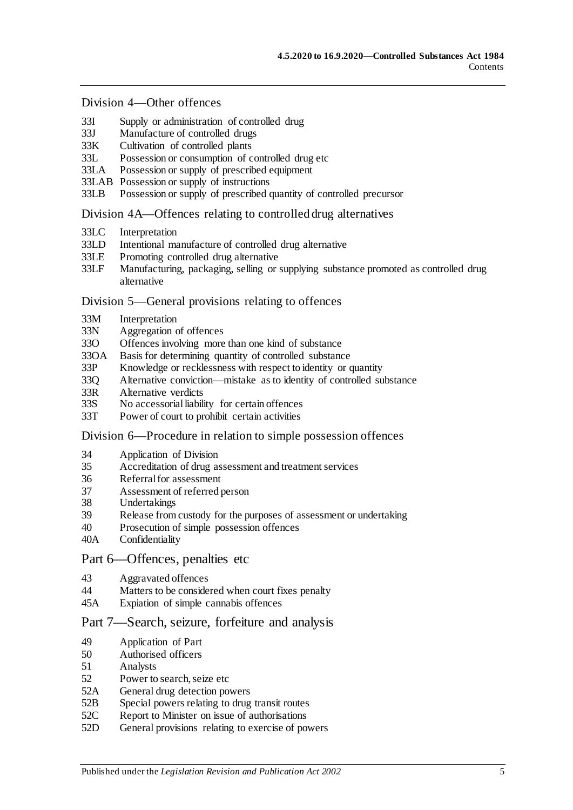#### [Division 4—Other offences](#page-74-2)

- 33I [Supply or administration of controlled drug](#page-74-3)<br>33J Manufacture of controlled drugs
- 33J [Manufacture of controlled drugs](#page-75-0)<br>33K Cultivation of controlled plants
- [Cultivation of controlled plants](#page-75-1)
- 33L [Possession or consumption of controlled drug etc](#page-76-0)
- 33LA [Possession or supply of prescribed equipment](#page-76-1)
- 33LAB [Possession or supply of instructions](#page-77-0)
- 33LB [Possession or supply of prescribed quantity of controlled precursor](#page-77-1)

#### [Division 4A—Offences relating to controlled drug alternatives](#page-78-0)

- 33LC [Interpretation](#page-78-1)
- 33LD [Intentional manufacture of controlled drug alternative](#page-79-0)
- 33LE [Promoting controlled drug alternative](#page-79-1)<br>33LF Manufacturing, packaging, selling or
- Manufacturing, packaging, selling or supplying substance promoted as controlled drug [alternative](#page-80-0)

#### [Division 5—General provisions relating to offences](#page-81-0)

- 33M [Interpretation](#page-81-1)<br>33N Aggregation of
- [Aggregation of offences](#page-81-2)
- 33O [Offences involving more than one kind of substance](#page-82-0)
- 33OA [Basis for determining quantity of controlled substance](#page-82-1)
- 33P [Knowledge or recklessness with respect to identity or quantity](#page-83-0)
- 33Q [Alternative conviction—mistake as to identity of controlled substance](#page-83-1)
- 33R [Alternative verdicts](#page-84-0)
- 33S [No accessorial liability for certain offences](#page-84-1)
- 33T [Power of court to prohibit certain activities](#page-84-2)

#### [Division 6—Procedure in relation to simple possession offences](#page-84-3)

- 34 [Application of Division](#page-84-4)
- 35 [Accreditation of drug assessment and treatment services](#page-85-0)
- 36 [Referral for assessment](#page-85-1)<br>37 Assessment of referred
- 37 [Assessment of referred person](#page-85-2)<br>38 Undertakings
- [Undertakings](#page-87-0)
- 39 [Release from custody for the purposes of assessment or undertaking](#page-87-1)
- 40 [Prosecution of simple possession offences](#page-87-2)
- 40A [Confidentiality](#page-88-0)

#### [Part 6—Offences, penalties etc](#page-88-1)

- 43 [Aggravated offences](#page-88-2)
- 44 [Matters to be considered when court fixes penalty](#page-89-0)
- 45A [Expiation of simple cannabis offences](#page-90-0)

#### [Part 7—Search, seizure, forfeiture and analysis](#page-91-0)

- 49 [Application of Part](#page-91-1)
- 50 [Authorised officers](#page-91-2)
- 51 [Analysts](#page-91-3)
- 52 [Power to search, seize etc](#page-91-4)
- 52A [General drug detection powers](#page-93-0)
- 52B [Special powers relating to drug transit routes](#page-94-0)
- 52C [Report to Minister on issue of authorisations](#page-96-0)
- 52D [General provisions relating to exercise of powers](#page-96-1)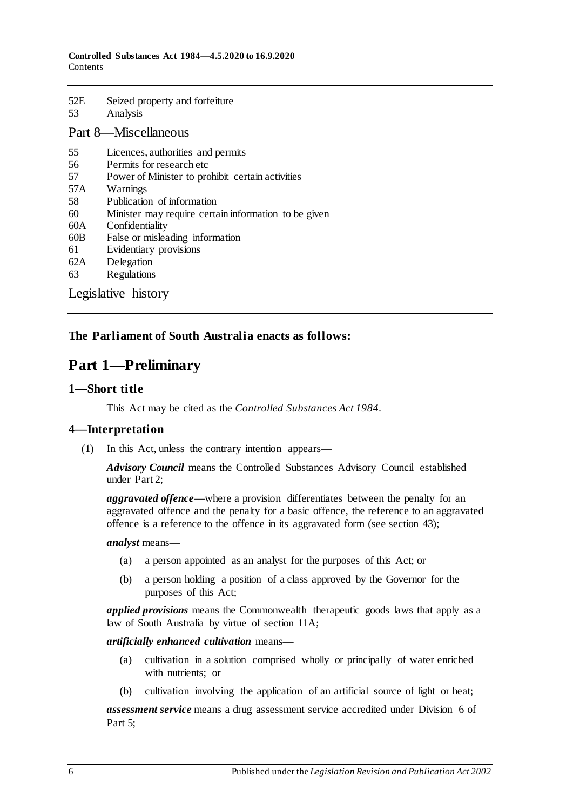| 52E<br>53            | Seized property and forfeiture<br>Analysis           |
|----------------------|------------------------------------------------------|
| Part 8—Miscellaneous |                                                      |
| 55                   | Licences, authorities and permits                    |
| 56                   | Permits for research etc                             |
| 57                   | Power of Minister to prohibit certain activities     |
| 57A                  | Warnings                                             |
| 58                   | Publication of information                           |
| 60                   | Minister may require certain information to be given |
| 60A                  | Confidentiality                                      |
| 60B                  | False or misleading information                      |
| 61                   | Evidentiary provisions                               |
| 62A                  | Delegation                                           |
| 63                   | Regulations                                          |

[Legislative history](#page-107-0)

#### <span id="page-5-0"></span>**The Parliament of South Australia enacts as follows:**

# **Part 1—Preliminary**

#### <span id="page-5-1"></span>**1—Short title**

This Act may be cited as the *Controlled Substances Act 1984*.

#### <span id="page-5-2"></span>**4—Interpretation**

(1) In this Act, unless the contrary intention appears—

*Advisory Council* means the Controlled Substances Advisory Council established under [Part 2;](#page-12-1)

*aggravated offence*—where a provision differentiates between the penalty for an aggravated offence and the penalty for a basic offence, the reference to an aggravated offence is a reference to the offence in its aggravated form (se[e section](#page-88-2) 43);

*analyst* means—

- (a) a person appointed as an analyst for the purposes of this Act; or
- (b) a person holding a position of a class approved by the Governor for the purposes of this Act;

*applied provisions* means the Commonwealth therapeutic goods laws that apply as a law of South Australia by virtue of [section](#page-15-2) 11A;

*artificially enhanced cultivation* means—

- (a) cultivation in a solution comprised wholly or principally of water enriched with nutrients; or
- (b) cultivation involving the application of an artificial source of light or heat;

*assessment service* means a drug assessment service accredited under [Division](#page-84-3) 6 of [Part 5;](#page-63-0)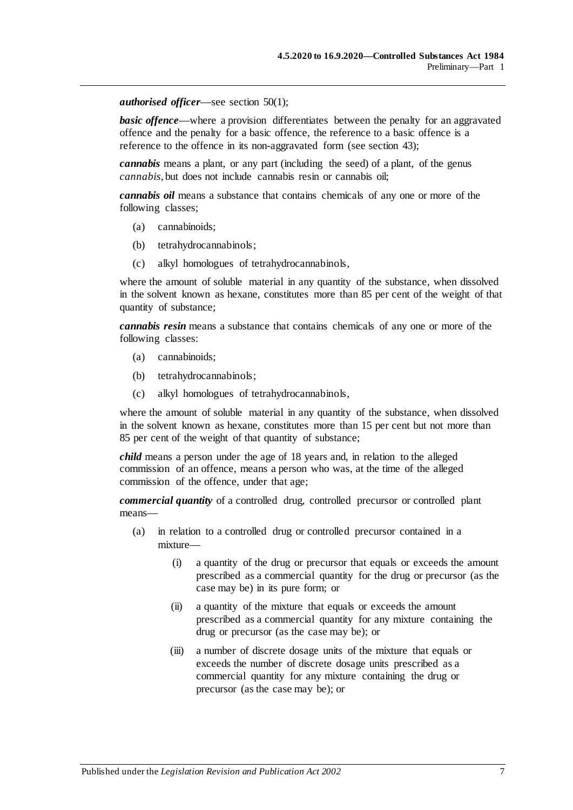#### *authorised officer*—see [section](#page-91-5) 50(1);

**basic offence—where a provision differentiates between the penalty for an aggravated** offence and the penalty for a basic offence, the reference to a basic offence is a reference to the offence in its non-aggravated form (see [section](#page-88-2) 43);

*cannabis* means a plant, or any part (including the seed) of a plant, of the genus *cannabis*, but does not include cannabis resin or cannabis oil;

*cannabis oil* means a substance that contains chemicals of any one or more of the following classes;

- (a) cannabinoids;
- (b) tetrahydrocannabinols;
- (c) alkyl homologues of tetrahydrocannabinols,

where the amount of soluble material in any quantity of the substance, when dissolved in the solvent known as hexane, constitutes more than 85 per cent of the weight of that quantity of substance;

*cannabis resin* means a substance that contains chemicals of any one or more of the following classes:

- (a) cannabinoids;
- (b) tetrahydrocannabinols;
- (c) alkyl homologues of tetrahydrocannabinols,

where the amount of soluble material in any quantity of the substance, when dissolved in the solvent known as hexane, constitutes more than 15 per cent but not more than 85 per cent of the weight of that quantity of substance;

*child* means a person under the age of 18 years and, in relation to the alleged commission of an offence, means a person who was, at the time of the alleged commission of the offence, under that age;

*commercial quantity* of a controlled drug, controlled precursor or controlled plant means—

- (a) in relation to a controlled drug or controlled precursor contained in a mixture—
	- (i) a quantity of the drug or precursor that equals or exceeds the amount prescribed as a commercial quantity for the drug or precursor (as the case may be) in its pure form; or
	- (ii) a quantity of the mixture that equals or exceeds the amount prescribed as a commercial quantity for any mixture containing the drug or precursor (as the case may be); or
	- (iii) a number of discrete dosage units of the mixture that equals or exceeds the number of discrete dosage units prescribed as a commercial quantity for any mixture containing the drug or precursor (as the case may be); or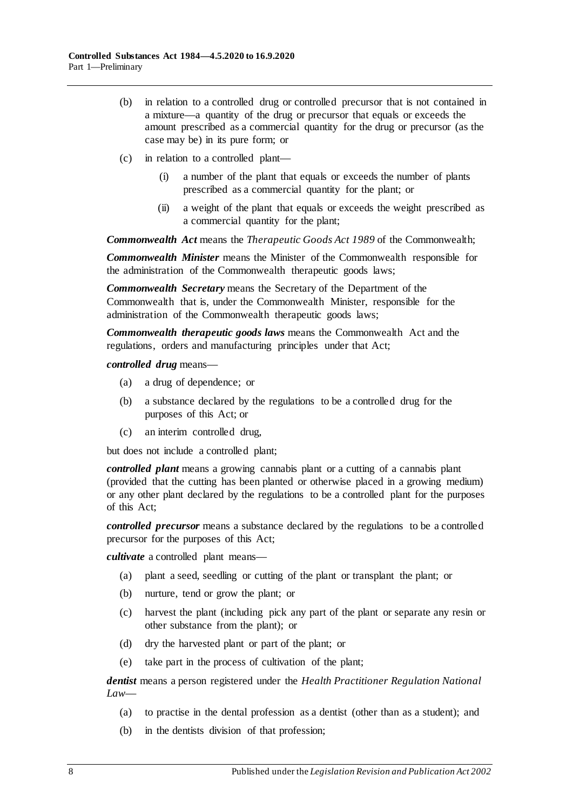- (b) in relation to a controlled drug or controlled precursor that is not contained in a mixture—a quantity of the drug or precursor that equals or exceeds the amount prescribed as a commercial quantity for the drug or precursor (as the case may be) in its pure form; or
- (c) in relation to a controlled plant—
	- (i) a number of the plant that equals or exceeds the number of plants prescribed as a commercial quantity for the plant; or
	- (ii) a weight of the plant that equals or exceeds the weight prescribed as a commercial quantity for the plant;

*Commonwealth Act* means the *Therapeutic Goods Act 1989* of the Commonwealth;

*Commonwealth Minister* means the Minister of the Commonwealth responsible for the administration of the Commonwealth therapeutic goods laws;

*Commonwealth Secretary* means the Secretary of the Department of the Commonwealth that is, under the Commonwealth Minister, responsible for the administration of the Commonwealth therapeutic goods laws;

*Commonwealth therapeutic goods laws* means the Commonwealth Act and the regulations, orders and manufacturing principles under that Act;

*controlled drug* means—

- (a) a drug of dependence; or
- (b) a substance declared by the regulations to be a controlled drug for the purposes of this Act; or
- (c) an interim controlled drug,

but does not include a controlled plant;

*controlled plant* means a growing cannabis plant or a cutting of a cannabis plant (provided that the cutting has been planted or otherwise placed in a growing medium) or any other plant declared by the regulations to be a controlled plant for the purposes of this Act;

*controlled precursor* means a substance declared by the regulations to be a controlled precursor for the purposes of this Act;

*cultivate* a controlled plant means—

- (a) plant a seed, seedling or cutting of the plant or transplant the plant; or
- (b) nurture, tend or grow the plant; or
- (c) harvest the plant (including pick any part of the plant or separate any resin or other substance from the plant); or
- (d) dry the harvested plant or part of the plant; or
- (e) take part in the process of cultivation of the plant;

*dentist* means a person registered under the *Health Practitioner Regulation National Law*—

- (a) to practise in the dental profession as a dentist (other than as a student); and
- (b) in the dentists division of that profession;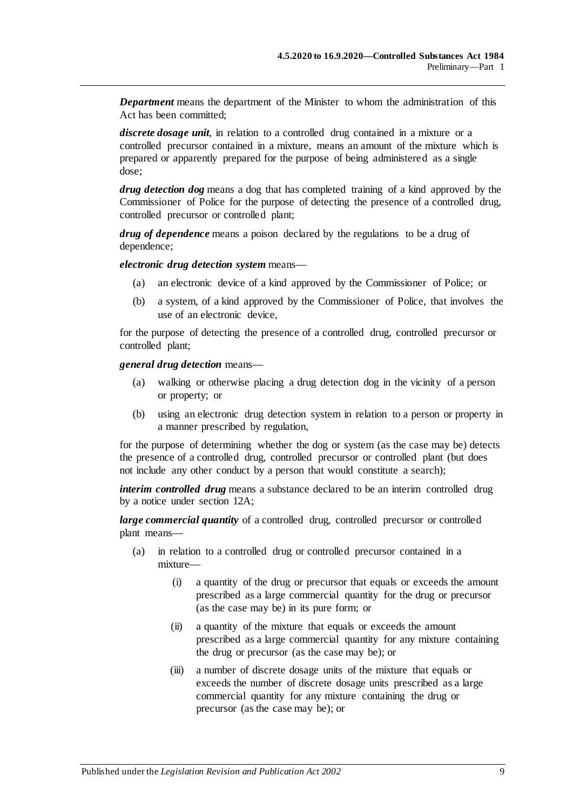*Department* means the department of the Minister to whom the administration of this Act has been committed;

*discrete dosage unit*, in relation to a controlled drug contained in a mixture or a controlled precursor contained in a mixture, means an amount of the mixture which is prepared or apparently prepared for the purpose of being administered as a single dose;

*drug detection dog* means a dog that has completed training of a kind approved by the Commissioner of Police for the purpose of detecting the presence of a controlled drug, controlled precursor or controlled plant;

*drug of dependence* means a poison declared by the regulations to be a drug of dependence;

*electronic drug detection system* means—

- (a) an electronic device of a kind approved by the Commissioner of Police; or
- (b) a system, of a kind approved by the Commissioner of Police, that involves the use of an electronic device,

for the purpose of detecting the presence of a controlled drug, controlled precursor or controlled plant;

*general drug detection* means—

- (a) walking or otherwise placing a drug detection dog in the vicinity of a person or property; or
- (b) using an electronic drug detection system in relation to a person or property in a manner prescribed by regulation,

for the purpose of determining whether the dog or system (as the case may be) detects the presence of a controlled drug, controlled precursor or controlled plant (but does not include any other conduct by a person that would constitute a search);

*interim controlled drug* means a substance declared to be an interim controlled drug by a notice under [section](#page-18-0) 12A;

*large commercial quantity* of a controlled drug, controlled precursor or controlled plant means—

- (a) in relation to a controlled drug or controlled precursor contained in a mixture—
	- (i) a quantity of the drug or precursor that equals or exceeds the amount prescribed as a large commercial quantity for the drug or precursor (as the case may be) in its pure form; or
	- (ii) a quantity of the mixture that equals or exceeds the amount prescribed as a large commercial quantity for any mixture containing the drug or precursor (as the case may be); or
	- (iii) a number of discrete dosage units of the mixture that equals or exceeds the number of discrete dosage units prescribed as a large commercial quantity for any mixture containing the drug or precursor (as the case may be); or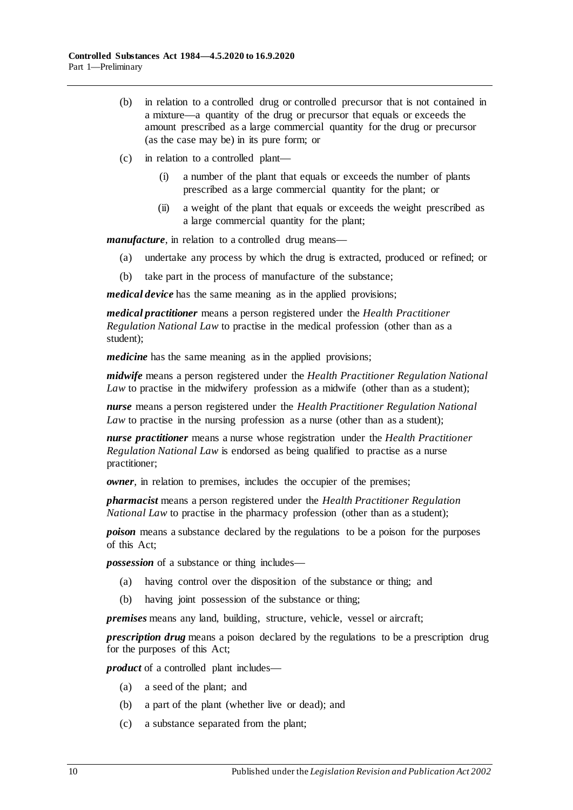- (b) in relation to a controlled drug or controlled precursor that is not contained in a mixture—a quantity of the drug or precursor that equals or exceeds the amount prescribed as a large commercial quantity for the drug or precursor (as the case may be) in its pure form; or
- (c) in relation to a controlled plant—
	- (i) a number of the plant that equals or exceeds the number of plants prescribed as a large commercial quantity for the plant; or
	- (ii) a weight of the plant that equals or exceeds the weight prescribed as a large commercial quantity for the plant;

*manufacture*, in relation to a controlled drug means—

- (a) undertake any process by which the drug is extracted, produced or refined; or
- (b) take part in the process of manufacture of the substance;

*medical device* has the same meaning as in the applied provisions;

*medical practitioner* means a person registered under the *Health Practitioner Regulation National Law* to practise in the medical profession (other than as a student);

*medicine* has the same meaning as in the applied provisions;

*midwife* means a person registered under the *Health Practitioner Regulation National Law* to practise in the midwifery profession as a midwife (other than as a student);

*nurse* means a person registered under the *Health Practitioner Regulation National Law* to practise in the nursing profession as a nurse (other than as a student);

*nurse practitioner* means a nurse whose registration under the *Health Practitioner Regulation National Law* is endorsed as being qualified to practise as a nurse practitioner;

*owner*, in relation to premises, includes the occupier of the premises;

*pharmacist* means a person registered under the *Health Practitioner Regulation National Law* to practise in the pharmacy profession (other than as a student);

*poison* means a substance declared by the regulations to be a poison for the purposes of this Act;

*possession* of a substance or thing includes—

- (a) having control over the disposition of the substance or thing; and
- (b) having joint possession of the substance or thing;

*premises* means any land, building, structure, vehicle, vessel or aircraft;

*prescription drug* means a poison declared by the regulations to be a prescription drug for the purposes of this Act;

*product* of a controlled plant includes—

- (a) a seed of the plant; and
- (b) a part of the plant (whether live or dead); and
- (c) a substance separated from the plant;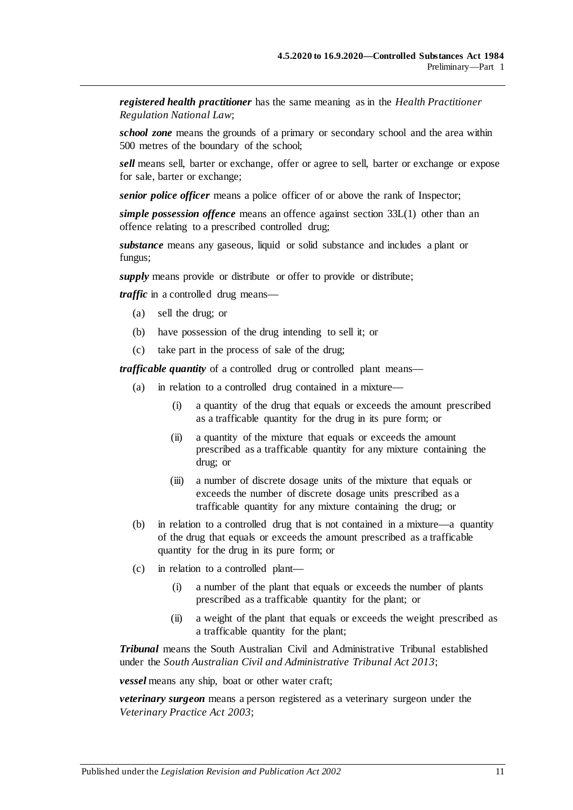*registered health practitioner* has the same meaning as in the *Health Practitioner Regulation National Law*;

*school zone* means the grounds of a primary or secondary school and the area within 500 metres of the boundary of the school;

*sell* means sell, barter or exchange, offer or agree to sell, barter or exchange or expose for sale, barter or exchange;

*senior police officer* means a police officer of or above the rank of Inspector;

*simple possession offence* means an offence against [section](#page-76-2) 33L(1) other than an offence relating to a prescribed controlled drug;

*substance* means any gaseous, liquid or solid substance and includes a plant or fungus;

*supply* means provide or distribute or offer to provide or distribute;

*traffic* in a controlled drug means—

- (a) sell the drug; or
- (b) have possession of the drug intending to sell it; or
- (c) take part in the process of sale of the drug;

*trafficable quantity* of a controlled drug or controlled plant means—

- (a) in relation to a controlled drug contained in a mixture—
	- (i) a quantity of the drug that equals or exceeds the amount prescribed as a trafficable quantity for the drug in its pure form; or
	- (ii) a quantity of the mixture that equals or exceeds the amount prescribed as a trafficable quantity for any mixture containing the drug; or
	- (iii) a number of discrete dosage units of the mixture that equals or exceeds the number of discrete dosage units prescribed as a trafficable quantity for any mixture containing the drug; or
- (b) in relation to a controlled drug that is not contained in a mixture—a quantity of the drug that equals or exceeds the amount prescribed as a trafficable quantity for the drug in its pure form; or
- (c) in relation to a controlled plant—
	- (i) a number of the plant that equals or exceeds the number of plants prescribed as a trafficable quantity for the plant; or
	- (ii) a weight of the plant that equals or exceeds the weight prescribed as a trafficable quantity for the plant;

*Tribunal* means the South Australian Civil and Administrative Tribunal established under the *[South Australian Civil and Administrative Tribunal Act](http://www.legislation.sa.gov.au/index.aspx?action=legref&type=act&legtitle=South%20Australian%20Civil%20and%20Administrative%20Tribunal%20Act%202013) 2013*;

*vessel* means any ship, boat or other water craft;

*veterinary surgeon* means a person registered as a veterinary surgeon under the *[Veterinary Practice Act](http://www.legislation.sa.gov.au/index.aspx?action=legref&type=act&legtitle=Veterinary%20Practice%20Act%202003) 2003*;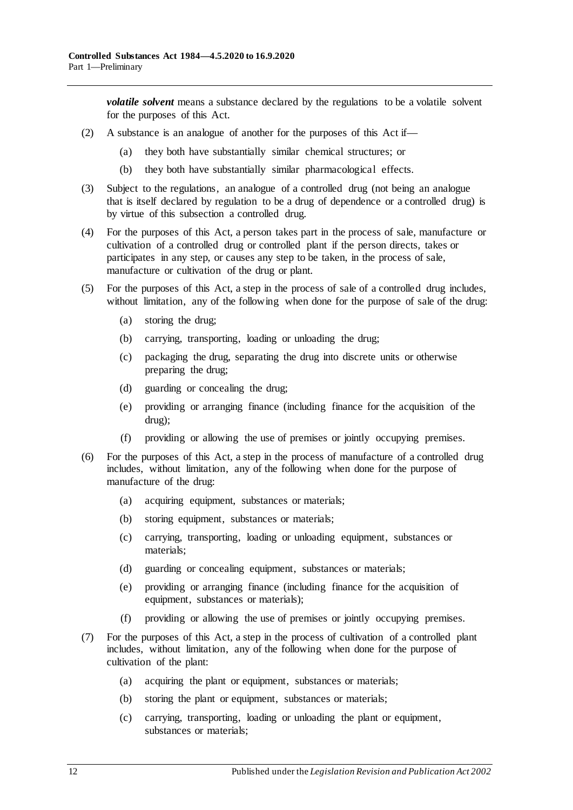*volatile solvent* means a substance declared by the regulations to be a volatile solvent for the purposes of this Act.

- (2) A substance is an analogue of another for the purposes of this Act if—
	- (a) they both have substantially similar chemical structures; or
	- (b) they both have substantially similar pharmacological effects.
- (3) Subject to the regulations, an analogue of a controlled drug (not being an analogue that is itself declared by regulation to be a drug of dependence or a controlled drug) is by virtue of this subsection a controlled drug.
- (4) For the purposes of this Act, a person takes part in the process of sale, manufacture or cultivation of a controlled drug or controlled plant if the person directs, takes or participates in any step, or causes any step to be taken, in the process of sale, manufacture or cultivation of the drug or plant.
- (5) For the purposes of this Act, a step in the process of sale of a controlled drug includes, without limitation, any of the following when done for the purpose of sale of the drug:
	- (a) storing the drug;
	- (b) carrying, transporting, loading or unloading the drug;
	- (c) packaging the drug, separating the drug into discrete units or otherwise preparing the drug;
	- (d) guarding or concealing the drug;
	- (e) providing or arranging finance (including finance for the acquisition of the drug);
	- (f) providing or allowing the use of premises or jointly occupying premises.
- (6) For the purposes of this Act, a step in the process of manufacture of a controlled drug includes, without limitation, any of the following when done for the purpose of manufacture of the drug:
	- (a) acquiring equipment, substances or materials;
	- (b) storing equipment, substances or materials;
	- (c) carrying, transporting, loading or unloading equipment, substances or materials;
	- (d) guarding or concealing equipment, substances or materials;
	- (e) providing or arranging finance (including finance for the acquisition of equipment, substances or materials);
	- (f) providing or allowing the use of premises or jointly occupying premises.
- <span id="page-11-0"></span>(7) For the purposes of this Act, a step in the process of cultivation of a controlled plant includes, without limitation, any of the following when done for the purpose of cultivation of the plant:
	- (a) acquiring the plant or equipment, substances or materials;
	- (b) storing the plant or equipment, substances or materials;
	- (c) carrying, transporting, loading or unloading the plant or equipment, substances or materials;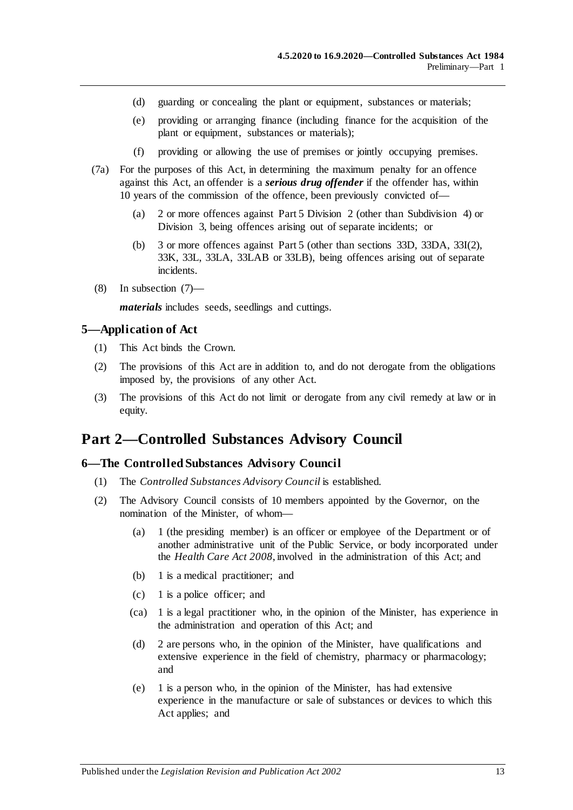- (d) guarding or concealing the plant or equipment, substances or materials;
- (e) providing or arranging finance (including finance for the acquisition of the plant or equipment, substances or materials);
- (f) providing or allowing the use of premises or jointly occupying premises.
- (7a) For the purposes of this Act, in determining the maximum penalty for an offence against this Act, an offender is a *serious drug offender* if the offender has, within 10 years of the commission of the offence, been previously convicted of—
	- (a) 2 or more offences against [Part 5 Division 2](#page-65-0) (other than [Subdivision 4\)](#page-72-0) or [Division 3,](#page-72-3) being offences arising out of separate incidents; or
	- (b) 3 or more offences against [Part 5](#page-63-0) (other than [sections](#page-72-1) 33D, [33DA,](#page-72-2) 33I(2), 33K, 33L, 33LA, 33LAB or 33LB), being offences arising out of separate incidents.
- (8) In [subsection](#page-11-0) (7)—

*materials* includes seeds, seedlings and cuttings.

#### <span id="page-12-0"></span>**5—Application of Act**

- (1) This Act binds the Crown.
- (2) The provisions of this Act are in addition to, and do not derogate from the obligations imposed by, the provisions of any other Act.
- (3) The provisions of this Act do not limit or derogate from any civil remedy at law or in equity.

# <span id="page-12-1"></span>**Part 2—Controlled Substances Advisory Council**

#### <span id="page-12-2"></span>**6—The Controlled Substances Advisory Council**

- (1) The *Controlled Substances Advisory Council* is established.
- (2) The Advisory Council consists of 10 members appointed by the Governor, on the nomination of the Minister, of whom—
	- (a) 1 (the presiding member) is an officer or employee of the Department or of another administrative unit of the Public Service, or body incorporated under the *[Health Care Act](http://www.legislation.sa.gov.au/index.aspx?action=legref&type=act&legtitle=Health%20Care%20Act%202008) 2008*, involved in the administration of this Act; and
	- (b) 1 is a medical practitioner; and
	- (c) 1 is a police officer; and
	- (ca) 1 is a legal practitioner who, in the opinion of the Minister, has experience in the administration and operation of this Act; and
	- (d) 2 are persons who, in the opinion of the Minister, have qualifications and extensive experience in the field of chemistry, pharmacy or pharmacology; and
	- (e) 1 is a person who, in the opinion of the Minister, has had extensive experience in the manufacture or sale of substances or devices to which this Act applies; and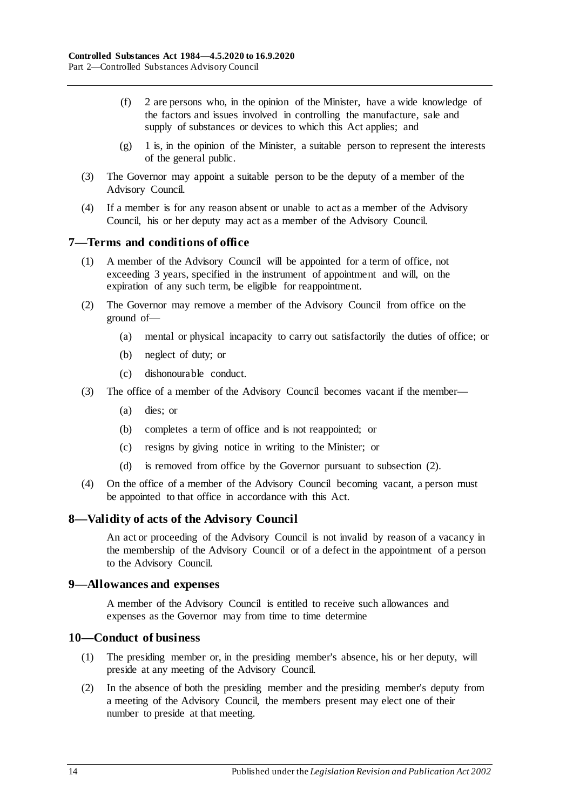- (f) 2 are persons who, in the opinion of the Minister, have a wide knowledge of the factors and issues involved in controlling the manufacture, sale and supply of substances or devices to which this Act applies; and
- $(g)$  1 is, in the opinion of the Minister, a suitable person to represent the interests of the general public.
- (3) The Governor may appoint a suitable person to be the deputy of a member of the Advisory Council.
- (4) If a member is for any reason absent or unable to act as a member of the Advisory Council, his or her deputy may act as a member of the Advisory Council.

#### <span id="page-13-0"></span>**7—Terms and conditions of office**

- (1) A member of the Advisory Council will be appointed for a term of office, not exceeding 3 years, specified in the instrument of appointment and will, on the expiration of any such term, be eligible for reappointment.
- <span id="page-13-4"></span>(2) The Governor may remove a member of the Advisory Council from office on the ground of—
	- (a) mental or physical incapacity to carry out satisfactorily the duties of office; or
	- (b) neglect of duty; or
	- (c) dishonourable conduct.
- (3) The office of a member of the Advisory Council becomes vacant if the member—
	- (a) dies; or
	- (b) completes a term of office and is not reappointed; or
	- (c) resigns by giving notice in writing to the Minister; or
	- (d) is removed from office by the Governor pursuant to [subsection](#page-13-4) (2).
- (4) On the office of a member of the Advisory Council becoming vacant, a person must be appointed to that office in accordance with this Act.

#### <span id="page-13-1"></span>**8—Validity of acts of the Advisory Council**

An act or proceeding of the Advisory Council is not invalid by reason of a vacancy in the membership of the Advisory Council or of a defect in the appointment of a person to the Advisory Council.

#### <span id="page-13-2"></span>**9—Allowances and expenses**

A member of the Advisory Council is entitled to receive such allowances and expenses as the Governor may from time to time determine

#### <span id="page-13-3"></span>**10—Conduct of business**

- (1) The presiding member or, in the presiding member's absence, his or her deputy, will preside at any meeting of the Advisory Council.
- (2) In the absence of both the presiding member and the presiding member's deputy from a meeting of the Advisory Council, the members present may elect one of their number to preside at that meeting.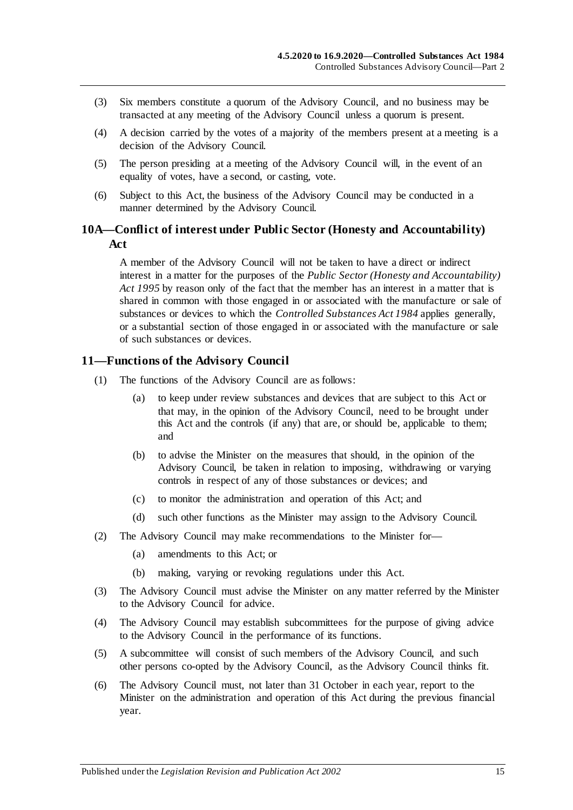- (3) Six members constitute a quorum of the Advisory Council, and no business may be transacted at any meeting of the Advisory Council unless a quorum is present.
- (4) A decision carried by the votes of a majority of the members present at a meeting is a decision of the Advisory Council.
- (5) The person presiding at a meeting of the Advisory Council will, in the event of an equality of votes, have a second, or casting, vote.
- (6) Subject to this Act, the business of the Advisory Council may be conducted in a manner determined by the Advisory Council.

#### <span id="page-14-0"></span>**10A—Conflict of interest under Public Sector (Honesty and Accountability) Act**

A member of the Advisory Council will not be taken to have a direct or indirect interest in a matter for the purposes of the *[Public Sector \(Honesty and Accountability\)](http://www.legislation.sa.gov.au/index.aspx?action=legref&type=act&legtitle=Public%20Sector%20(Honesty%20and%20Accountability)%20Act%201995)  Act [1995](http://www.legislation.sa.gov.au/index.aspx?action=legref&type=act&legtitle=Public%20Sector%20(Honesty%20and%20Accountability)%20Act%201995)* by reason only of the fact that the member has an interest in a matter that is shared in common with those engaged in or associated with the manufacture or sale of substances or devices to which the *[Controlled Substances Act](http://www.legislation.sa.gov.au/index.aspx?action=legref&type=act&legtitle=Controlled%20Substances%20Act%201984) 1984* applies generally, or a substantial section of those engaged in or associated with the manufacture or sale of such substances or devices.

#### <span id="page-14-1"></span>**11—Functions of the Advisory Council**

- (1) The functions of the Advisory Council are as follows:
	- (a) to keep under review substances and devices that are subject to this Act or that may, in the opinion of the Advisory Council, need to be brought under this Act and the controls (if any) that are, or should be, applicable to them; and
	- (b) to advise the Minister on the measures that should, in the opinion of the Advisory Council, be taken in relation to imposing, withdrawing or varying controls in respect of any of those substances or devices; and
	- (c) to monitor the administration and operation of this Act; and
	- (d) such other functions as the Minister may assign to the Advisory Council.
- (2) The Advisory Council may make recommendations to the Minister for—
	- (a) amendments to this Act; or
	- (b) making, varying or revoking regulations under this Act.
- (3) The Advisory Council must advise the Minister on any matter referred by the Minister to the Advisory Council for advice.
- (4) The Advisory Council may establish subcommittees for the purpose of giving advice to the Advisory Council in the performance of its functions.
- (5) A subcommittee will consist of such members of the Advisory Council, and such other persons co-opted by the Advisory Council, as the Advisory Council thinks fit.
- <span id="page-14-2"></span>(6) The Advisory Council must, not later than 31 October in each year, report to the Minister on the administration and operation of this Act during the previous financial year.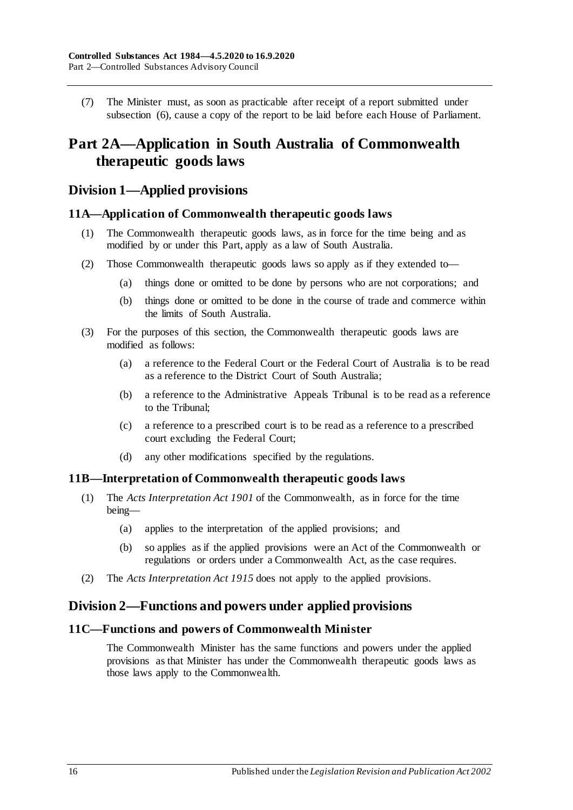(7) The Minister must, as soon as practicable after receipt of a report submitted under [subsection](#page-14-2) (6), cause a copy of the report to be laid before each House of Parliament.

# <span id="page-15-0"></span>**Part 2A—Application in South Australia of Commonwealth therapeutic goods laws**

# <span id="page-15-1"></span>**Division 1—Applied provisions**

#### <span id="page-15-2"></span>**11A—Application of Commonwealth therapeutic goods laws**

- (1) The Commonwealth therapeutic goods laws, as in force for the time being and as modified by or under this Part, apply as a law of South Australia.
- (2) Those Commonwealth therapeutic goods laws so apply as if they extended to—
	- (a) things done or omitted to be done by persons who are not corporations; and
	- (b) things done or omitted to be done in the course of trade and commerce within the limits of South Australia.
- (3) For the purposes of this section, the Commonwealth therapeutic goods laws are modified as follows:
	- (a) a reference to the Federal Court or the Federal Court of Australia is to be read as a reference to the District Court of South Australia;
	- (b) a reference to the Administrative Appeals Tribunal is to be read as a reference to the Tribunal;
	- (c) a reference to a prescribed court is to be read as a reference to a prescribed court excluding the Federal Court;
	- (d) any other modifications specified by the regulations.

#### <span id="page-15-3"></span>**11B—Interpretation of Commonwealth therapeutic goods laws**

- (1) The *Acts Interpretation Act 1901* of the Commonwealth, as in force for the time being—
	- (a) applies to the interpretation of the applied provisions; and
	- (b) so applies as if the applied provisions were an Act of the Commonwealth or regulations or orders under a Commonwealth Act, as the case requires.
- (2) The *[Acts Interpretation Act](http://www.legislation.sa.gov.au/index.aspx?action=legref&type=act&legtitle=Acts%20Interpretation%20Act%201915) 1915* does not apply to the applied provisions.

### <span id="page-15-4"></span>**Division 2—Functions and powers under applied provisions**

#### <span id="page-15-5"></span>**11C—Functions and powers of Commonwealth Minister**

The Commonwealth Minister has the same functions and powers under the applied provisions as that Minister has under the Commonwealth therapeutic goods laws as those laws apply to the Commonwealth.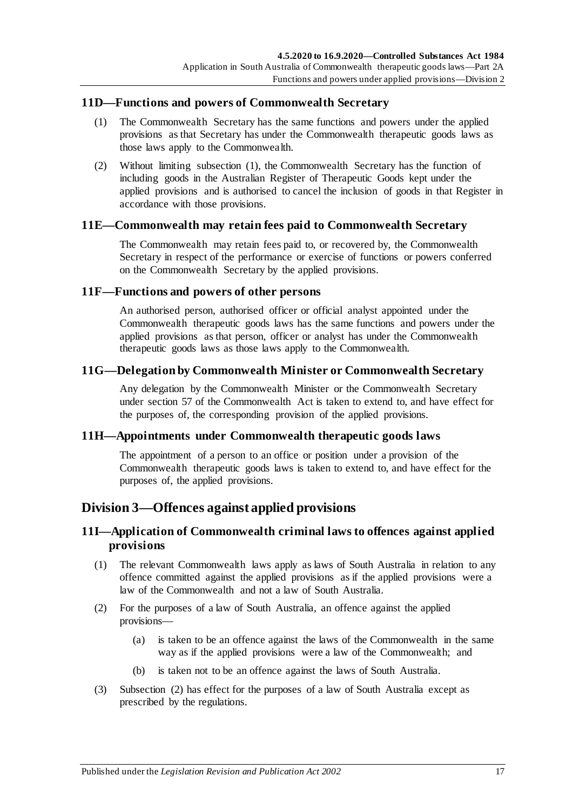#### <span id="page-16-7"></span><span id="page-16-0"></span>**11D—Functions and powers of Commonwealth Secretary**

- (1) The Commonwealth Secretary has the same functions and powers under the applied provisions as that Secretary has under the Commonwealth therapeutic goods laws as those laws apply to the Commonwealth.
- (2) Without limiting [subsection](#page-16-7) (1), the Commonwealth Secretary has the function of including goods in the Australian Register of Therapeutic Goods kept under the applied provisions and is authorised to cancel the inclusion of goods in that Register in accordance with those provisions.

#### <span id="page-16-1"></span>**11E—Commonwealth may retain fees paid to Commonwealth Secretary**

The Commonwealth may retain fees paid to, or recovered by, the Commonwealth Secretary in respect of the performance or exercise of functions or powers conferred on the Commonwealth Secretary by the applied provisions.

#### <span id="page-16-2"></span>**11F—Functions and powers of other persons**

An authorised person, authorised officer or official analyst appointed under the Commonwealth therapeutic goods laws has the same functions and powers under the applied provisions as that person, officer or analyst has under the Commonwealth therapeutic goods laws as those laws apply to the Commonwealth.

#### <span id="page-16-3"></span>**11G—Delegation by Commonwealth Minister or Commonwealth Secretary**

Any delegation by the Commonwealth Minister or the Commonwealth Secretary under section 57 of the Commonwealth Act is taken to extend to, and have effect for the purposes of, the corresponding provision of the applied provisions.

#### <span id="page-16-4"></span>**11H—Appointments under Commonwealth therapeutic goods laws**

The appointment of a person to an office or position under a provision of the Commonwealth therapeutic goods laws is taken to extend to, and have effect for the purposes of, the applied provisions.

# <span id="page-16-5"></span>**Division 3—Offences against applied provisions**

# <span id="page-16-6"></span>**11I—Application of Commonwealth criminal laws to offences against applied provisions**

- (1) The relevant Commonwealth laws apply as laws of South Australia in relation to any offence committed against the applied provisions as if the applied provisions were a law of the Commonwealth and not a law of South Australia.
- <span id="page-16-8"></span>(2) For the purposes of a law of South Australia, an offence against the applied provisions—
	- (a) is taken to be an offence against the laws of the Commonwealth in the same way as if the applied provisions were a law of the Commonwealth; and
	- (b) is taken not to be an offence against the laws of South Australia.
- (3) [Subsection](#page-16-8) (2) has effect for the purposes of a law of South Australia except as prescribed by the regulations.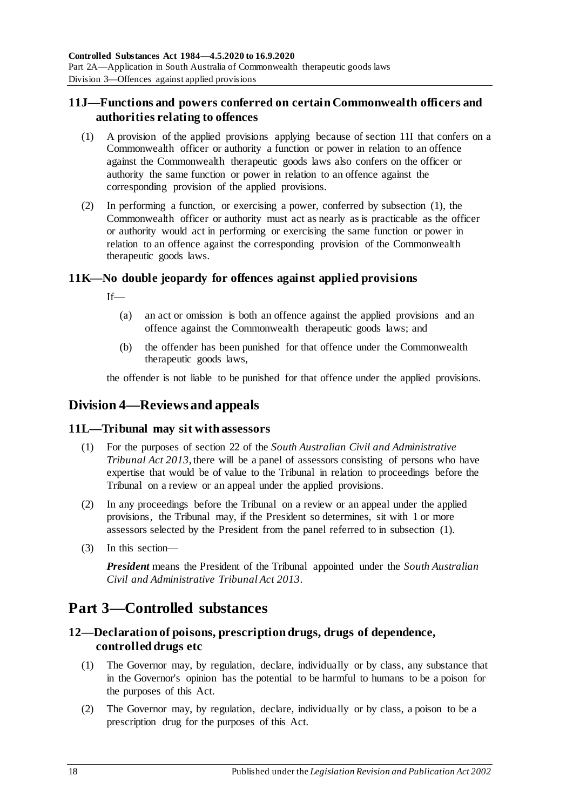# <span id="page-17-0"></span>**11J—Functions and powers conferred on certain Commonwealth officers and authorities relating to offences**

- <span id="page-17-6"></span>(1) A provision of the applied provisions applying because of [section](#page-16-6) 11I that confers on a Commonwealth officer or authority a function or power in relation to an offence against the Commonwealth therapeutic goods laws also confers on the officer or authority the same function or power in relation to an offence against the corresponding provision of the applied provisions.
- (2) In performing a function, or exercising a power, conferred by [subsection](#page-17-6) (1), the Commonwealth officer or authority must act as nearly as is practicable as the officer or authority would act in performing or exercising the same function or power in relation to an offence against the corresponding provision of the Commonwealth therapeutic goods laws.

# <span id="page-17-1"></span>**11K—No double jeopardy for offences against applied provisions**

If—

- (a) an act or omission is both an offence against the applied provisions and an offence against the Commonwealth therapeutic goods laws; and
- (b) the offender has been punished for that offence under the Commonwealth therapeutic goods laws,

the offender is not liable to be punished for that offence under the applied provisions.

# <span id="page-17-2"></span>**Division 4—Reviews and appeals**

### <span id="page-17-7"></span><span id="page-17-3"></span>**11L—Tribunal may sit with assessors**

- (1) For the purposes of section 22 of the *[South Australian Civil and Administrative](http://www.legislation.sa.gov.au/index.aspx?action=legref&type=act&legtitle=South%20Australian%20Civil%20and%20Administrative%20Tribunal%20Act%202013)  [Tribunal Act](http://www.legislation.sa.gov.au/index.aspx?action=legref&type=act&legtitle=South%20Australian%20Civil%20and%20Administrative%20Tribunal%20Act%202013) 2013*, there will be a panel of assessors consisting of persons who have expertise that would be of value to the Tribunal in relation to proceedings before the Tribunal on a review or an appeal under the applied provisions.
- (2) In any proceedings before the Tribunal on a review or an appeal under the applied provisions, the Tribunal may, if the President so determines, sit with 1 or more assessors selected by the President from the panel referred to in [subsection](#page-17-7) (1).
- (3) In this section—

*President* means the President of the Tribunal appointed under the *[South Australian](http://www.legislation.sa.gov.au/index.aspx?action=legref&type=act&legtitle=South%20Australian%20Civil%20and%20Administrative%20Tribunal%20Act%202013)  [Civil and Administrative Tribunal Act](http://www.legislation.sa.gov.au/index.aspx?action=legref&type=act&legtitle=South%20Australian%20Civil%20and%20Administrative%20Tribunal%20Act%202013) 2013*.

# <span id="page-17-4"></span>**Part 3—Controlled substances**

# <span id="page-17-5"></span>**12—Declaration of poisons, prescription drugs, drugs of dependence, controlled drugs etc**

- (1) The Governor may, by regulation, declare, individually or by class, any substance that in the Governor's opinion has the potential to be harmful to humans to be a poison for the purposes of this Act.
- (2) The Governor may, by regulation, declare, individually or by class, a poison to be a prescription drug for the purposes of this Act.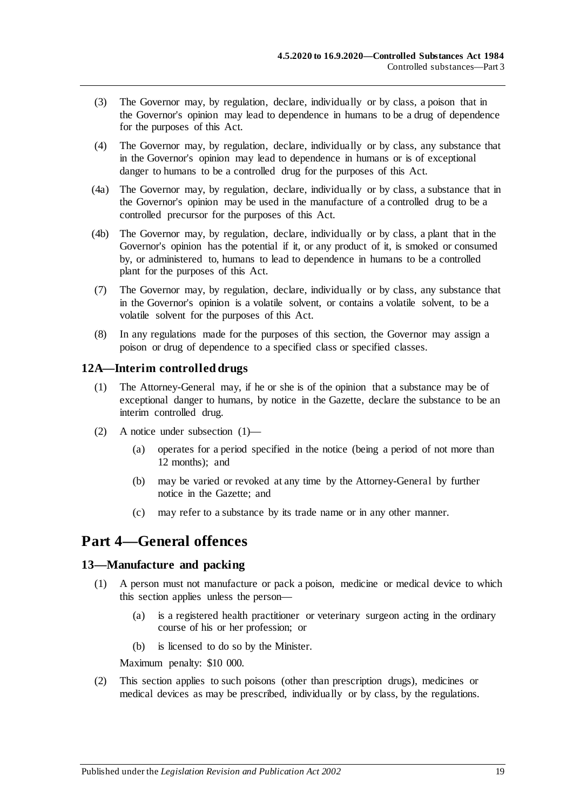- (3) The Governor may, by regulation, declare, individually or by class, a poison that in the Governor's opinion may lead to dependence in humans to be a drug of dependence for the purposes of this Act.
- (4) The Governor may, by regulation, declare, individually or by class, any substance that in the Governor's opinion may lead to dependence in humans or is of exceptional danger to humans to be a controlled drug for the purposes of this Act.
- (4a) The Governor may, by regulation, declare, individually or by class, a substance that in the Governor's opinion may be used in the manufacture of a controlled drug to be a controlled precursor for the purposes of this Act.
- (4b) The Governor may, by regulation, declare, individually or by class, a plant that in the Governor's opinion has the potential if it, or any product of it, is smoked or consumed by, or administered to, humans to lead to dependence in humans to be a controlled plant for the purposes of this Act.
- (7) The Governor may, by regulation, declare, individually or by class, any substance that in the Governor's opinion is a volatile solvent, or contains a volatile solvent, to be a volatile solvent for the purposes of this Act.
- (8) In any regulations made for the purposes of this section, the Governor may assign a poison or drug of dependence to a specified class or specified classes.

### <span id="page-18-3"></span><span id="page-18-0"></span>**12A—Interim controlled drugs**

- (1) The Attorney-General may, if he or she is of the opinion that a substance may be of exceptional danger to humans, by notice in the Gazette, declare the substance to be an interim controlled drug.
- (2) A notice under [subsection](#page-18-3) (1)—
	- (a) operates for a period specified in the notice (being a period of not more than 12 months); and
	- (b) may be varied or revoked at any time by the Attorney-General by further notice in the Gazette; and
	- (c) may refer to a substance by its trade name or in any other manner.

# <span id="page-18-1"></span>**Part 4—General offences**

#### <span id="page-18-4"></span><span id="page-18-2"></span>**13—Manufacture and packing**

- (1) A person must not manufacture or pack a poison, medicine or medical device to which this section applies unless the person—
	- (a) is a registered health practitioner or veterinary surgeon acting in the ordinary course of his or her profession; or
	- (b) is licensed to do so by the Minister.

Maximum penalty: \$10 000.

(2) This section applies to such poisons (other than prescription drugs), medicines or medical devices as may be prescribed, individually or by class, by the regulations.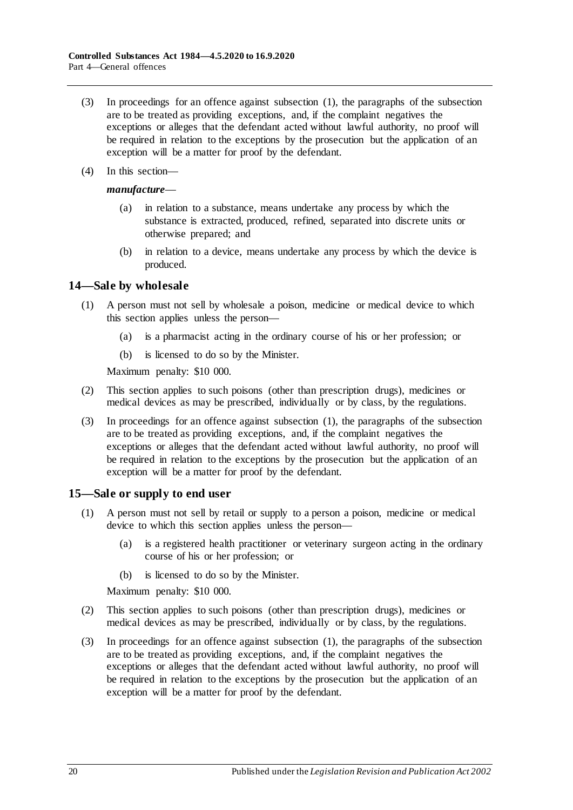- (3) In proceedings for an offence against [subsection](#page-18-4) (1), the paragraphs of the subsection are to be treated as providing exceptions, and, if the complaint negatives the exceptions or alleges that the defendant acted without lawful authority, no proof will be required in relation to the exceptions by the prosecution but the application of an exception will be a matter for proof by the defendant.
- (4) In this section—

#### *manufacture*—

- (a) in relation to a substance, means undertake any process by which the substance is extracted, produced, refined, separated into discrete units or otherwise prepared; and
- (b) in relation to a device, means undertake any process by which the device is produced.

#### <span id="page-19-2"></span><span id="page-19-0"></span>**14—Sale by wholesale**

- (1) A person must not sell by wholesale a poison, medicine or medical device to which this section applies unless the person—
	- (a) is a pharmacist acting in the ordinary course of his or her profession; or
	- (b) is licensed to do so by the Minister.

Maximum penalty: \$10 000.

- (2) This section applies to such poisons (other than prescription drugs), medicines or medical devices as may be prescribed, individually or by class, by the regulations.
- (3) In proceedings for an offence against [subsection](#page-19-2) (1), the paragraphs of the subsection are to be treated as providing exceptions, and, if the complaint negatives the exceptions or alleges that the defendant acted without lawful authority, no proof will be required in relation to the exceptions by the prosecution but the application of an exception will be a matter for proof by the defendant.

### <span id="page-19-3"></span><span id="page-19-1"></span>**15—Sale or supply to end user**

- (1) A person must not sell by retail or supply to a person a poison, medicine or medical device to which this section applies unless the person—
	- (a) is a registered health practitioner or veterinary surgeon acting in the ordinary course of his or her profession; or
	- (b) is licensed to do so by the Minister.

Maximum penalty: \$10 000.

- (2) This section applies to such poisons (other than prescription drugs), medicines or medical devices as may be prescribed, individually or by class, by the regulations.
- (3) In proceedings for an offence against [subsection](#page-19-3) (1), the paragraphs of the subsection are to be treated as providing exceptions, and, if the complaint negatives the exceptions or alleges that the defendant acted without lawful authority, no proof will be required in relation to the exceptions by the prosecution but the application of an exception will be a matter for proof by the defendant.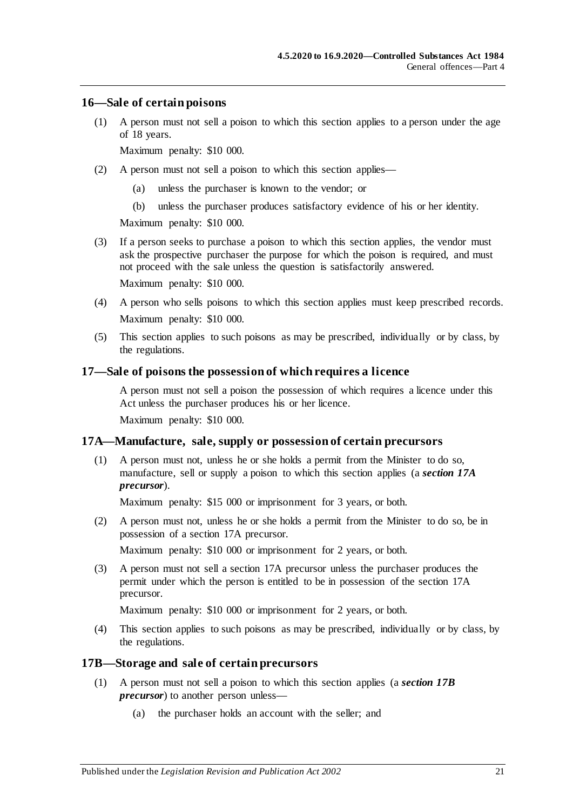#### <span id="page-20-0"></span>**16—Sale of certain poisons**

(1) A person must not sell a poison to which this section applies to a person under the age of 18 years.

Maximum penalty: \$10 000.

- (2) A person must not sell a poison to which this section applies—
	- (a) unless the purchaser is known to the vendor; or
	- (b) unless the purchaser produces satisfactory evidence of his or her identity.

Maximum penalty: \$10 000.

- (3) If a person seeks to purchase a poison to which this section applies, the vendor must ask the prospective purchaser the purpose for which the poison is required, and must not proceed with the sale unless the question is satisfactorily answered. Maximum penalty: \$10 000.
- (4) A person who sells poisons to which this section applies must keep prescribed records. Maximum penalty: \$10 000.
- (5) This section applies to such poisons as may be prescribed, individually or by class, by the regulations.

#### <span id="page-20-1"></span>**17—Sale of poisons the possession of which requires a licence**

A person must not sell a poison the possession of which requires a licence under this Act unless the purchaser produces his or her licence.

Maximum penalty: \$10 000.

#### <span id="page-20-2"></span>**17A—Manufacture, sale, supply or possession of certain precursors**

(1) A person must not, unless he or she holds a permit from the Minister to do so, manufacture, sell or supply a poison to which this section applies (a *section 17A precursor*).

Maximum penalty: \$15 000 or imprisonment for 3 years, or both.

(2) A person must not, unless he or she holds a permit from the Minister to do so, be in possession of a section 17A precursor.

Maximum penalty: \$10 000 or imprisonment for 2 years, or both.

(3) A person must not sell a section 17A precursor unless the purchaser produces the permit under which the person is entitled to be in possession of the section 17A precursor.

Maximum penalty: \$10 000 or imprisonment for 2 years, or both.

(4) This section applies to such poisons as may be prescribed, individually or by class, by the regulations.

#### <span id="page-20-3"></span>**17B—Storage and sale of certain precursors**

- (1) A person must not sell a poison to which this section applies (a *section 17B precursor*) to another person unless—
	- (a) the purchaser holds an account with the seller; and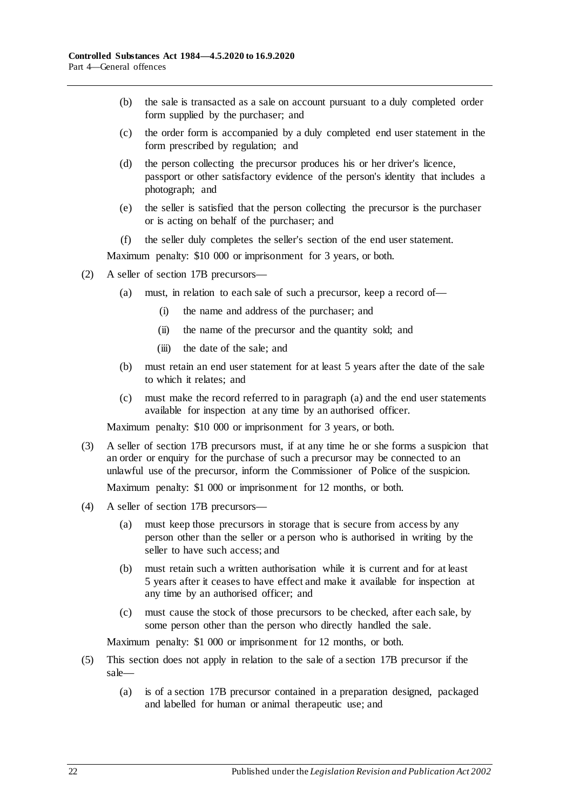- (b) the sale is transacted as a sale on account pursuant to a duly completed order form supplied by the purchaser; and
- (c) the order form is accompanied by a duly completed end user statement in the form prescribed by regulation; and
- (d) the person collecting the precursor produces his or her driver's licence, passport or other satisfactory evidence of the person's identity that includes a photograph; and
- (e) the seller is satisfied that the person collecting the precursor is the purchaser or is acting on behalf of the purchaser; and
- (f) the seller duly completes the seller's section of the end user statement.

- <span id="page-21-0"></span>(2) A seller of section 17B precursors—
	- (a) must, in relation to each sale of such a precursor, keep a record of—
		- (i) the name and address of the purchaser; and
		- (ii) the name of the precursor and the quantity sold; and
		- (iii) the date of the sale; and
	- (b) must retain an end user statement for at least 5 years after the date of the sale to which it relates; and
	- (c) must make the record referred to in [paragraph](#page-21-0) (a) and the end user statements available for inspection at any time by an authorised officer.

Maximum penalty: \$10 000 or imprisonment for 3 years, or both.

(3) A seller of section 17B precursors must, if at any time he or she forms a suspicion that an order or enquiry for the purchase of such a precursor may be connected to an unlawful use of the precursor, inform the Commissioner of Police of the suspicion.

Maximum penalty: \$1 000 or imprisonment for 12 months, or both.

- (4) A seller of section 17B precursors—
	- (a) must keep those precursors in storage that is secure from access by any person other than the seller or a person who is authorised in writing by the seller to have such access; and
	- (b) must retain such a written authorisation while it is current and for at least 5 years after it ceases to have effect and make it available for inspection at any time by an authorised officer; and
	- (c) must cause the stock of those precursors to be checked, after each sale, by some person other than the person who directly handled the sale.

Maximum penalty: \$1 000 or imprisonment for 12 months, or both.

- (5) This section does not apply in relation to the sale of a section 17B precursor if the sale—
	- (a) is of a section 17B precursor contained in a preparation designed, packaged and labelled for human or animal therapeutic use; and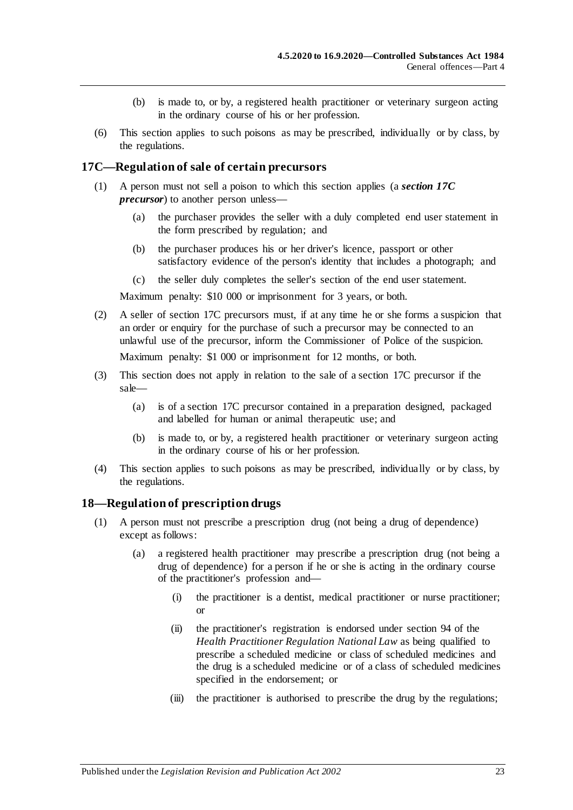- (b) is made to, or by, a registered health practitioner or veterinary surgeon acting in the ordinary course of his or her profession.
- (6) This section applies to such poisons as may be prescribed, individually or by class, by the regulations.

#### <span id="page-22-0"></span>**17C—Regulation of sale of certain precursors**

- (1) A person must not sell a poison to which this section applies (a *section 17C precursor*) to another person unless—
	- (a) the purchaser provides the seller with a duly completed end user statement in the form prescribed by regulation; and
	- (b) the purchaser produces his or her driver's licence, passport or other satisfactory evidence of the person's identity that includes a photograph; and
	- (c) the seller duly completes the seller's section of the end user statement.

Maximum penalty: \$10 000 or imprisonment for 3 years, or both.

(2) A seller of section 17C precursors must, if at any time he or she forms a suspicion that an order or enquiry for the purchase of such a precursor may be connected to an unlawful use of the precursor, inform the Commissioner of Police of the suspicion. Maximum penalty: \$1 000 or imprisonment for 12 months, or both.

- (3) This section does not apply in relation to the sale of a section 17C precursor if the sale—
	- (a) is of a section 17C precursor contained in a preparation designed, packaged and labelled for human or animal therapeutic use; and
	- (b) is made to, or by, a registered health practitioner or veterinary surgeon acting in the ordinary course of his or her profession.
- (4) This section applies to such poisons as may be prescribed, individually or by class, by the regulations.

#### <span id="page-22-2"></span><span id="page-22-1"></span>**18—Regulation of prescription drugs**

- (1) A person must not prescribe a prescription drug (not being a drug of dependence) except as follows:
	- (a) a registered health practitioner may prescribe a prescription drug (not being a drug of dependence) for a person if he or she is acting in the ordinary course of the practitioner's profession and—
		- (i) the practitioner is a dentist, medical practitioner or nurse practitioner; or
		- (ii) the practitioner's registration is endorsed under section 94 of the *Health Practitioner Regulation National Law* as being qualified to prescribe a scheduled medicine or class of scheduled medicines and the drug is a scheduled medicine or of a class of scheduled medicines specified in the endorsement; or
		- (iii) the practitioner is authorised to prescribe the drug by the regulations;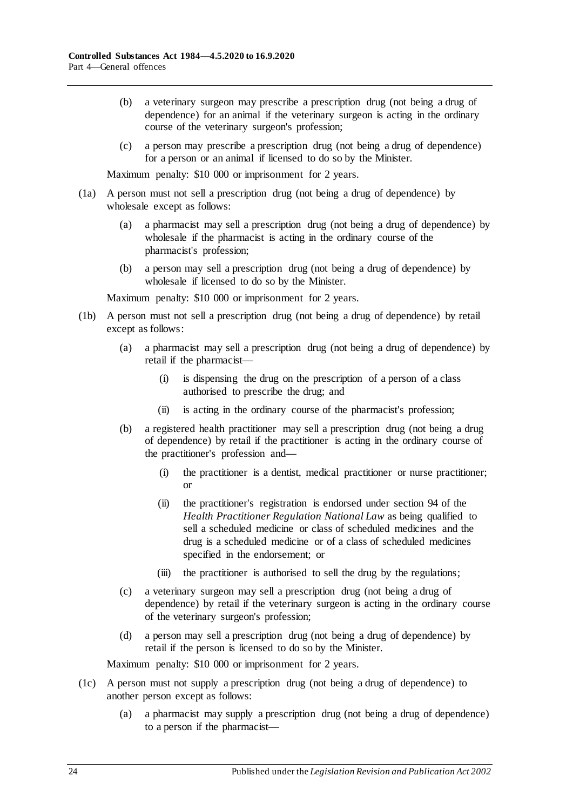- (b) a veterinary surgeon may prescribe a prescription drug (not being a drug of dependence) for an animal if the veterinary surgeon is acting in the ordinary course of the veterinary surgeon's profession;
- (c) a person may prescribe a prescription drug (not being a drug of dependence) for a person or an animal if licensed to do so by the Minister.

- (1a) A person must not sell a prescription drug (not being a drug of dependence) by wholesale except as follows:
	- (a) a pharmacist may sell a prescription drug (not being a drug of dependence) by wholesale if the pharmacist is acting in the ordinary course of the pharmacist's profession;
	- (b) a person may sell a prescription drug (not being a drug of dependence) by wholesale if licensed to do so by the Minister.

Maximum penalty: \$10 000 or imprisonment for 2 years.

- (1b) A person must not sell a prescription drug (not being a drug of dependence) by retail except as follows:
	- (a) a pharmacist may sell a prescription drug (not being a drug of dependence) by retail if the pharmacist—
		- (i) is dispensing the drug on the prescription of a person of a class authorised to prescribe the drug; and
		- (ii) is acting in the ordinary course of the pharmacist's profession;
	- (b) a registered health practitioner may sell a prescription drug (not being a drug of dependence) by retail if the practitioner is acting in the ordinary course of the practitioner's profession and—
		- (i) the practitioner is a dentist, medical practitioner or nurse practitioner; or
		- (ii) the practitioner's registration is endorsed under section 94 of the *Health Practitioner Regulation National Law* as being qualified to sell a scheduled medicine or class of scheduled medicines and the drug is a scheduled medicine or of a class of scheduled medicines specified in the endorsement; or
		- (iii) the practitioner is authorised to sell the drug by the regulations;
	- (c) a veterinary surgeon may sell a prescription drug (not being a drug of dependence) by retail if the veterinary surgeon is acting in the ordinary course of the veterinary surgeon's profession;
	- (d) a person may sell a prescription drug (not being a drug of dependence) by retail if the person is licensed to do so by the Minister.

- (1c) A person must not supply a prescription drug (not being a drug of dependence) to another person except as follows:
	- (a) a pharmacist may supply a prescription drug (not being a drug of dependence) to a person if the pharmacist—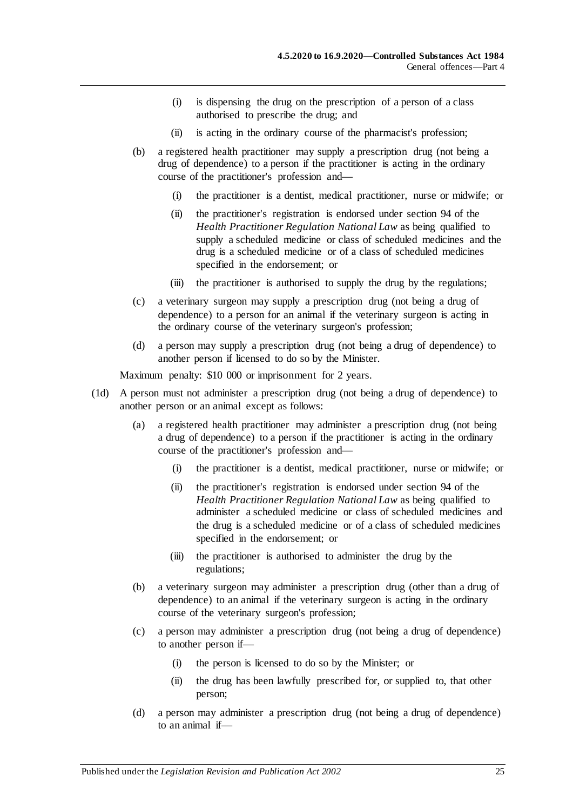- (i) is dispensing the drug on the prescription of a person of a class authorised to prescribe the drug; and
- (ii) is acting in the ordinary course of the pharmacist's profession;
- (b) a registered health practitioner may supply a prescription drug (not being a drug of dependence) to a person if the practitioner is acting in the ordinary course of the practitioner's profession and—
	- (i) the practitioner is a dentist, medical practitioner, nurse or midwife; or
	- (ii) the practitioner's registration is endorsed under section 94 of the *Health Practitioner Regulation National Law* as being qualified to supply a scheduled medicine or class of scheduled medicines and the drug is a scheduled medicine or of a class of scheduled medicines specified in the endorsement; or
	- (iii) the practitioner is authorised to supply the drug by the regulations;
- (c) a veterinary surgeon may supply a prescription drug (not being a drug of dependence) to a person for an animal if the veterinary surgeon is acting in the ordinary course of the veterinary surgeon's profession;
- (d) a person may supply a prescription drug (not being a drug of dependence) to another person if licensed to do so by the Minister.

- (1d) A person must not administer a prescription drug (not being a drug of dependence) to another person or an animal except as follows:
	- (a) a registered health practitioner may administer a prescription drug (not being a drug of dependence) to a person if the practitioner is acting in the ordinary course of the practitioner's profession and—
		- (i) the practitioner is a dentist, medical practitioner, nurse or midwife; or
		- (ii) the practitioner's registration is endorsed under section 94 of the *Health Practitioner Regulation National Law* as being qualified to administer a scheduled medicine or class of scheduled medicines and the drug is a scheduled medicine or of a class of scheduled medicines specified in the endorsement; or
		- (iii) the practitioner is authorised to administer the drug by the regulations;
	- (b) a veterinary surgeon may administer a prescription drug (other than a drug of dependence) to an animal if the veterinary surgeon is acting in the ordinary course of the veterinary surgeon's profession;
	- (c) a person may administer a prescription drug (not being a drug of dependence) to another person if—
		- (i) the person is licensed to do so by the Minister; or
		- (ii) the drug has been lawfully prescribed for, or supplied to, that other person;
	- (d) a person may administer a prescription drug (not being a drug of dependence) to an animal if—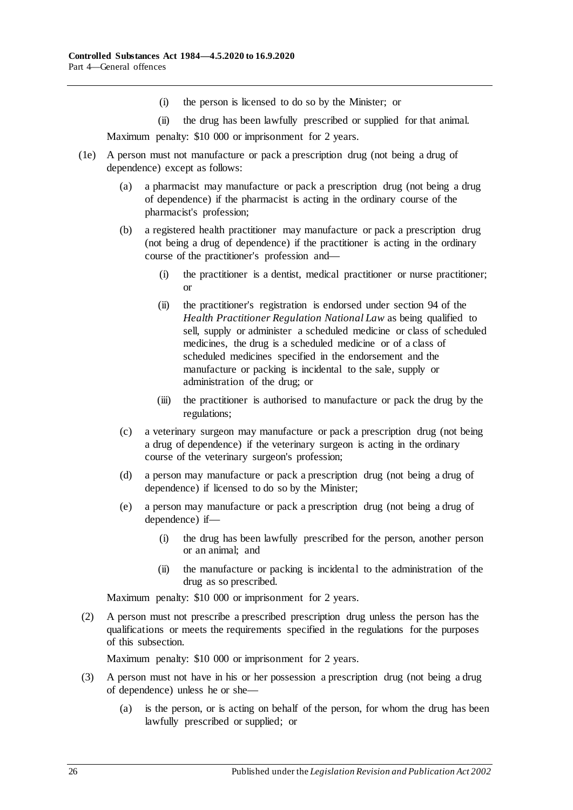- (i) the person is licensed to do so by the Minister; or
- (ii) the drug has been lawfully prescribed or supplied for that animal. Maximum penalty: \$10 000 or imprisonment for 2 years.
- (1e) A person must not manufacture or pack a prescription drug (not being a drug of dependence) except as follows:
	- (a) a pharmacist may manufacture or pack a prescription drug (not being a drug of dependence) if the pharmacist is acting in the ordinary course of the pharmacist's profession;
	- (b) a registered health practitioner may manufacture or pack a prescription drug (not being a drug of dependence) if the practitioner is acting in the ordinary course of the practitioner's profession and—
		- (i) the practitioner is a dentist, medical practitioner or nurse practitioner; or
		- (ii) the practitioner's registration is endorsed under section 94 of the *Health Practitioner Regulation National Law* as being qualified to sell, supply or administer a scheduled medicine or class of scheduled medicines, the drug is a scheduled medicine or of a class of scheduled medicines specified in the endorsement and the manufacture or packing is incidental to the sale, supply or administration of the drug; or
		- (iii) the practitioner is authorised to manufacture or pack the drug by the regulations;
	- (c) a veterinary surgeon may manufacture or pack a prescription drug (not being a drug of dependence) if the veterinary surgeon is acting in the ordinary course of the veterinary surgeon's profession;
	- (d) a person may manufacture or pack a prescription drug (not being a drug of dependence) if licensed to do so by the Minister;
	- (e) a person may manufacture or pack a prescription drug (not being a drug of dependence) if—
		- (i) the drug has been lawfully prescribed for the person, another person or an animal; and
		- (ii) the manufacture or packing is incidental to the administration of the drug as so prescribed.

(2) A person must not prescribe a prescribed prescription drug unless the person has the qualifications or meets the requirements specified in the regulations for the purposes of this subsection.

- <span id="page-25-0"></span>(3) A person must not have in his or her possession a prescription drug (not being a drug of dependence) unless he or she—
	- (a) is the person, or is acting on behalf of the person, for whom the drug has been lawfully prescribed or supplied; or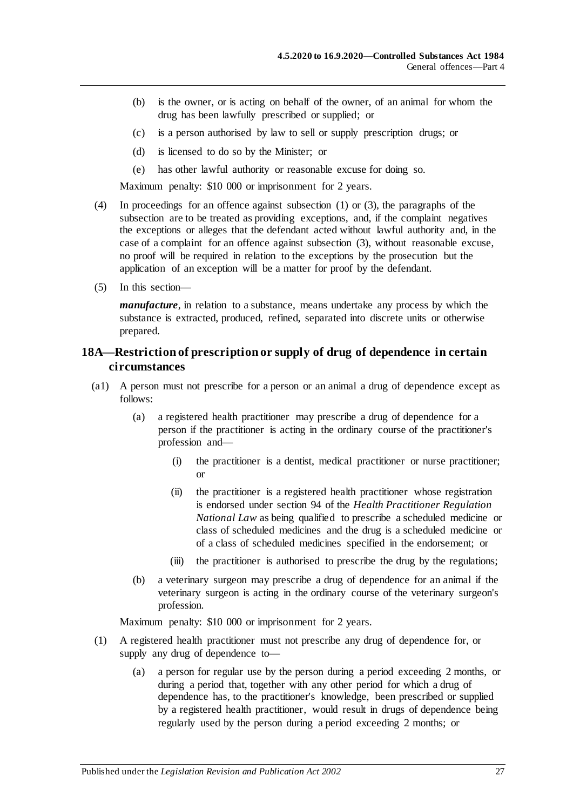- (b) is the owner, or is acting on behalf of the owner, of an animal for whom the drug has been lawfully prescribed or supplied; or
- (c) is a person authorised by law to sell or supply prescription drugs; or
- (d) is licensed to do so by the Minister; or
- (e) has other lawful authority or reasonable excuse for doing so.

- (4) In proceedings for an offence against [subsection](#page-22-2) (1) or [\(3\),](#page-25-0) the paragraphs of the subsection are to be treated as providing exceptions, and, if the complaint negatives the exceptions or alleges that the defendant acted without lawful authority and, in the case of a complaint for an offence against [subsection](#page-25-0) (3), without reasonable excuse, no proof will be required in relation to the exceptions by the prosecution but the application of an exception will be a matter for proof by the defendant.
- (5) In this section—

*manufacture*, in relation to a substance, means undertake any process by which the substance is extracted, produced, refined, separated into discrete units or otherwise prepared.

## <span id="page-26-0"></span>**18A—Restriction of prescription or supply of drug of dependence in certain circumstances**

- (a1) A person must not prescribe for a person or an animal a drug of dependence except as follows:
	- (a) a registered health practitioner may prescribe a drug of dependence for a person if the practitioner is acting in the ordinary course of the practitioner's profession and—
		- (i) the practitioner is a dentist, medical practitioner or nurse practitioner; or
		- (ii) the practitioner is a registered health practitioner whose registration is endorsed under section 94 of the *Health Practitioner Regulation National Law* as being qualified to prescribe a scheduled medicine or class of scheduled medicines and the drug is a scheduled medicine or of a class of scheduled medicines specified in the endorsement; or
		- (iii) the practitioner is authorised to prescribe the drug by the regulations;
	- (b) a veterinary surgeon may prescribe a drug of dependence for an animal if the veterinary surgeon is acting in the ordinary course of the veterinary surgeon's profession.

- (1) A registered health practitioner must not prescribe any drug of dependence for, or supply any drug of dependence to—
	- (a) a person for regular use by the person during a period exceeding 2 months, or during a period that, together with any other period for which a drug of dependence has, to the practitioner's knowledge, been prescribed or supplied by a registered health practitioner, would result in drugs of dependence being regularly used by the person during a period exceeding 2 months; or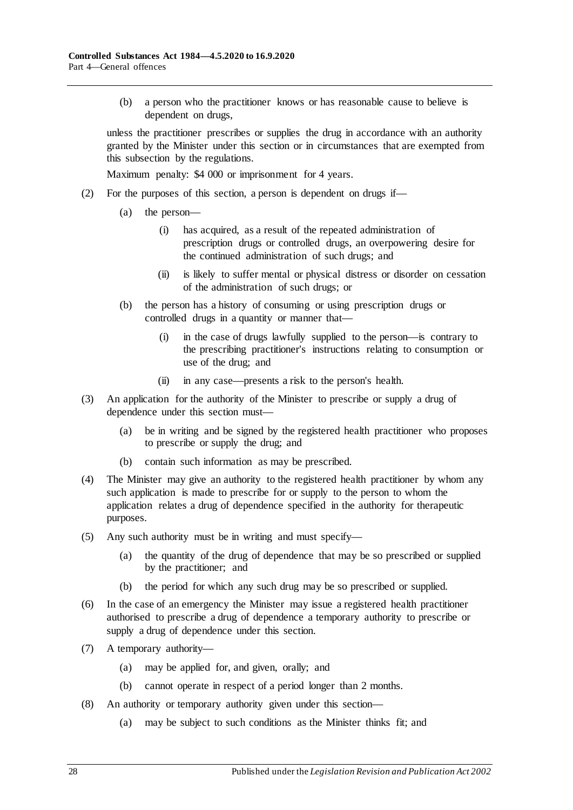(b) a person who the practitioner knows or has reasonable cause to believe is dependent on drugs,

unless the practitioner prescribes or supplies the drug in accordance with an authority granted by the Minister under this section or in circumstances that are exempted from this subsection by the regulations.

- (2) For the purposes of this section, a person is dependent on drugs if—
	- (a) the person—
		- (i) has acquired, as a result of the repeated administration of prescription drugs or controlled drugs, an overpowering desire for the continued administration of such drugs; and
		- (ii) is likely to suffer mental or physical distress or disorder on cessation of the administration of such drugs; or
	- (b) the person has a history of consuming or using prescription drugs or controlled drugs in a quantity or manner that—
		- (i) in the case of drugs lawfully supplied to the person—is contrary to the prescribing practitioner's instructions relating to consumption or use of the drug; and
		- (ii) in any case—presents a risk to the person's health.
- (3) An application for the authority of the Minister to prescribe or supply a drug of dependence under this section must—
	- (a) be in writing and be signed by the registered health practitioner who proposes to prescribe or supply the drug; and
	- (b) contain such information as may be prescribed.
- (4) The Minister may give an authority to the registered health practitioner by whom any such application is made to prescribe for or supply to the person to whom the application relates a drug of dependence specified in the authority for therapeutic purposes.
- (5) Any such authority must be in writing and must specify—
	- (a) the quantity of the drug of dependence that may be so prescribed or supplied by the practitioner; and
	- (b) the period for which any such drug may be so prescribed or supplied.
- (6) In the case of an emergency the Minister may issue a registered health practitioner authorised to prescribe a drug of dependence a temporary authority to prescribe or supply a drug of dependence under this section.
- (7) A temporary authority—
	- (a) may be applied for, and given, orally; and
	- (b) cannot operate in respect of a period longer than 2 months.
- (8) An authority or temporary authority given under this section—
	- (a) may be subject to such conditions as the Minister thinks fit; and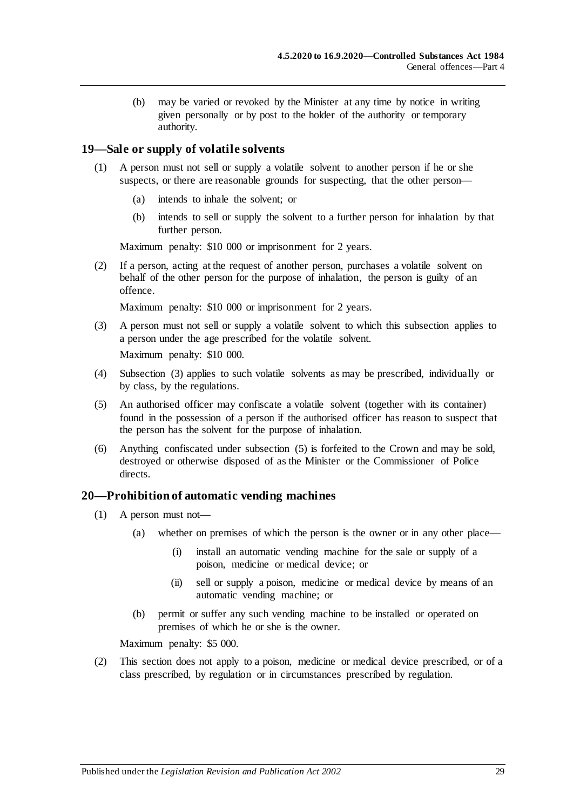(b) may be varied or revoked by the Minister at any time by notice in writing given personally or by post to the holder of the authority or temporary authority.

#### <span id="page-28-0"></span>**19—Sale or supply of volatile solvents**

- (1) A person must not sell or supply a volatile solvent to another person if he or she suspects, or there are reasonable grounds for suspecting, that the other person—
	- (a) intends to inhale the solvent; or
	- (b) intends to sell or supply the solvent to a further person for inhalation by that further person.

Maximum penalty: \$10 000 or imprisonment for 2 years.

(2) If a person, acting at the request of another person, purchases a volatile solvent on behalf of the other person for the purpose of inhalation, the person is guilty of an offence.

Maximum penalty: \$10 000 or imprisonment for 2 years.

- <span id="page-28-2"></span>(3) A person must not sell or supply a volatile solvent to which this subsection applies to a person under the age prescribed for the volatile solvent. Maximum penalty: \$10 000.
- (4) [Subsection](#page-28-2) (3) applies to such volatile solvents as may be prescribed, individually or by class, by the regulations.
- <span id="page-28-3"></span>(5) An authorised officer may confiscate a volatile solvent (together with its container) found in the possession of a person if the authorised officer has reason to suspect that the person has the solvent for the purpose of inhalation.
- (6) Anything confiscated under [subsection](#page-28-3) (5) is forfeited to the Crown and may be sold, destroyed or otherwise disposed of as the Minister or the Commissioner of Police directs.

#### <span id="page-28-1"></span>**20—Prohibition of automatic vending machines**

- (1) A person must not—
	- (a) whether on premises of which the person is the owner or in any other place—
		- (i) install an automatic vending machine for the sale or supply of a poison, medicine or medical device; or
		- (ii) sell or supply a poison, medicine or medical device by means of an automatic vending machine; or
	- (b) permit or suffer any such vending machine to be installed or operated on premises of which he or she is the owner.

Maximum penalty: \$5 000.

(2) This section does not apply to a poison, medicine or medical device prescribed, or of a class prescribed, by regulation or in circumstances prescribed by regulation.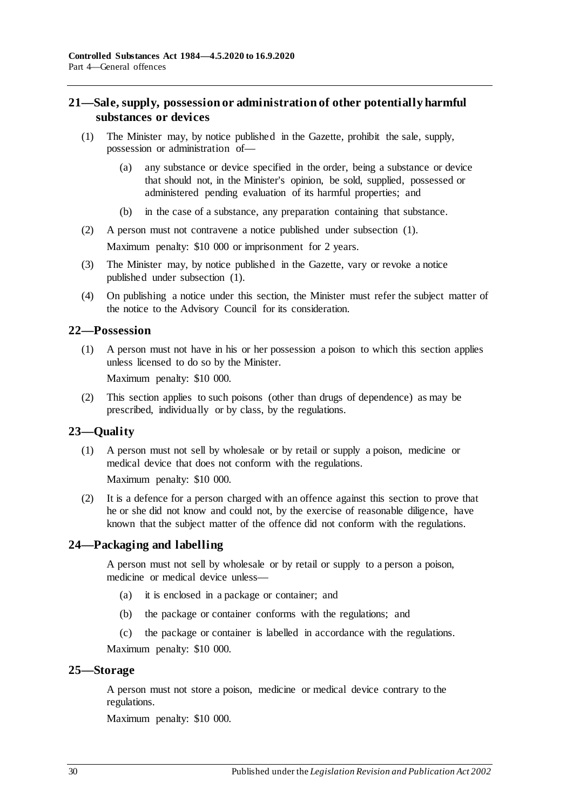### <span id="page-29-0"></span>**21—Sale, supply, possession or administration of other potentially harmful substances or devices**

- <span id="page-29-5"></span>(1) The Minister may, by notice published in the Gazette, prohibit the sale, supply, possession or administration of—
	- (a) any substance or device specified in the order, being a substance or device that should not, in the Minister's opinion, be sold, supplied, possessed or administered pending evaluation of its harmful properties; and
	- (b) in the case of a substance, any preparation containing that substance.
- (2) A person must not contravene a notice published under [subsection](#page-29-5) (1). Maximum penalty: \$10 000 or imprisonment for 2 years.
- (3) The Minister may, by notice published in the Gazette, vary or revoke a notice published under [subsection](#page-29-5) (1).
- (4) On publishing a notice under this section, the Minister must refer the subject matter of the notice to the Advisory Council for its consideration.

#### <span id="page-29-1"></span>**22—Possession**

(1) A person must not have in his or her possession a poison to which this section applies unless licensed to do so by the Minister.

Maximum penalty: \$10 000.

(2) This section applies to such poisons (other than drugs of dependence) as may be prescribed, individually or by class, by the regulations.

#### <span id="page-29-2"></span>**23—Quality**

(1) A person must not sell by wholesale or by retail or supply a poison, medicine or medical device that does not conform with the regulations.

Maximum penalty: \$10 000.

(2) It is a defence for a person charged with an offence against this section to prove that he or she did not know and could not, by the exercise of reasonable diligence, have known that the subject matter of the offence did not conform with the regulations.

#### <span id="page-29-3"></span>**24—Packaging and labelling**

A person must not sell by wholesale or by retail or supply to a person a poison, medicine or medical device unless—

- (a) it is enclosed in a package or container; and
- (b) the package or container conforms with the regulations; and
- (c) the package or container is labelled in accordance with the regulations.

Maximum penalty: \$10 000.

#### <span id="page-29-4"></span>**25—Storage**

A person must not store a poison, medicine or medical device contrary to the regulations.

Maximum penalty: \$10 000.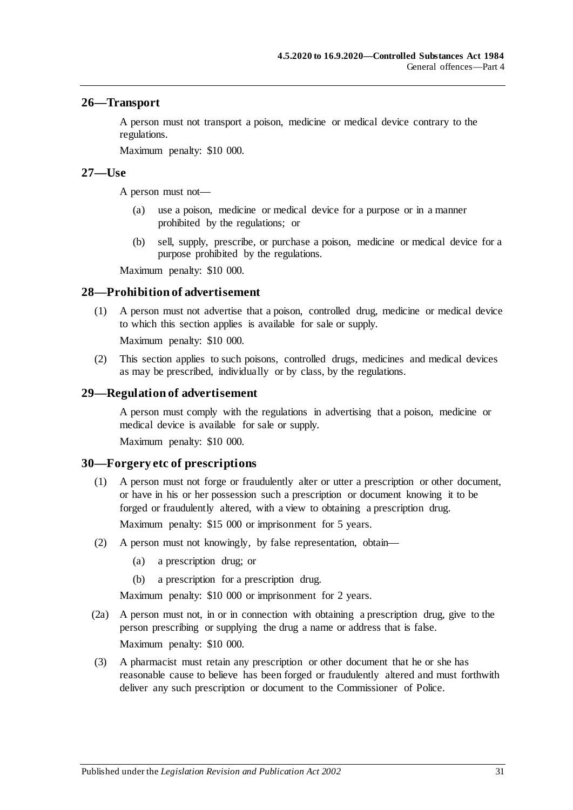#### <span id="page-30-0"></span>**26—Transport**

A person must not transport a poison, medicine or medical device contrary to the regulations.

Maximum penalty: \$10 000.

#### <span id="page-30-1"></span>**27—Use**

A person must not—

- (a) use a poison, medicine or medical device for a purpose or in a manner prohibited by the regulations; or
- (b) sell, supply, prescribe, or purchase a poison, medicine or medical device for a purpose prohibited by the regulations.

Maximum penalty: \$10 000.

#### <span id="page-30-2"></span>**28—Prohibition of advertisement**

(1) A person must not advertise that a poison, controlled drug, medicine or medical device to which this section applies is available for sale or supply.

Maximum penalty: \$10 000.

(2) This section applies to such poisons, controlled drugs, medicines and medical devices as may be prescribed, individually or by class, by the regulations.

#### <span id="page-30-3"></span>**29—Regulation of advertisement**

A person must comply with the regulations in advertising that a poison, medicine or medical device is available for sale or supply.

Maximum penalty: \$10 000.

#### <span id="page-30-4"></span>**30—Forgery etc of prescriptions**

(1) A person must not forge or fraudulently alter or utter a prescription or other document, or have in his or her possession such a prescription or document knowing it to be forged or fraudulently altered, with a view to obtaining a prescription drug.

Maximum penalty: \$15 000 or imprisonment for 5 years.

- (2) A person must not knowingly, by false representation, obtain—
	- (a) a prescription drug; or
	- (b) a prescription for a prescription drug.

- (2a) A person must not, in or in connection with obtaining a prescription drug, give to the person prescribing or supplying the drug a name or address that is false. Maximum penalty: \$10 000.
- (3) A pharmacist must retain any prescription or other document that he or she has reasonable cause to believe has been forged or fraudulently altered and must forthwith deliver any such prescription or document to the Commissioner of Police.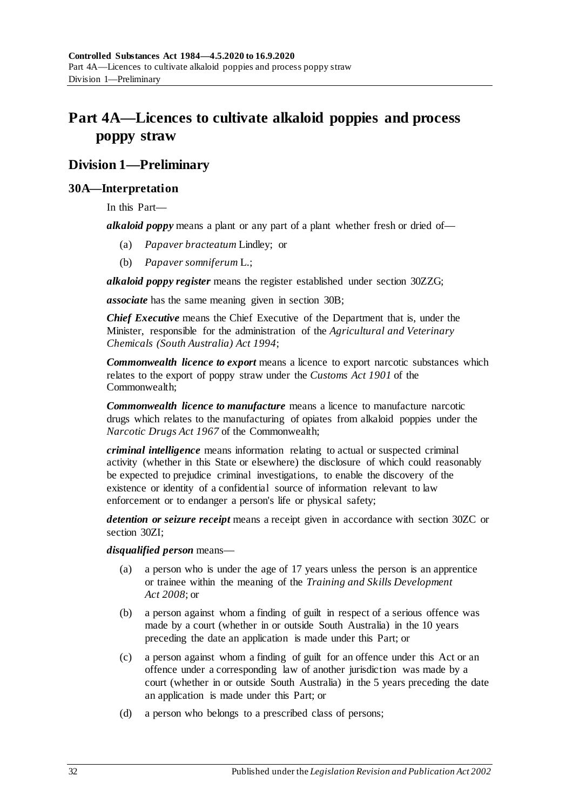# <span id="page-31-0"></span>**Part 4A—Licences to cultivate alkaloid poppies and process poppy straw**

# <span id="page-31-1"></span>**Division 1—Preliminary**

### <span id="page-31-2"></span>**30A—Interpretation**

In this Part—

*alkaloid poppy* means a plant or any part of a plant whether fresh or dried of—

- (a) *Papaver bracteatum* Lindley; or
- (b) *Papaver somniferum* L.;

*alkaloid poppy register* means the register established under section [30ZZG;](#page-59-2)

*associate* has the same meaning given in [section](#page-33-0) 30B;

*Chief Executive* means the Chief Executive of the Department that is, under the Minister, responsible for the administration of the *[Agricultural and Veterinary](http://www.legislation.sa.gov.au/index.aspx?action=legref&type=act&legtitle=Agricultural%20and%20Veterinary%20Chemicals%20(South%20Australia)%20Act%201994)  [Chemicals \(South Australia\) Act](http://www.legislation.sa.gov.au/index.aspx?action=legref&type=act&legtitle=Agricultural%20and%20Veterinary%20Chemicals%20(South%20Australia)%20Act%201994) 1994*;

*Commonwealth licence to export* means a licence to export narcotic substances which relates to the export of poppy straw under the *Customs Act 1901* of the Commonwealth;

*Commonwealth licence to manufacture* means a licence to manufacture narcotic drugs which relates to the manufacturing of opiates from alkaloid poppies under the *Narcotic Drugs Act 1967* of the Commonwealth;

*criminal intelligence* means information relating to actual or suspected criminal activity (whether in this State or elsewhere) the disclosure of which could reasonably be expected to prejudice criminal investigations, to enable the discovery of the existence or identity of a confidential source of information relevant to law enforcement or to endanger a person's life or physical safety;

*detention or seizure receipt* means a receipt given in accordance with [section](#page-48-1) 30ZC or [section](#page-50-4) 30ZI;

*disqualified person* means—

- (a) a person who is under the age of 17 years unless the person is an apprentice or trainee within the meaning of the *[Training and Skills Development](http://www.legislation.sa.gov.au/index.aspx?action=legref&type=act&legtitle=Training%20and%20Skills%20Development%20Act%202008)  Act [2008](http://www.legislation.sa.gov.au/index.aspx?action=legref&type=act&legtitle=Training%20and%20Skills%20Development%20Act%202008)*; or
- (b) a person against whom a finding of guilt in respect of a serious offence was made by a court (whether in or outside South Australia) in the 10 years preceding the date an application is made under this Part; or
- (c) a person against whom a finding of guilt for an offence under this Act or an offence under a corresponding law of another jurisdiction was made by a court (whether in or outside South Australia) in the 5 years preceding the date an application is made under this Part; or
- (d) a person who belongs to a prescribed class of persons;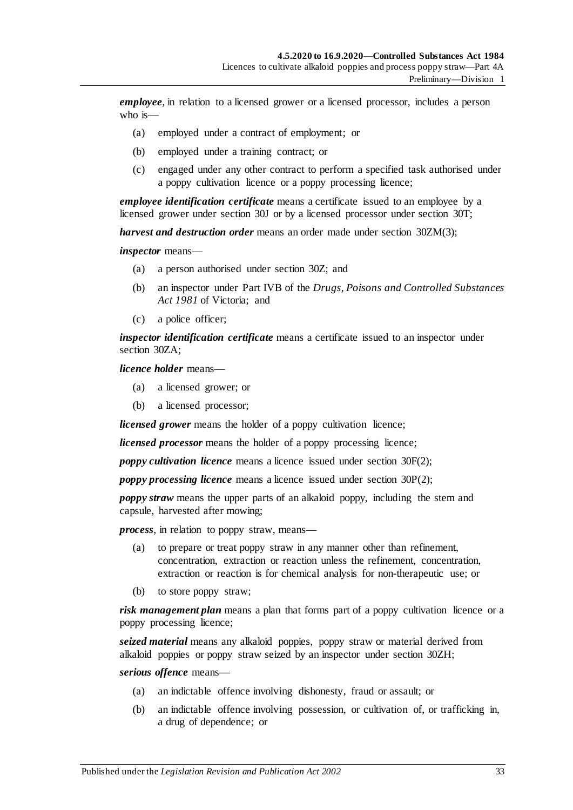*employee*, in relation to a licensed grower or a licensed processor, includes a person who is—

- (a) employed under a contract of employment; or
- (b) employed under a training contract; or
- (c) engaged under any other contract to perform a specified task authorised under a poppy cultivation licence or a poppy processing licence;

*employee identification certificate* means a certificate issued to an employee by a licensed grower under [section](#page-39-0) 30J or by a licensed processor under [section](#page-44-0) 30T;

*harvest and destruction order* means an order made under section [30ZM\(3\);](#page-52-2)

*inspector* means—

- (a) a person authorised under [section](#page-47-1) 30Z; and
- (b) an inspector under Part IVB of the *Drugs, Poisons and Controlled Substances Act 1981* of Victoria; and
- (c) a police officer;

*inspector identification certificate* means a certificate issued to an inspector under [section](#page-47-2) 30ZA;

*licence holder* means—

- (a) a licensed grower; or
- (b) a licensed processor;

*licensed grower* means the holder of a poppy cultivation licence;

*licensed processor* means the holder of a poppy processing licence;

*poppy cultivation licence* means a licence issued under [section](#page-37-2) 30F(2);

*poppy processing licence* means a licence issued under [section](#page-42-3) 30P(2);

*poppy straw* means the upper parts of an alkaloid poppy, including the stem and capsule, harvested after mowing;

*process*, in relation to poppy straw, means—

- (a) to prepare or treat poppy straw in any manner other than refinement, concentration, extraction or reaction unless the refinement, concentration, extraction or reaction is for chemical analysis for non-therapeutic use; or
- (b) to store poppy straw;

*risk management plan* means a plan that forms part of a poppy cultivation licence or a poppy processing licence;

*seized material* means any alkaloid poppies, poppy straw or material derived from alkaloid poppies or poppy straw seized by an inspector under [section](#page-50-3) 30ZH;

*serious offence* means—

- (a) an indictable offence involving dishonesty, fraud or assault; or
- (b) an indictable offence involving possession, or cultivation of, or trafficking in, a drug of dependence; or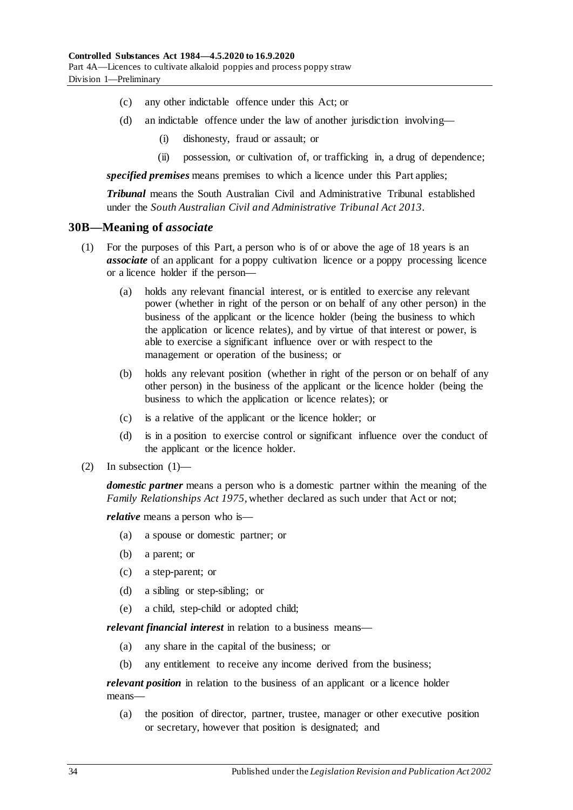- (c) any other indictable offence under this Act; or
- (d) an indictable offence under the law of another jurisdiction involving—
	- (i) dishonesty, fraud or assault; or
	- (ii) possession, or cultivation of, or trafficking in, a drug of dependence;

*specified premises* means premises to which a licence under this Part applies;

*Tribunal* means the South Australian Civil and Administrative Tribunal established under the *[South Australian Civil and Administrative Tribunal Act](http://www.legislation.sa.gov.au/index.aspx?action=legref&type=act&legtitle=South%20Australian%20Civil%20and%20Administrative%20Tribunal%20Act%202013) 2013*.

#### <span id="page-33-0"></span>**30B—Meaning of** *associate*

- (1) For the purposes of this Part, a person who is of or above the age of 18 years is an *associate* of an applicant for a poppy cultivation licence or a poppy processing licence or a licence holder if the person—
	- (a) holds any relevant financial interest, or is entitled to exercise any relevant power (whether in right of the person or on behalf of any other person) in the business of the applicant or the licence holder (being the business to which the application or licence relates), and by virtue of that interest or power, is able to exercise a significant influence over or with respect to the management or operation of the business; or
	- (b) holds any relevant position (whether in right of the person or on behalf of any other person) in the business of the applicant or the licence holder (being the business to which the application or licence relates); or
	- (c) is a relative of the applicant or the licence holder; or
	- (d) is in a position to exercise control or significant influence over the conduct of the applicant or the licence holder.
- $(2)$  In subsection  $(1)$ —

*domestic partner* means a person who is a domestic partner within the meaning of the *[Family Relationships Act](http://www.legislation.sa.gov.au/index.aspx?action=legref&type=act&legtitle=Family%20Relationships%20Act%201975) 1975*, whether declared as such under that Act or not;

*relative* means a person who is—

- (a) a spouse or domestic partner; or
- (b) a parent; or
- (c) a step-parent; or
- (d) a sibling or step-sibling; or
- (e) a child, step-child or adopted child;

*relevant financial interest* in relation to a business means—

- (a) any share in the capital of the business; or
- (b) any entitlement to receive any income derived from the business;

*relevant position* in relation to the business of an applicant or a licence holder means—

(a) the position of director, partner, trustee, manager or other executive position or secretary, however that position is designated; and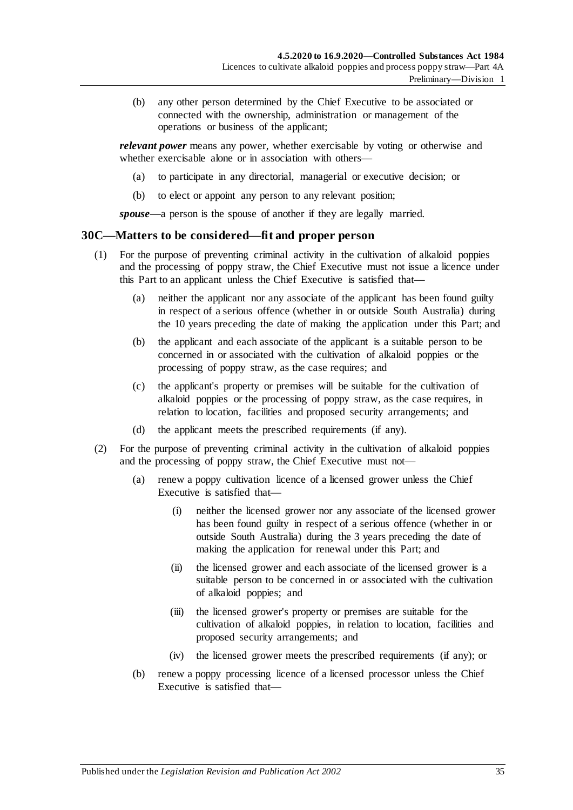(b) any other person determined by the Chief Executive to be associated or connected with the ownership, administration or management of the operations or business of the applicant;

*relevant power* means any power, whether exercisable by voting or otherwise and whether exercisable alone or in association with others—

- (a) to participate in any directorial, managerial or executive decision; or
- (b) to elect or appoint any person to any relevant position;

*spouse*—a person is the spouse of another if they are legally married.

#### <span id="page-34-1"></span><span id="page-34-0"></span>**30C—Matters to be considered—fit and proper person**

- (1) For the purpose of preventing criminal activity in the cultivation of alkaloid poppies and the processing of poppy straw, the Chief Executive must not issue a licence under this Part to an applicant unless the Chief Executive is satisfied that—
	- (a) neither the applicant nor any associate of the applicant has been found guilty in respect of a serious offence (whether in or outside South Australia) during the 10 years preceding the date of making the application under this Part; and
	- (b) the applicant and each associate of the applicant is a suitable person to be concerned in or associated with the cultivation of alkaloid poppies or the processing of poppy straw, as the case requires; and
	- (c) the applicant's property or premises will be suitable for the cultivation of alkaloid poppies or the processing of poppy straw, as the case requires, in relation to location, facilities and proposed security arrangements; and
	- (d) the applicant meets the prescribed requirements (if any).
- <span id="page-34-2"></span>(2) For the purpose of preventing criminal activity in the cultivation of alkaloid poppies and the processing of poppy straw, the Chief Executive must not—
	- (a) renew a poppy cultivation licence of a licensed grower unless the Chief Executive is satisfied that—
		- (i) neither the licensed grower nor any associate of the licensed grower has been found guilty in respect of a serious offence (whether in or outside South Australia) during the 3 years preceding the date of making the application for renewal under this Part; and
		- (ii) the licensed grower and each associate of the licensed grower is a suitable person to be concerned in or associated with the cultivation of alkaloid poppies; and
		- (iii) the licensed grower's property or premises are suitable for the cultivation of alkaloid poppies, in relation to location, facilities and proposed security arrangements; and
		- (iv) the licensed grower meets the prescribed requirements (if any); or
	- (b) renew a poppy processing licence of a licensed processor unless the Chief Executive is satisfied that—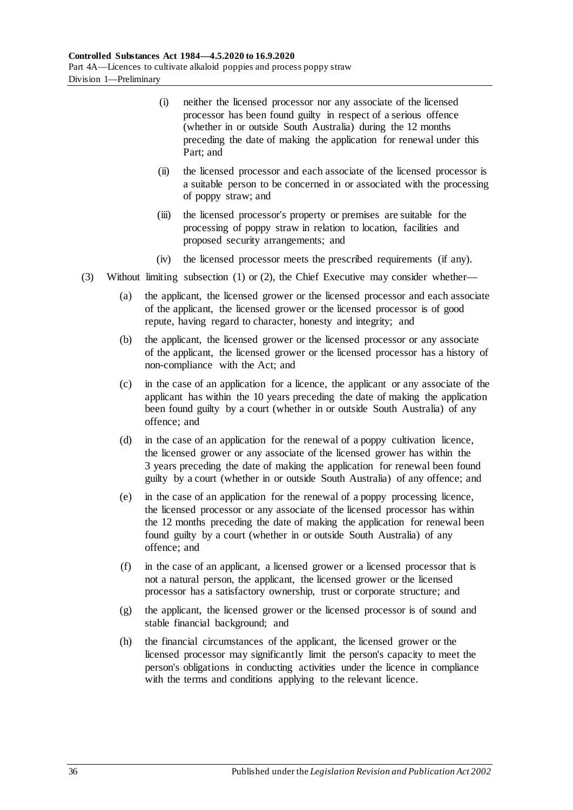- (i) neither the licensed processor nor any associate of the licensed processor has been found guilty in respect of a serious offence (whether in or outside South Australia) during the 12 months preceding the date of making the application for renewal under this Part; and
- (ii) the licensed processor and each associate of the licensed processor is a suitable person to be concerned in or associated with the processing of poppy straw; and
- (iii) the licensed processor's property or premises are suitable for the processing of poppy straw in relation to location, facilities and proposed security arrangements; and
- (iv) the licensed processor meets the prescribed requirements (if any).
- (3) Without limiting [subsection](#page-34-1) (1) or [\(2\),](#page-34-2) the Chief Executive may consider whether—
	- (a) the applicant, the licensed grower or the licensed processor and each associate of the applicant, the licensed grower or the licensed processor is of good repute, having regard to character, honesty and integrity; and
	- (b) the applicant, the licensed grower or the licensed processor or any associate of the applicant, the licensed grower or the licensed processor has a history of non-compliance with the Act; and
	- (c) in the case of an application for a licence, the applicant or any associate of the applicant has within the 10 years preceding the date of making the application been found guilty by a court (whether in or outside South Australia) of any offence; and
	- (d) in the case of an application for the renewal of a poppy cultivation licence, the licensed grower or any associate of the licensed grower has within the 3 years preceding the date of making the application for renewal been found guilty by a court (whether in or outside South Australia) of any offence; and
	- (e) in the case of an application for the renewal of a poppy processing licence, the licensed processor or any associate of the licensed processor has within the 12 months preceding the date of making the application for renewal been found guilty by a court (whether in or outside South Australia) of any offence; and
	- (f) in the case of an applicant, a licensed grower or a licensed processor that is not a natural person, the applicant, the licensed grower or the licensed processor has a satisfactory ownership, trust or corporate structure; and
	- (g) the applicant, the licensed grower or the licensed processor is of sound and stable financial background; and
	- (h) the financial circumstances of the applicant, the licensed grower or the licensed processor may significantly limit the person's capacity to meet the person's obligations in conducting activities under the licence in compliance with the terms and conditions applying to the relevant licence.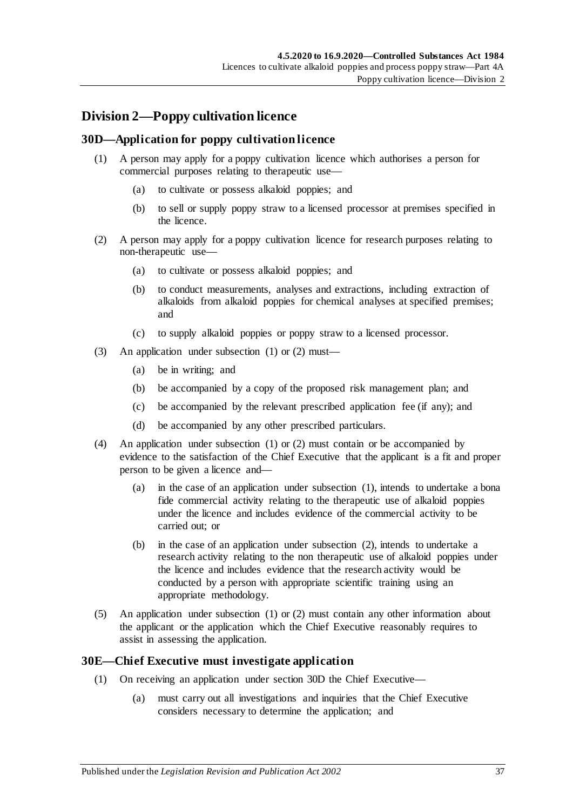# **Division 2—Poppy cultivation licence**

## <span id="page-36-2"></span><span id="page-36-0"></span>**30D—Application for poppy cultivation licence**

- (1) A person may apply for a poppy cultivation licence which authorises a person for commercial purposes relating to therapeutic use—
	- (a) to cultivate or possess alkaloid poppies; and
	- (b) to sell or supply poppy straw to a licensed processor at premises specified in the licence.
- <span id="page-36-1"></span>(2) A person may apply for a poppy cultivation licence for research purposes relating to non-therapeutic use—
	- (a) to cultivate or possess alkaloid poppies; and
	- (b) to conduct measurements, analyses and extractions, including extraction of alkaloids from alkaloid poppies for chemical analyses at specified premises; and
	- (c) to supply alkaloid poppies or poppy straw to a licensed processor.
- (3) An application under [subsection](#page-36-0) (1) or [\(2\)](#page-36-1) must—
	- (a) be in writing; and
	- (b) be accompanied by a copy of the proposed risk management plan; and
	- (c) be accompanied by the relevant prescribed application fee (if any); and
	- (d) be accompanied by any other prescribed particulars.
- (4) An application under [subsection](#page-36-0) (1) or [\(2\)](#page-36-1) must contain or be accompanied by evidence to the satisfaction of the Chief Executive that the applicant is a fit and proper person to be given a licence and—
	- (a) in the case of an application under [subsection](#page-36-0) (1), intends to undertake a bona fide commercial activity relating to the therapeutic use of alkaloid poppies under the licence and includes evidence of the commercial activity to be carried out; or
	- (b) in the case of an application under [subsection](#page-36-1) (2), intends to undertake a research activity relating to the non therapeutic use of alkaloid poppies under the licence and includes evidence that the research activity would be conducted by a person with appropriate scientific training using an appropriate methodology.
- (5) An application under [subsection](#page-36-0) (1) or [\(2\)](#page-36-1) must contain any other information about the applicant or the application which the Chief Executive reasonably requires to assist in assessing the application.

## <span id="page-36-3"></span>**30E—Chief Executive must investigate application**

- (1) On receiving an application under [section](#page-36-2) 30D the Chief Executive—
	- (a) must carry out all investigations and inquiries that the Chief Executive considers necessary to determine the application; and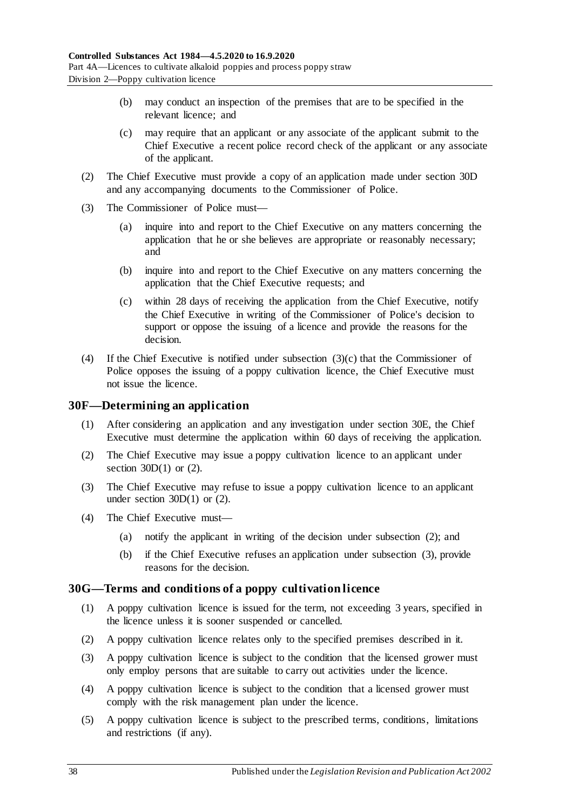- (b) may conduct an inspection of the premises that are to be specified in the relevant licence; and
- (c) may require that an applicant or any associate of the applicant submit to the Chief Executive a recent police record check of the applicant or any associate of the applicant.
- (2) The Chief Executive must provide a copy of an application made under [section](#page-36-2) 30D and any accompanying documents to the Commissioner of Police.
- (3) The Commissioner of Police must—
	- (a) inquire into and report to the Chief Executive on any matters concerning the application that he or she believes are appropriate or reasonably necessary; and
	- (b) inquire into and report to the Chief Executive on any matters concerning the application that the Chief Executive requests; and
	- (c) within 28 days of receiving the application from the Chief Executive, notify the Chief Executive in writing of the Commissioner of Police's decision to support or oppose the issuing of a licence and provide the reasons for the decision.
- <span id="page-37-0"></span>(4) If the Chief Executive is notified under [subsection](#page-37-0) (3)(c) that the Commissioner of Police opposes the issuing of a poppy cultivation licence, the Chief Executive must not issue the licence.

## **30F—Determining an application**

- (1) After considering an application and any investigation under [section](#page-36-3) 30E, the Chief Executive must determine the application within 60 days of receiving the application.
- <span id="page-37-1"></span>(2) The Chief Executive may issue a poppy cultivation licence to an applicant under section  $30D(1)$  or  $(2)$ .
- <span id="page-37-2"></span>(3) The Chief Executive may refuse to issue a poppy cultivation licence to an applicant under [section](#page-36-0)  $30D(1)$  or  $(2)$ .
- (4) The Chief Executive must—
	- (a) notify the applicant in writing of the decision under [subsection](#page-37-1) (2); and
	- (b) if the Chief Executive refuses an application under [subsection](#page-37-2) (3), provide reasons for the decision.

## **30G—Terms and conditions of a poppy cultivation licence**

- (1) A poppy cultivation licence is issued for the term, not exceeding 3 years, specified in the licence unless it is sooner suspended or cancelled.
- (2) A poppy cultivation licence relates only to the specified premises described in it.
- (3) A poppy cultivation licence is subject to the condition that the licensed grower must only employ persons that are suitable to carry out activities under the licence.
- (4) A poppy cultivation licence is subject to the condition that a licensed grower must comply with the risk management plan under the licence.
- (5) A poppy cultivation licence is subject to the prescribed terms, conditions, limitations and restrictions (if any).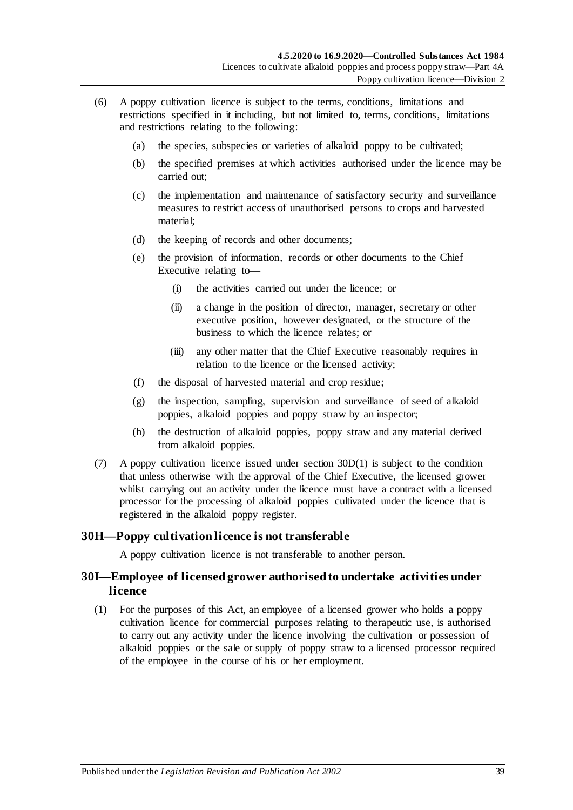- (6) A poppy cultivation licence is subject to the terms, conditions, limitations and restrictions specified in it including, but not limited to, terms, conditions, limitations and restrictions relating to the following:
	- (a) the species, subspecies or varieties of alkaloid poppy to be cultivated;
	- (b) the specified premises at which activities authorised under the licence may be carried out;
	- (c) the implementation and maintenance of satisfactory security and surveillance measures to restrict access of unauthorised persons to crops and harvested material;
	- (d) the keeping of records and other documents;
	- (e) the provision of information, records or other documents to the Chief Executive relating to—
		- (i) the activities carried out under the licence; or
		- (ii) a change in the position of director, manager, secretary or other executive position, however designated, or the structure of the business to which the licence relates; or
		- (iii) any other matter that the Chief Executive reasonably requires in relation to the licence or the licensed activity;
	- (f) the disposal of harvested material and crop residue;
	- (g) the inspection, sampling, supervision and surveillance of seed of alkaloid poppies, alkaloid poppies and poppy straw by an inspector;
	- (h) the destruction of alkaloid poppies, poppy straw and any material derived from alkaloid poppies.
- (7) A poppy cultivation licence issued under [section](#page-36-0) 30D(1) is subject to the condition that unless otherwise with the approval of the Chief Executive, the licensed grower whilst carrying out an activity under the licence must have a contract with a licensed processor for the processing of alkaloid poppies cultivated under the licence that is registered in the alkaloid poppy register.

# **30H—Poppy cultivation licence is not transferable**

A poppy cultivation licence is not transferable to another person.

# **30I—Employee of licensed grower authorised to undertake activities under licence**

<span id="page-38-0"></span>(1) For the purposes of this Act, an employee of a licensed grower who holds a poppy cultivation licence for commercial purposes relating to therapeutic use, is authorised to carry out any activity under the licence involving the cultivation or possession of alkaloid poppies or the sale or supply of poppy straw to a licensed processor required of the employee in the course of his or her employment.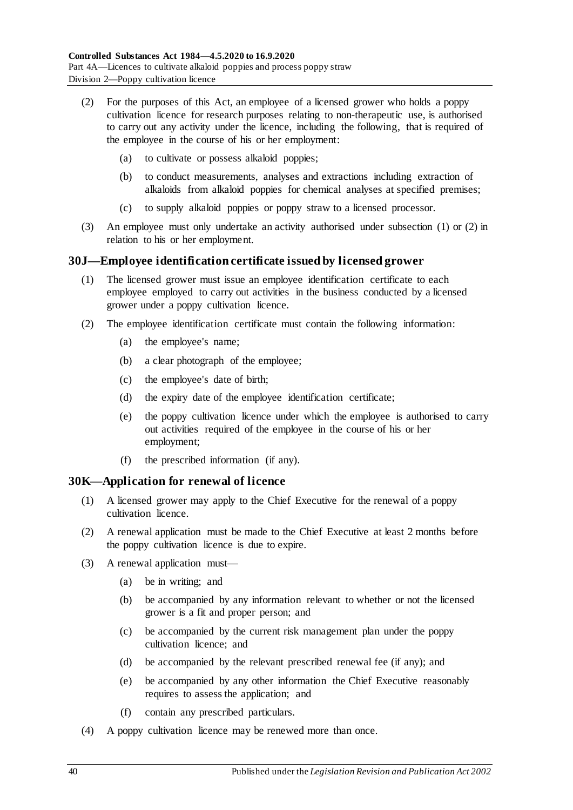- <span id="page-39-0"></span>(2) For the purposes of this Act, an employee of a licensed grower who holds a poppy cultivation licence for research purposes relating to non-therapeutic use, is authorised to carry out any activity under the licence, including the following, that is required of the employee in the course of his or her employment:
	- (a) to cultivate or possess alkaloid poppies;
	- (b) to conduct measurements, analyses and extractions including extraction of alkaloids from alkaloid poppies for chemical analyses at specified premises;
	- (c) to supply alkaloid poppies or poppy straw to a licensed processor.
- (3) An employee must only undertake an activity authorised under [subsection](#page-38-0) (1) or [\(2\)](#page-39-0) in relation to his or her employment.

## **30J—Employee identification certificate issued by licensed grower**

- (1) The licensed grower must issue an employee identification certificate to each employee employed to carry out activities in the business conducted by a licensed grower under a poppy cultivation licence.
- <span id="page-39-2"></span>(2) The employee identification certificate must contain the following information:
	- (a) the employee's name;
	- (b) a clear photograph of the employee;
	- (c) the employee's date of birth;
	- (d) the expiry date of the employee identification certificate;
	- (e) the poppy cultivation licence under which the employee is authorised to carry out activities required of the employee in the course of his or her employment;
	- (f) the prescribed information (if any).

## <span id="page-39-1"></span>**30K—Application for renewal of licence**

- (1) A licensed grower may apply to the Chief Executive for the renewal of a poppy cultivation licence.
- (2) A renewal application must be made to the Chief Executive at least 2 months before the poppy cultivation licence is due to expire.
- (3) A renewal application must—
	- (a) be in writing; and
	- (b) be accompanied by any information relevant to whether or not the licensed grower is a fit and proper person; and
	- (c) be accompanied by the current risk management plan under the poppy cultivation licence; and
	- (d) be accompanied by the relevant prescribed renewal fee (if any); and
	- (e) be accompanied by any other information the Chief Executive reasonably requires to assess the application; and
	- (f) contain any prescribed particulars.
- (4) A poppy cultivation licence may be renewed more than once.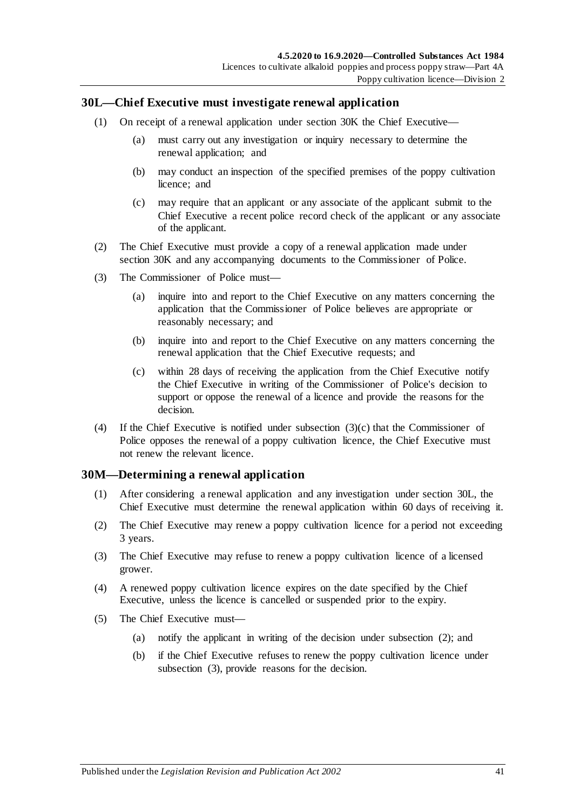## <span id="page-40-1"></span>**30L—Chief Executive must investigate renewal application**

- (1) On receipt of a renewal application under [section](#page-39-1) 30K the Chief Executive—
	- (a) must carry out any investigation or inquiry necessary to determine the renewal application; and
	- (b) may conduct an inspection of the specified premises of the poppy cultivation licence; and
	- (c) may require that an applicant or any associate of the applicant submit to the Chief Executive a recent police record check of the applicant or any associate of the applicant.
- (2) The Chief Executive must provide a copy of a renewal application made under [section](#page-39-1) 30K and any accompanying documents to the Commissioner of Police.
- (3) The Commissioner of Police must—
	- (a) inquire into and report to the Chief Executive on any matters concerning the application that the Commissioner of Police believes are appropriate or reasonably necessary; and
	- (b) inquire into and report to the Chief Executive on any matters concerning the renewal application that the Chief Executive requests; and
	- (c) within 28 days of receiving the application from the Chief Executive notify the Chief Executive in writing of the Commissioner of Police's decision to support or oppose the renewal of a licence and provide the reasons for the decision.
- <span id="page-40-0"></span>(4) If the Chief Executive is notified under [subsection](#page-40-0) (3)(c) that the Commissioner of Police opposes the renewal of a poppy cultivation licence, the Chief Executive must not renew the relevant licence.

## **30M—Determining a renewal application**

- (1) After considering a renewal application and any investigation under [section](#page-40-1) 30L, the Chief Executive must determine the renewal application within 60 days of receiving it.
- <span id="page-40-2"></span>(2) The Chief Executive may renew a poppy cultivation licence for a period not exceeding 3 years.
- <span id="page-40-3"></span>(3) The Chief Executive may refuse to renew a poppy cultivation licence of a licensed grower.
- (4) A renewed poppy cultivation licence expires on the date specified by the Chief Executive, unless the licence is cancelled or suspended prior to the expiry.
- (5) The Chief Executive must—
	- (a) notify the applicant in writing of the decision under [subsection](#page-40-2) (2); and
	- (b) if the Chief Executive refuses to renew the poppy cultivation licence under [subsection](#page-40-3) (3), provide reasons for the decision.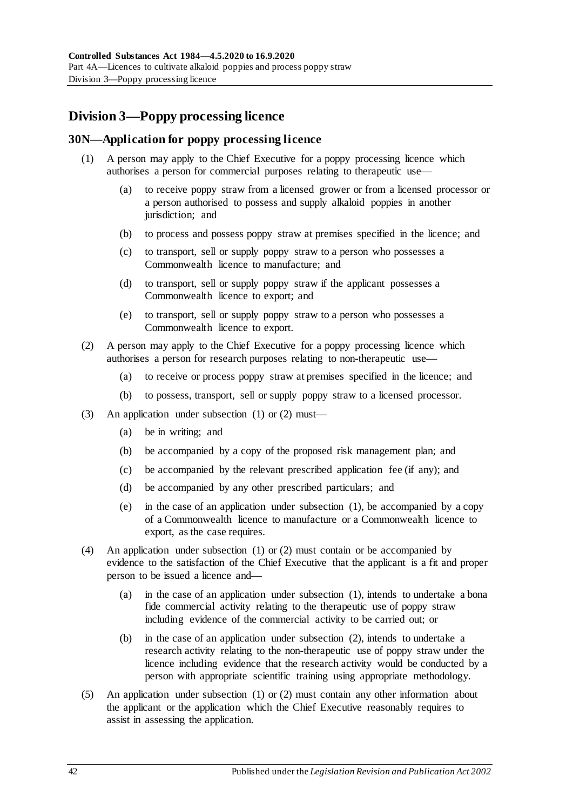# **Division 3—Poppy processing licence**

# <span id="page-41-2"></span><span id="page-41-0"></span>**30N—Application for poppy processing licence**

- (1) A person may apply to the Chief Executive for a poppy processing licence which authorises a person for commercial purposes relating to therapeutic use—
	- (a) to receive poppy straw from a licensed grower or from a licensed processor or a person authorised to possess and supply alkaloid poppies in another jurisdiction; and
	- (b) to process and possess poppy straw at premises specified in the licence; and
	- (c) to transport, sell or supply poppy straw to a person who possesses a Commonwealth licence to manufacture; and
	- (d) to transport, sell or supply poppy straw if the applicant possesses a Commonwealth licence to export; and
	- (e) to transport, sell or supply poppy straw to a person who possesses a Commonwealth licence to export.
- <span id="page-41-1"></span>(2) A person may apply to the Chief Executive for a poppy processing licence which authorises a person for research purposes relating to non-therapeutic use—
	- (a) to receive or process poppy straw at premises specified in the licence; and
	- (b) to possess, transport, sell or supply poppy straw to a licensed processor.
- (3) An application under [subsection](#page-41-0) (1) or [\(2\)](#page-41-1) must—
	- (a) be in writing; and
	- (b) be accompanied by a copy of the proposed risk management plan; and
	- (c) be accompanied by the relevant prescribed application fee (if any); and
	- (d) be accompanied by any other prescribed particulars; and
	- (e) in the case of an application under [subsection](#page-41-0) (1), be accompanied by a copy of a Commonwealth licence to manufacture or a Commonwealth licence to export, as the case requires.
- (4) An application under [subsection](#page-41-0) (1) or [\(2\)](#page-41-1) must contain or be accompanied by evidence to the satisfaction of the Chief Executive that the applicant is a fit and proper person to be issued a licence and—
	- (a) in the case of an application under [subsection](#page-41-0) (1), intends to undertake a bona fide commercial activity relating to the therapeutic use of poppy straw including evidence of the commercial activity to be carried out; or
	- (b) in the case of an application under [subsection](#page-41-1) (2), intends to undertake a research activity relating to the non-therapeutic use of poppy straw under the licence including evidence that the research activity would be conducted by a person with appropriate scientific training using appropriate methodology.
- (5) An application under [subsection](#page-41-0) (1) or [\(2\)](#page-41-1) must contain any other information about the applicant or the application which the Chief Executive reasonably requires to assist in assessing the application.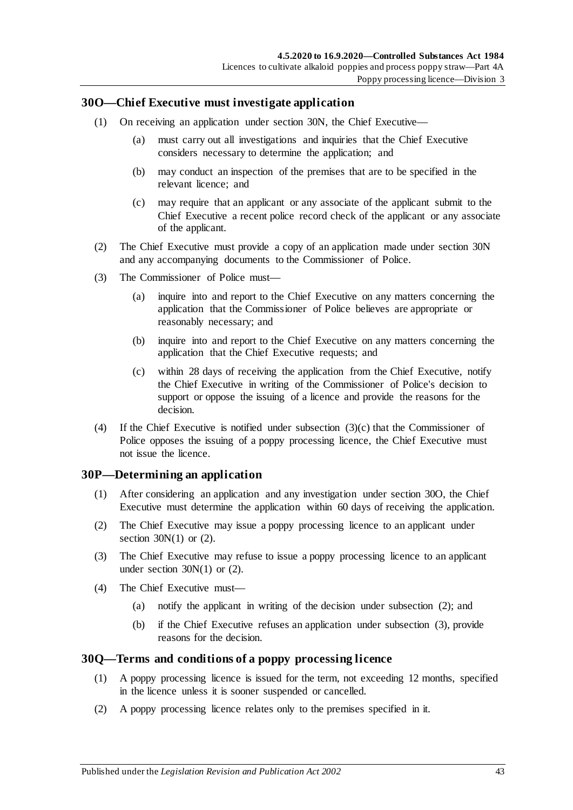## <span id="page-42-1"></span>**30O—Chief Executive must investigate application**

- (1) On receiving an application under [section](#page-41-2) 30N, the Chief Executive—
	- (a) must carry out all investigations and inquiries that the Chief Executive considers necessary to determine the application; and
	- (b) may conduct an inspection of the premises that are to be specified in the relevant licence; and
	- (c) may require that an applicant or any associate of the applicant submit to the Chief Executive a recent police record check of the applicant or any associate of the applicant.
- (2) The Chief Executive must provide a copy of an application made under [section](#page-41-2) 30N and any accompanying documents to the Commissioner of Police.
- (3) The Commissioner of Police must—
	- (a) inquire into and report to the Chief Executive on any matters concerning the application that the Commissioner of Police believes are appropriate or reasonably necessary; and
	- (b) inquire into and report to the Chief Executive on any matters concerning the application that the Chief Executive requests; and
	- (c) within 28 days of receiving the application from the Chief Executive, notify the Chief Executive in writing of the Commissioner of Police's decision to support or oppose the issuing of a licence and provide the reasons for the decision.
- <span id="page-42-0"></span>(4) If the Chief Executive is notified under [subsection](#page-42-0) (3)(c) that the Commissioner of Police opposes the issuing of a poppy processing licence, the Chief Executive must not issue the licence.

## **30P—Determining an application**

- (1) After considering an application and any investigation under [section](#page-42-1) 30O, the Chief Executive must determine the application within 60 days of receiving the application.
- <span id="page-42-2"></span>(2) The Chief Executive may issue a poppy processing licence to an applicant under section  $30N(1)$  or  $(2)$ .
- <span id="page-42-3"></span>(3) The Chief Executive may refuse to issue a poppy processing licence to an applicant under [section](#page-41-0)  $30N(1)$  or  $(2)$ .
- (4) The Chief Executive must—
	- (a) notify the applicant in writing of the decision under [subsection](#page-42-2) (2); and
	- (b) if the Chief Executive refuses an application under [subsection](#page-42-3) (3), provide reasons for the decision.

## **30Q—Terms and conditions of a poppy processing licence**

- (1) A poppy processing licence is issued for the term, not exceeding 12 months, specified in the licence unless it is sooner suspended or cancelled.
- (2) A poppy processing licence relates only to the premises specified in it.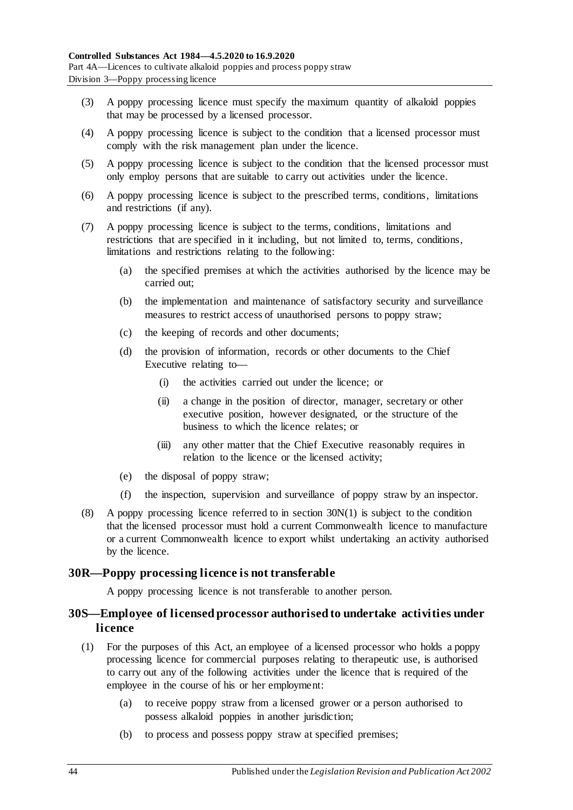- (3) A poppy processing licence must specify the maximum quantity of alkaloid poppies that may be processed by a licensed processor.
- (4) A poppy processing licence is subject to the condition that a licensed processor must comply with the risk management plan under the licence.
- (5) A poppy processing licence is subject to the condition that the licensed processor must only employ persons that are suitable to carry out activities under the licence.
- (6) A poppy processing licence is subject to the prescribed terms, conditions, limitations and restrictions (if any).
- (7) A poppy processing licence is subject to the terms, conditions, limitations and restrictions that are specified in it including, but not limited to, terms, conditions, limitations and restrictions relating to the following:
	- (a) the specified premises at which the activities authorised by the licence may be carried out;
	- (b) the implementation and maintenance of satisfactory security and surveillance measures to restrict access of unauthorised persons to poppy straw;
	- (c) the keeping of records and other documents;
	- (d) the provision of information, records or other documents to the Chief Executive relating to—
		- (i) the activities carried out under the licence; or
		- (ii) a change in the position of director, manager, secretary or other executive position, however designated, or the structure of the business to which the licence relates; or
		- (iii) any other matter that the Chief Executive reasonably requires in relation to the licence or the licensed activity;
	- (e) the disposal of poppy straw;
	- (f) the inspection, supervision and surveillance of poppy straw by an inspector.
- (8) A poppy processing licence referred to in [section](#page-41-0) 30N(1) is subject to the condition that the licensed processor must hold a current Commonwealth licence to manufacture or a current Commonwealth licence to export whilst undertaking an activity authorised by the licence.

# **30R—Poppy processing licence is not transferable**

A poppy processing licence is not transferable to another person.

# **30S—Employee of licensed processor authorised to undertake activities under licence**

- <span id="page-43-0"></span>(1) For the purposes of this Act, an employee of a licensed processor who holds a poppy processing licence for commercial purposes relating to therapeutic use, is authorised to carry out any of the following activities under the licence that is required of the employee in the course of his or her employment:
	- (a) to receive poppy straw from a licensed grower or a person authorised to possess alkaloid poppies in another jurisdiction;
	- (b) to process and possess poppy straw at specified premises;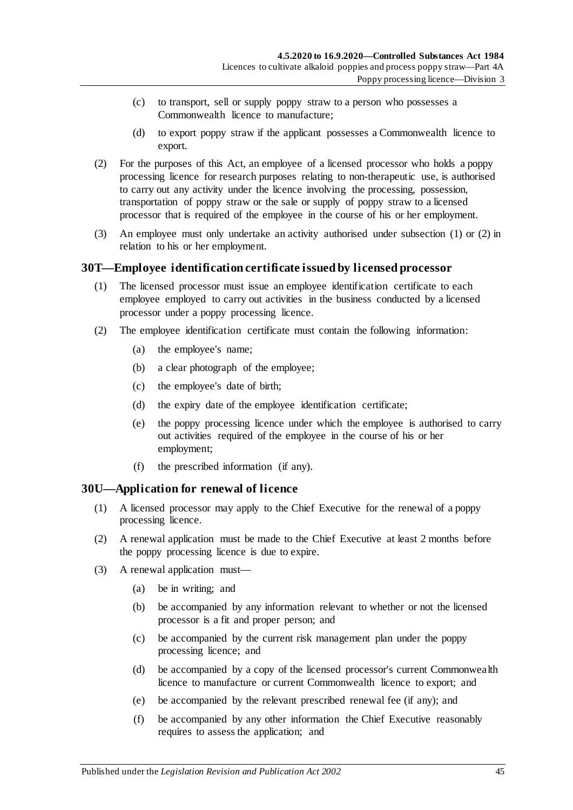- (c) to transport, sell or supply poppy straw to a person who possesses a Commonwealth licence to manufacture;
- (d) to export poppy straw if the applicant possesses a Commonwealth licence to export.
- <span id="page-44-0"></span>(2) For the purposes of this Act, an employee of a licensed processor who holds a poppy processing licence for research purposes relating to non-therapeutic use, is authorised to carry out any activity under the licence involving the processing, possession, transportation of poppy straw or the sale or supply of poppy straw to a licensed processor that is required of the employee in the course of his or her employment.
- (3) An employee must only undertake an activity authorised under [subsection](#page-43-0) (1) or [\(2\)](#page-44-0) in relation to his or her employment.

## **30T—Employee identification certificate issued by licensed processor**

- (1) The licensed processor must issue an employee identification certificate to each employee employed to carry out activities in the business conducted by a licensed processor under a poppy processing licence.
- <span id="page-44-2"></span>(2) The employee identification certificate must contain the following information:
	- (a) the employee's name;
	- (b) a clear photograph of the employee;
	- (c) the employee's date of birth;
	- (d) the expiry date of the employee identification certificate;
	- (e) the poppy processing licence under which the employee is authorised to carry out activities required of the employee in the course of his or her employment;
	- (f) the prescribed information (if any).

## <span id="page-44-1"></span>**30U—Application for renewal of licence**

- (1) A licensed processor may apply to the Chief Executive for the renewal of a poppy processing licence.
- (2) A renewal application must be made to the Chief Executive at least 2 months before the poppy processing licence is due to expire.
- (3) A renewal application must—
	- (a) be in writing; and
	- (b) be accompanied by any information relevant to whether or not the licensed processor is a fit and proper person; and
	- (c) be accompanied by the current risk management plan under the poppy processing licence; and
	- (d) be accompanied by a copy of the licensed processor's current Commonwealth licence to manufacture or current Commonwealth licence to export; and
	- (e) be accompanied by the relevant prescribed renewal fee (if any); and
	- (f) be accompanied by any other information the Chief Executive reasonably requires to assess the application; and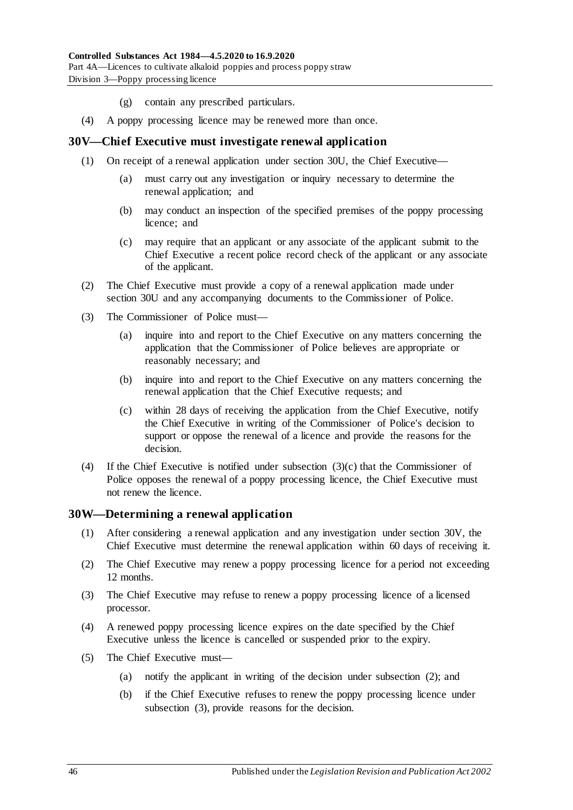- (g) contain any prescribed particulars.
- (4) A poppy processing licence may be renewed more than once.

## <span id="page-45-1"></span>**30V—Chief Executive must investigate renewal application**

- (1) On receipt of a renewal application under [section](#page-44-1) 30U, the Chief Executive—
	- (a) must carry out any investigation or inquiry necessary to determine the renewal application; and
	- (b) may conduct an inspection of the specified premises of the poppy processing licence; and
	- (c) may require that an applicant or any associate of the applicant submit to the Chief Executive a recent police record check of the applicant or any associate of the applicant.
- (2) The Chief Executive must provide a copy of a renewal application made under [section](#page-44-1) 30U and any accompanying documents to the Commissioner of Police.
- (3) The Commissioner of Police must—
	- (a) inquire into and report to the Chief Executive on any matters concerning the application that the Commissioner of Police believes are appropriate or reasonably necessary; and
	- (b) inquire into and report to the Chief Executive on any matters concerning the renewal application that the Chief Executive requests; and
	- (c) within 28 days of receiving the application from the Chief Executive, notify the Chief Executive in writing of the Commissioner of Police's decision to support or oppose the renewal of a licence and provide the reasons for the decision.
- <span id="page-45-0"></span>(4) If the Chief Executive is notified under [subsection](#page-45-0) (3)(c) that the Commissioner of Police opposes the renewal of a poppy processing licence, the Chief Executive must not renew the licence.

## **30W—Determining a renewal application**

- (1) After considering a renewal application and any investigation under [section](#page-45-1) 30V, the Chief Executive must determine the renewal application within 60 days of receiving it.
- <span id="page-45-2"></span>(2) The Chief Executive may renew a poppy processing licence for a period not exceeding 12 months.
- <span id="page-45-3"></span>(3) The Chief Executive may refuse to renew a poppy processing licence of a licensed processor.
- (4) A renewed poppy processing licence expires on the date specified by the Chief Executive unless the licence is cancelled or suspended prior to the expiry.
- (5) The Chief Executive must—
	- (a) notify the applicant in writing of the decision under [subsection](#page-45-2) (2); and
	- (b) if the Chief Executive refuses to renew the poppy processing licence under [subsection](#page-45-3) (3), provide reasons for the decision.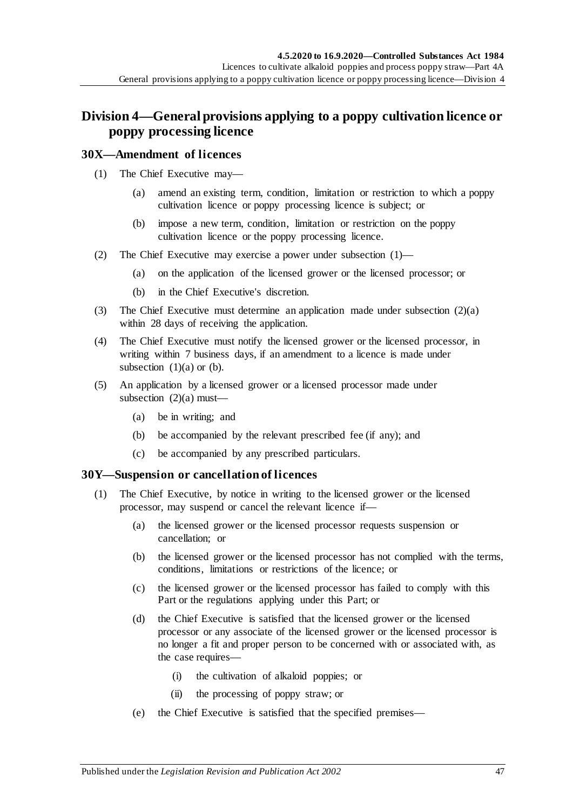# **Division 4—General provisions applying to a poppy cultivation licence or poppy processing licence**

## <span id="page-46-0"></span>**30X—Amendment of licences**

- <span id="page-46-2"></span>(1) The Chief Executive may—
	- (a) amend an existing term, condition, limitation or restriction to which a poppy cultivation licence or poppy processing licence is subject; or
	- (b) impose a new term, condition, limitation or restriction on the poppy cultivation licence or the poppy processing licence.
- <span id="page-46-3"></span><span id="page-46-1"></span>(2) The Chief Executive may exercise a power under [subsection](#page-46-0) (1)—
	- (a) on the application of the licensed grower or the licensed processor; or
	- (b) in the Chief Executive's discretion.
- (3) The Chief Executive must determine an application made under [subsection](#page-46-1) (2)(a) within 28 days of receiving the application.
- (4) The Chief Executive must notify the licensed grower or the licensed processor, in writing within 7 business days, if an amendment to a licence is made under [subsection](#page-46-2)  $(1)(a)$  or  $(b)$ .
- (5) An application by a licensed grower or a licensed processor made under [subsection](#page-46-1)  $(2)(a)$  must—
	- (a) be in writing; and
	- (b) be accompanied by the relevant prescribed fee (if any); and
	- (c) be accompanied by any prescribed particulars.

## <span id="page-46-5"></span><span id="page-46-4"></span>**30Y—Suspension or cancellation of licences**

- (1) The Chief Executive, by notice in writing to the licensed grower or the licensed processor, may suspend or cancel the relevant licence if—
	- (a) the licensed grower or the licensed processor requests suspension or cancellation; or
	- (b) the licensed grower or the licensed processor has not complied with the terms, conditions, limitations or restrictions of the licence; or
	- (c) the licensed grower or the licensed processor has failed to comply with this Part or the regulations applying under this Part; or
	- (d) the Chief Executive is satisfied that the licensed grower or the licensed processor or any associate of the licensed grower or the licensed processor is no longer a fit and proper person to be concerned with or associated with, as the case requires—
		- (i) the cultivation of alkaloid poppies; or
		- (ii) the processing of poppy straw; or
	- (e) the Chief Executive is satisfied that the specified premises—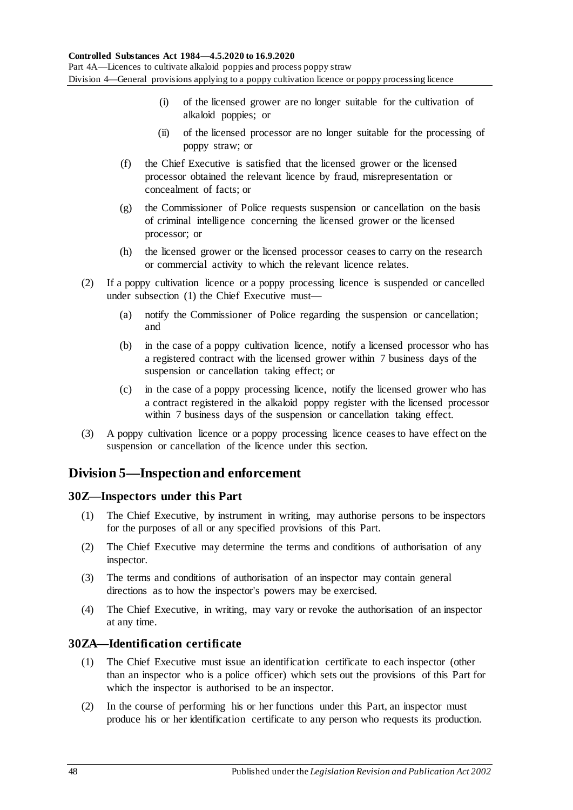- (i) of the licensed grower are no longer suitable for the cultivation of alkaloid poppies; or
- (ii) of the licensed processor are no longer suitable for the processing of poppy straw; or
- (f) the Chief Executive is satisfied that the licensed grower or the licensed processor obtained the relevant licence by fraud, misrepresentation or concealment of facts; or
- (g) the Commissioner of Police requests suspension or cancellation on the basis of criminal intelligence concerning the licensed grower or the licensed processor; or
- (h) the licensed grower or the licensed processor ceases to carry on the research or commercial activity to which the relevant licence relates.
- (2) If a poppy cultivation licence or a poppy processing licence is suspended or cancelled under [subsection](#page-46-4) (1) the Chief Executive must—
	- (a) notify the Commissioner of Police regarding the suspension or cancellation; and
	- (b) in the case of a poppy cultivation licence, notify a licensed processor who has a registered contract with the licensed grower within 7 business days of the suspension or cancellation taking effect; or
	- (c) in the case of a poppy processing licence, notify the licensed grower who has a contract registered in the alkaloid poppy register with the licensed processor within 7 business days of the suspension or cancellation taking effect.
- (3) A poppy cultivation licence or a poppy processing licence ceases to have effect on the suspension or cancellation of the licence under this section.

# **Division 5—Inspection and enforcement**

# **30Z—Inspectors under this Part**

- (1) The Chief Executive, by instrument in writing, may authorise persons to be inspectors for the purposes of all or any specified provisions of this Part.
- (2) The Chief Executive may determine the terms and conditions of authorisation of any inspector.
- (3) The terms and conditions of authorisation of an inspector may contain general directions as to how the inspector's powers may be exercised.
- (4) The Chief Executive, in writing, may vary or revoke the authorisation of an inspector at any time.

# **30ZA—Identification certificate**

- (1) The Chief Executive must issue an identification certificate to each inspector (other than an inspector who is a police officer) which sets out the provisions of this Part for which the inspector is authorised to be an inspector.
- (2) In the course of performing his or her functions under this Part, an inspector must produce his or her identification certificate to any person who requests its production.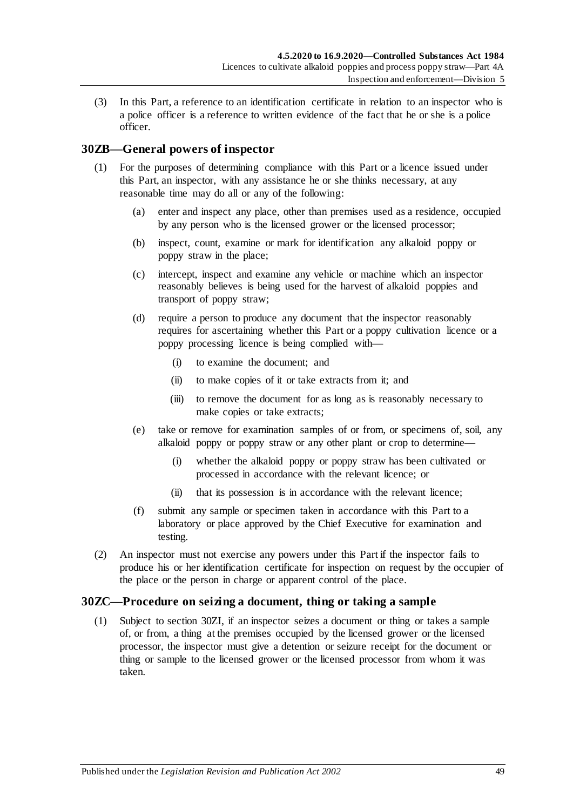(3) In this Part, a reference to an identification certificate in relation to an inspector who is a police officer is a reference to written evidence of the fact that he or she is a police officer.

# <span id="page-48-1"></span>**30ZB—General powers of inspector**

- (1) For the purposes of determining compliance with this Part or a licence issued under this Part, an inspector, with any assistance he or she thinks necessary, at any reasonable time may do all or any of the following:
	- (a) enter and inspect any place, other than premises used as a residence, occupied by any person who is the licensed grower or the licensed processor;
	- (b) inspect, count, examine or mark for identification any alkaloid poppy or poppy straw in the place;
	- (c) intercept, inspect and examine any vehicle or machine which an inspector reasonably believes is being used for the harvest of alkaloid poppies and transport of poppy straw;
	- (d) require a person to produce any document that the inspector reasonably requires for ascertaining whether this Part or a poppy cultivation licence or a poppy processing licence is being complied with—
		- (i) to examine the document; and
		- (ii) to make copies of it or take extracts from it; and
		- (iii) to remove the document for as long as is reasonably necessary to make copies or take extracts;
	- (e) take or remove for examination samples of or from, or specimens of, soil, any alkaloid poppy or poppy straw or any other plant or crop to determine—
		- (i) whether the alkaloid poppy or poppy straw has been cultivated or processed in accordance with the relevant licence; or
		- (ii) that its possession is in accordance with the relevant licence;
	- (f) submit any sample or specimen taken in accordance with this Part to a laboratory or place approved by the Chief Executive for examination and testing.
- <span id="page-48-0"></span>(2) An inspector must not exercise any powers under this Part if the inspector fails to produce his or her identification certificate for inspection on request by the occupier of the place or the person in charge or apparent control of the place.

## **30ZC—Procedure on seizing a document, thing or taking a sample**

(1) Subject to [section](#page-50-0) 30ZI, if an inspector seizes a document or thing or takes a sample of, or from, a thing at the premises occupied by the licensed grower or the licensed processor, the inspector must give a detention or seizure receipt for the document or thing or sample to the licensed grower or the licensed processor from whom it was taken.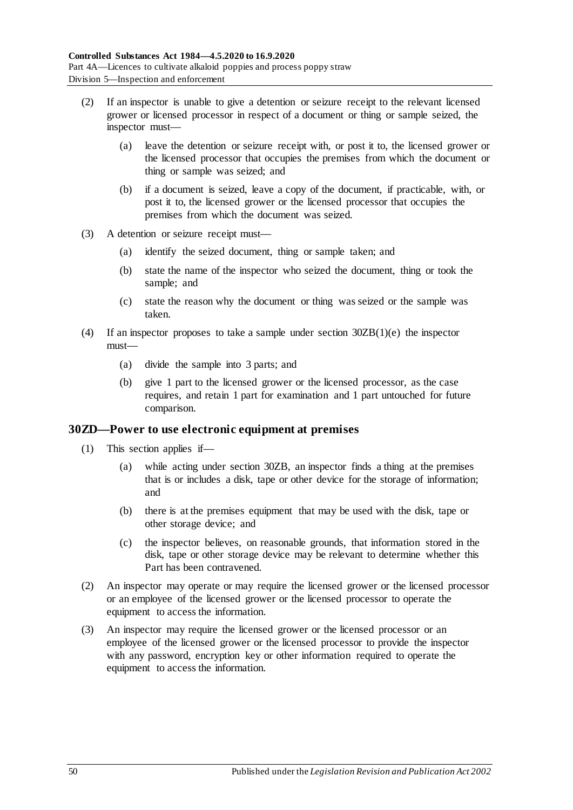- (2) If an inspector is unable to give a detention or seizure receipt to the relevant licensed grower or licensed processor in respect of a document or thing or sample seized, the inspector must—
	- (a) leave the detention or seizure receipt with, or post it to, the licensed grower or the licensed processor that occupies the premises from which the document or thing or sample was seized; and
	- (b) if a document is seized, leave a copy of the document, if practicable, with, or post it to, the licensed grower or the licensed processor that occupies the premises from which the document was seized.
- (3) A detention or seizure receipt must—
	- (a) identify the seized document, thing or sample taken; and
	- (b) state the name of the inspector who seized the document, thing or took the sample; and
	- (c) state the reason why the document or thing was seized or the sample was taken.
- (4) If an inspector proposes to take a sample under section [30ZB\(1\)\(e\)](#page-48-0) the inspector must—
	- (a) divide the sample into 3 parts; and
	- (b) give 1 part to the licensed grower or the licensed processor, as the case requires, and retain 1 part for examination and 1 part untouched for future comparison.

## <span id="page-49-0"></span>**30ZD—Power to use electronic equipment at premises**

- (1) This section applies if—
	- (a) while acting under [section](#page-48-1) 30ZB, an inspector finds a thing at the premises that is or includes a disk, tape or other device for the storage of information; and
	- (b) there is at the premises equipment that may be used with the disk, tape or other storage device; and
	- (c) the inspector believes, on reasonable grounds, that information stored in the disk, tape or other storage device may be relevant to determine whether this Part has been contravened.
- (2) An inspector may operate or may require the licensed grower or the licensed processor or an employee of the licensed grower or the licensed processor to operate the equipment to access the information.
- (3) An inspector may require the licensed grower or the licensed processor or an employee of the licensed grower or the licensed processor to provide the inspector with any password, encryption key or other information required to operate the equipment to access the information.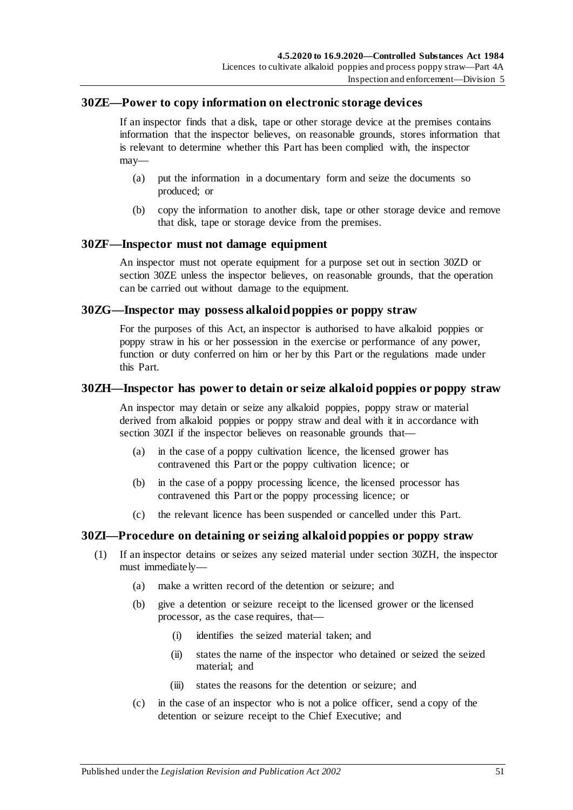## <span id="page-50-1"></span>**30ZE—Power to copy information on electronic storage devices**

If an inspector finds that a disk, tape or other storage device at the premises contains information that the inspector believes, on reasonable grounds, stores information that is relevant to determine whether this Part has been complied with, the inspector may—

- (a) put the information in a documentary form and seize the documents so produced; or
- (b) copy the information to another disk, tape or other storage device and remove that disk, tape or storage device from the premises.

## **30ZF—Inspector must not damage equipment**

An inspector must not operate equipment for a purpose set out in [section](#page-49-0) 30ZD or [section](#page-50-1) 30ZE unless the inspector believes, on reasonable grounds, that the operation can be carried out without damage to the equipment.

## **30ZG—Inspector may possess alkaloid poppies or poppy straw**

For the purposes of this Act, an inspector is authorised to have alkaloid poppies or poppy straw in his or her possession in the exercise or performance of any power, function or duty conferred on him or her by this Part or the regulations made under this Part.

## <span id="page-50-2"></span>**30ZH—Inspector has power to detain or seize alkaloid poppies or poppy straw**

An inspector may detain or seize any alkaloid poppies, poppy straw or material derived from alkaloid poppies or poppy straw and deal with it in accordance with [section](#page-50-0) 30ZI if the inspector believes on reasonable grounds that—

- (a) in the case of a poppy cultivation licence, the licensed grower has contravened this Part or the poppy cultivation licence; or
- (b) in the case of a poppy processing licence, the licensed processor has contravened this Part or the poppy processing licence; or
- (c) the relevant licence has been suspended or cancelled under this Part.

# <span id="page-50-0"></span>**30ZI—Procedure on detaining or seizing alkaloid poppies or poppy straw**

- (1) If an inspector detains or seizes any seized material under [section](#page-50-2) 30ZH, the inspector must immediately—
	- (a) make a written record of the detention or seizure; and
	- (b) give a detention or seizure receipt to the licensed grower or the licensed processor, as the case requires, that—
		- (i) identifies the seized material taken; and
		- (ii) states the name of the inspector who detained or seized the seized material; and
		- (iii) states the reasons for the detention or seizure; and
	- (c) in the case of an inspector who is not a police officer, send a copy of the detention or seizure receipt to the Chief Executive; and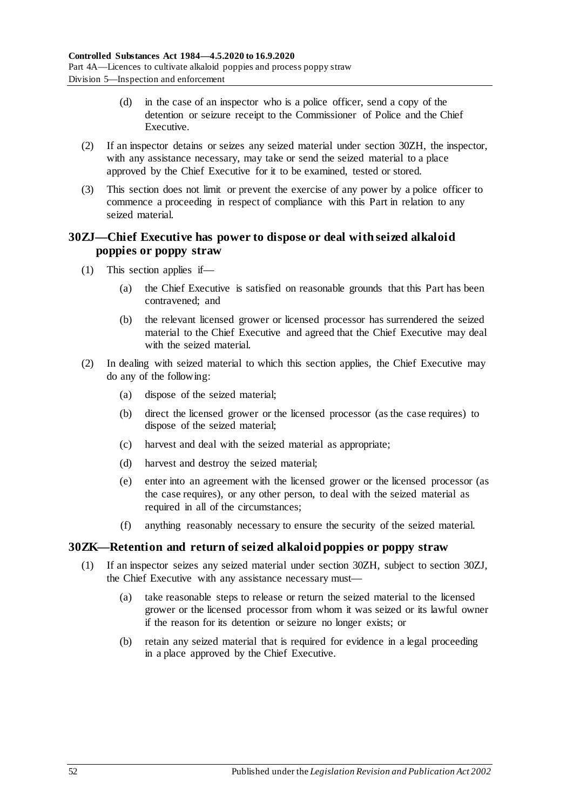- (d) in the case of an inspector who is a police officer, send a copy of the detention or seizure receipt to the Commissioner of Police and the Chief Executive.
- (2) If an inspector detains or seizes any seized material under [section](#page-50-2) 30ZH, the inspector, with any assistance necessary, may take or send the seized material to a place approved by the Chief Executive for it to be examined, tested or stored.
- (3) This section does not limit or prevent the exercise of any power by a police officer to commence a proceeding in respect of compliance with this Part in relation to any seized material.

## <span id="page-51-0"></span>**30ZJ—Chief Executive has power to dispose or deal with seized alkaloid poppies or poppy straw**

- (1) This section applies if—
	- (a) the Chief Executive is satisfied on reasonable grounds that this Part has been contravened; and
	- (b) the relevant licensed grower or licensed processor has surrendered the seized material to the Chief Executive and agreed that the Chief Executive may deal with the seized material.
- (2) In dealing with seized material to which this section applies, the Chief Executive may do any of the following:
	- (a) dispose of the seized material;
	- (b) direct the licensed grower or the licensed processor (as the case requires) to dispose of the seized material;
	- (c) harvest and deal with the seized material as appropriate;
	- (d) harvest and destroy the seized material;
	- (e) enter into an agreement with the licensed grower or the licensed processor (as the case requires), or any other person, to deal with the seized material as required in all of the circumstances;
	- (f) anything reasonably necessary to ensure the security of the seized material.

# **30ZK—Retention and return of seized alkaloid poppies or poppy straw**

- (1) If an inspector seizes any seized material under [section](#page-50-2) 30ZH, subject to [section](#page-51-0) 30ZJ, the Chief Executive with any assistance necessary must—
	- (a) take reasonable steps to release or return the seized material to the licensed grower or the licensed processor from whom it was seized or its lawful owner if the reason for its detention or seizure no longer exists; or
	- (b) retain any seized material that is required for evidence in a legal proceeding in a place approved by the Chief Executive.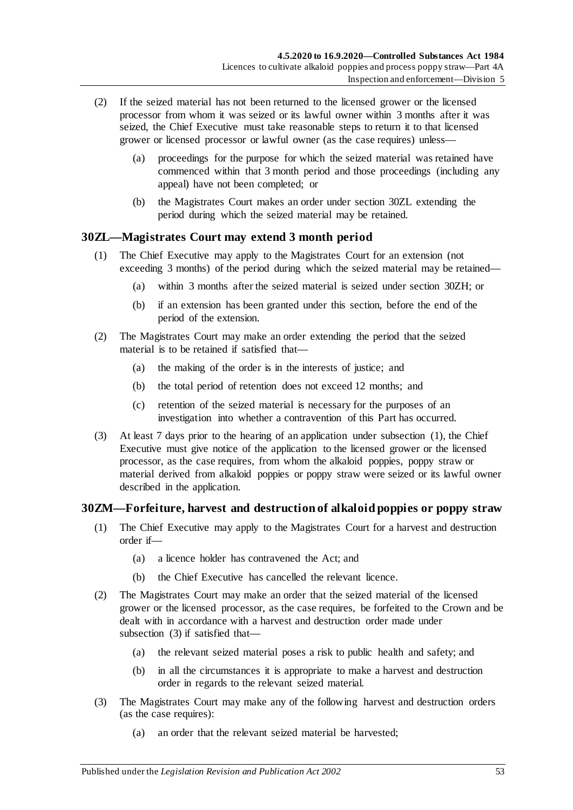- (2) If the seized material has not been returned to the licensed grower or the licensed processor from whom it was seized or its lawful owner within 3 months after it was seized, the Chief Executive must take reasonable steps to return it to that licensed grower or licensed processor or lawful owner (as the case requires) unless—
	- (a) proceedings for the purpose for which the seized material was retained have commenced within that 3 month period and those proceedings (including any appeal) have not been completed; or
	- (b) the Magistrates Court makes an order under [section](#page-52-0) 30ZL extending the period during which the seized material may be retained.

## <span id="page-52-1"></span><span id="page-52-0"></span>**30ZL—Magistrates Court may extend 3 month period**

- (1) The Chief Executive may apply to the Magistrates Court for an extension (not exceeding 3 months) of the period during which the seized material may be retained—
	- (a) within 3 months after the seized material is seized under [section](#page-50-2) 30ZH; or
	- (b) if an extension has been granted under this section, before the end of the period of the extension.
- (2) The Magistrates Court may make an order extending the period that the seized material is to be retained if satisfied that—
	- (a) the making of the order is in the interests of justice; and
	- (b) the total period of retention does not exceed 12 months; and
	- (c) retention of the seized material is necessary for the purposes of an investigation into whether a contravention of this Part has occurred.
- (3) At least 7 days prior to the hearing of an application under [subsection](#page-52-1) (1), the Chief Executive must give notice of the application to the licensed grower or the licensed processor, as the case requires, from whom the alkaloid poppies, poppy straw or material derived from alkaloid poppies or poppy straw were seized or its lawful owner described in the application.

# **30ZM—Forfeiture, harvest and destruction of alkaloid poppies or poppy straw**

- (1) The Chief Executive may apply to the Magistrates Court for a harvest and destruction order if—
	- (a) a licence holder has contravened the Act; and
	- (b) the Chief Executive has cancelled the relevant licence.
- (2) The Magistrates Court may make an order that the seized material of the licensed grower or the licensed processor, as the case requires, be forfeited to the Crown and be dealt with in accordance with a harvest and destruction order made under [subsection](#page-52-2) (3) if satisfied that—
	- (a) the relevant seized material poses a risk to public health and safety; and
	- (b) in all the circumstances it is appropriate to make a harvest and destruction order in regards to the relevant seized material.
- <span id="page-52-2"></span>(3) The Magistrates Court may make any of the following harvest and destruction orders (as the case requires):
	- (a) an order that the relevant seized material be harvested;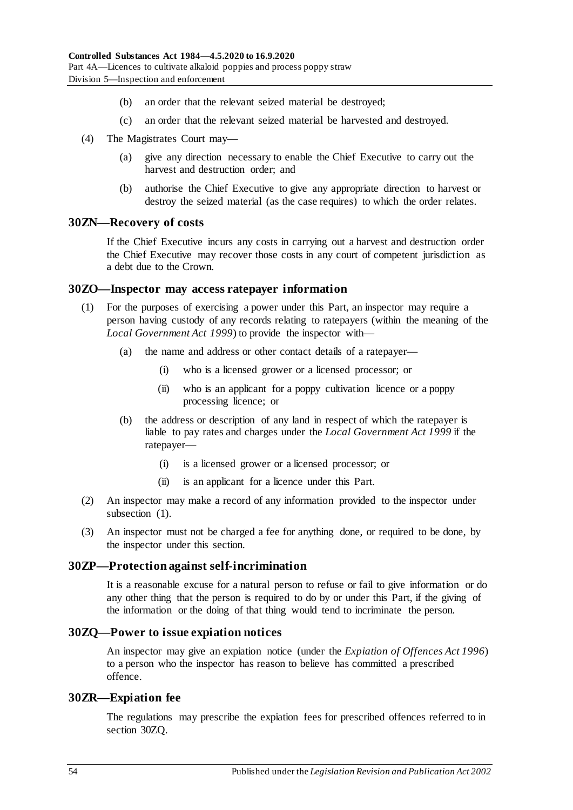- (b) an order that the relevant seized material be destroyed;
- (c) an order that the relevant seized material be harvested and destroyed.
- (4) The Magistrates Court may—
	- (a) give any direction necessary to enable the Chief Executive to carry out the harvest and destruction order; and
	- (b) authorise the Chief Executive to give any appropriate direction to harvest or destroy the seized material (as the case requires) to which the order relates.

# **30ZN—Recovery of costs**

If the Chief Executive incurs any costs in carrying out a harvest and destruction order the Chief Executive may recover those costs in any court of competent jurisdiction as a debt due to the Crown.

### <span id="page-53-0"></span>**30ZO—Inspector may access ratepayer information**

- (1) For the purposes of exercising a power under this Part, an inspector may require a person having custody of any records relating to ratepayers (within the meaning of the *[Local Government Act](http://www.legislation.sa.gov.au/index.aspx?action=legref&type=act&legtitle=Local%20Government%20Act%201999) 1999*) to provide the inspector with—
	- (a) the name and address or other contact details of a ratepayer—
		- (i) who is a licensed grower or a licensed processor; or
		- (ii) who is an applicant for a poppy cultivation licence or a poppy processing licence; or
	- (b) the address or description of any land in respect of which the ratepayer is liable to pay rates and charges under the *[Local Government Act](http://www.legislation.sa.gov.au/index.aspx?action=legref&type=act&legtitle=Local%20Government%20Act%201999) 1999* if the ratepayer—
		- (i) is a licensed grower or a licensed processor; or
		- (ii) is an applicant for a licence under this Part.
- (2) An inspector may make a record of any information provided to the inspector under [subsection](#page-53-0) (1).
- (3) An inspector must not be charged a fee for anything done, or required to be done, by the inspector under this section.

#### **30ZP—Protection against self-incrimination**

It is a reasonable excuse for a natural person to refuse or fail to give information or do any other thing that the person is required to do by or under this Part, if the giving of the information or the doing of that thing would tend to incriminate the person.

#### <span id="page-53-1"></span>**30ZQ—Power to issue expiation notices**

An inspector may give an expiation notice (under the *[Expiation of Offences Act](http://www.legislation.sa.gov.au/index.aspx?action=legref&type=act&legtitle=Expiation%20of%20Offences%20Act%201996) 1996*) to a person who the inspector has reason to believe has committed a prescribed offence.

#### **30ZR—Expiation fee**

The regulations may prescribe the expiation fees for prescribed offences referred to in [section](#page-53-1) 30ZQ.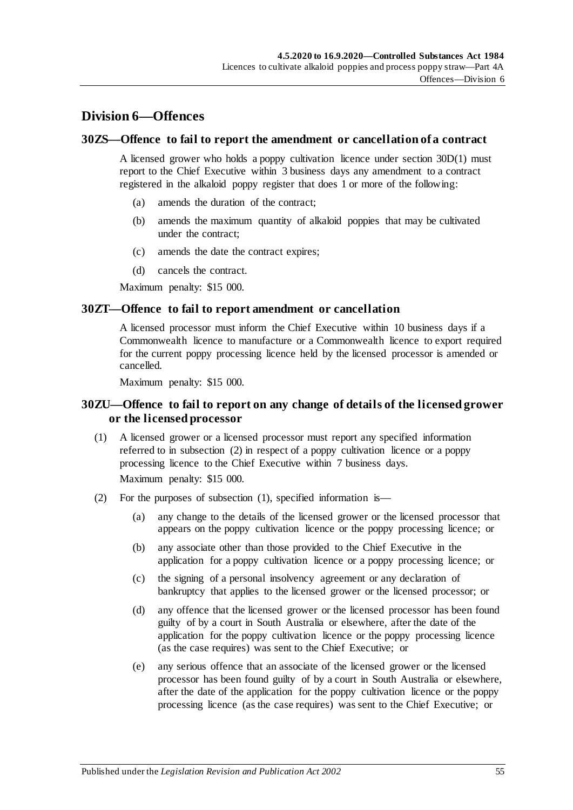# **Division 6—Offences**

## **30ZS—Offence to fail to report the amendment or cancellation of a contract**

A licensed grower who holds a poppy cultivation licence under [section](#page-36-0) 30D(1) must report to the Chief Executive within 3 business days any amendment to a contract registered in the alkaloid poppy register that does 1 or more of the following:

- (a) amends the duration of the contract;
- (b) amends the maximum quantity of alkaloid poppies that may be cultivated under the contract;
- (c) amends the date the contract expires;
- (d) cancels the contract.

Maximum penalty: \$15 000.

### **30ZT—Offence to fail to report amendment or cancellation**

A licensed processor must inform the Chief Executive within 10 business days if a Commonwealth licence to manufacture or a Commonwealth licence to export required for the current poppy processing licence held by the licensed processor is amended or cancelled.

Maximum penalty: \$15 000.

## **30ZU—Offence to fail to report on any change of details of the licensed grower or the licensed processor**

<span id="page-54-1"></span>(1) A licensed grower or a licensed processor must report any specified information referred to in [subsection](#page-54-0) (2) in respect of a poppy cultivation licence or a poppy processing licence to the Chief Executive within 7 business days.

Maximum penalty: \$15 000.

- <span id="page-54-0"></span>(2) For the purposes of [subsection](#page-54-1) (1), specified information is—
	- (a) any change to the details of the licensed grower or the licensed processor that appears on the poppy cultivation licence or the poppy processing licence; or
	- (b) any associate other than those provided to the Chief Executive in the application for a poppy cultivation licence or a poppy processing licence; or
	- (c) the signing of a personal insolvency agreement or any declaration of bankruptcy that applies to the licensed grower or the licensed processor; or
	- (d) any offence that the licensed grower or the licensed processor has been found guilty of by a court in South Australia or elsewhere, after the date of the application for the poppy cultivation licence or the poppy processing licence (as the case requires) was sent to the Chief Executive; or
	- (e) any serious offence that an associate of the licensed grower or the licensed processor has been found guilty of by a court in South Australia or elsewhere, after the date of the application for the poppy cultivation licence or the poppy processing licence (as the case requires) was sent to the Chief Executive; or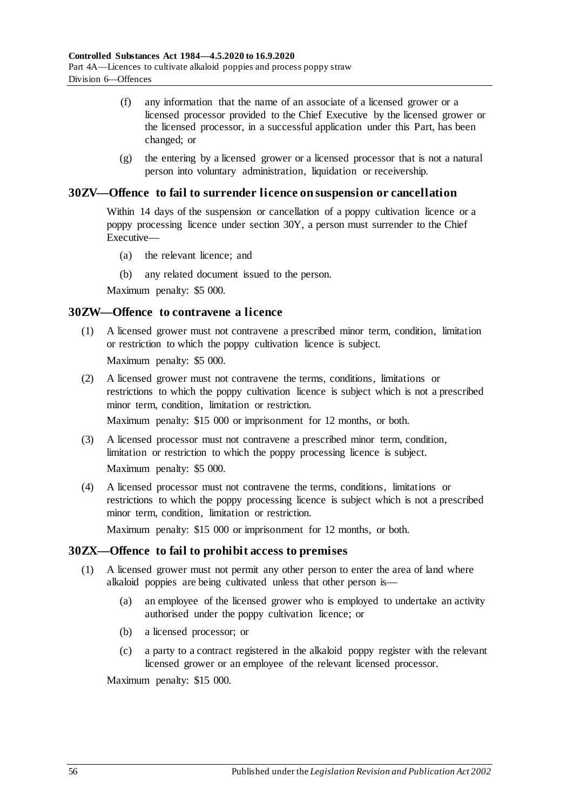- (f) any information that the name of an associate of a licensed grower or a licensed processor provided to the Chief Executive by the licensed grower or the licensed processor, in a successful application under this Part, has been changed; or
- (g) the entering by a licensed grower or a licensed processor that is not a natural person into voluntary administration, liquidation or receivership.

## **30ZV—Offence to fail to surrender licence on suspension or cancellation**

Within 14 days of the suspension or cancellation of a poppy cultivation licence or a poppy processing licence under [section](#page-46-5) 30Y, a person must surrender to the Chief Executive—

- (a) the relevant licence; and
- (b) any related document issued to the person.

Maximum penalty: \$5 000.

## **30ZW—Offence to contravene a licence**

(1) A licensed grower must not contravene a prescribed minor term, condition, limitation or restriction to which the poppy cultivation licence is subject.

Maximum penalty: \$5 000.

(2) A licensed grower must not contravene the terms, conditions, limitations or restrictions to which the poppy cultivation licence is subject which is not a prescribed minor term, condition, limitation or restriction.

Maximum penalty: \$15 000 or imprisonment for 12 months, or both.

- (3) A licensed processor must not contravene a prescribed minor term, condition, limitation or restriction to which the poppy processing licence is subject. Maximum penalty: \$5 000.
- (4) A licensed processor must not contravene the terms, conditions, limitations or restrictions to which the poppy processing licence is subject which is not a prescribed minor term, condition, limitation or restriction.

Maximum penalty: \$15 000 or imprisonment for 12 months, or both.

## **30ZX—Offence to fail to prohibit access to premises**

- (1) A licensed grower must not permit any other person to enter the area of land where alkaloid poppies are being cultivated unless that other person is—
	- (a) an employee of the licensed grower who is employed to undertake an activity authorised under the poppy cultivation licence; or
	- (b) a licensed processor; or
	- (c) a party to a contract registered in the alkaloid poppy register with the relevant licensed grower or an employee of the relevant licensed processor.

Maximum penalty: \$15 000.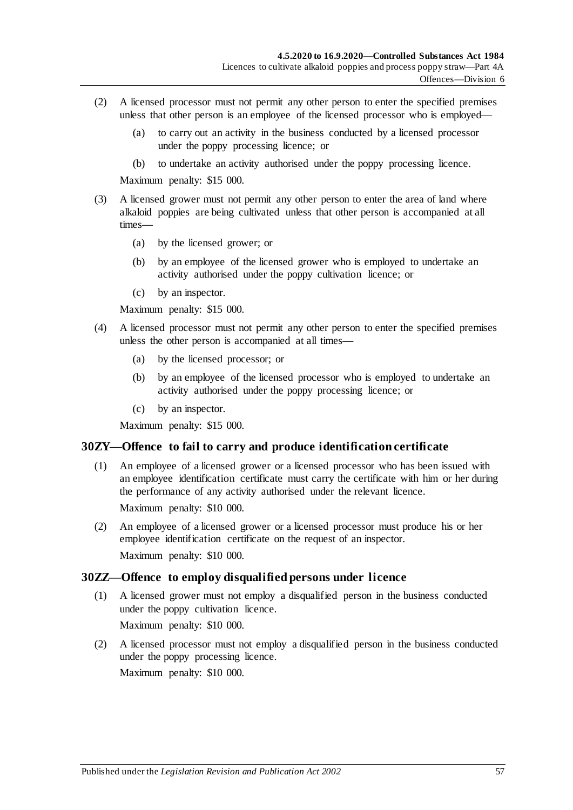- (2) A licensed processor must not permit any other person to enter the specified premises unless that other person is an employee of the licensed processor who is employed—
	- (a) to carry out an activity in the business conducted by a licensed processor under the poppy processing licence; or
	- (b) to undertake an activity authorised under the poppy processing licence.

Maximum penalty: \$15 000.

- (3) A licensed grower must not permit any other person to enter the area of land where alkaloid poppies are being cultivated unless that other person is accompanied at all times—
	- (a) by the licensed grower; or
	- (b) by an employee of the licensed grower who is employed to undertake an activity authorised under the poppy cultivation licence; or
	- (c) by an inspector.

Maximum penalty: \$15 000.

- (4) A licensed processor must not permit any other person to enter the specified premises unless the other person is accompanied at all times—
	- (a) by the licensed processor; or
	- (b) by an employee of the licensed processor who is employed to undertake an activity authorised under the poppy processing licence; or
	- (c) by an inspector.

Maximum penalty: \$15 000.

# **30ZY—Offence to fail to carry and produce identification certificate**

(1) An employee of a licensed grower or a licensed processor who has been issued with an employee identification certificate must carry the certificate with him or her during the performance of any activity authorised under the relevant licence.

Maximum penalty: \$10 000.

(2) An employee of a licensed grower or a licensed processor must produce his or her employee identification certificate on the request of an inspector. Maximum penalty: \$10 000.

# **30ZZ—Offence to employ disqualified persons under licence**

- (1) A licensed grower must not employ a disqualified person in the business conducted under the poppy cultivation licence. Maximum penalty: \$10 000.
- (2) A licensed processor must not employ a disqualified person in the business conducted under the poppy processing licence.

Maximum penalty: \$10 000.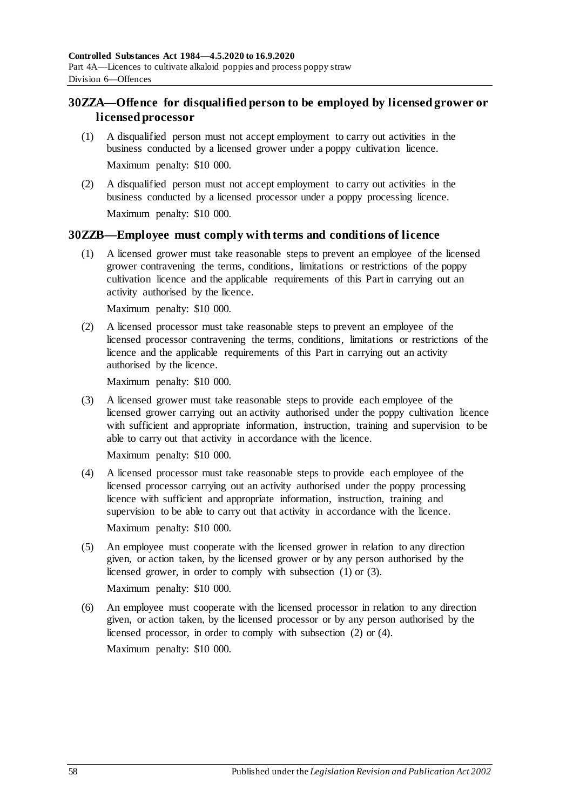# **30ZZA—Offence for disqualified person to be employed by licensed grower or licensed processor**

- (1) A disqualified person must not accept employment to carry out activities in the business conducted by a licensed grower under a poppy cultivation licence. Maximum penalty: \$10 000.
- (2) A disqualified person must not accept employment to carry out activities in the business conducted by a licensed processor under a poppy processing licence. Maximum penalty: \$10 000.

## <span id="page-57-0"></span>**30ZZB—Employee must comply with terms and conditions of licence**

(1) A licensed grower must take reasonable steps to prevent an employee of the licensed grower contravening the terms, conditions, limitations or restrictions of the poppy cultivation licence and the applicable requirements of this Part in carrying out an activity authorised by the licence.

Maximum penalty: \$10 000.

<span id="page-57-2"></span>(2) A licensed processor must take reasonable steps to prevent an employee of the licensed processor contravening the terms, conditions, limitations or restrictions of the licence and the applicable requirements of this Part in carrying out an activity authorised by the licence.

Maximum penalty: \$10 000.

<span id="page-57-1"></span>(3) A licensed grower must take reasonable steps to provide each employee of the licensed grower carrying out an activity authorised under the poppy cultivation licence with sufficient and appropriate information, instruction, training and supervision to be able to carry out that activity in accordance with the licence.

Maximum penalty: \$10 000.

- <span id="page-57-3"></span>(4) A licensed processor must take reasonable steps to provide each employee of the licensed processor carrying out an activity authorised under the poppy processing licence with sufficient and appropriate information, instruction, training and supervision to be able to carry out that activity in accordance with the licence. Maximum penalty: \$10 000.
- (5) An employee must cooperate with the licensed grower in relation to any direction given, or action taken, by the licensed grower or by any person authorised by the licensed grower, in order to comply with [subsection](#page-57-0) (1) or [\(3\).](#page-57-1)

Maximum penalty: \$10 000.

(6) An employee must cooperate with the licensed processor in relation to any direction given, or action taken, by the licensed processor or by any person authorised by the licensed processor, in order to comply with [subsection](#page-57-2) (2) or [\(4\).](#page-57-3)

Maximum penalty: \$10 000.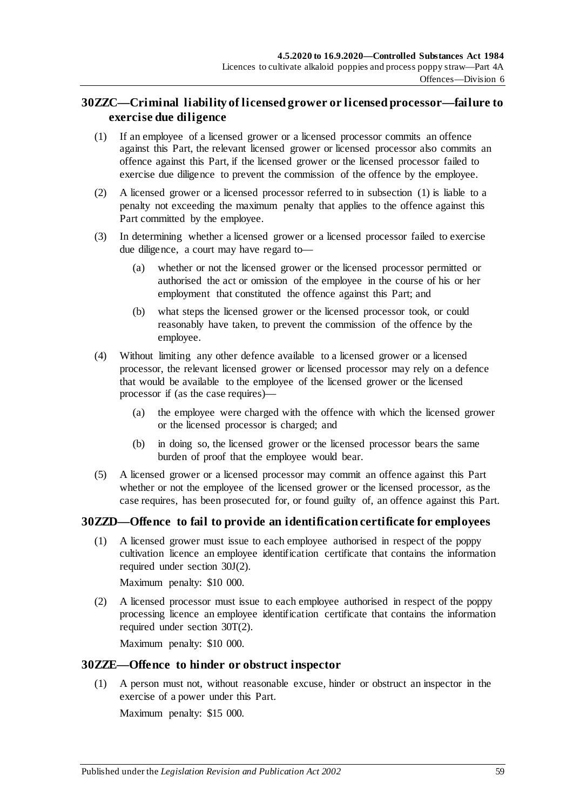# **30ZZC—Criminal liability of licensed grower or licensed processor—failure to exercise due diligence**

- <span id="page-58-0"></span>(1) If an employee of a licensed grower or a licensed processor commits an offence against this Part, the relevant licensed grower or licensed processor also commits an offence against this Part, if the licensed grower or the licensed processor failed to exercise due diligence to prevent the commission of the offence by the employee.
- (2) A licensed grower or a licensed processor referred to in [subsection](#page-58-0) (1) is liable to a penalty not exceeding the maximum penalty that applies to the offence against this Part committed by the employee.
- (3) In determining whether a licensed grower or a licensed processor failed to exercise due diligence, a court may have regard to—
	- (a) whether or not the licensed grower or the licensed processor permitted or authorised the act or omission of the employee in the course of his or her employment that constituted the offence against this Part; and
	- (b) what steps the licensed grower or the licensed processor took, or could reasonably have taken, to prevent the commission of the offence by the employee.
- (4) Without limiting any other defence available to a licensed grower or a licensed processor, the relevant licensed grower or licensed processor may rely on a defence that would be available to the employee of the licensed grower or the licensed processor if (as the case requires)—
	- (a) the employee were charged with the offence with which the licensed grower or the licensed processor is charged; and
	- (b) in doing so, the licensed grower or the licensed processor bears the same burden of proof that the employee would bear.
- (5) A licensed grower or a licensed processor may commit an offence against this Part whether or not the employee of the licensed grower or the licensed processor, as the case requires, has been prosecuted for, or found guilty of, an offence against this Part.

# **30ZZD—Offence to fail to provide an identification certificate for employees**

(1) A licensed grower must issue to each employee authorised in respect of the poppy cultivation licence an employee identification certificate that contains the information required under [section](#page-39-2) 30J(2).

Maximum penalty: \$10 000.

(2) A licensed processor must issue to each employee authorised in respect of the poppy processing licence an employee identification certificate that contains the information required under [section](#page-44-2) 30T(2).

Maximum penalty: \$10 000.

## **30ZZE—Offence to hinder or obstruct inspector**

(1) A person must not, without reasonable excuse, hinder or obstruct an inspector in the exercise of a power under this Part.

Maximum penalty: \$15 000.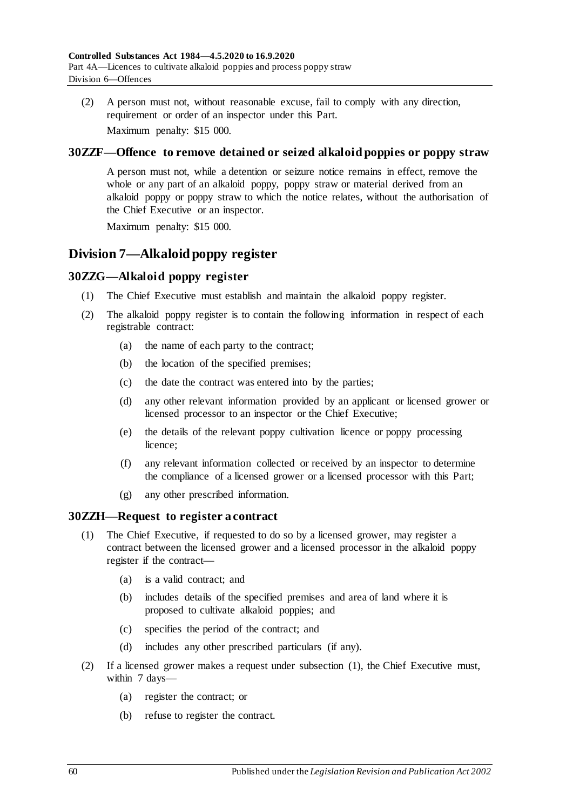(2) A person must not, without reasonable excuse, fail to comply with any direction, requirement or order of an inspector under this Part. Maximum penalty: \$15 000.

## **30ZZF—Offence to remove detained or seized alkaloid poppies or poppy straw**

A person must not, while a detention or seizure notice remains in effect, remove the whole or any part of an alkaloid poppy, poppy straw or material derived from an alkaloid poppy or poppy straw to which the notice relates, without the authorisation of the Chief Executive or an inspector.

Maximum penalty: \$15 000.

# **Division 7—Alkaloid poppy register**

## **30ZZG—Alkaloid poppy register**

- (1) The Chief Executive must establish and maintain the alkaloid poppy register.
- (2) The alkaloid poppy register is to contain the following information in respect of each registrable contract:
	- (a) the name of each party to the contract;
	- (b) the location of the specified premises;
	- (c) the date the contract was entered into by the parties;
	- (d) any other relevant information provided by an applicant or licensed grower or licensed processor to an inspector or the Chief Executive;
	- (e) the details of the relevant poppy cultivation licence or poppy processing licence;
	- (f) any relevant information collected or received by an inspector to determine the compliance of a licensed grower or a licensed processor with this Part;
	- (g) any other prescribed information.

## <span id="page-59-0"></span>**30ZZH—Request to register a contract**

- (1) The Chief Executive, if requested to do so by a licensed grower, may register a contract between the licensed grower and a licensed processor in the alkaloid poppy register if the contract—
	- (a) is a valid contract; and
	- (b) includes details of the specified premises and area of land where it is proposed to cultivate alkaloid poppies; and
	- (c) specifies the period of the contract; and
	- (d) includes any other prescribed particulars (if any).
- <span id="page-59-2"></span><span id="page-59-1"></span>(2) If a licensed grower makes a request under [subsection](#page-59-0) (1), the Chief Executive must, within 7 days-
	- (a) register the contract; or
	- (b) refuse to register the contract.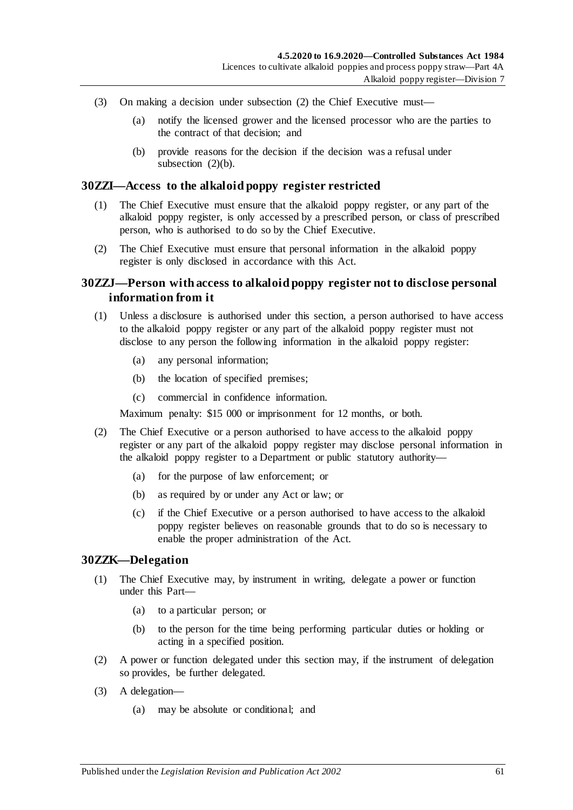- (3) On making a decision under [subsection](#page-59-1) (2) the Chief Executive must—
	- (a) notify the licensed grower and the licensed processor who are the parties to the contract of that decision; and
	- (b) provide reasons for the decision if the decision was a refusal under [subsection](#page-59-2)  $(2)(b)$ .

#### **30ZZI—Access to the alkaloid poppy register restricted**

- (1) The Chief Executive must ensure that the alkaloid poppy register, or any part of the alkaloid poppy register, is only accessed by a prescribed person, or class of prescribed person, who is authorised to do so by the Chief Executive.
- (2) The Chief Executive must ensure that personal information in the alkaloid poppy register is only disclosed in accordance with this Act.

## **30ZZJ—Person with access to alkaloid poppy register not to disclose personal information from it**

- (1) Unless a disclosure is authorised under this section, a person authorised to have access to the alkaloid poppy register or any part of the alkaloid poppy register must not disclose to any person the following information in the alkaloid poppy register:
	- (a) any personal information;
	- (b) the location of specified premises;
	- (c) commercial in confidence information.

Maximum penalty: \$15 000 or imprisonment for 12 months, or both.

- (2) The Chief Executive or a person authorised to have access to the alkaloid poppy register or any part of the alkaloid poppy register may disclose personal information in the alkaloid poppy register to a Department or public statutory authority—
	- (a) for the purpose of law enforcement; or
	- (b) as required by or under any Act or law; or
	- (c) if the Chief Executive or a person authorised to have access to the alkaloid poppy register believes on reasonable grounds that to do so is necessary to enable the proper administration of the Act.

#### **30ZZK—Delegation**

- (1) The Chief Executive may, by instrument in writing, delegate a power or function under this Part—
	- (a) to a particular person; or
	- (b) to the person for the time being performing particular duties or holding or acting in a specified position.
- (2) A power or function delegated under this section may, if the instrument of delegation so provides, be further delegated.
- (3) A delegation—
	- (a) may be absolute or conditional; and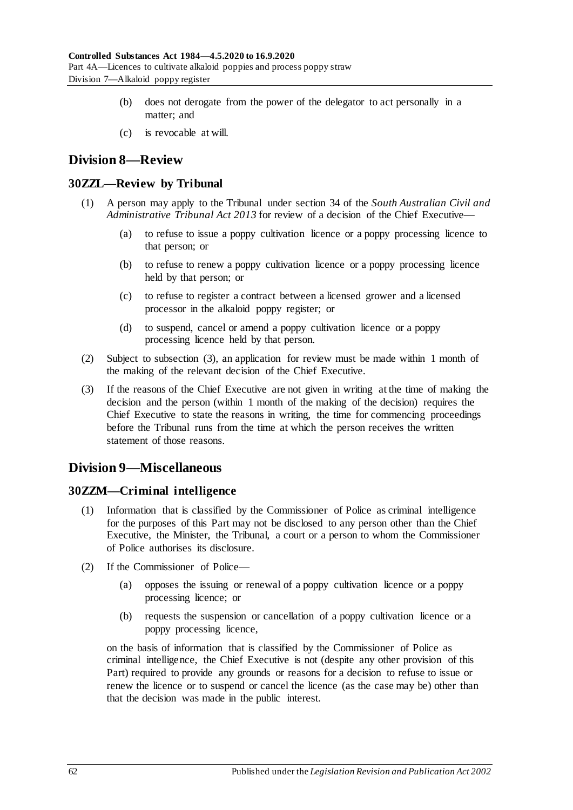- (b) does not derogate from the power of the delegator to act personally in a matter; and
- (c) is revocable at will.

# **Division 8—Review**

## **30ZZL—Review by Tribunal**

- (1) A person may apply to the Tribunal under section 34 of the *[South Australian Civil and](http://www.legislation.sa.gov.au/index.aspx?action=legref&type=act&legtitle=South%20Australian%20Civil%20and%20Administrative%20Tribunal%20Act%202013)  [Administrative Tribunal Act](http://www.legislation.sa.gov.au/index.aspx?action=legref&type=act&legtitle=South%20Australian%20Civil%20and%20Administrative%20Tribunal%20Act%202013) 2013* for review of a decision of the Chief Executive—
	- (a) to refuse to issue a poppy cultivation licence or a poppy processing licence to that person; or
	- (b) to refuse to renew a poppy cultivation licence or a poppy processing licence held by that person; or
	- (c) to refuse to register a contract between a licensed grower and a licensed processor in the alkaloid poppy register; or
	- (d) to suspend, cancel or amend a poppy cultivation licence or a poppy processing licence held by that person.
- (2) Subject to [subsection](#page-61-0) (3), an application for review must be made within 1 month of the making of the relevant decision of the Chief Executive.
- <span id="page-61-0"></span>(3) If the reasons of the Chief Executive are not given in writing at the time of making the decision and the person (within 1 month of the making of the decision) requires the Chief Executive to state the reasons in writing, the time for commencing proceedings before the Tribunal runs from the time at which the person receives the written statement of those reasons.

# **Division 9—Miscellaneous**

## **30ZZM—Criminal intelligence**

- (1) Information that is classified by the Commissioner of Police as criminal intelligence for the purposes of this Part may not be disclosed to any person other than the Chief Executive, the Minister, the Tribunal, a court or a person to whom the Commissioner of Police authorises its disclosure.
- (2) If the Commissioner of Police—
	- (a) opposes the issuing or renewal of a poppy cultivation licence or a poppy processing licence; or
	- (b) requests the suspension or cancellation of a poppy cultivation licence or a poppy processing licence,

on the basis of information that is classified by the Commissioner of Police as criminal intelligence, the Chief Executive is not (despite any other provision of this Part) required to provide any grounds or reasons for a decision to refuse to issue or renew the licence or to suspend or cancel the licence (as the case may be) other than that the decision was made in the public interest.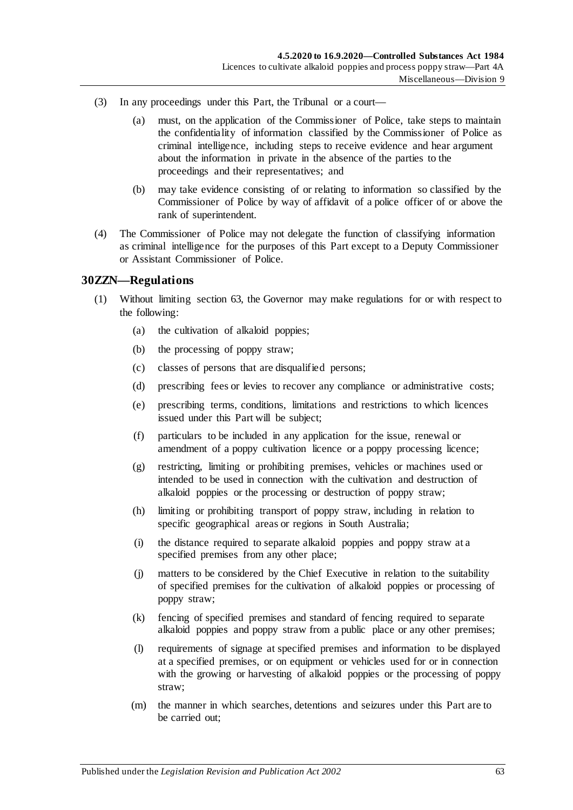- (3) In any proceedings under this Part, the Tribunal or a court—
	- (a) must, on the application of the Commissioner of Police, take steps to maintain the confidentiality of information classified by the Commissioner of Police as criminal intelligence, including steps to receive evidence and hear argument about the information in private in the absence of the parties to the proceedings and their representatives; and
	- (b) may take evidence consisting of or relating to information so classified by the Commissioner of Police by way of affidavit of a police officer of or above the rank of superintendent.
- (4) The Commissioner of Police may not delegate the function of classifying information as criminal intelligence for the purposes of this Part except to a Deputy Commissioner or Assistant Commissioner of Police.

## **30ZZN—Regulations**

- (1) Without limiting section 63, the Governor may make regulations for or with respect to the following:
	- (a) the cultivation of alkaloid poppies;
	- (b) the processing of poppy straw;
	- (c) classes of persons that are disqualified persons;
	- (d) prescribing fees or levies to recover any compliance or administrative costs;
	- (e) prescribing terms, conditions, limitations and restrictions to which licences issued under this Part will be subject;
	- (f) particulars to be included in any application for the issue, renewal or amendment of a poppy cultivation licence or a poppy processing licence;
	- (g) restricting, limiting or prohibiting premises, vehicles or machines used or intended to be used in connection with the cultivation and destruction of alkaloid poppies or the processing or destruction of poppy straw;
	- (h) limiting or prohibiting transport of poppy straw, including in relation to specific geographical areas or regions in South Australia;
	- (i) the distance required to separate alkaloid poppies and poppy straw at a specified premises from any other place;
	- (j) matters to be considered by the Chief Executive in relation to the suitability of specified premises for the cultivation of alkaloid poppies or processing of poppy straw;
	- (k) fencing of specified premises and standard of fencing required to separate alkaloid poppies and poppy straw from a public place or any other premises;
	- (l) requirements of signage at specified premises and information to be displayed at a specified premises, or on equipment or vehicles used for or in connection with the growing or harvesting of alkaloid poppies or the processing of poppy straw;
	- (m) the manner in which searches, detentions and seizures under this Part are to be carried out;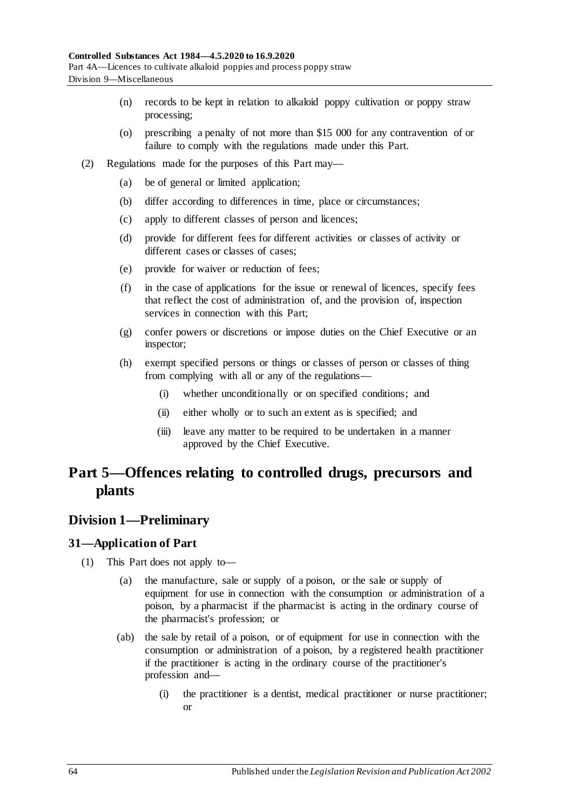- (n) records to be kept in relation to alkaloid poppy cultivation or poppy straw processing;
- (o) prescribing a penalty of not more than \$15 000 for any contravention of or failure to comply with the regulations made under this Part.
- (2) Regulations made for the purposes of this Part may—
	- (a) be of general or limited application;
	- (b) differ according to differences in time, place or circumstances;
	- (c) apply to different classes of person and licences;
	- (d) provide for different fees for different activities or classes of activity or different cases or classes of cases;
	- (e) provide for waiver or reduction of fees;
	- (f) in the case of applications for the issue or renewal of licences, specify fees that reflect the cost of administration of, and the provision of, inspection services in connection with this Part;
	- (g) confer powers or discretions or impose duties on the Chief Executive or an inspector;
	- (h) exempt specified persons or things or classes of person or classes of thing from complying with all or any of the regulations—
		- (i) whether unconditionally or on specified conditions; and
		- (ii) either wholly or to such an extent as is specified; and
		- (iii) leave any matter to be required to be undertaken in a manner approved by the Chief Executive.

# **Part 5—Offences relating to controlled drugs, precursors and plants**

# **Division 1—Preliminary**

# <span id="page-63-0"></span>**31—Application of Part**

- (1) This Part does not apply to—
	- (a) the manufacture, sale or supply of a poison, or the sale or supply of equipment for use in connection with the consumption or administration of a poison, by a pharmacist if the pharmacist is acting in the ordinary course of the pharmacist's profession; or
	- (ab) the sale by retail of a poison, or of equipment for use in connection with the consumption or administration of a poison, by a registered health practitioner if the practitioner is acting in the ordinary course of the practitioner's profession and—
		- (i) the practitioner is a dentist, medical practitioner or nurse practitioner; or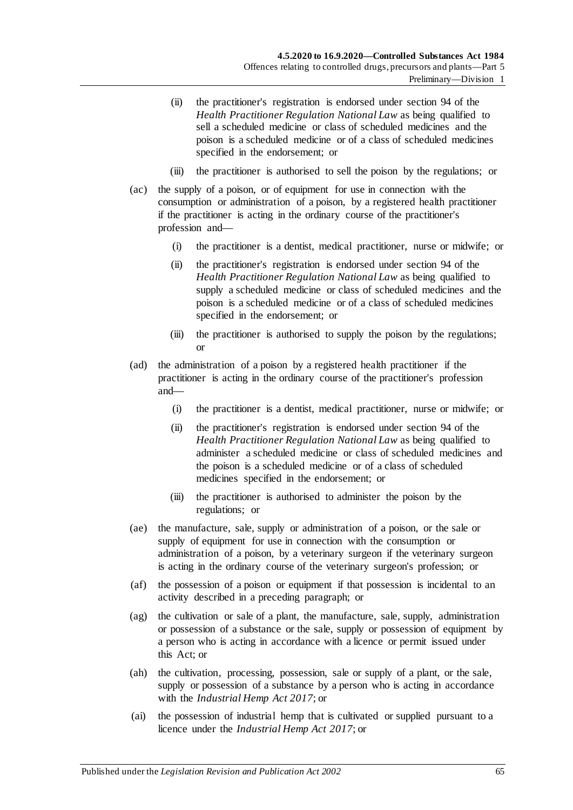- (ii) the practitioner's registration is endorsed under section 94 of the *Health Practitioner Regulation National Law* as being qualified to sell a scheduled medicine or class of scheduled medicines and the poison is a scheduled medicine or of a class of scheduled medicines specified in the endorsement; or
- (iii) the practitioner is authorised to sell the poison by the regulations; or
- (ac) the supply of a poison, or of equipment for use in connection with the consumption or administration of a poison, by a registered health practitioner if the practitioner is acting in the ordinary course of the practitioner's profession and—
	- (i) the practitioner is a dentist, medical practitioner, nurse or midwife; or
	- (ii) the practitioner's registration is endorsed under section 94 of the *Health Practitioner Regulation National Law* as being qualified to supply a scheduled medicine or class of scheduled medicines and the poison is a scheduled medicine or of a class of scheduled medicines specified in the endorsement; or
	- (iii) the practitioner is authorised to supply the poison by the regulations; or
- (ad) the administration of a poison by a registered health practitioner if the practitioner is acting in the ordinary course of the practitioner's profession and—
	- (i) the practitioner is a dentist, medical practitioner, nurse or midwife; or
	- (ii) the practitioner's registration is endorsed under section 94 of the *Health Practitioner Regulation National Law* as being qualified to administer a scheduled medicine or class of scheduled medicines and the poison is a scheduled medicine or of a class of scheduled medicines specified in the endorsement; or
	- (iii) the practitioner is authorised to administer the poison by the regulations; or
- (ae) the manufacture, sale, supply or administration of a poison, or the sale or supply of equipment for use in connection with the consumption or administration of a poison, by a veterinary surgeon if the veterinary surgeon is acting in the ordinary course of the veterinary surgeon's profession; or
- (af) the possession of a poison or equipment if that possession is incidental to an activity described in a preceding paragraph; or
- (ag) the cultivation or sale of a plant, the manufacture, sale, supply, administration or possession of a substance or the sale, supply or possession of equipment by a person who is acting in accordance with a licence or permit issued under this Act; or
- (ah) the cultivation, processing, possession, sale or supply of a plant, or the sale, supply or possession of a substance by a person who is acting in accordance with the *[Industrial Hemp Act](http://www.legislation.sa.gov.au/index.aspx?action=legref&type=act&legtitle=Industrial%20Hemp%20Act%202017) 2017*; or
- (ai) the possession of industrial hemp that is cultivated or supplied pursuant to a licence under the *[Industrial Hemp Act](http://www.legislation.sa.gov.au/index.aspx?action=legref&type=act&legtitle=Industrial%20Hemp%20Act%202017) 2017*; or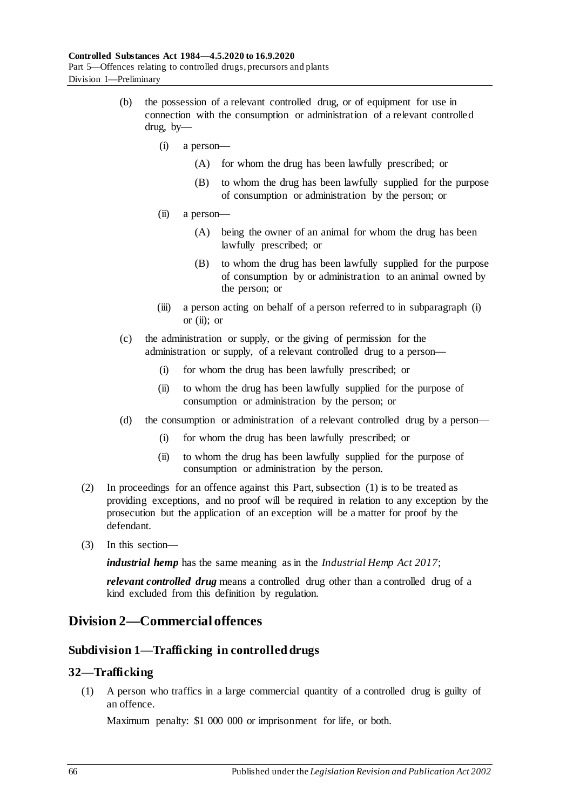- <span id="page-65-1"></span><span id="page-65-0"></span>(b) the possession of a relevant controlled drug, or of equipment for use in connection with the consumption or administration of a relevant controlled drug, by—
	- (i) a person—
		- (A) for whom the drug has been lawfully prescribed; or
		- (B) to whom the drug has been lawfully supplied for the purpose of consumption or administration by the person; or
	- (ii) a person—
		- (A) being the owner of an animal for whom the drug has been lawfully prescribed; or
		- (B) to whom the drug has been lawfully supplied for the purpose of consumption by or administration to an animal owned by the person; or
	- (iii) a person acting on behalf of a person referred to in [subparagraph](#page-65-0) (i) or  $(ii)$ ; or
- (c) the administration or supply, or the giving of permission for the administration or supply, of a relevant controlled drug to a person—
	- (i) for whom the drug has been lawfully prescribed; or
	- (ii) to whom the drug has been lawfully supplied for the purpose of consumption or administration by the person; or
- (d) the consumption or administration of a relevant controlled drug by a person—
	- (i) for whom the drug has been lawfully prescribed; or
	- (ii) to whom the drug has been lawfully supplied for the purpose of consumption or administration by the person.
- (2) In proceedings for an offence against this Part[, subsection](#page-63-0) (1) is to be treated as providing exceptions, and no proof will be required in relation to any exception by the prosecution but the application of an exception will be a matter for proof by the defendant.
- (3) In this section—

*industrial hemp* has the same meaning as in the *[Industrial Hemp Act](http://www.legislation.sa.gov.au/index.aspx?action=legref&type=act&legtitle=Industrial%20Hemp%20Act%202017) 2017*;

*relevant controlled drug* means a controlled drug other than a controlled drug of a kind excluded from this definition by regulation.

# **Division 2—Commercial offences**

# **Subdivision 1—Trafficking in controlled drugs**

# <span id="page-65-2"></span>**32—Trafficking**

(1) A person who traffics in a large commercial quantity of a controlled drug is guilty of an offence.

Maximum penalty: \$1 000 000 or imprisonment for life, or both.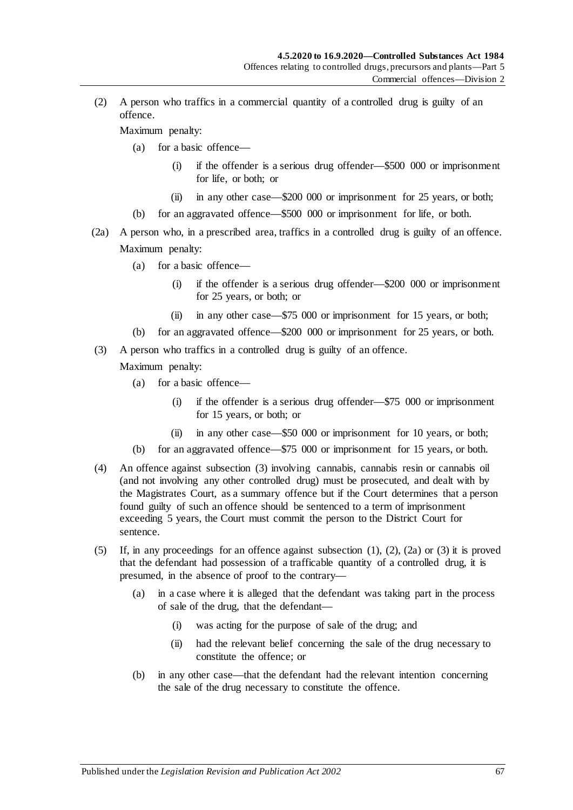<span id="page-66-1"></span>(2) A person who traffics in a commercial quantity of a controlled drug is guilty of an offence.

Maximum penalty:

- (a) for a basic offence—
	- (i) if the offender is a serious drug offender—\$500 000 or imprisonment for life, or both; or
	- (ii) in any other case—\$200 000 or imprisonment for 25 years, or both;
- (b) for an aggravated offence—\$500 000 or imprisonment for life, or both.
- <span id="page-66-2"></span>(2a) A person who, in a prescribed area, traffics in a controlled drug is guilty of an offence. Maximum penalty:
	- (a) for a basic offence—
		- (i) if the offender is a serious drug offender—\$200 000 or imprisonment for 25 years, or both; or
		- (ii) in any other case—\$75 000 or imprisonment for 15 years, or both;
	- (b) for an aggravated offence—\$200 000 or imprisonment for 25 years, or both.
- <span id="page-66-0"></span>(3) A person who traffics in a controlled drug is guilty of an offence.

- (a) for a basic offence—
	- (i) if the offender is a serious drug offender—\$75 000 or imprisonment for 15 years, or both; or
	- (ii) in any other case—\$50 000 or imprisonment for 10 years, or both;
- (b) for an aggravated offence—\$75 000 or imprisonment for 15 years, or both.
- (4) An offence against [subsection](#page-66-0) (3) involving cannabis, cannabis resin or cannabis oil (and not involving any other controlled drug) must be prosecuted, and dealt with by the Magistrates Court, as a summary offence but if the Court determines that a person found guilty of such an offence should be sentenced to a term of imprisonment exceeding 5 years, the Court must commit the person to the District Court for sentence.
- (5) If, in any proceedings for an offence against [subsection](#page-65-2)  $(1)$ ,  $(2)$ ,  $(2a)$  or  $(3)$  it is proved that the defendant had possession of a trafficable quantity of a controlled drug, it is presumed, in the absence of proof to the contrary—
	- (a) in a case where it is alleged that the defendant was taking part in the process of sale of the drug, that the defendant—
		- (i) was acting for the purpose of sale of the drug; and
		- (ii) had the relevant belief concerning the sale of the drug necessary to constitute the offence; or
	- (b) in any other case—that the defendant had the relevant intention concerning the sale of the drug necessary to constitute the offence.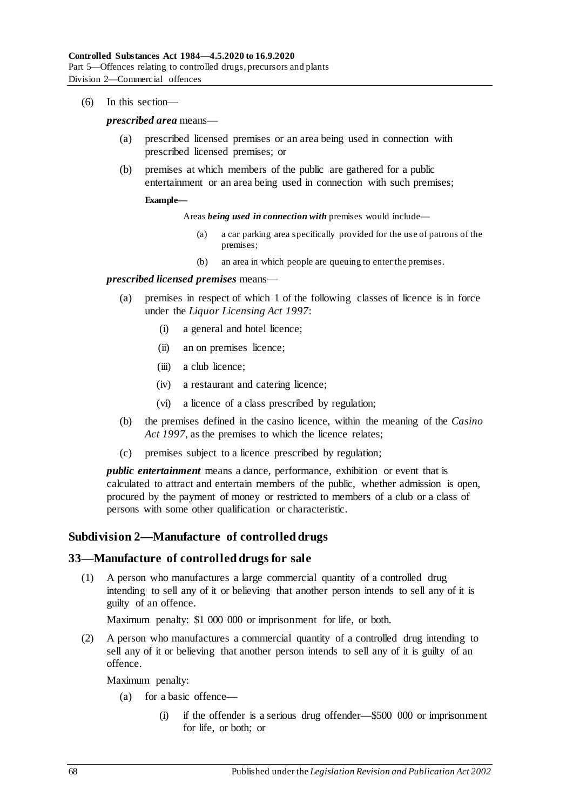(6) In this section—

*prescribed area* means—

- (a) prescribed licensed premises or an area being used in connection with prescribed licensed premises; or
- (b) premises at which members of the public are gathered for a public entertainment or an area being used in connection with such premises;

#### **Example—**

Areas *being used in connection with* premises would include—

- (a) a car parking area specifically provided for the use of patrons of the premises;
- (b) an area in which people are queuing to enter the premises.

#### *prescribed licensed premises* means—

- (a) premises in respect of which 1 of the following classes of licence is in force under the *[Liquor Licensing Act](http://www.legislation.sa.gov.au/index.aspx?action=legref&type=act&legtitle=Liquor%20Licensing%20Act%201997) 1997*:
	- (i) a general and hotel licence;
	- (ii) an on premises licence;
	- (iii) a club licence;
	- (iv) a restaurant and catering licence;
	- (vi) a licence of a class prescribed by regulation;
- (b) the premises defined in the casino licence, within the meaning of the *[Casino](http://www.legislation.sa.gov.au/index.aspx?action=legref&type=act&legtitle=Casino%20Act%201997)  Act [1997](http://www.legislation.sa.gov.au/index.aspx?action=legref&type=act&legtitle=Casino%20Act%201997)*, as the premises to which the licence relates;
- (c) premises subject to a licence prescribed by regulation;

*public entertainment* means a dance, performance, exhibition or event that is calculated to attract and entertain members of the public, whether admission is open, procured by the payment of money or restricted to members of a club or a class of persons with some other qualification or characteristic.

## **Subdivision 2—Manufacture of controlled drugs**

## <span id="page-67-0"></span>**33—Manufacture of controlled drugs for sale**

(1) A person who manufactures a large commercial quantity of a controlled drug intending to sell any of it or believing that another person intends to sell any of it is guilty of an offence.

Maximum penalty: \$1 000 000 or imprisonment for life, or both.

<span id="page-67-1"></span>(2) A person who manufactures a commercial quantity of a controlled drug intending to sell any of it or believing that another person intends to sell any of it is guilty of an offence.

- (a) for a basic offence—
	- (i) if the offender is a serious drug offender—\$500 000 or imprisonment for life, or both; or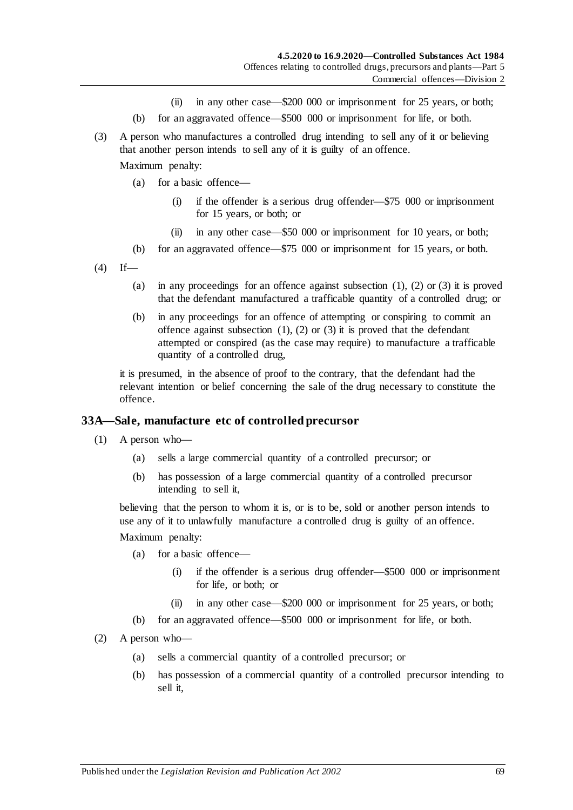- (ii) in any other case—\$200 000 or imprisonment for 25 years, or both;
- (b) for an aggravated offence—\$500 000 or imprisonment for life, or both.
- <span id="page-68-0"></span>(3) A person who manufactures a controlled drug intending to sell any of it or believing that another person intends to sell any of it is guilty of an offence.

Maximum penalty:

- (a) for a basic offence—
	- (i) if the offender is a serious drug offender—\$75 000 or imprisonment for 15 years, or both; or
	- (ii) in any other case—\$50 000 or imprisonment for 10 years, or both;
- (b) for an aggravated offence—\$75 000 or imprisonment for 15 years, or both.
- $(4)$  If
	- (a) in any proceedings for an offence against [subsection](#page-67-0)  $(1)$ ,  $(2)$  or  $(3)$  it is proved that the defendant manufactured a trafficable quantity of a controlled drug; or
	- (b) in any proceedings for an offence of attempting or conspiring to commit an offence against [subsection](#page-67-0)  $(1)$ ,  $(2)$  or  $(3)$  it is proved that the defendant attempted or conspired (as the case may require) to manufacture a trafficable quantity of a controlled drug,

it is presumed, in the absence of proof to the contrary, that the defendant had the relevant intention or belief concerning the sale of the drug necessary to constitute the offence.

#### **33A—Sale, manufacture etc of controlled precursor**

- (1) A person who—
	- (a) sells a large commercial quantity of a controlled precursor; or
	- (b) has possession of a large commercial quantity of a controlled precursor intending to sell it,

believing that the person to whom it is, or is to be, sold or another person intends to use any of it to unlawfully manufacture a controlled drug is guilty of an offence.

- (a) for a basic offence—
	- (i) if the offender is a serious drug offender—\$500 000 or imprisonment for life, or both; or
	- (ii) in any other case—\$200 000 or imprisonment for 25 years, or both;
- (b) for an aggravated offence—\$500 000 or imprisonment for life, or both.
- (2) A person who—
	- (a) sells a commercial quantity of a controlled precursor; or
	- (b) has possession of a commercial quantity of a controlled precursor intending to sell it,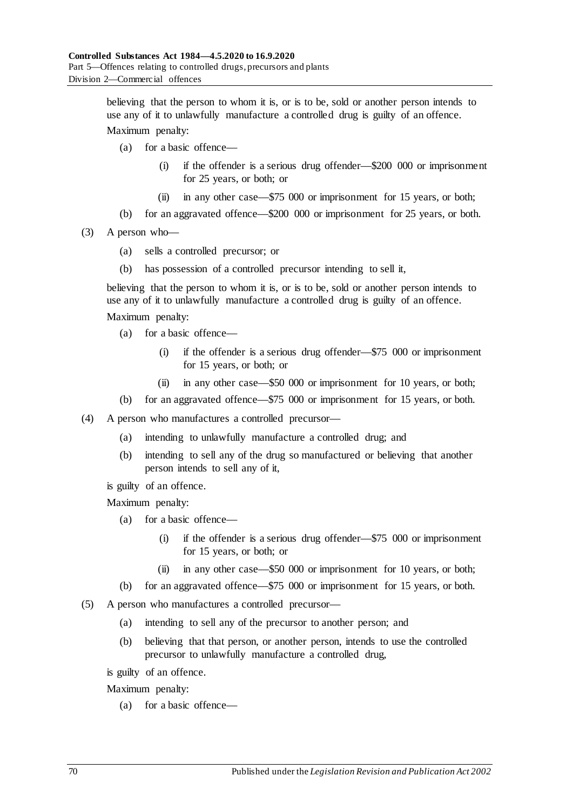believing that the person to whom it is, or is to be, sold or another person intends to use any of it to unlawfully manufacture a controlled drug is guilty of an offence.

Maximum penalty:

- (a) for a basic offence—
	- (i) if the offender is a serious drug offender—\$200 000 or imprisonment for 25 years, or both; or
	- (ii) in any other case—\$75 000 or imprisonment for 15 years, or both;
- (b) for an aggravated offence—\$200 000 or imprisonment for 25 years, or both.
- (3) A person who—
	- (a) sells a controlled precursor; or
	- (b) has possession of a controlled precursor intending to sell it,

believing that the person to whom it is, or is to be, sold or another person intends to use any of it to unlawfully manufacture a controlled drug is guilty of an offence.

#### Maximum penalty:

- (a) for a basic offence—
	- (i) if the offender is a serious drug offender—\$75 000 or imprisonment for 15 years, or both; or
	- (ii) in any other case—\$50 000 or imprisonment for 10 years, or both;
- (b) for an aggravated offence—\$75 000 or imprisonment for 15 years, or both.
- (4) A person who manufactures a controlled precursor—
	- (a) intending to unlawfully manufacture a controlled drug; and
	- (b) intending to sell any of the drug so manufactured or believing that another person intends to sell any of it,
	- is guilty of an offence.

Maximum penalty:

- (a) for a basic offence—
	- (i) if the offender is a serious drug offender—\$75 000 or imprisonment for 15 years, or both; or
	- (ii) in any other case—\$50 000 or imprisonment for 10 years, or both;
- (b) for an aggravated offence—\$75 000 or imprisonment for 15 years, or both.
- (5) A person who manufactures a controlled precursor—
	- (a) intending to sell any of the precursor to another person; and
	- (b) believing that that person, or another person, intends to use the controlled precursor to unlawfully manufacture a controlled drug,

is guilty of an offence.

Maximum penalty:

(a) for a basic offence—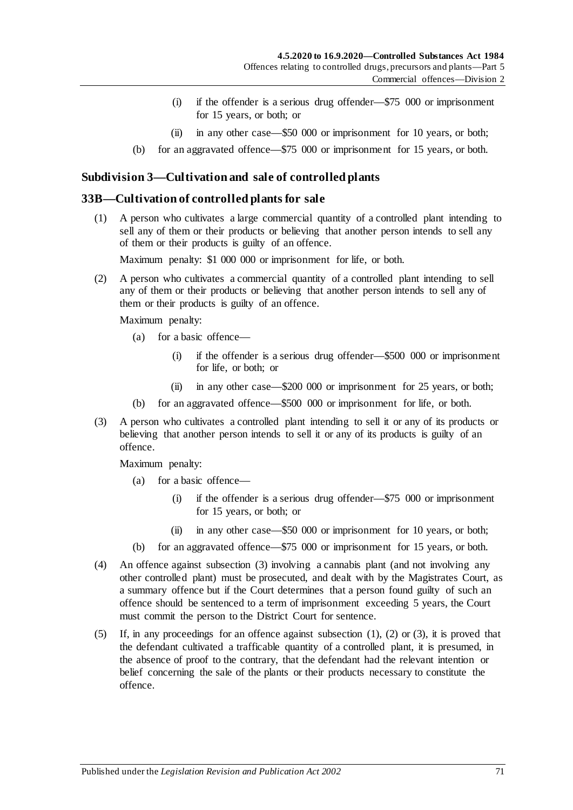- (i) if the offender is a serious drug offender—\$75 000 or imprisonment for 15 years, or both; or
- (ii) in any other case—\$50 000 or imprisonment for 10 years, or both;
- (b) for an aggravated offence—\$75 000 or imprisonment for 15 years, or both.

## **Subdivision 3—Cultivation and sale of controlled plants**

### <span id="page-70-1"></span>**33B—Cultivation of controlled plants for sale**

(1) A person who cultivates a large commercial quantity of a controlled plant intending to sell any of them or their products or believing that another person intends to sell any of them or their products is guilty of an offence.

Maximum penalty: \$1 000 000 or imprisonment for life, or both.

<span id="page-70-2"></span>(2) A person who cultivates a commercial quantity of a controlled plant intending to sell any of them or their products or believing that another person intends to sell any of them or their products is guilty of an offence.

Maximum penalty:

- (a) for a basic offence—
	- (i) if the offender is a serious drug offender—\$500 000 or imprisonment for life, or both; or
	- (ii) in any other case—\$200 000 or imprisonment for 25 years, or both;
- (b) for an aggravated offence—\$500 000 or imprisonment for life, or both.
- <span id="page-70-0"></span>(3) A person who cultivates a controlled plant intending to sell it or any of its products or believing that another person intends to sell it or any of its products is guilty of an offence.

- (a) for a basic offence—
	- (i) if the offender is a serious drug offender—\$75 000 or imprisonment for 15 years, or both; or
	- (ii) in any other case—\$50 000 or imprisonment for 10 years, or both;
- (b) for an aggravated offence—\$75 000 or imprisonment for 15 years, or both.
- (4) An offence against [subsection](#page-70-0) (3) involving a cannabis plant (and not involving any other controlled plant) must be prosecuted, and dealt with by the Magistrates Court, as a summary offence but if the Court determines that a person found guilty of such an offence should be sentenced to a term of imprisonment exceeding 5 years, the Court must commit the person to the District Court for sentence.
- (5) If, in any proceedings for an offence against [subsection](#page-70-1) (1), [\(2\)](#page-70-2) or [\(3\),](#page-70-0) it is proved that the defendant cultivated a trafficable quantity of a controlled plant, it is presumed, in the absence of proof to the contrary, that the defendant had the relevant intention or belief concerning the sale of the plants or their products necessary to constitute the offence.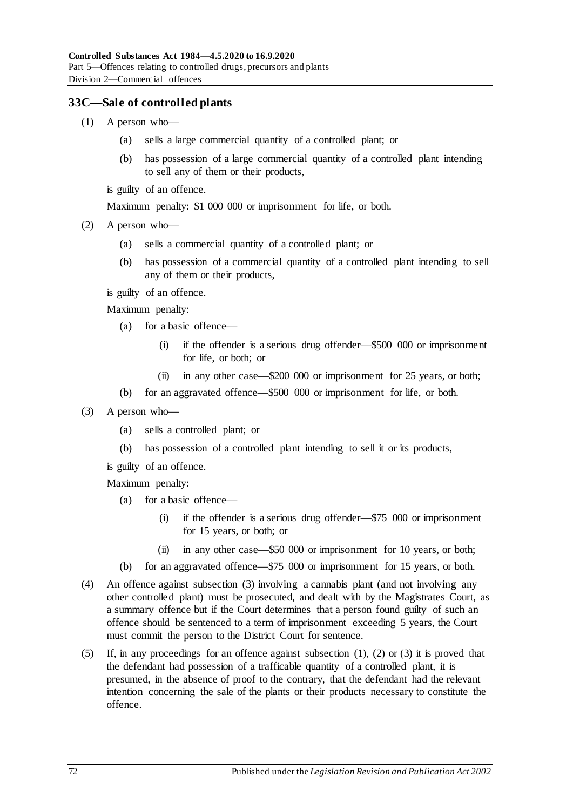## <span id="page-71-1"></span>**33C—Sale of controlled plants**

- (1) A person who—
	- (a) sells a large commercial quantity of a controlled plant; or
	- (b) has possession of a large commercial quantity of a controlled plant intending to sell any of them or their products,

is guilty of an offence.

Maximum penalty: \$1 000 000 or imprisonment for life, or both.

- <span id="page-71-2"></span>(2) A person who—
	- (a) sells a commercial quantity of a controlled plant; or
	- (b) has possession of a commercial quantity of a controlled plant intending to sell any of them or their products,

is guilty of an offence.

Maximum penalty:

- (a) for a basic offence—
	- (i) if the offender is a serious drug offender—\$500 000 or imprisonment for life, or both; or
	- (ii) in any other case—\$200 000 or imprisonment for 25 years, or both;
- (b) for an aggravated offence—\$500 000 or imprisonment for life, or both.
- <span id="page-71-0"></span>(3) A person who—
	- (a) sells a controlled plant; or
	- (b) has possession of a controlled plant intending to sell it or its products,

is guilty of an offence.

- (a) for a basic offence—
	- (i) if the offender is a serious drug offender—\$75 000 or imprisonment for 15 years, or both; or
	- (ii) in any other case—\$50 000 or imprisonment for 10 years, or both;
- (b) for an aggravated offence—\$75 000 or imprisonment for 15 years, or both.
- (4) An offence against [subsection](#page-71-0) (3) involving a cannabis plant (and not involving any other controlled plant) must be prosecuted, and dealt with by the Magistrates Court, as a summary offence but if the Court determines that a person found guilty of such an offence should be sentenced to a term of imprisonment exceeding 5 years, the Court must commit the person to the District Court for sentence.
- (5) If, in any proceedings for an offence against [subsection](#page-71-1) (1), [\(2\)](#page-71-2) or [\(3\)](#page-71-0) it is proved that the defendant had possession of a trafficable quantity of a controlled plant, it is presumed, in the absence of proof to the contrary, that the defendant had the relevant intention concerning the sale of the plants or their products necessary to constitute the offence.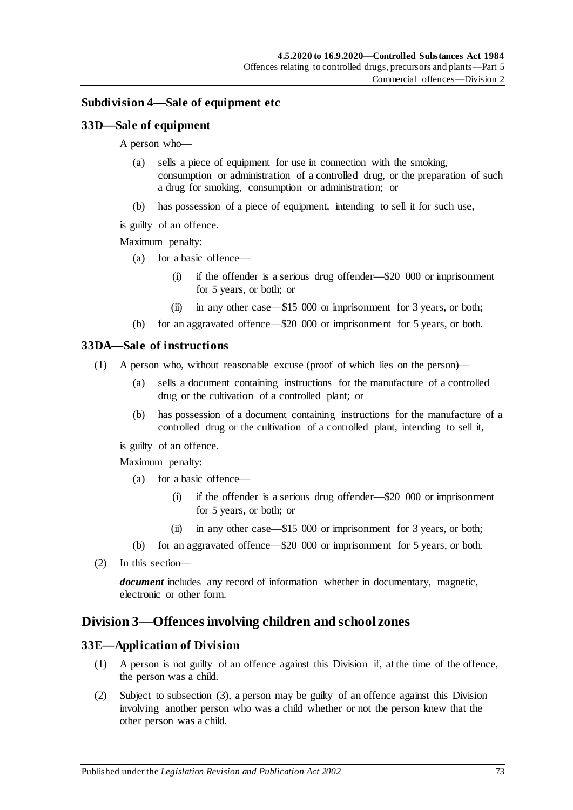#### <span id="page-72-0"></span>**Subdivision 4—Sale of equipment etc**

#### **33D—Sale of equipment**

A person who—

- (a) sells a piece of equipment for use in connection with the smoking, consumption or administration of a controlled drug, or the preparation of such a drug for smoking, consumption or administration; or
- (b) has possession of a piece of equipment, intending to sell it for such use,
- is guilty of an offence.

Maximum penalty:

- (a) for a basic offence—
	- (i) if the offender is a serious drug offender—\$20 000 or imprisonment for 5 years, or both; or
	- (ii) in any other case—\$15 000 or imprisonment for 3 years, or both;
- (b) for an aggravated offence—\$20 000 or imprisonment for 5 years, or both.

#### **33DA—Sale of instructions**

- (1) A person who, without reasonable excuse (proof of which lies on the person)—
	- (a) sells a document containing instructions for the manufacture of a controlled drug or the cultivation of a controlled plant; or
	- (b) has possession of a document containing instructions for the manufacture of a controlled drug or the cultivation of a controlled plant, intending to sell it,
	- is guilty of an offence.

Maximum penalty:

- (a) for a basic offence—
	- (i) if the offender is a serious drug offender—\$20 000 or imprisonment for 5 years, or both; or
	- (ii) in any other case—\$15 000 or imprisonment for 3 years, or both;
- (b) for an aggravated offence—\$20 000 or imprisonment for 5 years, or both.
- (2) In this section—

*document* includes any record of information whether in documentary, magnetic, electronic or other form.

## <span id="page-72-1"></span>**Division 3—Offences involving children and school zones**

#### **33E—Application of Division**

- (1) A person is not guilty of an offence against this Division if, at the time of the offence, the person was a child.
- (2) Subject to [subsection](#page-73-0) (3), a person may be guilty of an offence against this Division involving another person who was a child whether or not the person knew that the other person was a child.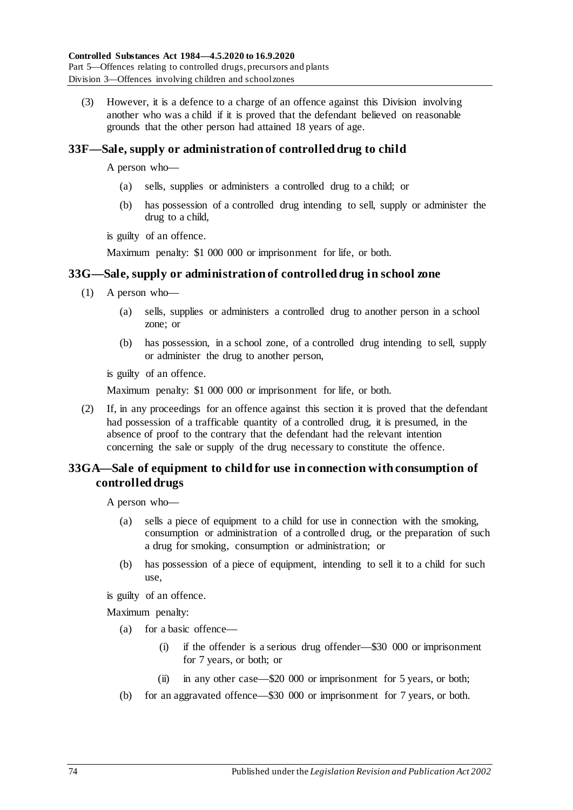<span id="page-73-0"></span>(3) However, it is a defence to a charge of an offence against this Division involving another who was a child if it is proved that the defendant believed on reasonable grounds that the other person had attained 18 years of age.

## <span id="page-73-1"></span>**33F—Sale, supply or administration of controlled drug to child**

A person who—

- (a) sells, supplies or administers a controlled drug to a child; or
- (b) has possession of a controlled drug intending to sell, supply or administer the drug to a child,

is guilty of an offence.

Maximum penalty: \$1 000 000 or imprisonment for life, or both.

#### **33G—Sale, supply or administration of controlled drug in school zone**

- (1) A person who—
	- (a) sells, supplies or administers a controlled drug to another person in a school zone; or
	- (b) has possession, in a school zone, of a controlled drug intending to sell, supply or administer the drug to another person,

is guilty of an offence.

Maximum penalty: \$1 000 000 or imprisonment for life, or both.

(2) If, in any proceedings for an offence against this section it is proved that the defendant had possession of a trafficable quantity of a controlled drug, it is presumed, in the absence of proof to the contrary that the defendant had the relevant intention concerning the sale or supply of the drug necessary to constitute the offence.

## **33GA—Sale of equipment to child for use in connection with consumption of controlled drugs**

A person who—

- (a) sells a piece of equipment to a child for use in connection with the smoking, consumption or administration of a controlled drug, or the preparation of such a drug for smoking, consumption or administration; or
- (b) has possession of a piece of equipment, intending to sell it to a child for such use,

is guilty of an offence.

- (a) for a basic offence—
	- (i) if the offender is a serious drug offender—\$30 000 or imprisonment for 7 years, or both; or
	- (ii) in any other case—\$20 000 or imprisonment for 5 years, or both;
- (b) for an aggravated offence—\$30 000 or imprisonment for 7 years, or both.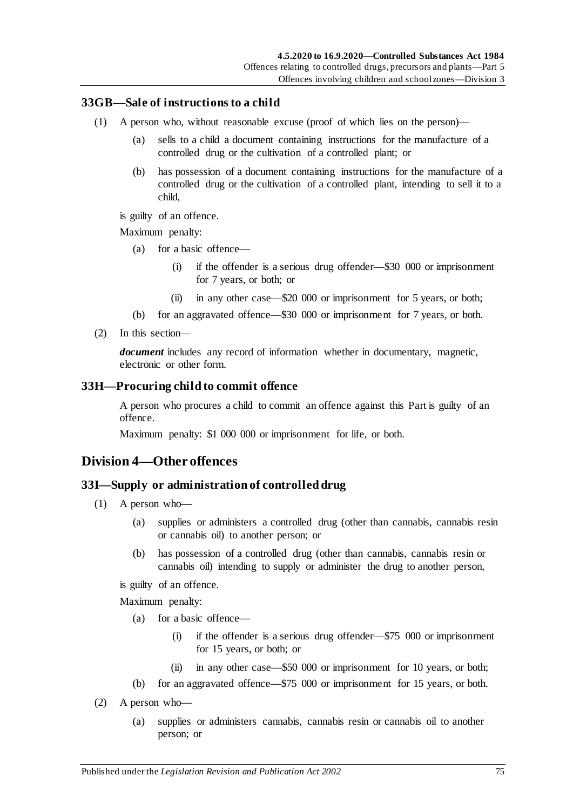#### **33GB—Sale of instructions to a child**

- (1) A person who, without reasonable excuse (proof of which lies on the person)—
	- (a) sells to a child a document containing instructions for the manufacture of a controlled drug or the cultivation of a controlled plant; or
	- (b) has possession of a document containing instructions for the manufacture of a controlled drug or the cultivation of a controlled plant, intending to sell it to a child,
	- is guilty of an offence.

Maximum penalty:

- (a) for a basic offence—
	- (i) if the offender is a serious drug offender—\$30 000 or imprisonment for 7 years, or both; or
	- (ii) in any other case—\$20 000 or imprisonment for 5 years, or both;
- (b) for an aggravated offence—\$30 000 or imprisonment for 7 years, or both.
- (2) In this section—

*document* includes any record of information whether in documentary, magnetic, electronic or other form.

#### <span id="page-74-2"></span>**33H—Procuring child to commit offence**

A person who procures a child to commit an offence against this Part is guilty of an offence.

Maximum penalty: \$1 000 000 or imprisonment for life, or both.

## <span id="page-74-0"></span>**Division 4—Other offences**

#### <span id="page-74-3"></span>**33I—Supply or administration of controlled drug**

- (1) A person who—
	- (a) supplies or administers a controlled drug (other than cannabis, cannabis resin or cannabis oil) to another person; or
	- (b) has possession of a controlled drug (other than cannabis, cannabis resin or cannabis oil) intending to supply or administer the drug to another person,

is guilty of an offence.

- (a) for a basic offence—
	- (i) if the offender is a serious drug offender—\$75 000 or imprisonment for 15 years, or both; or
	- (ii) in any other case—\$50 000 or imprisonment for 10 years, or both;
- (b) for an aggravated offence—\$75 000 or imprisonment for 15 years, or both.
- <span id="page-74-1"></span>(2) A person who—
	- (a) supplies or administers cannabis, cannabis resin or cannabis oil to another person; or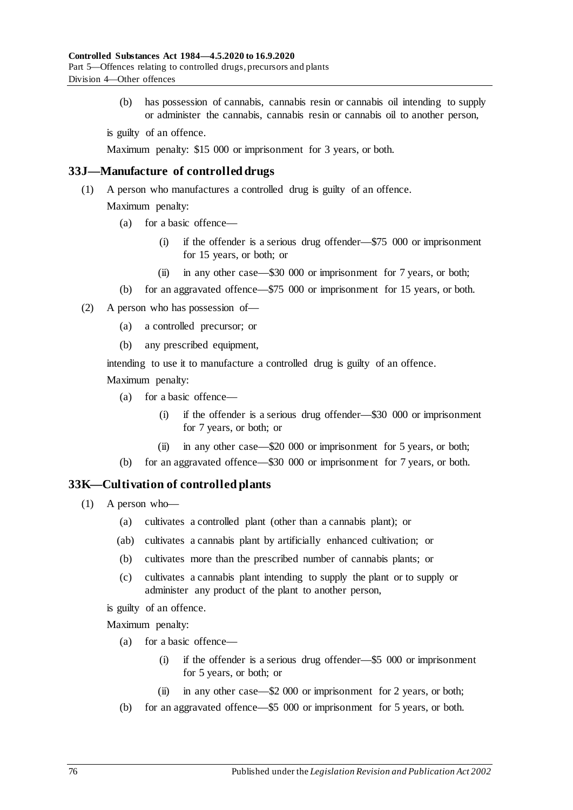(b) has possession of cannabis, cannabis resin or cannabis oil intending to supply or administer the cannabis, cannabis resin or cannabis oil to another person,

is guilty of an offence.

Maximum penalty: \$15 000 or imprisonment for 3 years, or both.

#### **33J—Manufacture of controlled drugs**

(1) A person who manufactures a controlled drug is guilty of an offence.

Maximum penalty:

- (a) for a basic offence—
	- (i) if the offender is a serious drug offender—\$75 000 or imprisonment for 15 years, or both; or
	- (ii) in any other case—\$30 000 or imprisonment for 7 years, or both;
- (b) for an aggravated offence—\$75 000 or imprisonment for 15 years, or both.
- (2) A person who has possession of—
	- (a) a controlled precursor; or
	- (b) any prescribed equipment,

intending to use it to manufacture a controlled drug is guilty of an offence.

Maximum penalty:

- (a) for a basic offence—
	- (i) if the offender is a serious drug offender—\$30 000 or imprisonment for 7 years, or both; or
	- (ii) in any other case—\$20 000 or imprisonment for 5 years, or both;
- (b) for an aggravated offence—\$30 000 or imprisonment for 7 years, or both.

#### <span id="page-75-0"></span>**33K—Cultivation of controlled plants**

- (1) A person who—
	- (a) cultivates a controlled plant (other than a cannabis plant); or
	- (ab) cultivates a cannabis plant by artificially enhanced cultivation; or
	- (b) cultivates more than the prescribed number of cannabis plants; or
	- (c) cultivates a cannabis plant intending to supply the plant or to supply or administer any product of the plant to another person,

is guilty of an offence.

- (a) for a basic offence—
	- (i) if the offender is a serious drug offender—\$5 000 or imprisonment for 5 years, or both; or
	- (ii) in any other case—\$2 000 or imprisonment for 2 years, or both;
- (b) for an aggravated offence—\$5 000 or imprisonment for 5 years, or both.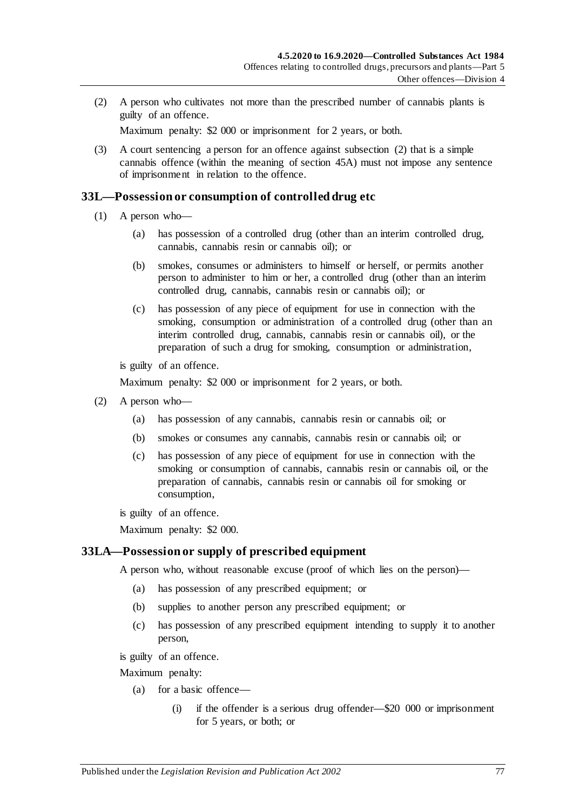<span id="page-76-0"></span>(2) A person who cultivates not more than the prescribed number of cannabis plants is guilty of an offence.

Maximum penalty: \$2 000 or imprisonment for 2 years, or both.

(3) A court sentencing a person for an offence against [subsection](#page-76-0) (2) that is a simple cannabis offence (within the meaning of [section](#page-90-0) 45A) must not impose any sentence of imprisonment in relation to the offence.

#### <span id="page-76-1"></span>**33L—Possession or consumption of controlled drug etc**

- (1) A person who—
	- (a) has possession of a controlled drug (other than an interim controlled drug, cannabis, cannabis resin or cannabis oil); or
	- (b) smokes, consumes or administers to himself or herself, or permits another person to administer to him or her, a controlled drug (other than an interim controlled drug, cannabis, cannabis resin or cannabis oil); or
	- (c) has possession of any piece of equipment for use in connection with the smoking, consumption or administration of a controlled drug (other than an interim controlled drug, cannabis, cannabis resin or cannabis oil), or the preparation of such a drug for smoking, consumption or administration,

is guilty of an offence.

Maximum penalty: \$2 000 or imprisonment for 2 years, or both.

- <span id="page-76-4"></span><span id="page-76-3"></span><span id="page-76-2"></span>(2) A person who—
	- (a) has possession of any cannabis, cannabis resin or cannabis oil; or
	- (b) smokes or consumes any cannabis, cannabis resin or cannabis oil; or
	- (c) has possession of any piece of equipment for use in connection with the smoking or consumption of cannabis, cannabis resin or cannabis oil, or the preparation of cannabis, cannabis resin or cannabis oil for smoking or consumption,

is guilty of an offence.

Maximum penalty: \$2 000.

#### <span id="page-76-5"></span>**33LA—Possession or supply of prescribed equipment**

A person who, without reasonable excuse (proof of which lies on the person)—

- (a) has possession of any prescribed equipment; or
- (b) supplies to another person any prescribed equipment; or
- (c) has possession of any prescribed equipment intending to supply it to another person,

is guilty of an offence.

- (a) for a basic offence—
	- (i) if the offender is a serious drug offender—\$20 000 or imprisonment for 5 years, or both; or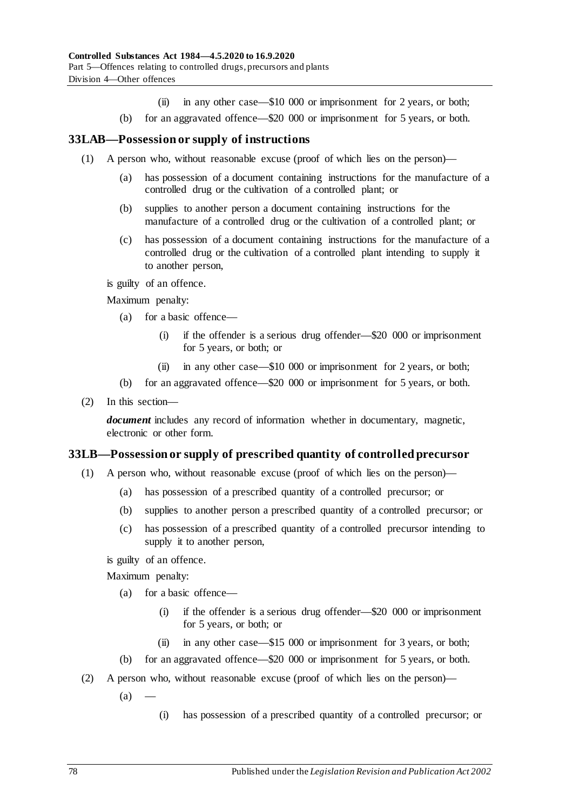- (ii) in any other case—\$10 000 or imprisonment for 2 years, or both;
- (b) for an aggravated offence—\$20 000 or imprisonment for 5 years, or both.

#### **33LAB—Possession or supply of instructions**

- (1) A person who, without reasonable excuse (proof of which lies on the person)—
	- (a) has possession of a document containing instructions for the manufacture of a controlled drug or the cultivation of a controlled plant; or
	- (b) supplies to another person a document containing instructions for the manufacture of a controlled drug or the cultivation of a controlled plant; or
	- (c) has possession of a document containing instructions for the manufacture of a controlled drug or the cultivation of a controlled plant intending to supply it to another person,

is guilty of an offence.

Maximum penalty:

- (a) for a basic offence—
	- (i) if the offender is a serious drug offender—\$20 000 or imprisonment for 5 years, or both; or
	- (ii) in any other case—\$10 000 or imprisonment for 2 years, or both;
- (b) for an aggravated offence—\$20 000 or imprisonment for 5 years, or both.
- (2) In this section—

*document* includes any record of information whether in documentary, magnetic, electronic or other form.

#### <span id="page-77-0"></span>**33LB—Possession or supply of prescribed quantity of controlled precursor**

- (1) A person who, without reasonable excuse (proof of which lies on the person)—
	- (a) has possession of a prescribed quantity of a controlled precursor; or
	- (b) supplies to another person a prescribed quantity of a controlled precursor; or
	- (c) has possession of a prescribed quantity of a controlled precursor intending to supply it to another person,

is guilty of an offence.

- (a) for a basic offence—
	- (i) if the offender is a serious drug offender—\$20 000 or imprisonment for 5 years, or both; or
	- (ii) in any other case—\$15 000 or imprisonment for 3 years, or both;
- (b) for an aggravated offence—\$20 000 or imprisonment for 5 years, or both.
- (2) A person who, without reasonable excuse (proof of which lies on the person)—
	- $(a)$
- (i) has possession of a prescribed quantity of a controlled precursor; or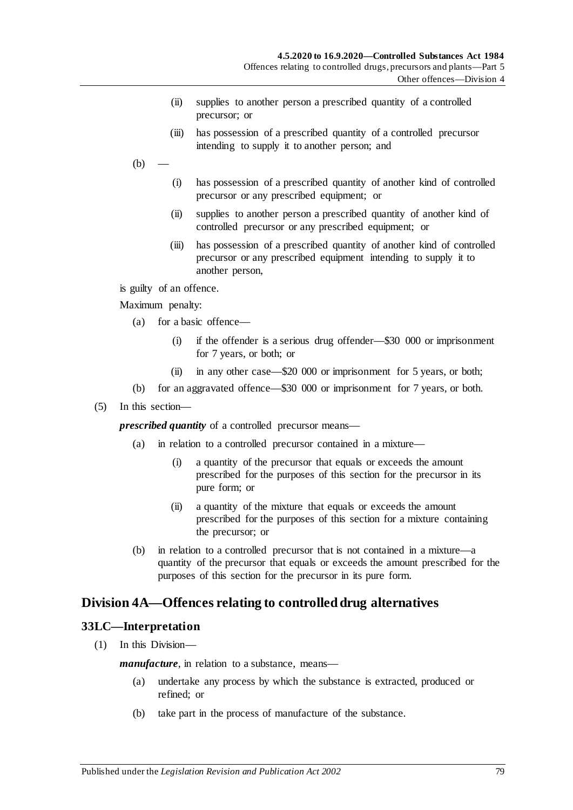- (ii) supplies to another person a prescribed quantity of a controlled precursor; or
- (iii) has possession of a prescribed quantity of a controlled precursor intending to supply it to another person; and
- $(b)$ 
	- (i) has possession of a prescribed quantity of another kind of controlled precursor or any prescribed equipment; or
	- (ii) supplies to another person a prescribed quantity of another kind of controlled precursor or any prescribed equipment; or
	- (iii) has possession of a prescribed quantity of another kind of controlled precursor or any prescribed equipment intending to supply it to another person,

is guilty of an offence.

Maximum penalty:

- (a) for a basic offence—
	- (i) if the offender is a serious drug offender—\$30 000 or imprisonment for 7 years, or both; or
	- (ii) in any other case—\$20 000 or imprisonment for 5 years, or both;
- (b) for an aggravated offence—\$30 000 or imprisonment for 7 years, or both.
- (5) In this section—

*prescribed quantity* of a controlled precursor means—

- (a) in relation to a controlled precursor contained in a mixture—
	- (i) a quantity of the precursor that equals or exceeds the amount prescribed for the purposes of this section for the precursor in its pure form; or
	- (ii) a quantity of the mixture that equals or exceeds the amount prescribed for the purposes of this section for a mixture containing the precursor; or
- (b) in relation to a controlled precursor that is not contained in a mixture—a quantity of the precursor that equals or exceeds the amount prescribed for the purposes of this section for the precursor in its pure form.

## <span id="page-78-0"></span>**Division 4A—Offences relating to controlled drug alternatives**

#### **33LC—Interpretation**

(1) In this Division—

*manufacture*, in relation to a substance, means—

- (a) undertake any process by which the substance is extracted, produced or refined; or
- (b) take part in the process of manufacture of the substance.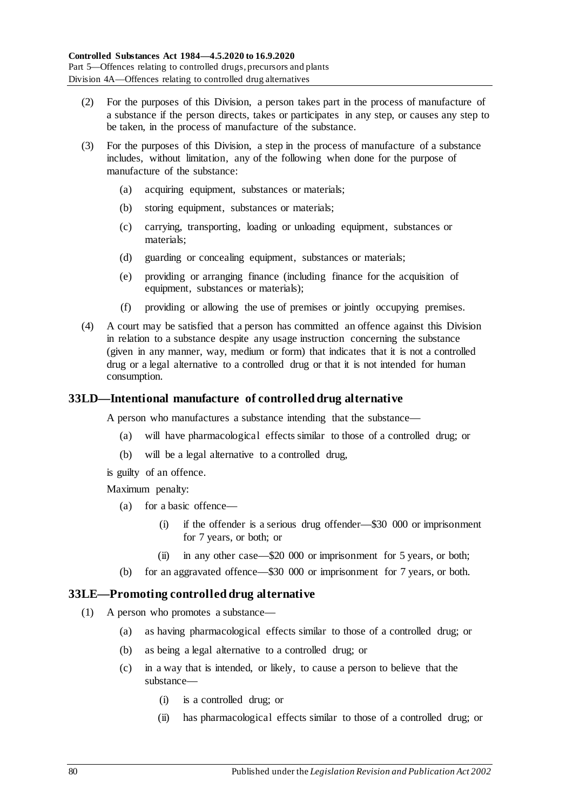- (2) For the purposes of this Division, a person takes part in the process of manufacture of a substance if the person directs, takes or participates in any step, or causes any step to be taken, in the process of manufacture of the substance.
- (3) For the purposes of this Division, a step in the process of manufacture of a substance includes, without limitation, any of the following when done for the purpose of manufacture of the substance:
	- (a) acquiring equipment, substances or materials;
	- (b) storing equipment, substances or materials;
	- (c) carrying, transporting, loading or unloading equipment, substances or materials;
	- (d) guarding or concealing equipment, substances or materials;
	- (e) providing or arranging finance (including finance for the acquisition of equipment, substances or materials);
	- (f) providing or allowing the use of premises or jointly occupying premises.
- (4) A court may be satisfied that a person has committed an offence against this Division in relation to a substance despite any usage instruction concerning the substance (given in any manner, way, medium or form) that indicates that it is not a controlled drug or a legal alternative to a controlled drug or that it is not intended for human consumption.

#### <span id="page-79-2"></span>**33LD—Intentional manufacture of controlled drug alternative**

A person who manufactures a substance intending that the substance—

- (a) will have pharmacological effects similar to those of a controlled drug; or
- (b) will be a legal alternative to a controlled drug,

is guilty of an offence.

Maximum penalty:

- (a) for a basic offence—
	- (i) if the offender is a serious drug offender—\$30 000 or imprisonment for 7 years, or both; or
	- (ii) in any other case—\$20 000 or imprisonment for 5 years, or both;
- (b) for an aggravated offence—\$30 000 or imprisonment for 7 years, or both.

#### <span id="page-79-1"></span><span id="page-79-0"></span>**33LE—Promoting controlled drug alternative**

- (1) A person who promotes a substance—
	- (a) as having pharmacological effects similar to those of a controlled drug; or
	- (b) as being a legal alternative to a controlled drug; or
	- (c) in a way that is intended, or likely, to cause a person to believe that the substance—
		- (i) is a controlled drug; or
		- (ii) has pharmacological effects similar to those of a controlled drug; or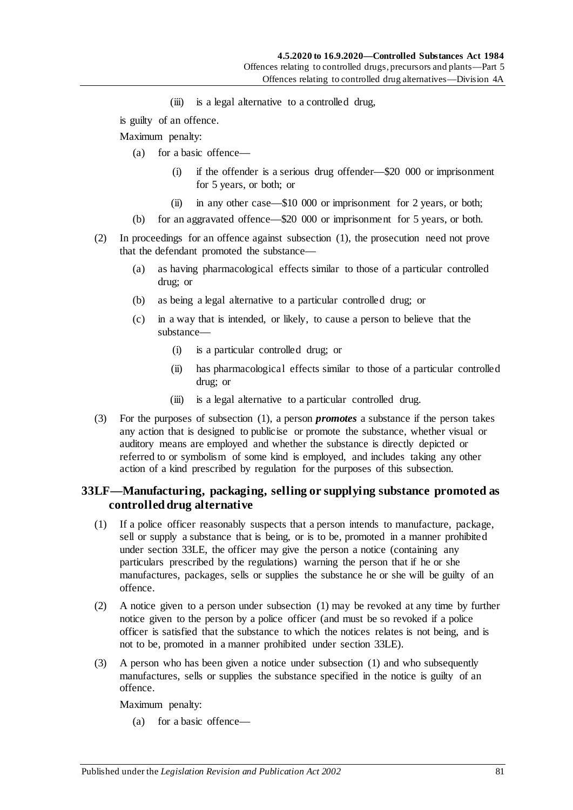(iii) is a legal alternative to a controlled drug,

is guilty of an offence.

Maximum penalty:

- (a) for a basic offence—
	- (i) if the offender is a serious drug offender—\$20 000 or imprisonment for 5 years, or both; or
	- (ii) in any other case—\$10 000 or imprisonment for 2 years, or both;
- (b) for an aggravated offence—\$20 000 or imprisonment for 5 years, or both.
- (2) In proceedings for an offence against [subsection](#page-79-0) (1), the prosecution need not prove that the defendant promoted the substance—
	- (a) as having pharmacological effects similar to those of a particular controlled drug; or
	- (b) as being a legal alternative to a particular controlled drug; or
	- (c) in a way that is intended, or likely, to cause a person to believe that the substance—
		- (i) is a particular controlled drug; or
		- (ii) has pharmacological effects similar to those of a particular controlled drug; or
		- (iii) is a legal alternative to a particular controlled drug.
- (3) For the purposes of [subsection](#page-79-0) (1), a person *promotes* a substance if the person takes any action that is designed to publicise or promote the substance, whether visual or auditory means are employed and whether the substance is directly depicted or referred to or symbolism of some kind is employed, and includes taking any other action of a kind prescribed by regulation for the purposes of this subsection.

#### **33LF—Manufacturing, packaging, selling or supplying substance promoted as controlled drug alternative**

- <span id="page-80-0"></span>(1) If a police officer reasonably suspects that a person intends to manufacture, package, sell or supply a substance that is being, or is to be, promoted in a manner prohibited under [section](#page-79-1) 33LE, the officer may give the person a notice (containing any particulars prescribed by the regulations) warning the person that if he or she manufactures, packages, sells or supplies the substance he or she will be guilty of an offence.
- <span id="page-80-1"></span>(2) A notice given to a person under [subsection](#page-80-0) (1) may be revoked at any time by further notice given to the person by a police officer (and must be so revoked if a police officer is satisfied that the substance to which the notices relates is not being, and is not to be, promoted in a manner prohibited under [section](#page-79-1) 33LE).
- (3) A person who has been given a notice under [subsection](#page-80-0) (1) and who subsequently manufactures, sells or supplies the substance specified in the notice is guilty of an offence.

Maximum penalty:

(a) for a basic offence—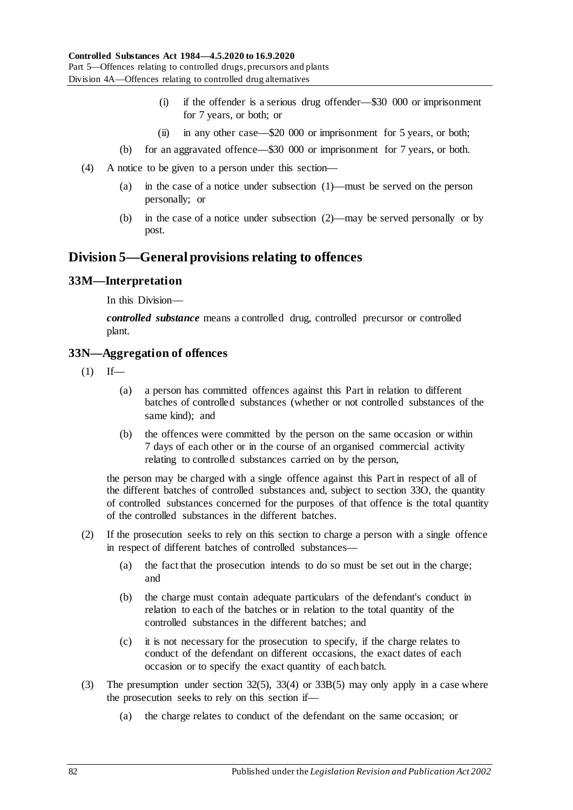- (i) if the offender is a serious drug offender—\$30 000 or imprisonment for 7 years, or both; or
- (ii) in any other case—\$20 000 or imprisonment for 5 years, or both;
- (b) for an aggravated offence—\$30 000 or imprisonment for 7 years, or both.
- (4) A notice to be given to a person under this section—
	- (a) in the case of a notice under [subsection](#page-80-0) (1)—must be served on the person personally; or
	- (b) in the case of a notice under [subsection](#page-80-1) (2)—may be served personally or by post.

## **Division 5—General provisions relating to offences**

#### **33M—Interpretation**

In this Division—

*controlled substance* means a controlled drug, controlled precursor or controlled plant.

#### **33N—Aggregation of offences**

- $(1)$  If—
	- (a) a person has committed offences against this Part in relation to different batches of controlled substances (whether or not controlled substances of the same kind); and
	- (b) the offences were committed by the person on the same occasion or within 7 days of each other or in the course of an organised commercial activity relating to controlled substances carried on by the person,

the person may be charged with a single offence against this Part in respect of all of the different batches of controlled substances and, subject to [section](#page-82-0) 33O, the quantity of controlled substances concerned for the purposes of that offence is the total quantity of the controlled substances in the different batches.

- (2) If the prosecution seeks to rely on this section to charge a person with a single offence in respect of different batches of controlled substances—
	- (a) the fact that the prosecution intends to do so must be set out in the charge; and
	- (b) the charge must contain adequate particulars of the defendant's conduct in relation to each of the batches or in relation to the total quantity of the controlled substances in the different batches; and
	- (c) it is not necessary for the prosecution to specify, if the charge relates to conduct of the defendant on different occasions, the exact dates of each occasion or to specify the exact quantity of each batch.
- (3) The presumption under [section](#page-66-0) 32(5), [33\(4\)](#page-68-0) or [33B\(5\)](#page-70-0) may only apply in a case where the prosecution seeks to rely on this section if—
	- (a) the charge relates to conduct of the defendant on the same occasion; or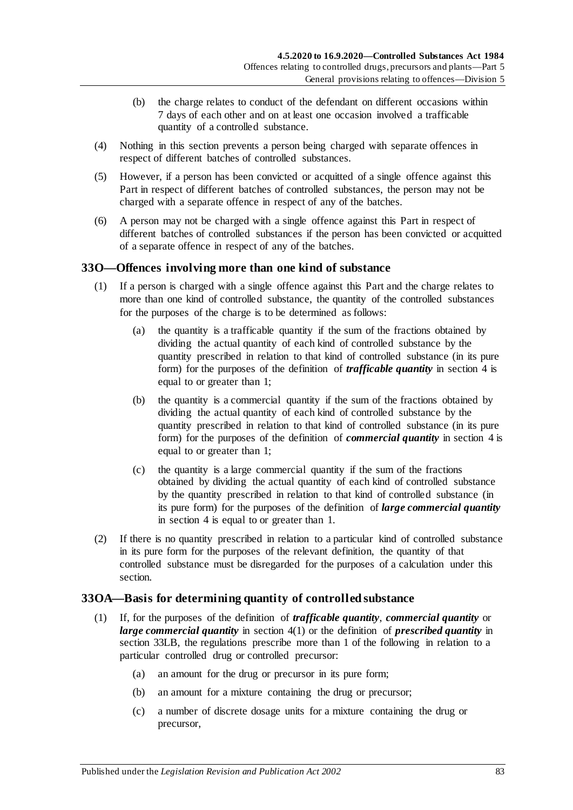- (b) the charge relates to conduct of the defendant on different occasions within 7 days of each other and on at least one occasion involved a trafficable quantity of a controlled substance.
- (4) Nothing in this section prevents a person being charged with separate offences in respect of different batches of controlled substances.
- (5) However, if a person has been convicted or acquitted of a single offence against this Part in respect of different batches of controlled substances, the person may not be charged with a separate offence in respect of any of the batches.
- (6) A person may not be charged with a single offence against this Part in respect of different batches of controlled substances if the person has been convicted or acquitted of a separate offence in respect of any of the batches.

## <span id="page-82-0"></span>**33O—Offences involving more than one kind of substance**

- (1) If a person is charged with a single offence against this Part and the charge relates to more than one kind of controlled substance, the quantity of the controlled substances for the purposes of the charge is to be determined as follows:
	- (a) the quantity is a trafficable quantity if the sum of the fractions obtained by dividing the actual quantity of each kind of controlled substance by the quantity prescribed in relation to that kind of controlled substance (in its pure form) for the purposes of the definition of *trafficable quantity* in [section](#page-5-0) 4 is equal to or greater than 1;
	- (b) the quantity is a commercial quantity if the sum of the fractions obtained by dividing the actual quantity of each kind of controlled substance by the quantity prescribed in relation to that kind of controlled substance (in its pure form) for the purposes of the definition of *commercial quantity* in [section](#page-5-0) 4 is equal to or greater than 1;
	- (c) the quantity is a large commercial quantity if the sum of the fractions obtained by dividing the actual quantity of each kind of controlled substance by the quantity prescribed in relation to that kind of controlled substance (in its pure form) for the purposes of the definition of *large commercial quantity* in [section](#page-5-0) 4 is equal to or greater than 1.
- (2) If there is no quantity prescribed in relation to a particular kind of controlled substance in its pure form for the purposes of the relevant definition, the quantity of that controlled substance must be disregarded for the purposes of a calculation under this section.

#### **33OA—Basis for determining quantity of controlled substance**

- (1) If, for the purposes of the definition of *trafficable quantity*, *commercial quantity* or *large commercial quantity* in [section](#page-5-1) 4(1) or the definition of *prescribed quantity* in [section](#page-77-0) 33LB, the regulations prescribe more than 1 of the following in relation to a particular controlled drug or controlled precursor:
	- (a) an amount for the drug or precursor in its pure form;
	- (b) an amount for a mixture containing the drug or precursor;
	- (c) a number of discrete dosage units for a mixture containing the drug or precursor,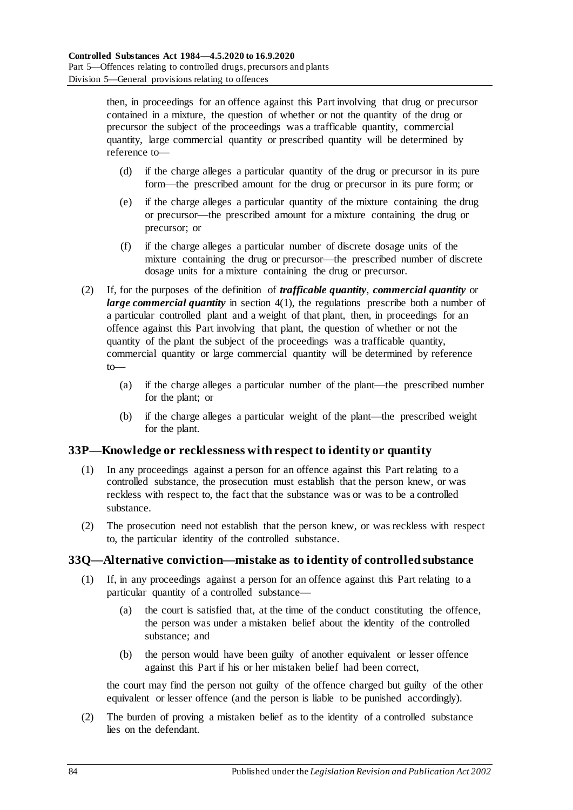then, in proceedings for an offence against this Part involving that drug or precursor contained in a mixture, the question of whether or not the quantity of the drug or precursor the subject of the proceedings was a trafficable quantity, commercial quantity, large commercial quantity or prescribed quantity will be determined by reference to—

- (d) if the charge alleges a particular quantity of the drug or precursor in its pure form—the prescribed amount for the drug or precursor in its pure form; or
- (e) if the charge alleges a particular quantity of the mixture containing the drug or precursor—the prescribed amount for a mixture containing the drug or precursor; or
- (f) if the charge alleges a particular number of discrete dosage units of the mixture containing the drug or precursor—the prescribed number of discrete dosage units for a mixture containing the drug or precursor.
- (2) If, for the purposes of the definition of *trafficable quantity*, *commercial quantity* or *large commercial quantity* in [section](#page-5-1) 4(1), the regulations prescribe both a number of a particular controlled plant and a weight of that plant, then, in proceedings for an offence against this Part involving that plant, the question of whether or not the quantity of the plant the subject of the proceedings was a trafficable quantity, commercial quantity or large commercial quantity will be determined by reference to—
	- (a) if the charge alleges a particular number of the plant—the prescribed number for the plant; or
	- (b) if the charge alleges a particular weight of the plant—the prescribed weight for the plant.

## **33P—Knowledge or recklessness with respect to identity or quantity**

- (1) In any proceedings against a person for an offence against this Part relating to a controlled substance, the prosecution must establish that the person knew, or was reckless with respect to, the fact that the substance was or was to be a controlled substance.
- (2) The prosecution need not establish that the person knew, or was reckless with respect to, the particular identity of the controlled substance.

#### **33Q—Alternative conviction—mistake as to identity of controlled substance**

- (1) If, in any proceedings against a person for an offence against this Part relating to a particular quantity of a controlled substance—
	- (a) the court is satisfied that, at the time of the conduct constituting the offence, the person was under a mistaken belief about the identity of the controlled substance; and
	- (b) the person would have been guilty of another equivalent or lesser offence against this Part if his or her mistaken belief had been correct,

the court may find the person not guilty of the offence charged but guilty of the other equivalent or lesser offence (and the person is liable to be punished accordingly).

(2) The burden of proving a mistaken belief as to the identity of a controlled substance lies on the defendant.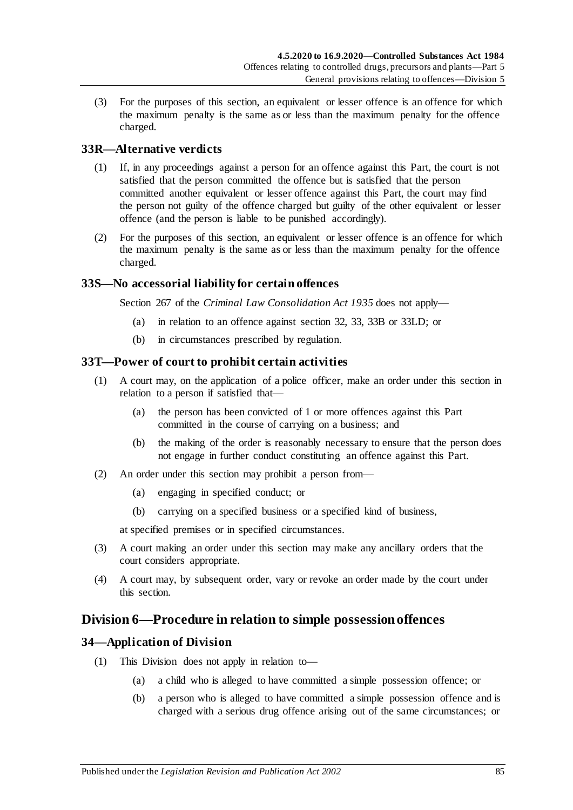(3) For the purposes of this section, an equivalent or lesser offence is an offence for which the maximum penalty is the same as or less than the maximum penalty for the offence charged.

#### **33R—Alternative verdicts**

- (1) If, in any proceedings against a person for an offence against this Part, the court is not satisfied that the person committed the offence but is satisfied that the person committed another equivalent or lesser offence against this Part, the court may find the person not guilty of the offence charged but guilty of the other equivalent or lesser offence (and the person is liable to be punished accordingly).
- (2) For the purposes of this section, an equivalent or lesser offence is an offence for which the maximum penalty is the same as or less than the maximum penalty for the offence charged.

#### **33S—No accessorial liability for certain offences**

Section 267 of the *[Criminal Law Consolidation Act](http://www.legislation.sa.gov.au/index.aspx?action=legref&type=act&legtitle=Criminal%20Law%20Consolidation%20Act%201935) 1935* does not apply—

- (a) in relation to an offence against [section](#page-65-0) 32, [33,](#page-67-0) [33B](#page-70-1) or [33LD;](#page-79-2) or
- (b) in circumstances prescribed by regulation.

#### **33T—Power of court to prohibit certain activities**

- (1) A court may, on the application of a police officer, make an order under this section in relation to a person if satisfied that—
	- (a) the person has been convicted of 1 or more offences against this Part committed in the course of carrying on a business; and
	- (b) the making of the order is reasonably necessary to ensure that the person does not engage in further conduct constituting an offence against this Part.
- (2) An order under this section may prohibit a person from—
	- (a) engaging in specified conduct; or
	- (b) carrying on a specified business or a specified kind of business,

at specified premises or in specified circumstances.

- (3) A court making an order under this section may make any ancillary orders that the court considers appropriate.
- (4) A court may, by subsequent order, vary or revoke an order made by the court under this section.

## **Division 6—Procedure in relation to simple possession offences**

#### **34—Application of Division**

- (1) This Division does not apply in relation to—
	- (a) a child who is alleged to have committed a simple possession offence; or
	- (b) a person who is alleged to have committed a simple possession offence and is charged with a serious drug offence arising out of the same circumstances; or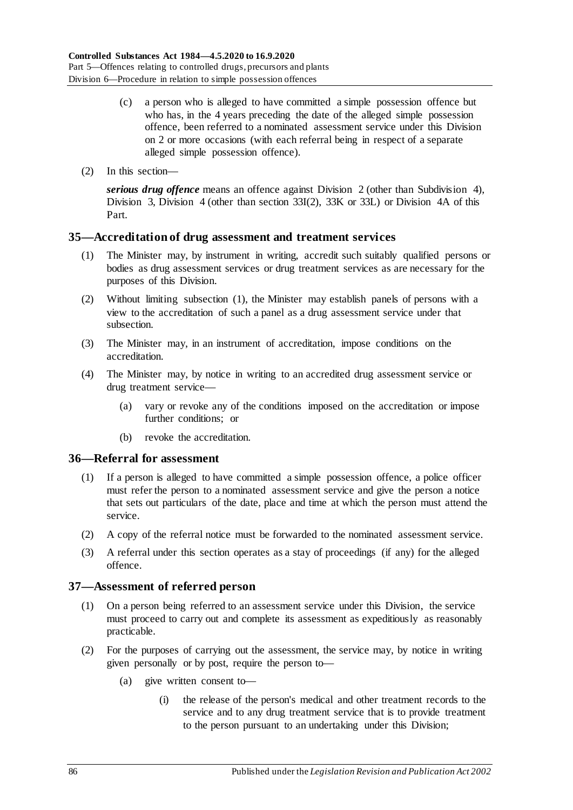- (c) a person who is alleged to have committed a simple possession offence but who has, in the 4 years preceding the date of the alleged simple possession offence, been referred to a nominated assessment service under this Division on 2 or more occasions (with each referral being in respect of a separate alleged simple possession offence).
- (2) In this section—

*serious drug offence* means an offence against [Division 2](#page-65-1) (other than [Subdivision 4\)](#page-72-0), [Division 3,](#page-72-1) [Division 4](#page-74-0) (other than [section](#page-74-1) 33I(2), [33K](#page-75-0) or [33L\)](#page-76-1) or [Division 4A](#page-78-0) of this Part.

#### <span id="page-85-0"></span>**35—Accreditation of drug assessment and treatment services**

- (1) The Minister may, by instrument in writing, accredit such suitably qualified persons or bodies as drug assessment services or drug treatment services as are necessary for the purposes of this Division.
- (2) Without limiting [subsection](#page-85-0) (1), the Minister may establish panels of persons with a view to the accreditation of such a panel as a drug assessment service under that subsection.
- (3) The Minister may, in an instrument of accreditation, impose conditions on the accreditation.
- (4) The Minister may, by notice in writing to an accredited drug assessment service or drug treatment service—
	- (a) vary or revoke any of the conditions imposed on the accreditation or impose further conditions; or
	- (b) revoke the accreditation.

#### **36—Referral for assessment**

- (1) If a person is alleged to have committed a simple possession offence, a police officer must refer the person to a nominated assessment service and give the person a notice that sets out particulars of the date, place and time at which the person must attend the service.
- (2) A copy of the referral notice must be forwarded to the nominated assessment service.
- (3) A referral under this section operates as a stay of proceedings (if any) for the alleged offence.

#### **37—Assessment of referred person**

- (1) On a person being referred to an assessment service under this Division, the service must proceed to carry out and complete its assessment as expeditiously as reasonably practicable.
- (2) For the purposes of carrying out the assessment, the service may, by notice in writing given personally or by post, require the person to—
	- (a) give written consent to—
		- (i) the release of the person's medical and other treatment records to the service and to any drug treatment service that is to provide treatment to the person pursuant to an undertaking under this Division;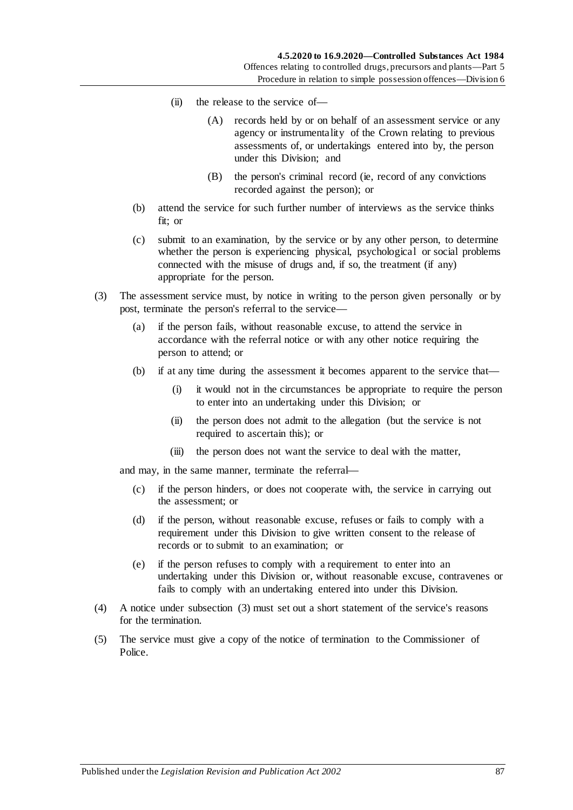- (ii) the release to the service of—
	- (A) records held by or on behalf of an assessment service or any agency or instrumentality of the Crown relating to previous assessments of, or undertakings entered into by, the person under this Division; and
	- (B) the person's criminal record (ie, record of any convictions recorded against the person); or
- (b) attend the service for such further number of interviews as the service thinks fit; or
- (c) submit to an examination, by the service or by any other person, to determine whether the person is experiencing physical, psychological or social problems connected with the misuse of drugs and, if so, the treatment (if any) appropriate for the person.
- <span id="page-86-0"></span>(3) The assessment service must, by notice in writing to the person given personally or by post, terminate the person's referral to the service—
	- (a) if the person fails, without reasonable excuse, to attend the service in accordance with the referral notice or with any other notice requiring the person to attend; or
	- (b) if at any time during the assessment it becomes apparent to the service that—
		- (i) it would not in the circumstances be appropriate to require the person to enter into an undertaking under this Division; or
		- (ii) the person does not admit to the allegation (but the service is not required to ascertain this); or
		- (iii) the person does not want the service to deal with the matter,

and may, in the same manner, terminate the referral—

- (c) if the person hinders, or does not cooperate with, the service in carrying out the assessment; or
- (d) if the person, without reasonable excuse, refuses or fails to comply with a requirement under this Division to give written consent to the release of records or to submit to an examination; or
- (e) if the person refuses to comply with a requirement to enter into an undertaking under this Division or, without reasonable excuse, contravenes or fails to comply with an undertaking entered into under this Division.
- (4) A notice under [subsection](#page-86-0) (3) must set out a short statement of the service's reasons for the termination.
- (5) The service must give a copy of the notice of termination to the Commissioner of Police.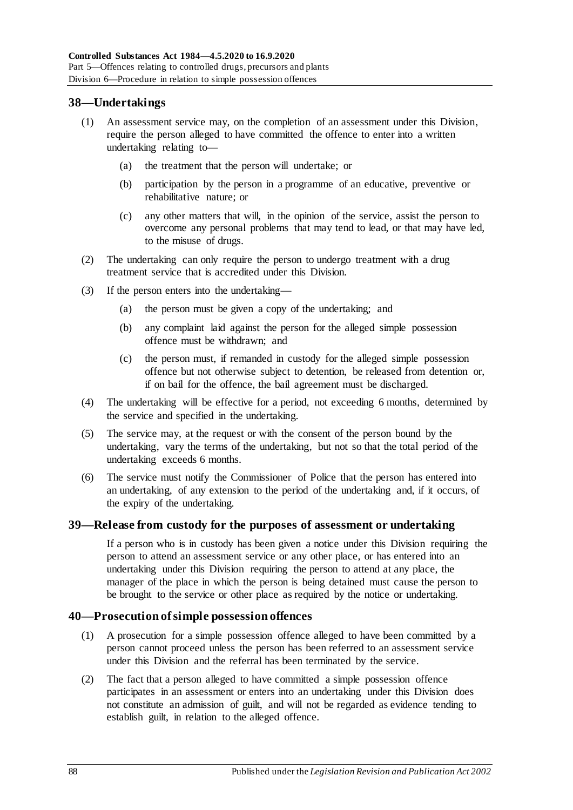#### **38—Undertakings**

- (1) An assessment service may, on the completion of an assessment under this Division, require the person alleged to have committed the offence to enter into a written undertaking relating to—
	- (a) the treatment that the person will undertake; or
	- (b) participation by the person in a programme of an educative, preventive or rehabilitative nature; or
	- (c) any other matters that will, in the opinion of the service, assist the person to overcome any personal problems that may tend to lead, or that may have led, to the misuse of drugs.
- (2) The undertaking can only require the person to undergo treatment with a drug treatment service that is accredited under this Division.
- (3) If the person enters into the undertaking—
	- (a) the person must be given a copy of the undertaking; and
	- (b) any complaint laid against the person for the alleged simple possession offence must be withdrawn; and
	- (c) the person must, if remanded in custody for the alleged simple possession offence but not otherwise subject to detention, be released from detention or, if on bail for the offence, the bail agreement must be discharged.
- (4) The undertaking will be effective for a period, not exceeding 6 months, determined by the service and specified in the undertaking.
- (5) The service may, at the request or with the consent of the person bound by the undertaking, vary the terms of the undertaking, but not so that the total period of the undertaking exceeds 6 months.
- (6) The service must notify the Commissioner of Police that the person has entered into an undertaking, of any extension to the period of the undertaking and, if it occurs, of the expiry of the undertaking.

#### **39—Release from custody for the purposes of assessment or undertaking**

If a person who is in custody has been given a notice under this Division requiring the person to attend an assessment service or any other place, or has entered into an undertaking under this Division requiring the person to attend at any place, the manager of the place in which the person is being detained must cause the person to be brought to the service or other place as required by the notice or undertaking.

#### **40—Prosecution of simple possession offences**

- (1) A prosecution for a simple possession offence alleged to have been committed by a person cannot proceed unless the person has been referred to an assessment service under this Division and the referral has been terminated by the service.
- (2) The fact that a person alleged to have committed a simple possession offence participates in an assessment or enters into an undertaking under this Division does not constitute an admission of guilt, and will not be regarded as evidence tending to establish guilt, in relation to the alleged offence.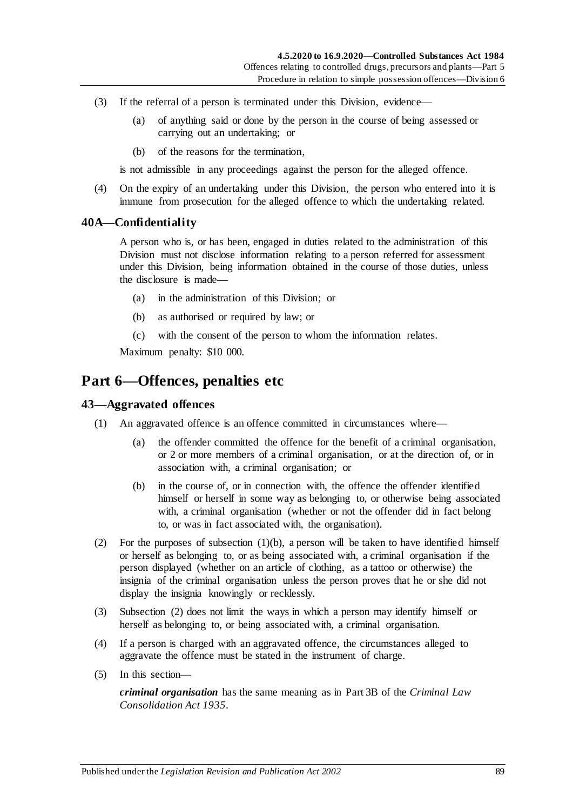- (3) If the referral of a person is terminated under this Division, evidence—
	- (a) of anything said or done by the person in the course of being assessed or carrying out an undertaking; or
	- (b) of the reasons for the termination,

is not admissible in any proceedings against the person for the alleged offence.

(4) On the expiry of an undertaking under this Division, the person who entered into it is immune from prosecution for the alleged offence to which the undertaking related.

#### **40A—Confidentiality**

A person who is, or has been, engaged in duties related to the administration of this Division must not disclose information relating to a person referred for assessment under this Division, being information obtained in the course of those duties, unless the disclosure is made—

- (a) in the administration of this Division; or
- (b) as authorised or required by law; or
- (c) with the consent of the person to whom the information relates.

Maximum penalty: \$10 000.

## **Part 6—Offences, penalties etc**

#### **43—Aggravated offences**

- <span id="page-88-0"></span>(1) An aggravated offence is an offence committed in circumstances where—
	- (a) the offender committed the offence for the benefit of a criminal organisation, or 2 or more members of a criminal organisation, or at the direction of, or in association with, a criminal organisation; or
	- (b) in the course of, or in connection with, the offence the offender identified himself or herself in some way as belonging to, or otherwise being associated with, a criminal organisation (whether or not the offender did in fact belong to, or was in fact associated with, the organisation).
- <span id="page-88-1"></span>(2) For the purposes of [subsection](#page-88-0)  $(1)(b)$ , a person will be taken to have identified himself or herself as belonging to, or as being associated with, a criminal organisation if the person displayed (whether on an article of clothing, as a tattoo or otherwise) the insignia of the criminal organisation unless the person proves that he or she did not display the insignia knowingly or recklessly.
- (3) [Subsection](#page-88-1) (2) does not limit the ways in which a person may identify himself or herself as belonging to, or being associated with, a criminal organisation.
- (4) If a person is charged with an aggravated offence, the circumstances alleged to aggravate the offence must be stated in the instrument of charge.
- (5) In this section—

*criminal organisation* has the same meaning as in Part 3B of the *[Criminal Law](http://www.legislation.sa.gov.au/index.aspx?action=legref&type=act&legtitle=Criminal%20Law%20Consolidation%20Act%201935)  [Consolidation Act](http://www.legislation.sa.gov.au/index.aspx?action=legref&type=act&legtitle=Criminal%20Law%20Consolidation%20Act%201935) 1935*.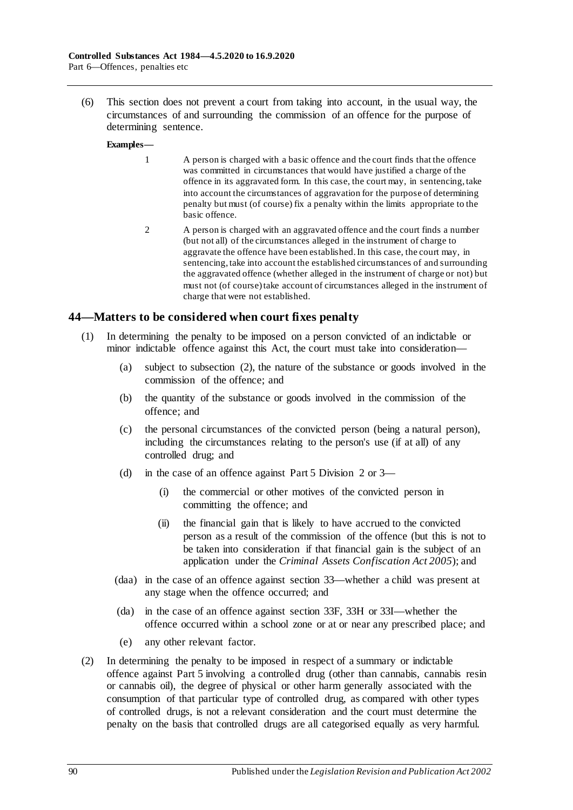(6) This section does not prevent a court from taking into account, in the usual way, the circumstances of and surrounding the commission of an offence for the purpose of determining sentence.

#### **Examples—**

- 1 A person is charged with a basic offence and the court finds that the offence was committed in circumstances that would have justified a charge of the offence in its aggravated form. In this case, the court may, in sentencing, take into account the circumstances of aggravation for the purpose of determining penalty but must (of course) fix a penalty within the limits appropriate to the basic offence.
- 2 A person is charged with an aggravated offence and the court finds a number (but not all) of the circumstances alleged in the instrument of charge to aggravate the offence have been established. In this case, the court may, in sentencing, take into account the established circumstances of and surrounding the aggravated offence (whether alleged in the instrument of charge or not) but must not (of course) take account of circumstances alleged in the instrument of charge that were not established.

#### **44—Matters to be considered when court fixes penalty**

- (1) In determining the penalty to be imposed on a person convicted of an indictable or minor indictable offence against this Act, the court must take into consideration—
	- (a) subject to [subsection](#page-89-0) (2), the nature of the substance or goods involved in the commission of the offence; and
	- (b) the quantity of the substance or goods involved in the commission of the offence; and
	- (c) the personal circumstances of the convicted person (being a natural person), including the circumstances relating to the person's use (if at all) of any controlled drug; and
	- (d) in the case of an offence against [Part 5 Division 2](#page-65-1) or [3—](#page-72-1)
		- (i) the commercial or other motives of the convicted person in committing the offence; and
		- (ii) the financial gain that is likely to have accrued to the convicted person as a result of the commission of the offence (but this is not to be taken into consideration if that financial gain is the subject of an application under the *[Criminal Assets Confiscation Act](http://www.legislation.sa.gov.au/index.aspx?action=legref&type=act&legtitle=Criminal%20Assets%20Confiscation%20Act%202005) 2005*); and
	- (daa) in the case of an offence against section 33—whether a child was present at any stage when the offence occurred; and
	- (da) in the case of an offence against [section](#page-73-1) 33F, [33H](#page-74-2) or [33I—](#page-74-3)whether the offence occurred within a school zone or at or near any prescribed place; and
	- (e) any other relevant factor.
- <span id="page-89-0"></span>(2) In determining the penalty to be imposed in respect of a summary or indictable offence against [Part 5](#page-63-0) involving a controlled drug (other than cannabis, cannabis resin or cannabis oil), the degree of physical or other harm generally associated with the consumption of that particular type of controlled drug, as compared with other types of controlled drugs, is not a relevant consideration and the court must determine the penalty on the basis that controlled drugs are all categorised equally as very harmful.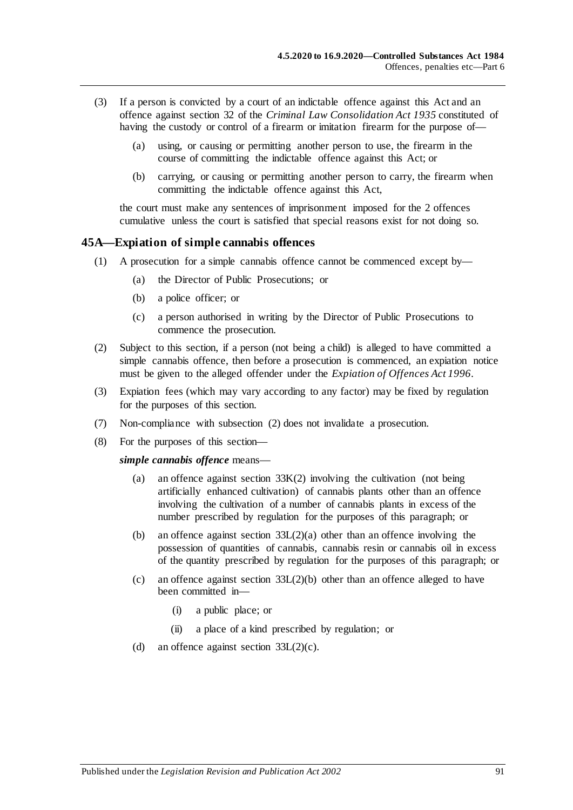- (3) If a person is convicted by a court of an indictable offence against this Act and an offence against section 32 of the *[Criminal Law Consolidation Act](http://www.legislation.sa.gov.au/index.aspx?action=legref&type=act&legtitle=Criminal%20Law%20Consolidation%20Act%201935) 1935* constituted of having the custody or control of a firearm or imitation firearm for the purpose of—
	- (a) using, or causing or permitting another person to use, the firearm in the course of committing the indictable offence against this Act; or
	- (b) carrying, or causing or permitting another person to carry, the firearm when committing the indictable offence against this Act,

the court must make any sentences of imprisonment imposed for the 2 offences cumulative unless the court is satisfied that special reasons exist for not doing so.

#### <span id="page-90-0"></span>**45A—Expiation of simple cannabis offences**

- (1) A prosecution for a simple cannabis offence cannot be commenced except by—
	- (a) the Director of Public Prosecutions; or
	- (b) a police officer; or
	- (c) a person authorised in writing by the Director of Public Prosecutions to commence the prosecution.
- <span id="page-90-1"></span>(2) Subject to this section, if a person (not being a child) is alleged to have committed a simple cannabis offence, then before a prosecution is commenced, an expiation notice must be given to the alleged offender under the *[Expiation of Offences Act](http://www.legislation.sa.gov.au/index.aspx?action=legref&type=act&legtitle=Expiation%20of%20Offences%20Act%201996) 1996*.
- (3) Expiation fees (which may vary according to any factor) may be fixed by regulation for the purposes of this section.
- (7) Non-compliance with [subsection](#page-90-1) (2) does not invalidate a prosecution.
- (8) For the purposes of this section—

*simple cannabis offence* means—

- (a) an offence against [section](#page-76-0) 33K(2) involving the cultivation (not being artificially enhanced cultivation) of cannabis plants other than an offence involving the cultivation of a number of cannabis plants in excess of the number prescribed by regulation for the purposes of this paragraph; or
- (b) an offence against section [33L\(2\)\(a\)](#page-76-2) other than an offence involving the possession of quantities of cannabis, cannabis resin or cannabis oil in excess of the quantity prescribed by regulation for the purposes of this paragraph; or
- (c) an offence against section [33L\(2\)\(b\)](#page-76-3) other than an offence alleged to have been committed in—
	- (i) a public place; or
	- (ii) a place of a kind prescribed by regulation; or
- (d) an offence against section  $33L(2)(c)$ .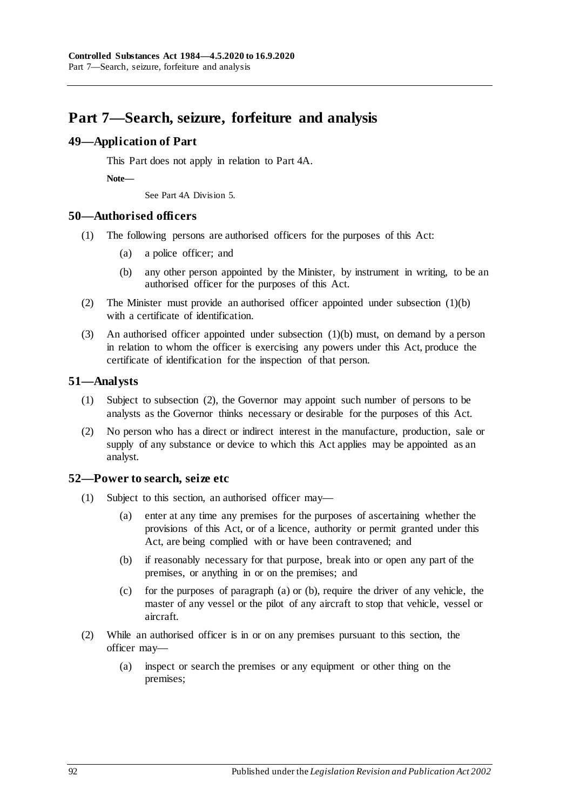# **Part 7—Search, seizure, forfeiture and analysis**

#### **49—Application of Part**

This Part does not apply in relation to Part 4A.

**Note—**

See Part 4A Division 5.

#### **50—Authorised officers**

- <span id="page-91-0"></span>(1) The following persons are authorised officers for the purposes of this Act:
	- (a) a police officer; and
	- (b) any other person appointed by the Minister, by instrument in writing, to be an authorised officer for the purposes of this Act.
- (2) The Minister must provide an authorised officer appointed under [subsection](#page-91-0) (1)(b) with a certificate of identification.
- (3) An authorised officer appointed under [subsection](#page-91-0) (1)(b) must, on demand by a person in relation to whom the officer is exercising any powers under this Act, produce the certificate of identification for the inspection of that person.

#### **51—Analysts**

- (1) Subject to [subsection](#page-91-1) (2), the Governor may appoint such number of persons to be analysts as the Governor thinks necessary or desirable for the purposes of this Act.
- <span id="page-91-1"></span>(2) No person who has a direct or indirect interest in the manufacture, production, sale or supply of any substance or device to which this Act applies may be appointed as an analyst.

#### <span id="page-91-4"></span>**52—Power to search, seize etc**

- <span id="page-91-3"></span><span id="page-91-2"></span>(1) Subject to this section, an authorised officer may—
	- (a) enter at any time any premises for the purposes of ascertaining whether the provisions of this Act, or of a licence, authority or permit granted under this Act, are being complied with or have been contravened; and
	- (b) if reasonably necessary for that purpose, break into or open any part of the premises, or anything in or on the premises; and
	- (c) for the purposes o[f paragraph](#page-91-2) (a) or [\(b\),](#page-91-3) require the driver of any vehicle, the master of any vessel or the pilot of any aircraft to stop that vehicle, vessel or aircraft.
- (2) While an authorised officer is in or on any premises pursuant to this section, the officer may—
	- (a) inspect or search the premises or any equipment or other thing on the premises;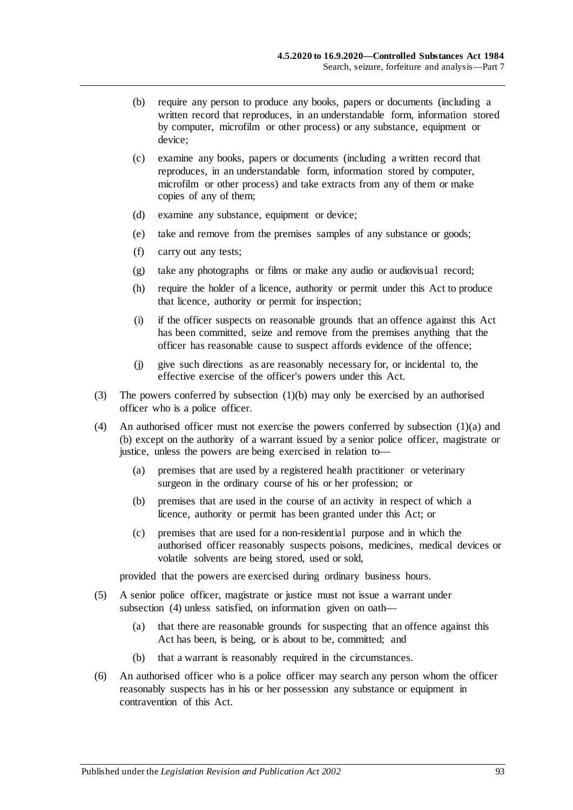- (b) require any person to produce any books, papers or documents (including a written record that reproduces, in an understandable form, information stored by computer, microfilm or other process) or any substance, equipment or device;
- (c) examine any books, papers or documents (including a written record that reproduces, in an understandable form, information stored by computer, microfilm or other process) and take extracts from any of them or make copies of any of them;
- (d) examine any substance, equipment or device;
- (e) take and remove from the premises samples of any substance or goods;
- (f) carry out any tests;
- (g) take any photographs or films or make any audio or audiovisual record;
- (h) require the holder of a licence, authority or permit under this Act to produce that licence, authority or permit for inspection;
- (i) if the officer suspects on reasonable grounds that an offence against this Act has been committed, seize and remove from the premises anything that the officer has reasonable cause to suspect affords evidence of the offence;
- (j) give such directions as are reasonably necessary for, or incidental to, the effective exercise of the officer's powers under this Act.
- (3) The powers conferred by [subsection](#page-91-3) (1)(b) may only be exercised by an authorised officer who is a police officer.
- <span id="page-92-0"></span>(4) An authorised officer must not exercise the powers conferred by [subsection](#page-91-2) (1)(a) and [\(b\)](#page-91-3) except on the authority of a warrant issued by a senior police officer, magistrate or justice, unless the powers are being exercised in relation to—
	- (a) premises that are used by a registered health practitioner or veterinary surgeon in the ordinary course of his or her profession; or
	- (b) premises that are used in the course of an activity in respect of which a licence, authority or permit has been granted under this Act; or
	- (c) premises that are used for a non-residential purpose and in which the authorised officer reasonably suspects poisons, medicines, medical devices or volatile solvents are being stored, used or sold,

provided that the powers are exercised during ordinary business hours.

- (5) A senior police officer, magistrate or justice must not issue a warrant under [subsection](#page-92-0) (4) unless satisfied, on information given on oath—
	- (a) that there are reasonable grounds for suspecting that an offence against this Act has been, is being, or is about to be, committed; and
	- (b) that a warrant is reasonably required in the circumstances.
- (6) An authorised officer who is a police officer may search any person whom the officer reasonably suspects has in his or her possession any substance or equipment in contravention of this Act.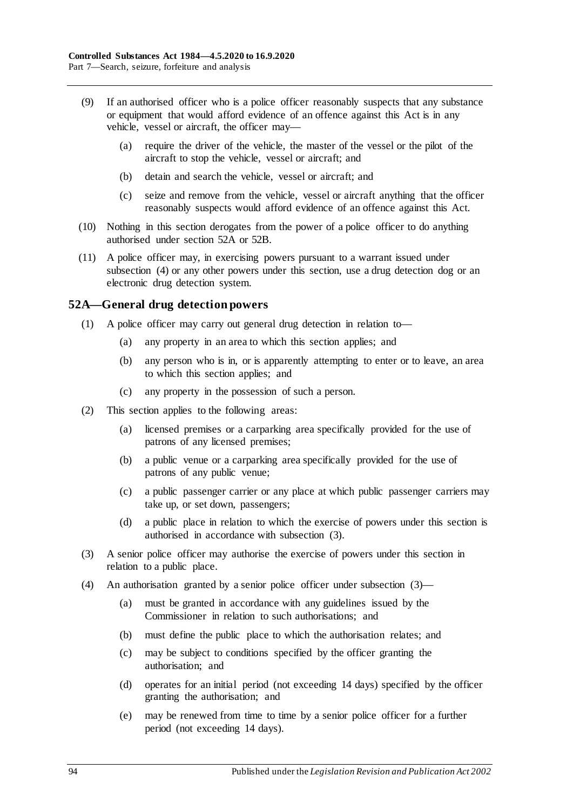- (9) If an authorised officer who is a police officer reasonably suspects that any substance or equipment that would afford evidence of an offence against this Act is in any vehicle, vessel or aircraft, the officer may—
	- (a) require the driver of the vehicle, the master of the vessel or the pilot of the aircraft to stop the vehicle, vessel or aircraft; and
	- (b) detain and search the vehicle, vessel or aircraft; and
	- (c) seize and remove from the vehicle, vessel or aircraft anything that the officer reasonably suspects would afford evidence of an offence against this Act.
- (10) Nothing in this section derogates from the power of a police officer to do anything authorised under [section](#page-93-0) 52A or [52B.](#page-94-0)
- (11) A police officer may, in exercising powers pursuant to a warrant issued under [subsection](#page-92-0) (4) or any other powers under this section, use a drug detection dog or an electronic drug detection system.

#### <span id="page-93-0"></span>**52A—General drug detection powers**

- (1) A police officer may carry out general drug detection in relation to—
	- (a) any property in an area to which this section applies; and
	- (b) any person who is in, or is apparently attempting to enter or to leave, an area to which this section applies; and
	- (c) any property in the possession of such a person.
- (2) This section applies to the following areas:
	- (a) licensed premises or a carparking area specifically provided for the use of patrons of any licensed premises;
	- (b) a public venue or a carparking area specifically provided for the use of patrons of any public venue;
	- (c) a public passenger carrier or any place at which public passenger carriers may take up, or set down, passengers;
	- (d) a public place in relation to which the exercise of powers under this section is authorised in accordance with [subsection](#page-93-1) (3).
- <span id="page-93-1"></span>(3) A senior police officer may authorise the exercise of powers under this section in relation to a public place.
- (4) An authorisation granted by a senior police officer under [subsection](#page-93-1) (3)—
	- (a) must be granted in accordance with any guidelines issued by the Commissioner in relation to such authorisations; and
	- (b) must define the public place to which the authorisation relates; and
	- (c) may be subject to conditions specified by the officer granting the authorisation; and
	- (d) operates for an initial period (not exceeding 14 days) specified by the officer granting the authorisation; and
	- (e) may be renewed from time to time by a senior police officer for a further period (not exceeding 14 days).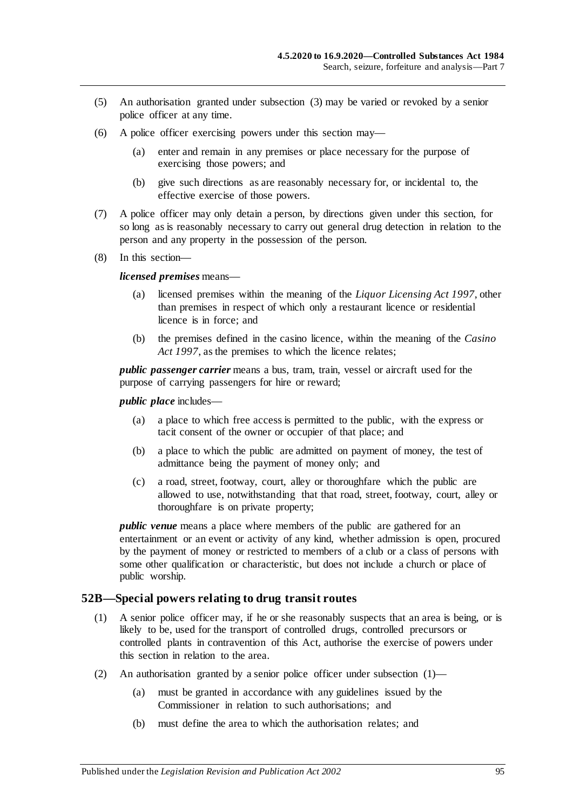- (5) An authorisation granted under [subsection](#page-93-1) (3) may be varied or revoked by a senior police officer at any time.
- (6) A police officer exercising powers under this section may—
	- (a) enter and remain in any premises or place necessary for the purpose of exercising those powers; and
	- (b) give such directions as are reasonably necessary for, or incidental to, the effective exercise of those powers.
- (7) A police officer may only detain a person, by directions given under this section, for so long as is reasonably necessary to carry out general drug detection in relation to the person and any property in the possession of the person.
- (8) In this section—

*licensed premises* means—

- (a) licensed premises within the meaning of the *[Liquor Licensing Act](http://www.legislation.sa.gov.au/index.aspx?action=legref&type=act&legtitle=Liquor%20Licensing%20Act%201997) 1997*, other than premises in respect of which only a restaurant licence or residential licence is in force; and
- (b) the premises defined in the casino licence, within the meaning of the *[Casino](http://www.legislation.sa.gov.au/index.aspx?action=legref&type=act&legtitle=Casino%20Act%201997)  Act [1997](http://www.legislation.sa.gov.au/index.aspx?action=legref&type=act&legtitle=Casino%20Act%201997)*, as the premises to which the licence relates;

*public passenger carrier* means a bus, tram, train, vessel or aircraft used for the purpose of carrying passengers for hire or reward;

*public place* includes—

- (a) a place to which free access is permitted to the public, with the express or tacit consent of the owner or occupier of that place; and
- (b) a place to which the public are admitted on payment of money, the test of admittance being the payment of money only; and
- (c) a road, street, footway, court, alley or thoroughfare which the public are allowed to use, notwithstanding that that road, street, footway, court, alley or thoroughfare is on private property;

*public venue* means a place where members of the public are gathered for an entertainment or an event or activity of any kind, whether admission is open, procured by the payment of money or restricted to members of a club or a class of persons with some other qualification or characteristic, but does not include a church or place of public worship.

#### <span id="page-94-1"></span><span id="page-94-0"></span>**52B—Special powers relating to drug transit routes**

- (1) A senior police officer may, if he or she reasonably suspects that an area is being, or is likely to be, used for the transport of controlled drugs, controlled precursors or controlled plants in contravention of this Act, authorise the exercise of powers under this section in relation to the area.
- (2) An authorisation granted by a senior police officer under [subsection](#page-94-1) (1)—
	- (a) must be granted in accordance with any guidelines issued by the Commissioner in relation to such authorisations; and
	- (b) must define the area to which the authorisation relates; and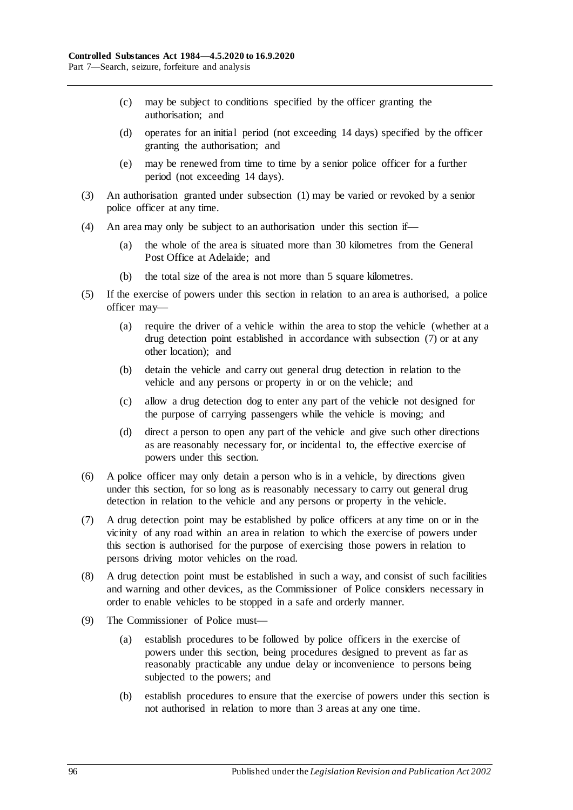- (c) may be subject to conditions specified by the officer granting the authorisation; and
- (d) operates for an initial period (not exceeding 14 days) specified by the officer granting the authorisation; and
- (e) may be renewed from time to time by a senior police officer for a further period (not exceeding 14 days).
- (3) An authorisation granted under [subsection](#page-94-1) (1) may be varied or revoked by a senior police officer at any time.
- (4) An area may only be subject to an authorisation under this section if—
	- (a) the whole of the area is situated more than 30 kilometres from the General Post Office at Adelaide; and
	- (b) the total size of the area is not more than 5 square kilometres.
- (5) If the exercise of powers under this section in relation to an area is authorised, a police officer may—
	- (a) require the driver of a vehicle within the area to stop the vehicle (whether at a drug detection point established in accordance with [subsection](#page-95-0) (7) or at any other location); and
	- (b) detain the vehicle and carry out general drug detection in relation to the vehicle and any persons or property in or on the vehicle; and
	- (c) allow a drug detection dog to enter any part of the vehicle not designed for the purpose of carrying passengers while the vehicle is moving; and
	- (d) direct a person to open any part of the vehicle and give such other directions as are reasonably necessary for, or incidental to, the effective exercise of powers under this section.
- (6) A police officer may only detain a person who is in a vehicle, by directions given under this section, for so long as is reasonably necessary to carry out general drug detection in relation to the vehicle and any persons or property in the vehicle.
- <span id="page-95-0"></span>(7) A drug detection point may be established by police officers at any time on or in the vicinity of any road within an area in relation to which the exercise of powers under this section is authorised for the purpose of exercising those powers in relation to persons driving motor vehicles on the road.
- (8) A drug detection point must be established in such a way, and consist of such facilities and warning and other devices, as the Commissioner of Police considers necessary in order to enable vehicles to be stopped in a safe and orderly manner.
- (9) The Commissioner of Police must—
	- (a) establish procedures to be followed by police officers in the exercise of powers under this section, being procedures designed to prevent as far as reasonably practicable any undue delay or inconvenience to persons being subjected to the powers; and
	- (b) establish procedures to ensure that the exercise of powers under this section is not authorised in relation to more than 3 areas at any one time.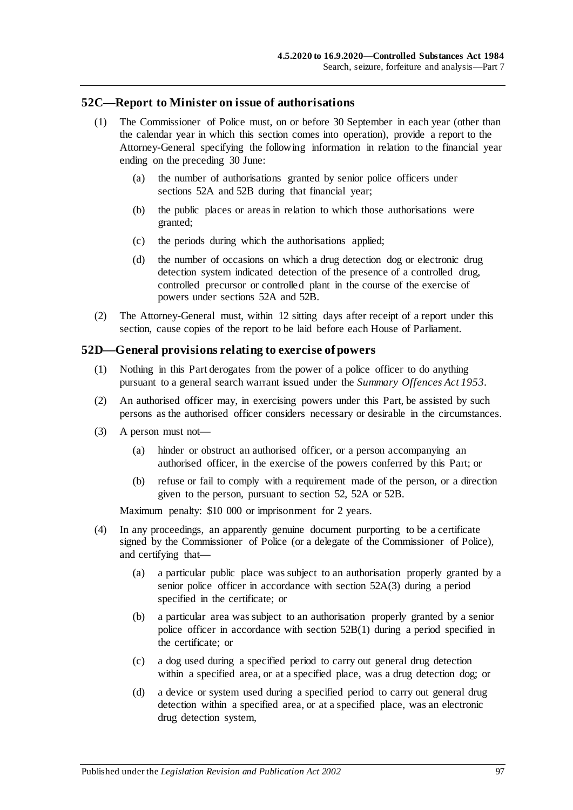#### **52C—Report to Minister on issue of authorisations**

- (1) The Commissioner of Police must, on or before 30 September in each year (other than the calendar year in which this section comes into operation), provide a report to the Attorney-General specifying the following information in relation to the financial year ending on the preceding 30 June:
	- (a) the number of authorisations granted by senior police officers under [sections](#page-93-0) 52A and [52B](#page-94-0) during that financial year;
	- (b) the public places or areas in relation to which those authorisations were granted;
	- (c) the periods during which the authorisations applied;
	- (d) the number of occasions on which a drug detection dog or electronic drug detection system indicated detection of the presence of a controlled drug, controlled precursor or controlled plant in the course of the exercise of powers under [sections](#page-93-0) 52A and [52B.](#page-94-0)
- (2) The Attorney-General must, within 12 sitting days after receipt of a report under this section, cause copies of the report to be laid before each House of Parliament.

#### **52D—General provisions relating to exercise of powers**

- (1) Nothing in this Part derogates from the power of a police officer to do anything pursuant to a general search warrant issued under the *[Summary Offences Act](http://www.legislation.sa.gov.au/index.aspx?action=legref&type=act&legtitle=Summary%20Offences%20Act%201953) 1953*.
- (2) An authorised officer may, in exercising powers under this Part, be assisted by such persons as the authorised officer considers necessary or desirable in the circumstances.
- (3) A person must not—
	- (a) hinder or obstruct an authorised officer, or a person accompanying an authorised officer, in the exercise of the powers conferred by this Part; or
	- (b) refuse or fail to comply with a requirement made of the person, or a direction given to the person, pursuant to [section](#page-91-4) 52, [52A](#page-93-0) or [52B.](#page-94-0)

Maximum penalty: \$10 000 or imprisonment for 2 years.

- (4) In any proceedings, an apparently genuine document purporting to be a certificate signed by the Commissioner of Police (or a delegate of the Commissioner of Police), and certifying that—
	- (a) a particular public place was subject to an authorisation properly granted by a senior police officer in accordance with [section](#page-93-1) 52A(3) during a period specified in the certificate; or
	- (b) a particular area was subject to an authorisation properly granted by a senior police officer in accordance with [section](#page-94-1) 52B(1) during a period specified in the certificate; or
	- (c) a dog used during a specified period to carry out general drug detection within a specified area, or at a specified place, was a drug detection dog; or
	- (d) a device or system used during a specified period to carry out general drug detection within a specified area, or at a specified place, was an electronic drug detection system,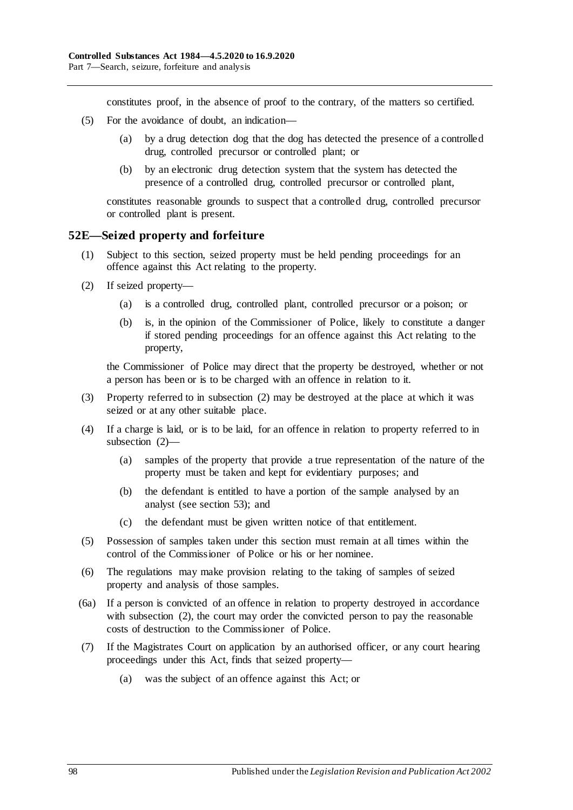constitutes proof, in the absence of proof to the contrary, of the matters so certified.

- (5) For the avoidance of doubt, an indication—
	- (a) by a drug detection dog that the dog has detected the presence of a controlled drug, controlled precursor or controlled plant; or
	- (b) by an electronic drug detection system that the system has detected the presence of a controlled drug, controlled precursor or controlled plant,

constitutes reasonable grounds to suspect that a controlled drug, controlled precursor or controlled plant is present.

#### **52E—Seized property and forfeiture**

- (1) Subject to this section, seized property must be held pending proceedings for an offence against this Act relating to the property.
- <span id="page-97-0"></span>(2) If seized property—
	- (a) is a controlled drug, controlled plant, controlled precursor or a poison; or
	- (b) is, in the opinion of the Commissioner of Police, likely to constitute a danger if stored pending proceedings for an offence against this Act relating to the property,

the Commissioner of Police may direct that the property be destroyed, whether or not a person has been or is to be charged with an offence in relation to it.

- (3) Property referred to in [subsection](#page-97-0) (2) may be destroyed at the place at which it was seized or at any other suitable place.
- (4) If a charge is laid, or is to be laid, for an offence in relation to property referred to in [subsection](#page-97-0) (2)—
	- (a) samples of the property that provide a true representation of the nature of the property must be taken and kept for evidentiary purposes; and
	- (b) the defendant is entitled to have a portion of the sample analysed by an analyst (see [section](#page-98-0) 53); and
	- (c) the defendant must be given written notice of that entitlement.
- (5) Possession of samples taken under this section must remain at all times within the control of the Commissioner of Police or his or her nominee.
- (6) The regulations may make provision relating to the taking of samples of seized property and analysis of those samples.
- (6a) If a person is convicted of an offence in relation to property destroyed in accordance with [subsection](#page-97-0) (2), the court may order the convicted person to pay the reasonable costs of destruction to the Commissioner of Police.
- <span id="page-97-1"></span>(7) If the Magistrates Court on application by an authorised officer, or any court hearing proceedings under this Act, finds that seized property—
	- (a) was the subject of an offence against this Act; or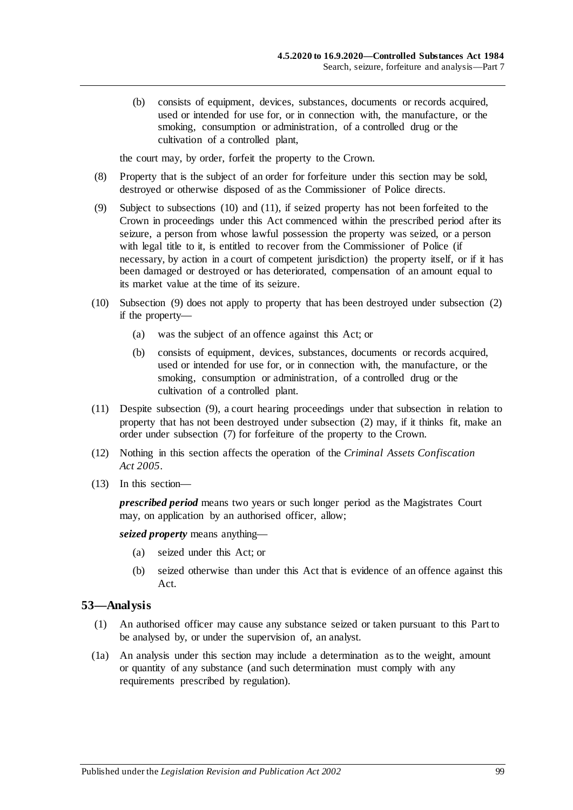(b) consists of equipment, devices, substances, documents or records acquired, used or intended for use for, or in connection with, the manufacture, or the smoking, consumption or administration, of a controlled drug or the cultivation of a controlled plant,

the court may, by order, forfeit the property to the Crown.

- (8) Property that is the subject of an order for forfeiture under this section may be sold, destroyed or otherwise disposed of as the Commissioner of Police directs.
- <span id="page-98-3"></span>(9) Subject to [subsections](#page-98-1) (10) and [\(11\),](#page-98-2) if seized property has not been forfeited to the Crown in proceedings under this Act commenced within the prescribed period after its seizure, a person from whose lawful possession the property was seized, or a person with legal title to it, is entitled to recover from the Commissioner of Police (if necessary, by action in a court of competent jurisdiction) the property itself, or if it has been damaged or destroyed or has deteriorated, compensation of an amount equal to its market value at the time of its seizure.
- <span id="page-98-1"></span>(10) [Subsection](#page-98-3) (9) does not apply to property that has been destroyed under [subsection](#page-97-0) (2) if the property—
	- (a) was the subject of an offence against this Act; or
	- (b) consists of equipment, devices, substances, documents or records acquired, used or intended for use for, or in connection with, the manufacture, or the smoking, consumption or administration, of a controlled drug or the cultivation of a controlled plant.
- <span id="page-98-2"></span>(11) Despite [subsection](#page-98-3) (9), a court hearing proceedings under that subsection in relation to property that has not been destroyed under [subsection](#page-97-0) (2) may, if it thinks fit, make an order under [subsection](#page-97-1) (7) for forfeiture of the property to the Crown.
- (12) Nothing in this section affects the operation of the *[Criminal Assets Confiscation](http://www.legislation.sa.gov.au/index.aspx?action=legref&type=act&legtitle=Criminal%20Assets%20Confiscation%20Act%202005)  Act [2005](http://www.legislation.sa.gov.au/index.aspx?action=legref&type=act&legtitle=Criminal%20Assets%20Confiscation%20Act%202005)*.
- (13) In this section—

*prescribed period* means two years or such longer period as the Magistrates Court may, on application by an authorised officer, allow;

*seized property* means anything—

- (a) seized under this Act; or
- (b) seized otherwise than under this Act that is evidence of an offence against this Act.

#### <span id="page-98-0"></span>**53—Analysis**

- (1) An authorised officer may cause any substance seized or taken pursuant to this Part to be analysed by, or under the supervision of, an analyst.
- (1a) An analysis under this section may include a determination as to the weight, amount or quantity of any substance (and such determination must comply with any requirements prescribed by regulation).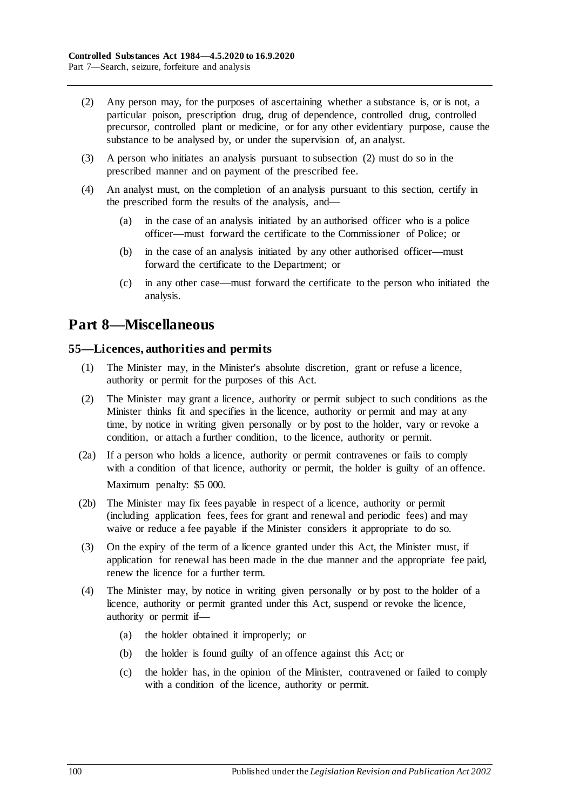- <span id="page-99-0"></span>(2) Any person may, for the purposes of ascertaining whether a substance is, or is not, a particular poison, prescription drug, drug of dependence, controlled drug, controlled precursor, controlled plant or medicine, or for any other evidentiary purpose, cause the substance to be analysed by, or under the supervision of, an analyst.
- (3) A person who initiates an analysis pursuant to [subsection](#page-99-0) (2) must do so in the prescribed manner and on payment of the prescribed fee.
- (4) An analyst must, on the completion of an analysis pursuant to this section, certify in the prescribed form the results of the analysis, and—
	- (a) in the case of an analysis initiated by an authorised officer who is a police officer—must forward the certificate to the Commissioner of Police; or
	- (b) in the case of an analysis initiated by any other authorised officer—must forward the certificate to the Department; or
	- (c) in any other case—must forward the certificate to the person who initiated the analysis.

## **Part 8—Miscellaneous**

#### **55—Licences, authorities and permits**

- (1) The Minister may, in the Minister's absolute discretion, grant or refuse a licence, authority or permit for the purposes of this Act.
- (2) The Minister may grant a licence, authority or permit subject to such conditions as the Minister thinks fit and specifies in the licence, authority or permit and may at any time, by notice in writing given personally or by post to the holder, vary or revoke a condition, or attach a further condition, to the licence, authority or permit.
- (2a) If a person who holds a licence, authority or permit contravenes or fails to comply with a condition of that licence, authority or permit, the holder is guilty of an offence. Maximum penalty: \$5 000.
- (2b) The Minister may fix fees payable in respect of a licence, authority or permit (including application fees, fees for grant and renewal and periodic fees) and may waive or reduce a fee payable if the Minister considers it appropriate to do so.
- (3) On the expiry of the term of a licence granted under this Act, the Minister must, if application for renewal has been made in the due manner and the appropriate fee paid, renew the licence for a further term.
- <span id="page-99-1"></span>(4) The Minister may, by notice in writing given personally or by post to the holder of a licence, authority or permit granted under this Act, suspend or revoke the licence, authority or permit if—
	- (a) the holder obtained it improperly; or
	- (b) the holder is found guilty of an offence against this Act; or
	- (c) the holder has, in the opinion of the Minister, contravened or failed to comply with a condition of the licence, authority or permit.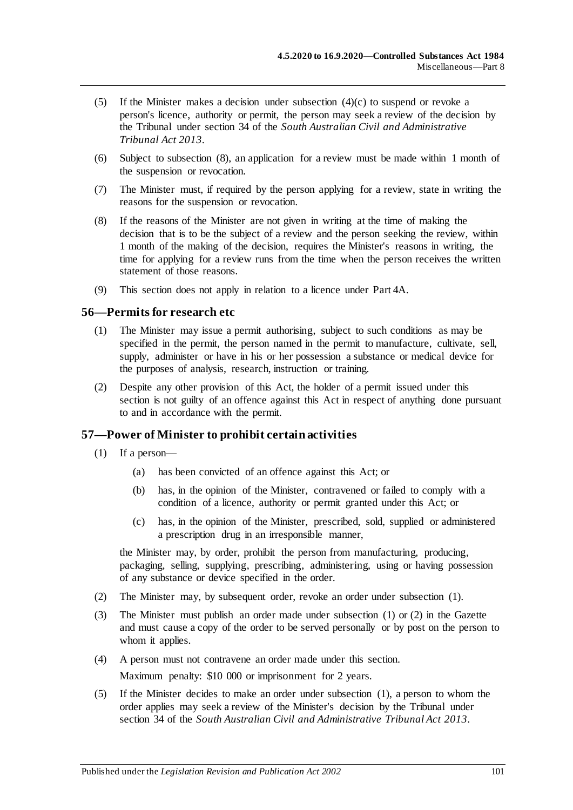- (5) If the Minister makes a decision under [subsection](#page-99-1)  $(4)(c)$  to suspend or revoke a person's licence, authority or permit, the person may seek a review of the decision by the Tribunal under section 34 of the *[South Australian Civil and Administrative](http://www.legislation.sa.gov.au/index.aspx?action=legref&type=act&legtitle=South%20Australian%20Civil%20and%20Administrative%20Tribunal%20Act%202013)  [Tribunal Act](http://www.legislation.sa.gov.au/index.aspx?action=legref&type=act&legtitle=South%20Australian%20Civil%20and%20Administrative%20Tribunal%20Act%202013) 2013*.
- (6) Subject to subsection (8), an application for a review must be made within 1 month of the suspension or revocation.
- (7) The Minister must, if required by the person applying for a review, state in writing the reasons for the suspension or revocation.
- (8) If the reasons of the Minister are not given in writing at the time of making the decision that is to be the subject of a review and the person seeking the review, within 1 month of the making of the decision, requires the Minister's reasons in writing, the time for applying for a review runs from the time when the person receives the written statement of those reasons.
- (9) This section does not apply in relation to a licence under Part 4A.

#### **56—Permits for research etc**

- (1) The Minister may issue a permit authorising, subject to such conditions as may be specified in the permit, the person named in the permit to manufacture, cultivate, sell, supply, administer or have in his or her possession a substance or medical device for the purposes of analysis, research, instruction or training.
- (2) Despite any other provision of this Act, the holder of a permit issued under this section is not guilty of an offence against this Act in respect of anything done pursuant to and in accordance with the permit.

#### <span id="page-100-0"></span>**57—Power of Minister to prohibit certain activities**

- (1) If a person—
	- (a) has been convicted of an offence against this Act; or
	- (b) has, in the opinion of the Minister, contravened or failed to comply with a condition of a licence, authority or permit granted under this Act; or
	- (c) has, in the opinion of the Minister, prescribed, sold, supplied or administered a prescription drug in an irresponsible manner,

the Minister may, by order, prohibit the person from manufacturing, producing, packaging, selling, supplying, prescribing, administering, using or having possession of any substance or device specified in the order.

- <span id="page-100-1"></span>(2) The Minister may, by subsequent order, revoke an order under [subsection](#page-100-0) (1).
- (3) The Minister must publish an order made under [subsection](#page-100-0) (1) or [\(2\)](#page-100-1) in the Gazette and must cause a copy of the order to be served personally or by post on the person to whom it applies.
- (4) A person must not contravene an order made under this section. Maximum penalty: \$10 000 or imprisonment for 2 years.
- (5) If the Minister decides to make an order under [subsection](#page-100-0) (1), a person to whom the order applies may seek a review of the Minister's decision by the Tribunal under section 34 of the *[South Australian Civil and Administrative Tribunal Act](http://www.legislation.sa.gov.au/index.aspx?action=legref&type=act&legtitle=South%20Australian%20Civil%20and%20Administrative%20Tribunal%20Act%202013) 2013*.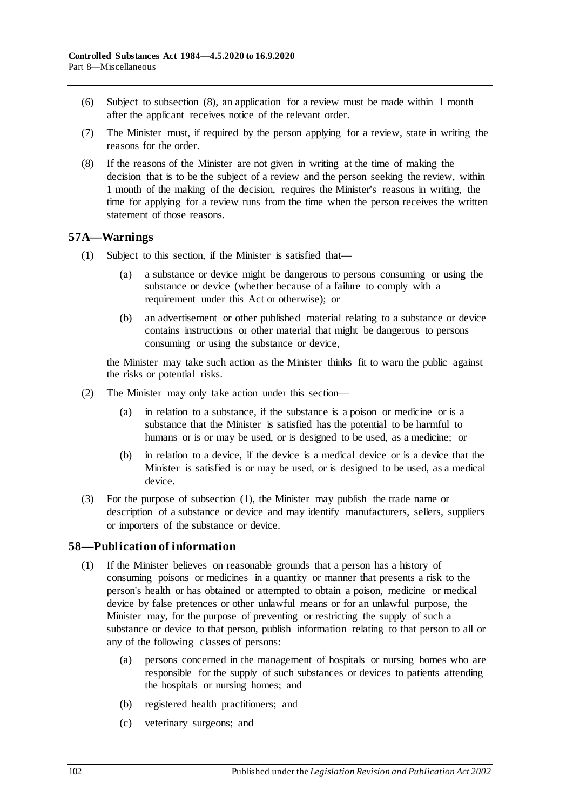- (6) Subject to subsection (8), an application for a review must be made within 1 month after the applicant receives notice of the relevant order.
- (7) The Minister must, if required by the person applying for a review, state in writing the reasons for the order.
- (8) If the reasons of the Minister are not given in writing at the time of making the decision that is to be the subject of a review and the person seeking the review, within 1 month of the making of the decision, requires the Minister's reasons in writing, the time for applying for a review runs from the time when the person receives the written statement of those reasons.

#### <span id="page-101-0"></span>**57A—Warnings**

- (1) Subject to this section, if the Minister is satisfied that—
	- (a) a substance or device might be dangerous to persons consuming or using the substance or device (whether because of a failure to comply with a requirement under this Act or otherwise); or
	- (b) an advertisement or other published material relating to a substance or device contains instructions or other material that might be dangerous to persons consuming or using the substance or device,

the Minister may take such action as the Minister thinks fit to warn the public against the risks or potential risks.

- (2) The Minister may only take action under this section—
	- (a) in relation to a substance, if the substance is a poison or medicine or is a substance that the Minister is satisfied has the potential to be harmful to humans or is or may be used, or is designed to be used, as a medicine; or
	- (b) in relation to a device, if the device is a medical device or is a device that the Minister is satisfied is or may be used, or is designed to be used, as a medical device.
- (3) For the purpose of [subsection](#page-101-0) (1), the Minister may publish the trade name or description of a substance or device and may identify manufacturers, sellers, suppliers or importers of the substance or device.

## <span id="page-101-1"></span>**58—Publication of information**

- (1) If the Minister believes on reasonable grounds that a person has a history of consuming poisons or medicines in a quantity or manner that presents a risk to the person's health or has obtained or attempted to obtain a poison, medicine or medical device by false pretences or other unlawful means or for an unlawful purpose, the Minister may, for the purpose of preventing or restricting the supply of such a substance or device to that person, publish information relating to that person to all or any of the following classes of persons:
	- (a) persons concerned in the management of hospitals or nursing homes who are responsible for the supply of such substances or devices to patients attending the hospitals or nursing homes; and
	- (b) registered health practitioners; and
	- (c) veterinary surgeons; and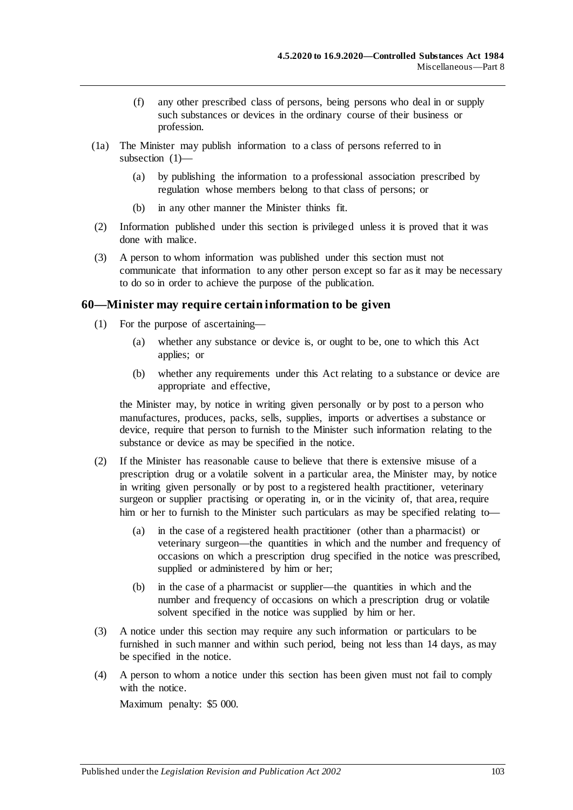- (f) any other prescribed class of persons, being persons who deal in or supply such substances or devices in the ordinary course of their business or profession.
- (1a) The Minister may publish information to a class of persons referred to in [subsection](#page-101-1) (1)—
	- (a) by publishing the information to a professional association prescribed by regulation whose members belong to that class of persons; or
	- (b) in any other manner the Minister thinks fit.
- (2) Information published under this section is privileged unless it is proved that it was done with malice.
- (3) A person to whom information was published under this section must not communicate that information to any other person except so far as it may be necessary to do so in order to achieve the purpose of the publication.

#### **60—Minister may require certain information to be given**

- (1) For the purpose of ascertaining—
	- (a) whether any substance or device is, or ought to be, one to which this Act applies; or
	- (b) whether any requirements under this Act relating to a substance or device are appropriate and effective,

the Minister may, by notice in writing given personally or by post to a person who manufactures, produces, packs, sells, supplies, imports or advertises a substance or device, require that person to furnish to the Minister such information relating to the substance or device as may be specified in the notice.

- (2) If the Minister has reasonable cause to believe that there is extensive misuse of a prescription drug or a volatile solvent in a particular area, the Minister may, by notice in writing given personally or by post to a registered health practitioner, veterinary surgeon or supplier practising or operating in, or in the vicinity of, that area, require him or her to furnish to the Minister such particulars as may be specified relating to—
	- (a) in the case of a registered health practitioner (other than a pharmacist) or veterinary surgeon—the quantities in which and the number and frequency of occasions on which a prescription drug specified in the notice was prescribed, supplied or administered by him or her;
	- (b) in the case of a pharmacist or supplier—the quantities in which and the number and frequency of occasions on which a prescription drug or volatile solvent specified in the notice was supplied by him or her.
- (3) A notice under this section may require any such information or particulars to be furnished in such manner and within such period, being not less than 14 days, as may be specified in the notice.
- (4) A person to whom a notice under this section has been given must not fail to comply with the notice. Maximum penalty: \$5 000.

Published under the *Legislation Revision and Publication Act 2002* 103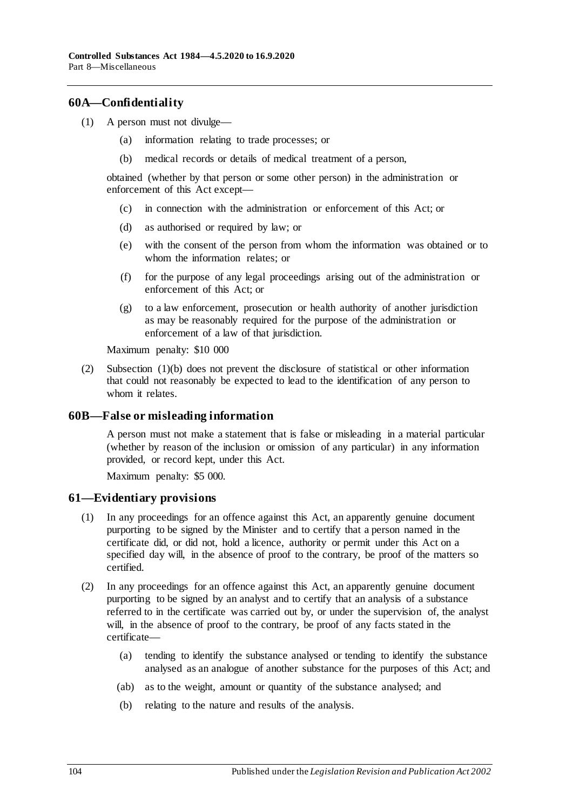#### **60A—Confidentiality**

- <span id="page-103-0"></span>(1) A person must not divulge—
	- (a) information relating to trade processes; or
	- (b) medical records or details of medical treatment of a person,

obtained (whether by that person or some other person) in the administration or enforcement of this Act except—

- (c) in connection with the administration or enforcement of this Act; or
- (d) as authorised or required by law; or
- (e) with the consent of the person from whom the information was obtained or to whom the information relates; or
- (f) for the purpose of any legal proceedings arising out of the administration or enforcement of this Act; or
- (g) to a law enforcement, prosecution or health authority of another jurisdiction as may be reasonably required for the purpose of the administration or enforcement of a law of that jurisdiction.

Maximum penalty: \$10 000

(2) [Subsection](#page-103-0) (1)(b) does not prevent the disclosure of statistical or other information that could not reasonably be expected to lead to the identification of any person to whom it relates.

#### **60B—False or misleading information**

A person must not make a statement that is false or misleading in a material particular (whether by reason of the inclusion or omission of any particular) in any information provided, or record kept, under this Act.

Maximum penalty: \$5 000.

#### **61—Evidentiary provisions**

- (1) In any proceedings for an offence against this Act, an apparently genuine document purporting to be signed by the Minister and to certify that a person named in the certificate did, or did not, hold a licence, authority or permit under this Act on a specified day will, in the absence of proof to the contrary, be proof of the matters so certified.
- (2) In any proceedings for an offence against this Act, an apparently genuine document purporting to be signed by an analyst and to certify that an analysis of a substance referred to in the certificate was carried out by, or under the supervision of, the analyst will, in the absence of proof to the contrary, be proof of any facts stated in the certificate—
	- (a) tending to identify the substance analysed or tending to identify the substance analysed as an analogue of another substance for the purposes of this Act; and
	- (ab) as to the weight, amount or quantity of the substance analysed; and
	- (b) relating to the nature and results of the analysis.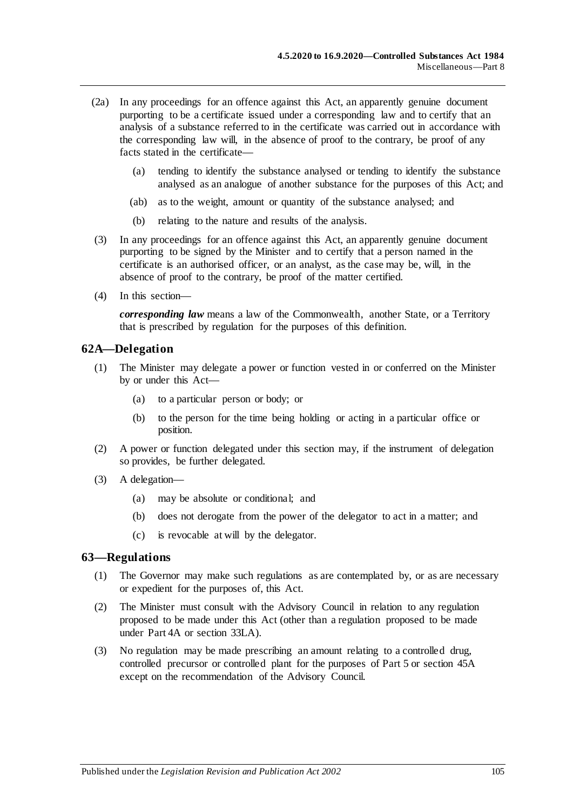- (2a) In any proceedings for an offence against this Act, an apparently genuine document purporting to be a certificate issued under a corresponding law and to certify that an analysis of a substance referred to in the certificate was carried out in accordance with the corresponding law will, in the absence of proof to the contrary, be proof of any facts stated in the certificate—
	- (a) tending to identify the substance analysed or tending to identify the substance analysed as an analogue of another substance for the purposes of this Act; and
	- (ab) as to the weight, amount or quantity of the substance analysed; and
	- (b) relating to the nature and results of the analysis.
- (3) In any proceedings for an offence against this Act, an apparently genuine document purporting to be signed by the Minister and to certify that a person named in the certificate is an authorised officer, or an analyst, as the case may be, will, in the absence of proof to the contrary, be proof of the matter certified.
- (4) In this section—

*corresponding law* means a law of the Commonwealth, another State, or a Territory that is prescribed by regulation for the purposes of this definition.

#### **62A—Delegation**

- (1) The Minister may delegate a power or function vested in or conferred on the Minister by or under this Act—
	- (a) to a particular person or body; or
	- (b) to the person for the time being holding or acting in a particular office or position.
- (2) A power or function delegated under this section may, if the instrument of delegation so provides, be further delegated.
- (3) A delegation—
	- (a) may be absolute or conditional; and
	- (b) does not derogate from the power of the delegator to act in a matter; and
	- (c) is revocable at will by the delegator.

#### <span id="page-104-0"></span>**63—Regulations**

- (1) The Governor may make such regulations as are contemplated by, or as are necessary or expedient for the purposes of, this Act.
- (2) The Minister must consult with the Advisory Council in relation to any regulation proposed to be made under this Act (other than a regulation proposed to be made under [Part 4A](#page-31-0) or [section](#page-76-5) 33LA).
- (3) No regulation may be made prescribing an amount relating to a controlled drug, controlled precursor or controlled plant for the purposes of [Part 5](#page-63-0) or [section](#page-90-0) 45A except on the recommendation of the Advisory Council.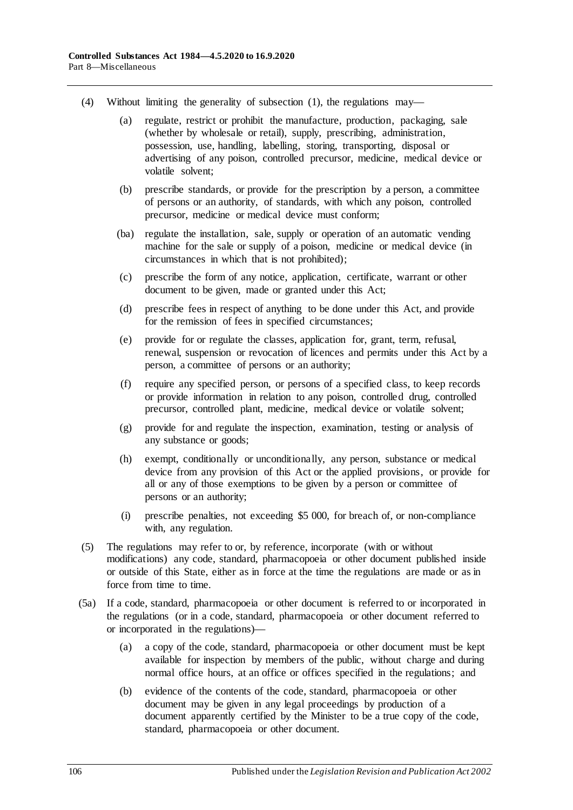- (4) Without limiting the generality of [subsection](#page-104-0) (1), the regulations may—
	- (a) regulate, restrict or prohibit the manufacture, production, packaging, sale (whether by wholesale or retail), supply, prescribing, administration, possession, use, handling, labelling, storing, transporting, disposal or advertising of any poison, controlled precursor, medicine, medical device or volatile solvent;
	- (b) prescribe standards, or provide for the prescription by a person, a committee of persons or an authority, of standards, with which any poison, controlled precursor, medicine or medical device must conform;
	- (ba) regulate the installation, sale, supply or operation of an automatic vending machine for the sale or supply of a poison, medicine or medical device (in circumstances in which that is not prohibited);
	- (c) prescribe the form of any notice, application, certificate, warrant or other document to be given, made or granted under this Act;
	- (d) prescribe fees in respect of anything to be done under this Act, and provide for the remission of fees in specified circumstances;
	- (e) provide for or regulate the classes, application for, grant, term, refusal, renewal, suspension or revocation of licences and permits under this Act by a person, a committee of persons or an authority;
	- (f) require any specified person, or persons of a specified class, to keep records or provide information in relation to any poison, controlled drug, controlled precursor, controlled plant, medicine, medical device or volatile solvent;
	- (g) provide for and regulate the inspection, examination, testing or analysis of any substance or goods;
	- (h) exempt, conditionally or unconditionally, any person, substance or medical device from any provision of this Act or the applied provisions, or provide for all or any of those exemptions to be given by a person or committee of persons or an authority;
	- (i) prescribe penalties, not exceeding \$5 000, for breach of, or non-compliance with, any regulation.
- (5) The regulations may refer to or, by reference, incorporate (with or without modifications) any code, standard, pharmacopoeia or other document published inside or outside of this State, either as in force at the time the regulations are made or as in force from time to time.
- (5a) If a code, standard, pharmacopoeia or other document is referred to or incorporated in the regulations (or in a code, standard, pharmacopoeia or other document referred to or incorporated in the regulations)—
	- (a) a copy of the code, standard, pharmacopoeia or other document must be kept available for inspection by members of the public, without charge and during normal office hours, at an office or offices specified in the regulations; and
	- (b) evidence of the contents of the code, standard, pharmacopoeia or other document may be given in any legal proceedings by production of a document apparently certified by the Minister to be a true copy of the code, standard, pharmacopoeia or other document.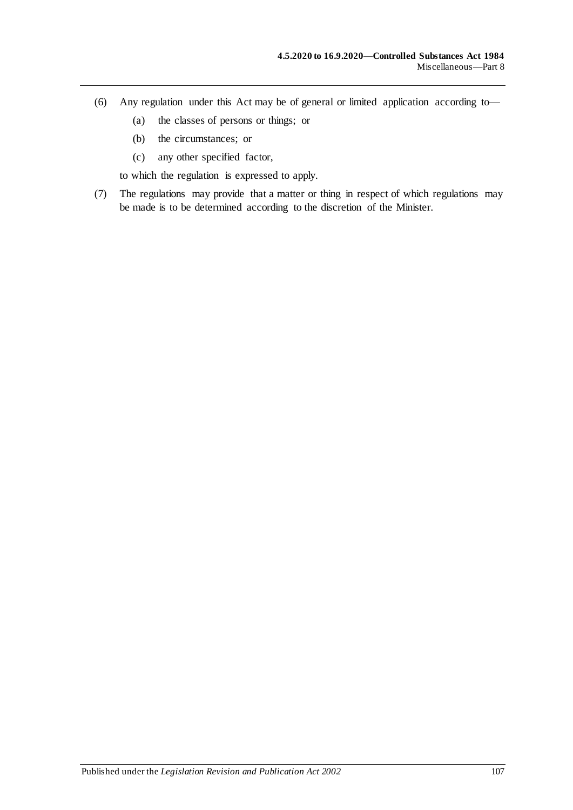- (6) Any regulation under this Act may be of general or limited application according to—
	- (a) the classes of persons or things; or
	- (b) the circumstances; or
	- (c) any other specified factor,

to which the regulation is expressed to apply.

(7) The regulations may provide that a matter or thing in respect of which regulations may be made is to be determined according to the discretion of the Minister.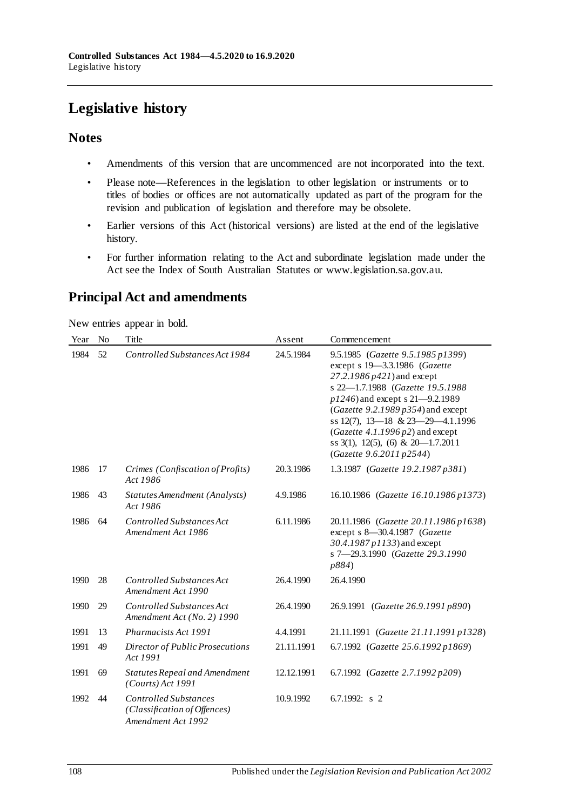# **Legislative history**

## **Notes**

- Amendments of this version that are uncommenced are not incorporated into the text.
- Please note—References in the legislation to other legislation or instruments or to titles of bodies or offices are not automatically updated as part of the program for the revision and publication of legislation and therefore may be obsolete.
- Earlier versions of this Act (historical versions) are listed at the end of the legislative history.
- For further information relating to the Act and subordinate legislation made under the Act see the Index of South Australian Statutes or www.legislation.sa.gov.au.

# **Principal Act and amendments**

New entries appear in bold.

| Year | N <sub>o</sub> | Title                                                                              | Assent     | Commencement                                                                                                                                                                                                                                                                                                                                                           |
|------|----------------|------------------------------------------------------------------------------------|------------|------------------------------------------------------------------------------------------------------------------------------------------------------------------------------------------------------------------------------------------------------------------------------------------------------------------------------------------------------------------------|
| 1984 | 52             | Controlled Substances Act 1984                                                     | 24.5.1984  | 9.5.1985 (Gazette 9.5.1985 p1399)<br>except s 19-3.3.1986 (Gazette<br>27.2.1986 p421) and except<br>s 22-1.7.1988 (Gazette 19.5.1988<br>p1246) and except s 21-9.2.1989<br>(Gazette 9.2.1989 $p354$ ) and except<br>ss 12(7), 13-18 & 23-29-4.1.1996<br>(Gazette 4.1.1996 $p2$ ) and except<br>ss $3(1)$ , $12(5)$ , $(6)$ & $20-1.7.2011$<br>(Gazette 9.6.2011 p2544) |
| 1986 | 17             | Crimes (Confiscation of Profits)<br>Act 1986                                       | 20.3.1986  | 1.3.1987 (Gazette 19.2.1987 p381)                                                                                                                                                                                                                                                                                                                                      |
| 1986 | 43             | Statutes Amendment (Analysts)<br>Act 1986                                          | 4.9.1986   | 16.10.1986 (Gazette 16.10.1986 p1373)                                                                                                                                                                                                                                                                                                                                  |
| 1986 | 64             | Controlled Substances Act<br>Amendment Act 1986                                    | 6.11.1986  | 20.11.1986 (Gazette 20.11.1986 p1638)<br>except s 8-30.4.1987 (Gazette<br>30.4.1987 p1133) and except<br>s 7-29.3.1990 (Gazette 29.3.1990<br>p884)                                                                                                                                                                                                                     |
| 1990 | 28             | Controlled Substances Act<br>Amendment Act 1990                                    | 26.4.1990  | 26.4.1990                                                                                                                                                                                                                                                                                                                                                              |
| 1990 | 29             | Controlled Substances Act<br>Amendment Act (No. 2) 1990                            | 26.4.1990  | 26.9.1991 (Gazette 26.9.1991 p890)                                                                                                                                                                                                                                                                                                                                     |
| 1991 | 13             | Pharmacists Act 1991                                                               | 4.4.1991   | 21.11.1991 (Gazette 21.11.1991 p1328)                                                                                                                                                                                                                                                                                                                                  |
| 1991 | 49             | Director of Public Prosecutions<br>Act 1991                                        | 21.11.1991 | 6.7.1992 (Gazette 25.6.1992 p1869)                                                                                                                                                                                                                                                                                                                                     |
| 1991 | 69             | Statutes Repeal and Amendment<br>(Courts) Act 1991                                 | 12.12.1991 | 6.7.1992 (Gazette 2.7.1992 p209)                                                                                                                                                                                                                                                                                                                                       |
| 1992 | 44             | <b>Controlled Substances</b><br>(Classification of Offences)<br>Amendment Act 1992 | 10.9.1992  | 6.7.1992: $s$ 2                                                                                                                                                                                                                                                                                                                                                        |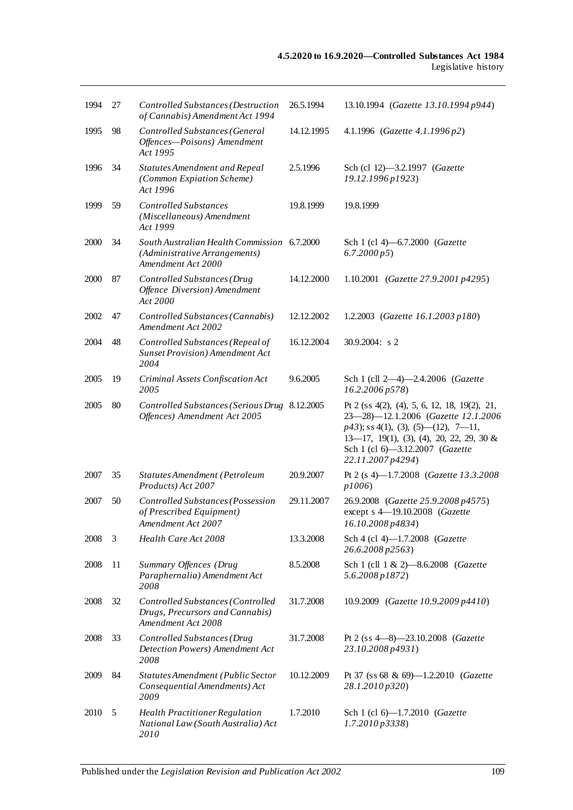| 1994 | 27 | Controlled Substances (Destruction<br>of Cannabis) Amendment Act 1994                              | 26.5.1994  | 13.10.1994 (Gazette 13.10.1994 p944)                                                                                                                                                                                                |
|------|----|----------------------------------------------------------------------------------------------------|------------|-------------------------------------------------------------------------------------------------------------------------------------------------------------------------------------------------------------------------------------|
| 1995 | 98 | Controlled Substances (General<br>Offences-Poisons) Amendment<br>Act 1995                          | 14.12.1995 | 4.1.1996 (Gazette 4.1.1996 p2)                                                                                                                                                                                                      |
| 1996 | 34 | Statutes Amendment and Repeal<br>(Common Expiation Scheme)<br>Act 1996                             | 2.5.1996   | Sch (cl 12)-3.2.1997 (Gazette<br>19.12.1996 p1923)                                                                                                                                                                                  |
| 1999 | 59 | <b>Controlled Substances</b><br>(Miscellaneous) Amendment<br>Act 1999                              | 19.8.1999  | 19.8.1999                                                                                                                                                                                                                           |
| 2000 | 34 | South Australian Health Commission 6.7.2000<br>(Administrative Arrangements)<br>Amendment Act 2000 |            | Sch 1 (cl 4)-6.7.2000 (Gazette<br>6.7.2000 p5                                                                                                                                                                                       |
| 2000 | 87 | Controlled Substances (Drug<br>Offence Diversion) Amendment<br>Act 2000                            | 14.12.2000 | 1.10.2001 (Gazette 27.9.2001 p4295)                                                                                                                                                                                                 |
| 2002 | 47 | Controlled Substances (Cannabis)<br>Amendment Act 2002                                             | 12.12.2002 | 1.2.2003 (Gazette 16.1.2003 p180)                                                                                                                                                                                                   |
| 2004 | 48 | Controlled Substances (Repeal of<br><b>Sunset Provision</b> ) Amendment Act<br>2004                | 16.12.2004 | $30.9.2004$ : s 2                                                                                                                                                                                                                   |
| 2005 | 19 | Criminal Assets Confiscation Act<br>2005                                                           | 9.6.2005   | Sch 1 (cll 2-4)-2.4.2006 (Gazette<br>16.2.2006 p578)                                                                                                                                                                                |
| 2005 | 80 | Controlled Substances (Serious Drug 8.12.2005<br>Offences) Amendment Act 2005                      |            | Pt 2 (ss 4(2), (4), 5, 6, 12, 18, 19(2), 21,<br>23-28)-12.1.2006 (Gazette 12.1.2006<br>$p43$ ; ss 4(1), (3), (5)—(12), 7—11,<br>$13-17$ , 19(1), (3), (4), 20, 22, 29, 30 &<br>Sch 1 (cl 6)-3.12.2007 (Gazette<br>22.11.2007 p4294) |
| 2007 | 35 | Statutes Amendment (Petroleum<br>Products) Act 2007                                                | 20.9.2007  | Pt 2 (s 4)-1.7.2008 (Gazette 13.3.2008)<br>p1006                                                                                                                                                                                    |
| 2007 | 50 | Controlled Substances (Possession<br>of Prescribed Equipment)<br>Amendment Act 2007                | 29.11.2007 | 26.9.2008 (Gazette 25.9.2008 p4575)<br>except s 4-19.10.2008 (Gazette<br>16.10.2008 p4834)                                                                                                                                          |
| 2008 | 3  | Health Care Act 2008                                                                               | 13.3.2008  | Sch 4 (cl 4)-1.7.2008 (Gazette<br>26.6.2008 p2563)                                                                                                                                                                                  |
| 2008 | 11 | Summary Offences (Drug<br>Paraphernalia) Amendment Act<br>2008                                     | 8.5.2008   | Sch 1 (cll 1 & 2)-8.6.2008 (Gazette<br>$5.6.2008\,p1872$                                                                                                                                                                            |
| 2008 | 32 | Controlled Substances (Controlled<br>Drugs, Precursors and Cannabis)<br>Amendment Act 2008         | 31.7.2008  | 10.9.2009 (Gazette 10.9.2009 p4410)                                                                                                                                                                                                 |
| 2008 | 33 | Controlled Substances (Drug<br>Detection Powers) Amendment Act<br>2008                             | 31.7.2008  | Pt 2 (ss $4-8$ )-23.10.2008 (Gazette<br>23.10.2008 p4931)                                                                                                                                                                           |
| 2009 | 84 | Statutes Amendment (Public Sector<br>Consequential Amendments) Act<br>2009                         | 10.12.2009 | Pt 37 (ss 68 & 69)-1.2.2010 (Gazette<br>28.1.2010 p320)                                                                                                                                                                             |
| 2010 | 5  | <b>Health Practitioner Regulation</b><br>National Law (South Australia) Act<br>2010                | 1.7.2010   | Sch 1 (cl 6)-1.7.2010 (Gazette<br>1.7.2010p3338                                                                                                                                                                                     |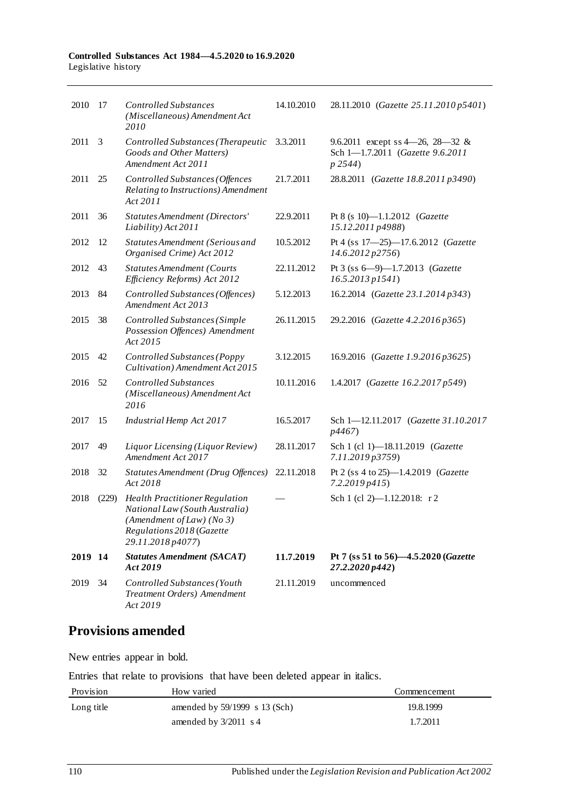| 2010    | -17   | <b>Controlled Substances</b><br>(Miscellaneous) Amendment Act<br>2010                                                                                  | 14.10.2010 | 28.11.2010 (Gazette 25.11.2010 p5401)                                                   |
|---------|-------|--------------------------------------------------------------------------------------------------------------------------------------------------------|------------|-----------------------------------------------------------------------------------------|
| 2011    | 3     | Controlled Substances (Therapeutic<br>Goods and Other Matters)<br>Amendment Act 2011                                                                   | 3.3.2011   | 9.6.2011 except ss 4 - 26, 28 - 32 &<br>Sch 1-1.7.2011 (Gazette 9.6.2011<br>$p \, 2544$ |
| 2011    | 25    | Controlled Substances (Offences<br>Relating to Instructions) Amendment<br>Act 2011                                                                     | 21.7.2011  | 28.8.2011 (Gazette 18.8.2011 p3490)                                                     |
| 2011    | 36    | Statutes Amendment (Directors'<br>Liability) Act 2011                                                                                                  | 22.9.2011  | Pt 8 (s 10)-1.1.2012 (Gazette<br>15.12.2011 p4988)                                      |
| 2012    | 12    | Statutes Amendment (Serious and<br>Organised Crime) Act 2012                                                                                           | 10.5.2012  | Pt 4 (ss 17-25)-17.6.2012 (Gazette<br>14.6.2012 p2756)                                  |
| 2012    | 43    | <b>Statutes Amendment (Courts</b><br>Efficiency Reforms) Act 2012                                                                                      | 22.11.2012 | Pt 3 (ss 6-9)-1.7.2013 (Gazette<br>$16.5.2013$ $p1541$ )                                |
| 2013    | 84    | Controlled Substances (Offences)<br>Amendment Act 2013                                                                                                 | 5.12.2013  | 16.2.2014 (Gazette 23.1.2014 p343)                                                      |
| 2015    | 38    | Controlled Substances (Simple<br>Possession Offences) Amendment<br>Act 2015                                                                            | 26.11.2015 | 29.2.2016 (Gazette 4.2.2016 p365)                                                       |
| 2015    | 42    | Controlled Substances (Poppy<br>Cultivation) Amendment Act 2015                                                                                        | 3.12.2015  | 16.9.2016 (Gazette 1.9.2016 p3625)                                                      |
| 2016    | 52    | <b>Controlled Substances</b><br>(Miscellaneous) Amendment Act<br>2016                                                                                  | 10.11.2016 | 1.4.2017 (Gazette 16.2.2017 p549)                                                       |
| 2017    | 15    | Industrial Hemp Act 2017                                                                                                                               | 16.5.2017  | Sch 1-12.11.2017 (Gazette 31.10.2017<br>p4467)                                          |
| 2017    | 49    | Liquor Licensing (Liquor Review)<br>Amendment Act 2017                                                                                                 | 28.11.2017 | Sch 1 (cl 1)-18.11.2019 (Gazette<br>7.11.2019 p3759)                                    |
| 2018    | 32    | Statutes Amendment (Drug Offences)<br>Act 2018                                                                                                         | 22.11.2018 | Pt 2 (ss 4 to 25)-1.4.2019 (Gazette<br>7.2.2019 p415)                                   |
| 2018    | (229) | <b>Health Practitioner Regulation</b><br>National Law (South Australia)<br>(Amendment of Law) (No 3)<br>Regulations 2018 (Gazette<br>29.11.2018 p4077) |            | Sch 1 (cl 2)-1.12.2018: r 2                                                             |
| 2019 14 |       | <b>Statutes Amendment (SACAT)</b><br>Act 2019                                                                                                          | 11.7.2019  | Pt 7 (ss 51 to 56)-4.5.2020 (Gazette<br>27.2.2020 p442)                                 |
| 2019    | 34    | Controlled Substances (Youth<br>Treatment Orders) Amendment<br>Act 2019                                                                                | 21.11.2019 | uncommenced                                                                             |

# **Provisions amended**

New entries appear in bold.

Entries that relate to provisions that have been deleted appear in italics.

| Provision  | How varied                      | Commencement |
|------------|---------------------------------|--------------|
| Long title | amended by $59/1999$ s 13 (Sch) | 19.8.1999    |
|            | amended by $3/2011$ s 4         | 1.7.2011     |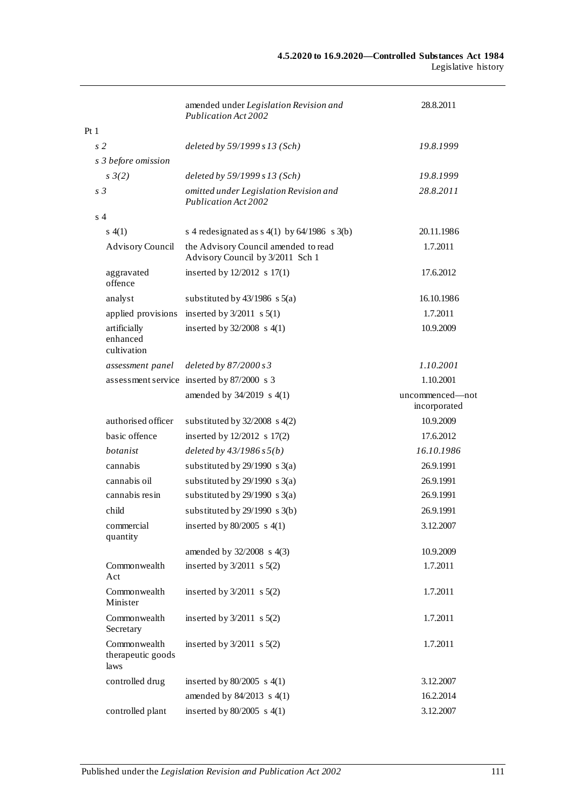|      |                                           | amended under Legislation Revision and<br>Publication Act 2002           | 28.8.2011                       |
|------|-------------------------------------------|--------------------------------------------------------------------------|---------------------------------|
| Pt 1 |                                           |                                                                          |                                 |
|      | s <sub>2</sub>                            | deleted by 59/1999 s 13 (Sch)                                            | 19.8.1999                       |
|      | s 3 before omission                       |                                                                          |                                 |
|      | $s \frac{3}{2}$                           | deleted by 59/1999 s 13 (Sch)                                            | 19.8.1999                       |
|      | s <sub>3</sub>                            | omitted under Legislation Revision and<br>Publication Act 2002           | 28.8.2011                       |
|      | s <sub>4</sub>                            |                                                                          |                                 |
|      | s(4(1))                                   | s 4 redesignated as $s(1)$ by $64/1986$ s $3(b)$                         | 20.11.1986                      |
|      | <b>Advisory Council</b>                   | the Advisory Council amended to read<br>Advisory Council by 3/2011 Sch 1 | 1.7.2011                        |
|      | aggravated<br>offence                     | inserted by $12/2012$ s $17(1)$                                          | 17.6.2012                       |
|      | analyst                                   | substituted by $43/1986$ s $5(a)$                                        | 16.10.1986                      |
|      | applied provisions                        | inserted by $3/2011$ s $5(1)$                                            | 1.7.2011                        |
|      | artificially<br>enhanced<br>cultivation   | inserted by $32/2008$ s 4(1)                                             | 10.9.2009                       |
|      | assessment panel                          | deleted by $87/2000 s3$                                                  | 1.10.2001                       |
|      |                                           | assessment service inserted by 87/2000 s 3                               | 1.10.2001                       |
|      |                                           | amended by 34/2019 s 4(1)                                                | uncommenced-not<br>incorporated |
|      | authorised officer                        | substituted by $32/2008$ s $4(2)$                                        | 10.9.2009                       |
|      | basic offence                             | inserted by 12/2012 s 17(2)                                              | 17.6.2012                       |
|      | botanist                                  | deleted by $43/1986 s 5(b)$                                              | 16.10.1986                      |
|      | cannabis                                  | substituted by $29/1990$ s 3(a)                                          | 26.9.1991                       |
|      | cannabis oil                              | substituted by $29/1990$ s 3(a)                                          | 26.9.1991                       |
|      | cannabis resin                            | substituted by $29/1990$ s 3(a)                                          | 26.9.1991                       |
|      | child                                     | substituted by $29/1990$ s $3(b)$                                        | 26.9.1991                       |
|      | commercial<br>quantity                    | inserted by $80/2005$ s $4(1)$                                           | 3.12.2007                       |
|      |                                           | amended by 32/2008 s 4(3)                                                | 10.9.2009                       |
|      | Commonwealth<br>Act                       | inserted by $3/2011$ s $5(2)$                                            | 1.7.2011                        |
|      | Commonwealth<br>Minister                  | inserted by $3/2011$ s $5(2)$                                            | 1.7.2011                        |
|      | Commonwealth<br>Secretary                 | inserted by $3/2011$ s $5(2)$                                            | 1.7.2011                        |
|      | Commonwealth<br>therapeutic goods<br>laws | inserted by $3/2011$ s $5(2)$                                            | 1.7.2011                        |
|      | controlled drug                           | inserted by $80/2005$ s $4(1)$                                           | 3.12.2007                       |
|      |                                           | amended by 84/2013 s 4(1)                                                | 16.2.2014                       |
|      | controlled plant                          | inserted by $80/2005$ s $4(1)$                                           | 3.12.2007                       |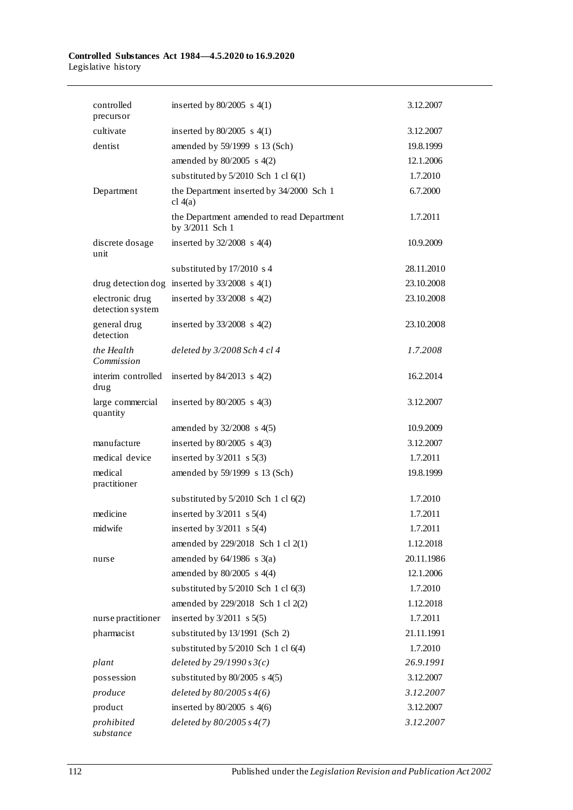| controlled<br>precursor             | inserted by $80/2005$ s 4(1)                                 | 3.12.2007  |
|-------------------------------------|--------------------------------------------------------------|------------|
| cultivate                           | inserted by $80/2005$ s $4(1)$                               | 3.12.2007  |
| dentist                             | amended by 59/1999 s 13 (Sch)                                | 19.8.1999  |
|                                     | amended by $80/2005$ s $4(2)$                                | 12.1.2006  |
|                                     | substituted by $5/2010$ Sch 1 cl $6(1)$                      | 1.7.2010   |
| Department                          | the Department inserted by 34/2000 Sch 1<br>cl $4(a)$        | 6.7.2000   |
|                                     | the Department amended to read Department<br>by 3/2011 Sch 1 | 1.7.2011   |
| discrete dosage<br>unit             | inserted by $32/2008$ s 4(4)                                 | 10.9.2009  |
|                                     | substituted by 17/2010 s 4                                   | 28.11.2010 |
|                                     | drug detection dog inserted by $33/2008$ s 4(1)              | 23.10.2008 |
| electronic drug<br>detection system | inserted by $33/2008$ s 4(2)                                 | 23.10.2008 |
| general drug<br>detection           | inserted by $33/2008$ s $4(2)$                               | 23.10.2008 |
| the Health<br>Commission            | deleted by 3/2008 Sch 4 cl 4                                 | 1.7.2008   |
| interim controlled<br>drug          | inserted by $84/2013$ s $4(2)$                               | 16.2.2014  |
| large commercial<br>quantity        | inserted by $80/2005$ s $4(3)$                               | 3.12.2007  |
|                                     | amended by 32/2008 s 4(5)                                    | 10.9.2009  |
| manufacture                         | inserted by $80/2005$ s $4(3)$                               | 3.12.2007  |
| medical device                      | inserted by $3/2011$ s $5(3)$                                | 1.7.2011   |
| medical<br>practitioner             | amended by 59/1999 s 13 (Sch)                                | 19.8.1999  |
|                                     | substituted by $5/2010$ Sch 1 cl $6(2)$                      | 1.7.2010   |
| medicine                            | inserted by $3/2011$ s $5(4)$                                | 1.7.2011   |
| midwife                             | inserted by $3/2011$ s $5(4)$                                | 1.7.2011   |
|                                     | amended by 229/2018 Sch 1 cl 2(1)                            | 1.12.2018  |
| nurse                               | amended by $64/1986$ s $3(a)$                                | 20.11.1986 |
|                                     | amended by $80/2005$ s $4(4)$                                | 12.1.2006  |
|                                     | substituted by $5/2010$ Sch 1 cl $6(3)$                      | 1.7.2010   |
|                                     | amended by 229/2018 Sch 1 cl 2(2)                            | 1.12.2018  |
| nurse practitioner                  | inserted by $3/2011$ s $5(5)$                                | 1.7.2011   |
| pharmacist                          | substituted by 13/1991 (Sch 2)                               | 21.11.1991 |
|                                     | substituted by 5/2010 Sch 1 cl 6(4)                          | 1.7.2010   |
| plant                               | deleted by $29/1990 s3(c)$                                   | 26.9.1991  |
| possession                          | substituted by $80/2005$ s $4(5)$                            | 3.12.2007  |
| produce                             | deleted by $80/2005 s4(6)$                                   | 3.12.2007  |
| product                             | inserted by $80/2005$ s $4(6)$                               | 3.12.2007  |
| prohibited<br>substance             | deleted by $80/2005 s4(7)$                                   | 3.12.2007  |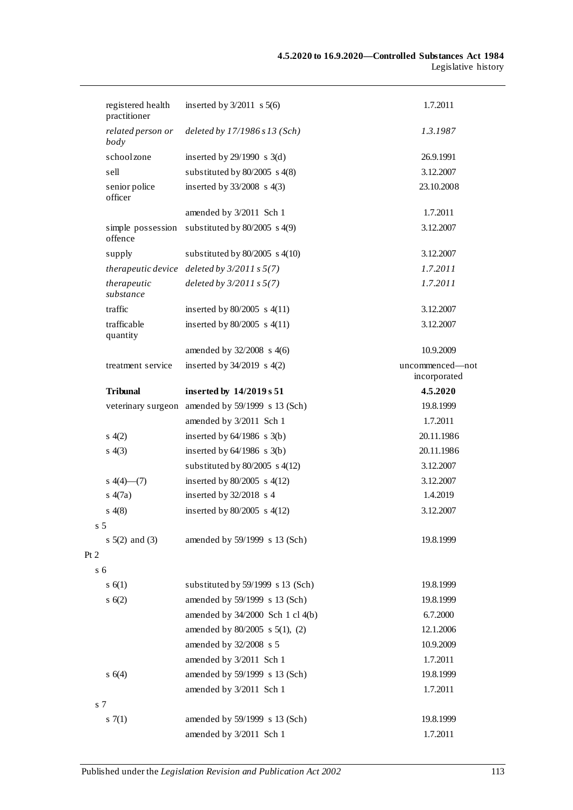|                | registered health<br>practitioner | inserted by $3/2011$ s $5(6)$                    | 1.7.2011                        |
|----------------|-----------------------------------|--------------------------------------------------|---------------------------------|
|                | related person or<br>body         | deleted by $17/1986$ s $13$ (Sch)                | 1.3.1987                        |
|                | school zone                       | inserted by $29/1990$ s $3(d)$                   | 26.9.1991                       |
|                | sell                              | substituted by $80/2005$ s $4(8)$                | 3.12.2007                       |
|                | senior police<br>officer          | inserted by $33/2008$ s $4(3)$                   | 23.10.2008                      |
|                |                                   | amended by 3/2011 Sch 1                          | 1.7.2011                        |
|                | simple possession<br>offence      | substituted by $80/2005$ s $4(9)$                | 3.12.2007                       |
|                | supply                            | substituted by $80/2005$ s $4(10)$               | 3.12.2007                       |
|                |                                   | therapeutic device deleted by $3/2011 s 5(7)$    | 1.7.2011                        |
|                | therapeutic<br>substance          | deleted by $3/2011 s 5(7)$                       | 1.7.2011                        |
|                | traffic                           | inserted by $80/2005$ s $4(11)$                  | 3.12.2007                       |
|                | trafficable<br>quantity           | inserted by $80/2005$ s $4(11)$                  | 3.12.2007                       |
|                |                                   | amended by $32/2008$ s 4(6)                      | 10.9.2009                       |
|                | treatment service                 | inserted by $34/2019$ s $4(2)$                   | uncommenced—not<br>incorporated |
|                | <b>Tribunal</b>                   | inserted by 14/2019 s 51                         | 4.5.2020                        |
|                |                                   | veterinary surgeon amended by 59/1999 s 13 (Sch) | 19.8.1999                       |
|                |                                   | amended by 3/2011 Sch 1                          | 1.7.2011                        |
|                | s(4(2)                            | inserted by $64/1986$ s $3(b)$                   | 20.11.1986                      |
|                | s(4(3))                           | inserted by $64/1986$ s $3(b)$                   | 20.11.1986                      |
|                |                                   | substituted by $80/2005$ s $4(12)$               | 3.12.2007                       |
|                | $s(4)$ (4) (7)                    | inserted by $80/2005$ s $4(12)$                  | 3.12.2007                       |
|                | s(4(7a))                          | inserted by $32/2018$ s 4                        | 1.4.2019                        |
|                | s(4(8)                            | inserted by $80/2005$ s $4(12)$                  | 3.12.2007                       |
| s 5            |                                   |                                                  |                                 |
| $\overline{c}$ | s $5(2)$ and $(3)$                | amended by 59/1999 s 13 (Sch)                    | 19.8.1999                       |
| s <sub>6</sub> |                                   |                                                  |                                 |
|                | s(6(1))                           | substituted by 59/1999 s 13 (Sch)                | 19.8.1999                       |
|                | s(6(2)                            | amended by 59/1999 s 13 (Sch)                    | 19.8.1999                       |
|                |                                   | amended by 34/2000 Sch 1 cl 4(b)                 | 6.7.2000                        |
|                |                                   | amended by 80/2005 s 5(1), (2)                   | 12.1.2006                       |
|                |                                   | amended by 32/2008 s 5                           | 10.9.2009                       |
|                |                                   | amended by 3/2011 Sch 1                          | 1.7.2011                        |
|                | s(4)                              | amended by 59/1999 s 13 (Sch)                    | 19.8.1999                       |
|                |                                   | amended by 3/2011 Sch 1                          | 1.7.2011                        |
| s 7            |                                   |                                                  |                                 |
|                | 57(1)                             | amended by 59/1999 s 13 (Sch)                    | 19.8.1999                       |
|                |                                   | amended by 3/2011 Sch 1                          | 1.7.2011                        |

 $Pt$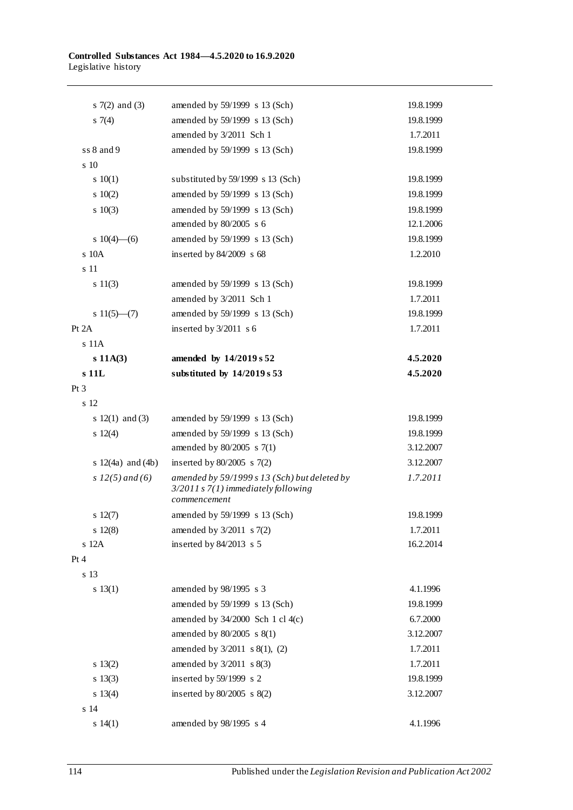| s $7(2)$ and $(3)$    | amended by 59/1999 s 13 (Sch)                                                                         | 19.8.1999 |
|-----------------------|-------------------------------------------------------------------------------------------------------|-----------|
| 57(4)                 | amended by 59/1999 s 13 (Sch)                                                                         | 19.8.1999 |
|                       | amended by 3/2011 Sch 1                                                                               | 1.7.2011  |
| ss 8 and 9            | amended by 59/1999 s 13 (Sch)                                                                         | 19.8.1999 |
| s 10                  |                                                                                                       |           |
| 10(1)                 | substituted by 59/1999 s 13 (Sch)                                                                     | 19.8.1999 |
| 10(2)                 | amended by 59/1999 s 13 (Sch)                                                                         | 19.8.1999 |
| 10(3)                 | amended by 59/1999 s 13 (Sch)                                                                         | 19.8.1999 |
|                       | amended by 80/2005 s 6                                                                                | 12.1.2006 |
| s $10(4)$ —(6)        | amended by 59/1999 s 13 (Sch)                                                                         | 19.8.1999 |
| s 10A                 | inserted by $84/2009$ s 68                                                                            | 1.2.2010  |
| s 11                  |                                                                                                       |           |
| s 11(3)               | amended by 59/1999 s 13 (Sch)                                                                         | 19.8.1999 |
|                       | amended by 3/2011 Sch 1                                                                               | 1.7.2011  |
| s $11(5)$ —(7)        | amended by 59/1999 s 13 (Sch)                                                                         | 19.8.1999 |
| Pt 2A                 | inserted by $3/2011$ s 6                                                                              | 1.7.2011  |
| s 11A                 |                                                                                                       |           |
| $s$ 11A(3)            | amended by 14/2019 s 52                                                                               | 4.5.2020  |
| s 11L                 | substituted by 14/2019 s 53                                                                           | 4.5.2020  |
| Pt <sub>3</sub>       |                                                                                                       |           |
| s 12                  |                                                                                                       |           |
| s $12(1)$ and (3)     | amended by 59/1999 s 13 (Sch)                                                                         | 19.8.1999 |
| 12(4)                 | amended by 59/1999 s 13 (Sch)                                                                         | 19.8.1999 |
|                       | amended by 80/2005 s 7(1)                                                                             | 3.12.2007 |
| s $12(4a)$ and $(4b)$ | inserted by $80/2005$ s $7(2)$                                                                        | 3.12.2007 |
| s $12(5)$ and (6)     | amended by $59/1999 s 13$ (Sch) but deleted by<br>3/2011 s 7(1) immediately following<br>commencement | 1.7.2011  |
| $s\ 12(7)$            | amended by 59/1999 s 13 (Sch)                                                                         | 19.8.1999 |
| 12(8)                 | amended by 3/2011 s 7(2)                                                                              | 1.7.2011  |
| s 12A                 | inserted by 84/2013 s 5                                                                               | 16.2.2014 |
| Pt 4                  |                                                                                                       |           |
| s 13                  |                                                                                                       |           |
| s 13(1)               | amended by 98/1995 s 3                                                                                | 4.1.1996  |
|                       | amended by 59/1999 s 13 (Sch)                                                                         | 19.8.1999 |
|                       | amended by $34/2000$ Sch 1 cl $4(c)$                                                                  | 6.7.2000  |
|                       | amended by 80/2005 s 8(1)                                                                             | 3.12.2007 |
|                       | amended by $3/2011$ s $8(1)$ , (2)                                                                    | 1.7.2011  |
| $s \ 13(2)$           | amended by $3/2011$ s $8(3)$                                                                          | 1.7.2011  |
| $s \ 13(3)$           | inserted by 59/1999 s 2                                                                               | 19.8.1999 |
| $s \ 13(4)$           | inserted by $80/2005$ s $8(2)$                                                                        | 3.12.2007 |
| s 14                  |                                                                                                       |           |
| s 14(1)               | amended by 98/1995 s 4                                                                                | 4.1.1996  |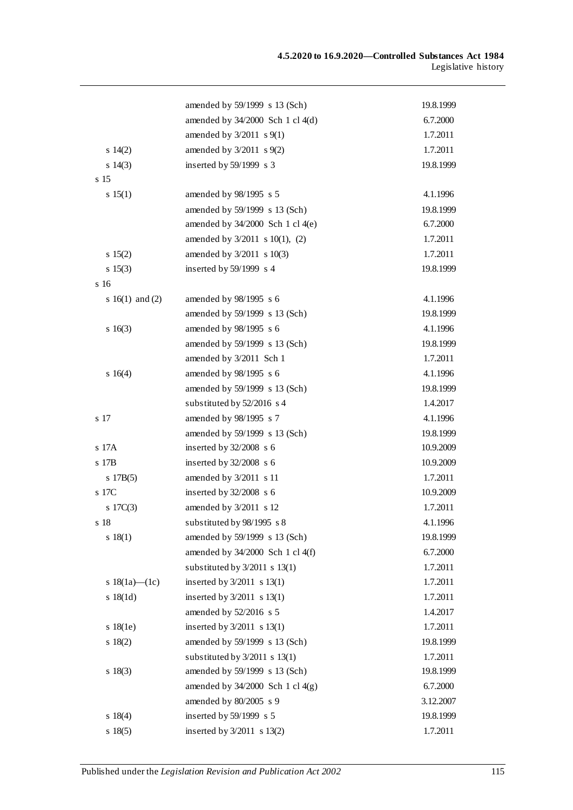|                   | amended by 59/1999 s 13 (Sch)        | 19.8.1999 |
|-------------------|--------------------------------------|-----------|
|                   | amended by 34/2000 Sch 1 cl 4(d)     | 6.7.2000  |
|                   | amended by $3/2011$ s $9(1)$         | 1.7.2011  |
| 14(2)             | amended by $3/2011$ s $9(2)$         | 1.7.2011  |
| $s\ 14(3)$        | inserted by 59/1999 s 3              | 19.8.1999 |
| s <sub>15</sub>   |                                      |           |
| s 15(1)           | amended by 98/1995 s 5               | 4.1.1996  |
|                   | amended by 59/1999 s 13 (Sch)        | 19.8.1999 |
|                   | amended by 34/2000 Sch 1 cl 4(e)     | 6.7.2000  |
|                   | amended by $3/2011$ s $10(1)$ , (2)  | 1.7.2011  |
| $s \ 15(2)$       | amended by 3/2011 s 10(3)            | 1.7.2011  |
| $s \ 15(3)$       | inserted by 59/1999 s 4              | 19.8.1999 |
| s <sub>16</sub>   |                                      |           |
| s $16(1)$ and (2) | amended by 98/1995 s 6               | 4.1.1996  |
|                   | amended by 59/1999 s 13 (Sch)        | 19.8.1999 |
| $s \ 16(3)$       | amended by 98/1995 s 6               | 4.1.1996  |
|                   | amended by 59/1999 s 13 (Sch)        | 19.8.1999 |
|                   | amended by 3/2011 Sch 1              | 1.7.2011  |
| $s \ 16(4)$       | amended by 98/1995 s 6               | 4.1.1996  |
|                   | amended by 59/1999 s 13 (Sch)        | 19.8.1999 |
|                   | substituted by 52/2016 s 4           | 1.4.2017  |
| s 17              | amended by 98/1995 s 7               | 4.1.1996  |
|                   | amended by 59/1999 s 13 (Sch)        | 19.8.1999 |
| s 17A             | inserted by 32/2008 s 6              | 10.9.2009 |
| s 17B             | inserted by $32/2008$ s 6            | 10.9.2009 |
| s 17B(5)          | amended by 3/2011 s 11               | 1.7.2011  |
| s 17C             | inserted by $32/2008$ s 6            | 10.9.2009 |
| 17C(3)            | amended by 3/2011 s 12               | 1.7.2011  |
| s 18              | substituted by 98/1995 s 8           | 4.1.1996  |
| s 18(1)           | amended by 59/1999 s 13 (Sch)        | 19.8.1999 |
|                   | amended by $34/2000$ Sch 1 cl $4(f)$ | 6.7.2000  |
|                   | substituted by $3/2011$ s $13(1)$    | 1.7.2011  |
| s $18(1a)$ (1c)   | inserted by $3/2011$ s $13(1)$       | 1.7.2011  |
| s 18(1d)          | inserted by $3/2011$ s $13(1)$       | 1.7.2011  |
|                   | amended by 52/2016 s 5               | 1.4.2017  |
| $s$ 18(1e)        | inserted by $3/2011$ s $13(1)$       | 1.7.2011  |
| $s \ 18(2)$       | amended by 59/1999 s 13 (Sch)        | 19.8.1999 |
|                   | substituted by $3/2011$ s $13(1)$    | 1.7.2011  |
| $s \ 18(3)$       | amended by 59/1999 s 13 (Sch)        | 19.8.1999 |
|                   | amended by $34/2000$ Sch 1 cl $4(g)$ | 6.7.2000  |
|                   | amended by 80/2005 s 9               | 3.12.2007 |
| $s \ 18(4)$       | inserted by $59/1999$ s 5            | 19.8.1999 |
| s 18(5)           | inserted by 3/2011 s 13(2)           | 1.7.2011  |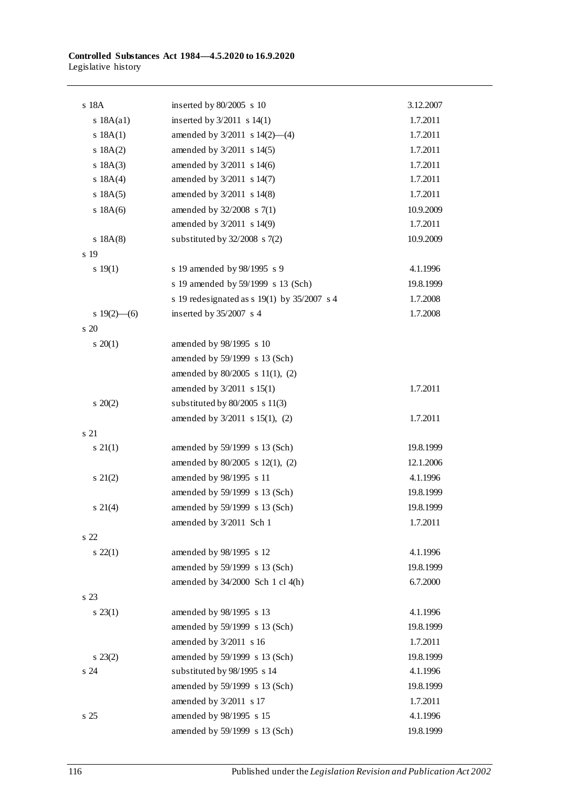| s 18A             | inserted by $80/2005$ s 10                  | 3.12.2007 |
|-------------------|---------------------------------------------|-----------|
| $s$ 18A $(a1)$    | inserted by $3/2011$ s $14(1)$              | 1.7.2011  |
| s 18A(1)          | amended by 3/2011 s 14(2)-(4)               | 1.7.2011  |
| s 18A(2)          | amended by 3/2011 s 14(5)                   | 1.7.2011  |
| s 18A(3)          | amended by 3/2011 s 14(6)                   | 1.7.2011  |
| s $18A(4)$        | amended by 3/2011 s 14(7)                   | 1.7.2011  |
| s 18A(5)          | amended by 3/2011 s 14(8)                   | 1.7.2011  |
| s 18A(6)          | amended by 32/2008 s 7(1)                   | 10.9.2009 |
|                   | amended by 3/2011 s 14(9)                   | 1.7.2011  |
| s 18A(8)          | substituted by $32/2008$ s $7(2)$           | 10.9.2009 |
| s 19              |                                             |           |
| 19(1)             | s 19 amended by 98/1995 s 9                 | 4.1.1996  |
|                   | s 19 amended by 59/1999 s 13 (Sch)          | 19.8.1999 |
|                   | s 19 redesignated as s 19(1) by 35/2007 s 4 | 1.7.2008  |
| s $19(2)$ —(6)    | inserted by $35/2007$ s 4                   | 1.7.2008  |
| s 20              |                                             |           |
| $\frac{20(1)}{2}$ | amended by 98/1995 s 10                     |           |
|                   | amended by 59/1999 s 13 (Sch)               |           |
|                   | amended by 80/2005 s 11(1), (2)             |           |
|                   | amended by 3/2011 s 15(1)                   | 1.7.2011  |
| $\, 20(2)$        | substituted by $80/2005$ s 11(3)            |           |
|                   | amended by $3/2011$ s 15(1), (2)            | 1.7.2011  |
| s 21              |                                             |           |
| $s \; 21(1)$      | amended by 59/1999 s 13 (Sch)               | 19.8.1999 |
|                   | amended by 80/2005 s 12(1), (2)             | 12.1.2006 |
| $s \ 21(2)$       | amended by 98/1995 s 11                     | 4.1.1996  |
|                   | amended by 59/1999 s 13 (Sch)               | 19.8.1999 |
| $s \; 21(4)$      | amended by 59/1999 s 13 (Sch)               | 19.8.1999 |
|                   | amended by 3/2011 Sch 1                     | 1.7.2011  |
| s 22              |                                             |           |
| $\frac{22(1)}{2}$ | amended by 98/1995 s 12                     | 4.1.1996  |
|                   | amended by 59/1999 s 13 (Sch)               | 19.8.1999 |
|                   | amended by $34/2000$ Sch 1 cl 4(h)          | 6.7.2000  |
| s 23              |                                             |           |
| $s \; 23(1)$      | amended by 98/1995 s 13                     | 4.1.1996  |
|                   | amended by 59/1999 s 13 (Sch)               | 19.8.1999 |
|                   | amended by 3/2011 s 16                      | 1.7.2011  |
| $s \; 23(2)$      | amended by 59/1999 s 13 (Sch)               | 19.8.1999 |
| s 24              | substituted by 98/1995 s 14                 | 4.1.1996  |
|                   | amended by 59/1999 s 13 (Sch)               | 19.8.1999 |
|                   | amended by 3/2011 s 17                      | 1.7.2011  |
| s 25              | amended by 98/1995 s 15                     | 4.1.1996  |
|                   | amended by 59/1999 s 13 (Sch)               | 19.8.1999 |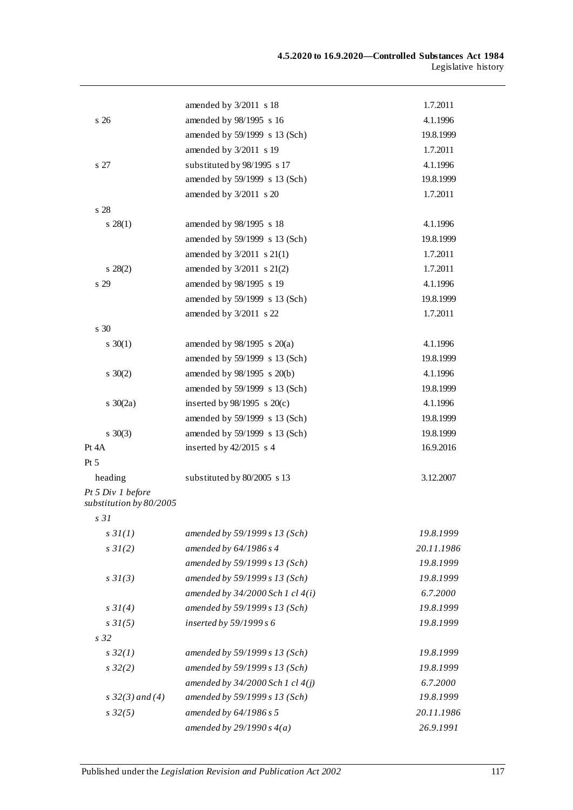|                                              | amended by 3/2011 s 18               | 1.7.2011   |
|----------------------------------------------|--------------------------------------|------------|
| s 26                                         | amended by 98/1995 s 16              | 4.1.1996   |
|                                              | amended by 59/1999 s 13 (Sch)        | 19.8.1999  |
|                                              | amended by 3/2011 s 19               | 1.7.2011   |
| s 27                                         | substituted by 98/1995 s 17          | 4.1.1996   |
|                                              | amended by 59/1999 s 13 (Sch)        | 19.8.1999  |
|                                              | amended by 3/2011 s 20               | 1.7.2011   |
| s 28                                         |                                      |            |
| $s \; 28(1)$                                 | amended by 98/1995 s 18              | 4.1.1996   |
|                                              | amended by 59/1999 s 13 (Sch)        | 19.8.1999  |
|                                              | amended by $3/2011$ s $21(1)$        | 1.7.2011   |
| $s \ 28(2)$                                  | amended by 3/2011 s 21(2)            | 1.7.2011   |
| s 29                                         | amended by 98/1995 s 19              | 4.1.1996   |
|                                              | amended by 59/1999 s 13 (Sch)        | 19.8.1999  |
|                                              | amended by $3/2011$ s 22             | 1.7.2011   |
| s <sub>30</sub>                              |                                      |            |
| $s \ 30(1)$                                  | amended by $98/1995$ s $20(a)$       | 4.1.1996   |
|                                              | amended by 59/1999 s 13 (Sch)        | 19.8.1999  |
| $s \ 30(2)$                                  | amended by 98/1995 s 20(b)           | 4.1.1996   |
|                                              | amended by 59/1999 s 13 (Sch)        | 19.8.1999  |
| s $30(2a)$                                   | inserted by $98/1995$ s $20(c)$      | 4.1.1996   |
|                                              | amended by 59/1999 s 13 (Sch)        | 19.8.1999  |
| $s \ 30(3)$                                  | amended by 59/1999 s 13 (Sch)        | 19.8.1999  |
| Pt 4A                                        | inserted by $42/2015$ s 4            | 16.9.2016  |
| Pt 5                                         |                                      |            |
| heading                                      | substituted by 80/2005 s 13          | 3.12.2007  |
| Pt 5 Div 1 before<br>substitution by 80/2005 |                                      |            |
| s <sub>31</sub>                              |                                      |            |
| s3I(1)                                       | amended by 59/1999 s 13 (Sch)        | 19.8.1999  |
| $s \frac{3}{2}$ (2)                          | amended by 64/1986 s 4               | 20.11.1986 |
|                                              | amended by 59/1999 s 13 (Sch)        | 19.8.1999  |
| $s \frac{3}{3}$ (3)                          | amended by 59/1999 s 13 (Sch)        | 19.8.1999  |
|                                              | amended by 34/2000 Sch 1 cl 4(i)     | 6.7.2000   |
| $s \, 3I(4)$                                 | amended by 59/1999 s 13 (Sch)        | 19.8.1999  |
| $s \, 31(5)$                                 | inserted by 59/1999 s 6              | 19.8.1999  |
| s 32                                         |                                      |            |
| $s\,32(1)$                                   | amended by 59/1999 s 13 (Sch)        | 19.8.1999  |
| s32(2)                                       | amended by 59/1999 s 13 (Sch)        | 19.8.1999  |
|                                              | amended by $34/2000$ Sch 1 cl $4(j)$ | 6.7.2000   |
| s $32(3)$ and (4)                            | amended by 59/1999 s 13 (Sch)        | 19.8.1999  |
| $s\,32(5)$                                   | amended by 64/1986 s 5               | 20.11.1986 |
|                                              | amended by $29/1990 s 4(a)$          | 26.9.1991  |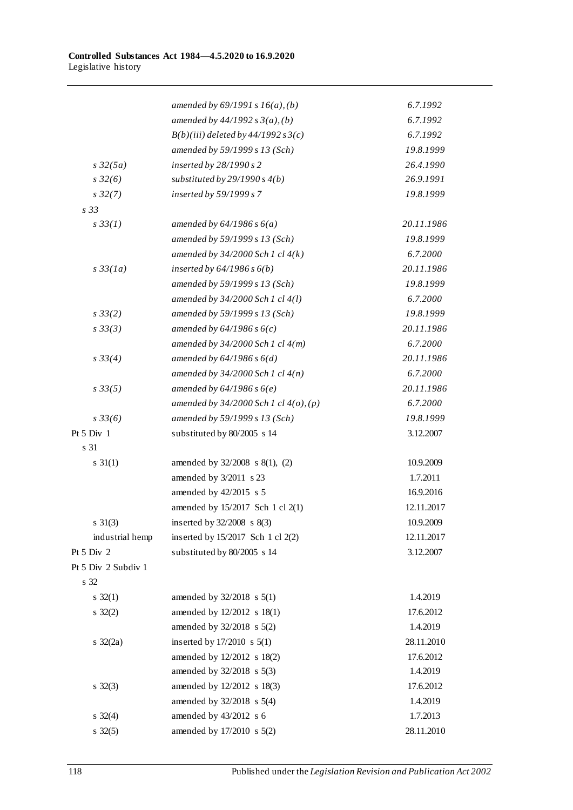|                     | amended by $69/1991 s 16(a)$ , (b)         | 6.7.1992   |
|---------------------|--------------------------------------------|------------|
|                     | amended by $44/1992 s 3(a)$ , (b)          | 6.7.1992   |
|                     | $B(b)(iii)$ deleted by 44/1992 s 3(c)      | 6.7.1992   |
|                     | amended by 59/1999 s 13 (Sch)              | 19.8.1999  |
| $s\,32(5a)$         | inserted by 28/1990 s 2                    | 26.4.1990  |
| $s\,32(6)$          | substituted by $29/1990 s 4(b)$            | 26.9.1991  |
| $s\,32(7)$          | inserted by 59/1999 s 7                    | 19.8.1999  |
| s <sub>33</sub>     |                                            |            |
| $s \, 33(1)$        | amended by $64/1986 s 6(a)$                | 20.11.1986 |
|                     | amended by 59/1999 s 13 (Sch)              | 19.8.1999  |
|                     | amended by $34/2000$ Sch 1 cl $4(k)$       | 6.7.2000   |
| $s\,33(1a)$         | inserted by $64/1986 s 6(b)$               | 20.11.1986 |
|                     | amended by 59/1999 s 13 (Sch)              | 19.8.1999  |
|                     | amended by $34/2000$ Sch 1 cl $4(l)$       | 6.7.2000   |
| $s \frac{33(2)}{2}$ | amended by 59/1999 s 13 (Sch)              | 19.8.1999  |
| s33(3)              | amended by $64/1986 s 6(c)$                | 20.11.1986 |
|                     | amended by $34/2000$ Sch 1 cl $4(m)$       | 6.7.2000   |
| $s \frac{33(4)}{4}$ | amended by $64/1986 s 6(d)$                | 20.11.1986 |
|                     | amended by $34/2000$ Sch 1 cl $4(n)$       | 6.7.2000   |
| s33(5)              | amended by $64/1986 s 6(e)$                | 20.11.1986 |
|                     | amended by $34/2000$ Sch 1 cl $4(0)$ , (p) | 6.7.2000   |
| $s \frac{33}{6}$    | amended by 59/1999 s 13 (Sch)              | 19.8.1999  |
| Pt $5$ Div $1$      | substituted by 80/2005 s 14                | 3.12.2007  |
| s 31                |                                            |            |
| $s \; 31(1)$        | amended by 32/2008 s 8(1), (2)             | 10.9.2009  |
|                     | amended by 3/2011 s 23                     | 1.7.2011   |
|                     | amended by 42/2015 s 5                     | 16.9.2016  |
|                     | amended by 15/2017 Sch 1 cl 2(1)           | 12.11.2017 |
| $s \; 31(3)$        | inserted by $32/2008$ s $8(3)$             | 10.9.2009  |
| industrial hemp     | inserted by 15/2017 Sch 1 cl 2(2)          | 12.11.2017 |
| Pt 5 Div 2          | substituted by 80/2005 s 14                | 3.12.2007  |
| Pt 5 Div 2 Subdiv 1 |                                            |            |
| s 32                |                                            |            |
| $s \; 32(1)$        | amended by $32/2018$ s $5(1)$              | 1.4.2019   |
| $s \; 32(2)$        | amended by 12/2012 s 18(1)                 | 17.6.2012  |
|                     | amended by $32/2018$ s $5(2)$              | 1.4.2019   |
| $s \frac{32}{2a}$   | inserted by 17/2010 s 5(1)                 | 28.11.2010 |
|                     | amended by 12/2012 s 18(2)                 | 17.6.2012  |
|                     | amended by $32/2018$ s $5(3)$              | 1.4.2019   |
| $s \; 32(3)$        | amended by 12/2012 s 18(3)                 | 17.6.2012  |
|                     | amended by 32/2018 s 5(4)                  | 1.4.2019   |
| $s \; 32(4)$        | amended by 43/2012 s 6                     | 1.7.2013   |
| $s \; 32(5)$        | amended by 17/2010 s 5(2)                  | 28.11.2010 |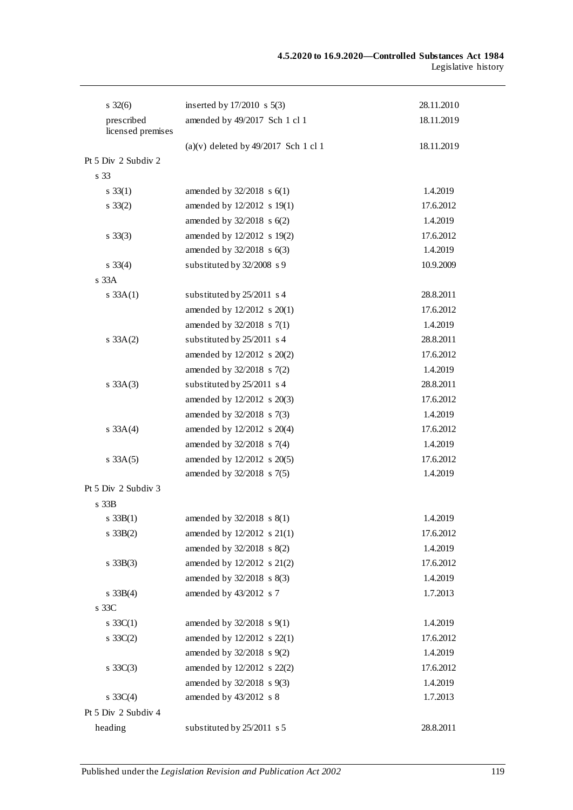|                                 | inserted by $17/2010$ s $5(3)$         |            |
|---------------------------------|----------------------------------------|------------|
| $s \; 32(6)$                    |                                        | 28.11.2010 |
| prescribed<br>licensed premises | amended by 49/2017 Sch 1 cl 1          | 18.11.2019 |
|                                 | $(a)(v)$ deleted by 49/2017 Sch 1 cl 1 | 18.11.2019 |
| Pt 5 Div 2 Subdiv 2             |                                        |            |
| s 33                            |                                        |            |
| $s \; 33(1)$                    | amended by $32/2018$ s $6(1)$          | 1.4.2019   |
| $s \; 33(2)$                    | amended by 12/2012 s 19(1)             | 17.6.2012  |
|                                 | amended by $32/2018$ s $6(2)$          | 1.4.2019   |
| $s \; 33(3)$                    | amended by 12/2012 s 19(2)             | 17.6.2012  |
|                                 | amended by 32/2018 s 6(3)              | 1.4.2019   |
| $s \; 33(4)$                    | substituted by 32/2008 s 9             | 10.9.2009  |
| s <sub>33A</sub>                |                                        |            |
| $s \, 33A(1)$                   | substituted by 25/2011 s 4             | 28.8.2011  |
|                                 | amended by 12/2012 s 20(1)             | 17.6.2012  |
|                                 | amended by 32/2018 s 7(1)              | 1.4.2019   |
| $s \, 33A(2)$                   | substituted by 25/2011 s 4             | 28.8.2011  |
|                                 | amended by 12/2012 s 20(2)             | 17.6.2012  |
|                                 | amended by 32/2018 s 7(2)              | 1.4.2019   |
| $s \; 33A(3)$                   | substituted by 25/2011 s 4             | 28.8.2011  |
|                                 | amended by 12/2012 s 20(3)             | 17.6.2012  |
|                                 | amended by 32/2018 s 7(3)              | 1.4.2019   |
| s $33A(4)$                      | amended by 12/2012 s 20(4)             | 17.6.2012  |
|                                 | amended by $32/2018$ s $7(4)$          | 1.4.2019   |
| $s \, 33A(5)$                   | amended by 12/2012 s 20(5)             | 17.6.2012  |
|                                 | amended by 32/2018 s 7(5)              | 1.4.2019   |
| Pt 5 Div 2 Subdiv 3             |                                        |            |
| s <sub>33B</sub>                |                                        |            |
| s $33B(1)$                      | amended by 32/2018 s 8(1)              | 1.4.2019   |
| $s \, 33B(2)$                   | amended by 12/2012 s 21(1)             | 17.6.2012  |
|                                 | amended by 32/2018 s 8(2)              | 1.4.2019   |
| $s \; 33B(3)$                   | amended by 12/2012 s 21(2)             | 17.6.2012  |
|                                 | amended by 32/2018 s 8(3)              | 1.4.2019   |
| $s \, 33B(4)$                   | amended by 43/2012 s 7                 | 1.7.2013   |
| s 33C                           |                                        |            |
| s $33C(1)$                      | amended by 32/2018 s 9(1)              | 1.4.2019   |
| $s \; 33C(2)$                   | amended by 12/2012 s 22(1)             | 17.6.2012  |
|                                 | amended by 32/2018 s 9(2)              | 1.4.2019   |
| s $33C(3)$                      | amended by 12/2012 s 22(2)             | 17.6.2012  |
|                                 | amended by 32/2018 s 9(3)              | 1.4.2019   |
| s $33C(4)$                      | amended by 43/2012 s 8                 | 1.7.2013   |
| Pt 5 Div 2 Subdiv 4             |                                        |            |
| heading                         | substituted by 25/2011 s 5             | 28.8.2011  |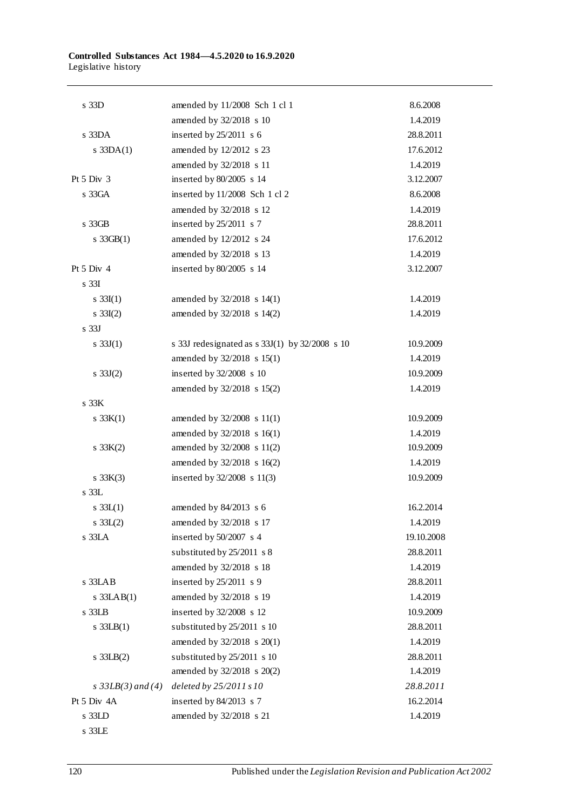| s 33D                 | amended by 11/2008 Sch 1 cl 1                  | 8.6.2008   |
|-----------------------|------------------------------------------------|------------|
|                       | amended by 32/2018 s 10                        | 1.4.2019   |
| $s$ 33DA              | inserted by $25/2011$ s 6                      | 28.8.2011  |
| $s$ 33DA $(1)$        | amended by 12/2012 s 23                        | 17.6.2012  |
|                       | amended by 32/2018 s 11                        | 1.4.2019   |
| Pt $5 \mathrm{Div} 3$ | inserted by 80/2005 s 14                       | 3.12.2007  |
| s 33GA                | inserted by 11/2008 Sch 1 cl 2                 | 8.6.2008   |
|                       | amended by 32/2018 s 12                        | 1.4.2019   |
| s 33GB                | inserted by $25/2011$ s 7                      | 28.8.2011  |
| s $33GB(1)$           | amended by 12/2012 s 24                        | 17.6.2012  |
|                       | amended by 32/2018 s 13                        | 1.4.2019   |
| Pt $5$ Div $4$        | inserted by 80/2005 s 14                       | 3.12.2007  |
| s <sub>33I</sub>      |                                                |            |
| s $33I(1)$            | amended by 32/2018 s 14(1)                     | 1.4.2019   |
| $s \; 33I(2)$         | amended by 32/2018 s 14(2)                     | 1.4.2019   |
| s <sub>33J</sub>      |                                                |            |
| s $33J(1)$            | s 33J redesignated as s 33J(1) by 32/2008 s 10 | 10.9.2009  |
|                       | amended by 32/2018 s 15(1)                     | 1.4.2019   |
| s $33J(2)$            | inserted by 32/2008 s 10                       | 10.9.2009  |
|                       | amended by 32/2018 s 15(2)                     | 1.4.2019   |
| s 33K                 |                                                |            |
| s $33K(1)$            | amended by $32/2008$ s 11(1)                   | 10.9.2009  |
|                       | amended by 32/2018 s 16(1)                     | 1.4.2019   |
| s $33K(2)$            | amended by 32/2008 s 11(2)                     | 10.9.2009  |
|                       | amended by 32/2018 s 16(2)                     | 1.4.2019   |
| s $33K(3)$            | inserted by $32/2008$ s 11(3)                  | 10.9.2009  |
| $s$ 33L               |                                                |            |
| s $33L(1)$            | amended by 84/2013 s 6                         | 16.2.2014  |
| $s \, 33L(2)$         | amended by $32/2018$ s 17                      | 1.4.2019   |
| s 33LA                | inserted by $50/2007$ s 4                      | 19.10.2008 |
|                       | substituted by 25/2011 s 8                     | 28.8.2011  |
|                       | amended by 32/2018 s 18                        | 1.4.2019   |
| s 33LAB               | inserted by 25/2011 s 9                        | 28.8.2011  |
| $s$ 33LAB $(1)$       | amended by 32/2018 s 19                        | 1.4.2019   |
| s 33LB                | inserted by 32/2008 s 12                       | 10.9.2009  |
| $s$ 33LB(1)           | substituted by 25/2011 s 10                    | 28.8.2011  |
|                       | amended by 32/2018 s 20(1)                     | 1.4.2019   |
| $s$ 33LB $(2)$        | substituted by 25/2011 s 10                    | 28.8.2011  |
|                       | amended by 32/2018 s 20(2)                     | 1.4.2019   |
| s $33LB(3)$ and $(4)$ | deleted by 25/2011 s 10                        | 28.8.2011  |
| Pt 5 Div 4A           | inserted by 84/2013 s 7                        | 16.2.2014  |
| s 33LD                | amended by 32/2018 s 21                        | 1.4.2019   |
| s 33LE                |                                                |            |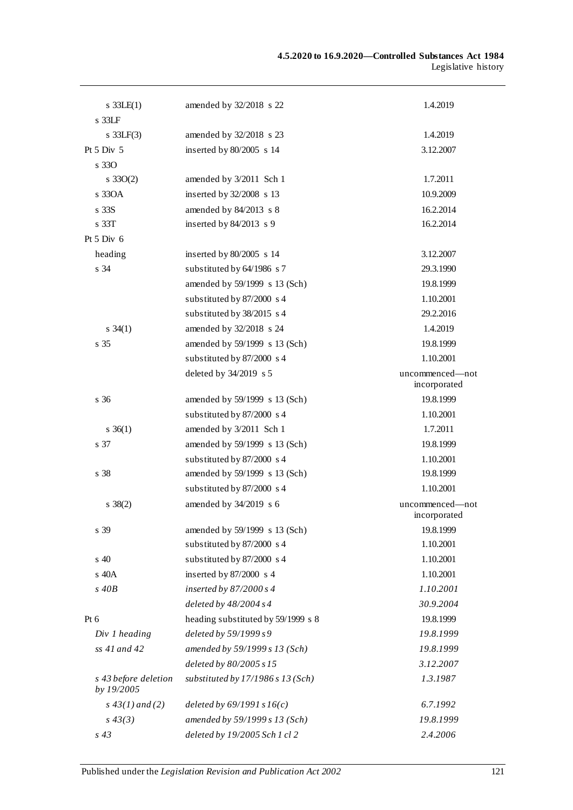| $s$ 33LE(1)                        | amended by 32/2018 s 22             | 1.4.2019                        |
|------------------------------------|-------------------------------------|---------------------------------|
| $s$ 33LF                           |                                     |                                 |
| s $33LF(3)$                        | amended by 32/2018 s 23             | 1.4.2019                        |
| Pt $5$ Div $5$                     | inserted by 80/2005 s 14            | 3.12.2007                       |
| s 330                              |                                     |                                 |
| $s \, 33O(2)$                      | amended by 3/2011 Sch 1             | 1.7.2011                        |
| $s$ 330 $A$                        | inserted by 32/2008 s 13            | 10.9.2009                       |
| s <sub>33S</sub>                   | amended by 84/2013 s 8              | 16.2.2014                       |
| $\rm s$ 33T                        | inserted by $84/2013$ s 9           | 16.2.2014                       |
| Pt $5$ Div $6$                     |                                     |                                 |
| heading                            | inserted by $80/2005$ s 14          | 3.12.2007                       |
| s 34                               | substituted by 64/1986 s 7          | 29.3.1990                       |
|                                    | amended by 59/1999 s 13 (Sch)       | 19.8.1999                       |
|                                    | substituted by 87/2000 s 4          | 1.10.2001                       |
|                                    | substituted by 38/2015 s 4          | 29.2.2016                       |
| $s \; 34(1)$                       | amended by 32/2018 s 24             | 1.4.2019                        |
| s 35                               | amended by 59/1999 s 13 (Sch)       | 19.8.1999                       |
|                                    | substituted by 87/2000 s 4          | 1.10.2001                       |
|                                    | deleted by 34/2019 s 5              | uncommenced-not<br>incorporated |
| s <sub>36</sub>                    | amended by 59/1999 s 13 (Sch)       | 19.8.1999                       |
|                                    | substituted by 87/2000 s 4          | 1.10.2001                       |
| $\frac{36(1)}{2}$                  | amended by 3/2011 Sch 1             | 1.7.2011                        |
| s 37                               | amended by 59/1999 s 13 (Sch)       | 19.8.1999                       |
|                                    | substituted by 87/2000 s 4          | 1.10.2001                       |
| s 38                               | amended by 59/1999 s 13 (Sch)       | 19.8.1999                       |
|                                    | substituted by 87/2000 s 4          | 1.10.2001                       |
| $s \; 38(2)$                       | amended by 34/2019 s 6              | uncommenced-not<br>incorporated |
| s 39                               | amended by 59/1999 s 13 (Sch)       | 19.8.1999                       |
|                                    | substituted by 87/2000 s 4          | 1.10.2001                       |
| $\boldsymbol{\mathsf{s}}$ 40       | substituted by 87/2000 s 4          | 1.10.2001                       |
| s 40A                              | inserted by 87/2000 s 4             | 1.10.2001                       |
| $s$ 40 $B$                         | inserted by $87/2000 s4$            | 1.10.2001                       |
|                                    | deleted by $48/2004 s4$             | 30.9.2004                       |
| Pt 6                               | heading substituted by 59/1999 s 8  | 19.8.1999                       |
| Div 1 heading                      | deleted by $59/1999s9$              | 19.8.1999                       |
| ss 41 and 42                       | amended by 59/1999 s 13 (Sch)       | 19.8.1999                       |
|                                    | deleted by 80/2005 s 15             | 3.12.2007                       |
| s 43 before deletion<br>by 19/2005 | substituted by $17/1986 s 13 (Sch)$ | 1.3.1987                        |
| $s\,43(1)$ and (2)                 | deleted by $69/1991 s16(c)$         | 6.7.1992                        |
| $s\,43(3)$                         | amended by 59/1999 s 13 (Sch)       | 19.8.1999                       |
| $s$ 43                             | deleted by 19/2005 Sch 1 cl 2       | 2.4.2006                        |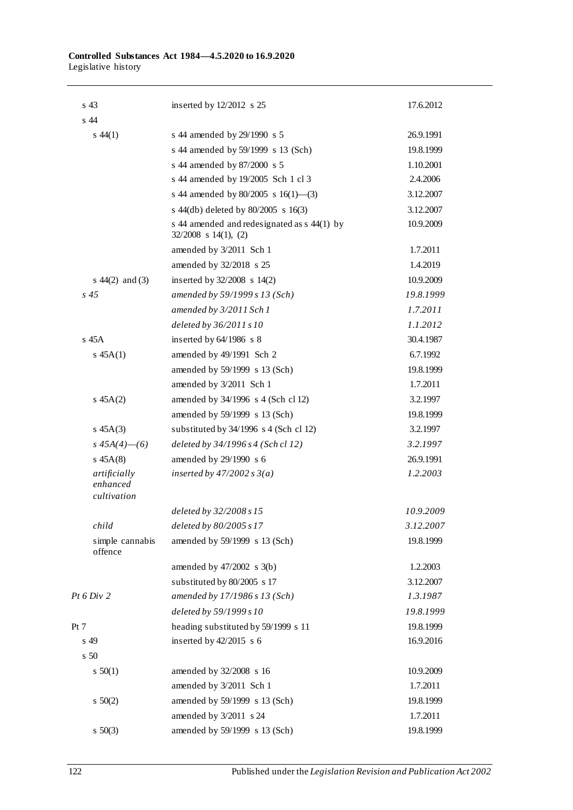| s <sub>43</sub>                         | inserted by $12/2012$ s 25                                            | 17.6.2012 |
|-----------------------------------------|-----------------------------------------------------------------------|-----------|
| s 44                                    |                                                                       |           |
| $s\,44(1)$                              | s 44 amended by 29/1990 s 5                                           | 26.9.1991 |
|                                         | s 44 amended by 59/1999 s 13 (Sch)                                    | 19.8.1999 |
|                                         | s 44 amended by 87/2000 s 5                                           | 1.10.2001 |
|                                         | s 44 amended by 19/2005 Sch 1 cl 3                                    | 2.4.2006  |
|                                         | s 44 amended by $80/2005$ s $16(1)$ —(3)                              | 3.12.2007 |
|                                         | s $44$ (db) deleted by $80/2005$ s $16(3)$                            | 3.12.2007 |
|                                         | s 44 amended and redesignated as s 44(1) by<br>$32/2008$ s 14(1), (2) | 10.9.2009 |
|                                         | amended by 3/2011 Sch 1                                               | 1.7.2011  |
|                                         | amended by 32/2018 s 25                                               | 1.4.2019  |
| s $44(2)$ and (3)                       | inserted by $32/2008$ s $14(2)$                                       | 10.9.2009 |
| s <sub>45</sub>                         | amended by 59/1999 s 13 (Sch)                                         | 19.8.1999 |
|                                         | amended by 3/2011 Sch 1                                               | 1.7.2011  |
|                                         | deleted by 36/2011 s 10                                               | 1.1.2012  |
| $s$ 45 $A$                              | inserted by $64/1986$ s 8                                             | 30.4.1987 |
| $s \, 45A(1)$                           | amended by 49/1991 Sch 2                                              | 6.7.1992  |
|                                         | amended by 59/1999 s 13 (Sch)                                         | 19.8.1999 |
|                                         | amended by 3/2011 Sch 1                                               | 1.7.2011  |
| $s \, 45A(2)$                           | amended by 34/1996 s 4 (Sch cl 12)                                    | 3.2.1997  |
|                                         | amended by 59/1999 s 13 (Sch)                                         | 19.8.1999 |
| $s\;45A(3)$                             | substituted by 34/1996 s 4 (Sch cl 12)                                | 3.2.1997  |
| s $45A(4)$ —(6)                         | deleted by 34/1996 s 4 (Sch cl 12)                                    | 3.2.1997  |
| $s\;45A(8)$                             | amended by 29/1990 s 6                                                | 26.9.1991 |
| artificially<br>enhanced<br>cultivation | inserted by $47/2002 s 3(a)$                                          | 1.2.2003  |
|                                         | deleted by 32/2008 s 15                                               | 10.9.2009 |
| child                                   | deleted by $80/2005 s17$                                              | 3.12.2007 |
| simple cannabis<br>offence              | amended by 59/1999 s 13 (Sch)                                         | 19.8.1999 |
|                                         | amended by $47/2002$ s $3(b)$                                         | 1.2.2003  |
|                                         | substituted by 80/2005 s 17                                           | 3.12.2007 |
| Pt 6 Div 2                              | amended by 17/1986 s 13 (Sch)                                         | 1.3.1987  |
|                                         | deleted by 59/1999 s 10                                               | 19.8.1999 |
| Pt 7                                    | heading substituted by 59/1999 s 11                                   | 19.8.1999 |
| s 49                                    | inserted by $42/2015$ s 6                                             | 16.9.2016 |
| s <sub>50</sub>                         |                                                                       |           |
| 50(1)                                   | amended by 32/2008 s 16                                               | 10.9.2009 |
|                                         | amended by 3/2011 Sch 1                                               | 1.7.2011  |
| 50(2)                                   | amended by 59/1999 s 13 (Sch)                                         | 19.8.1999 |
|                                         | amended by 3/2011 s 24                                                | 1.7.2011  |
| $s \ 50(3)$                             | amended by 59/1999 s 13 (Sch)                                         | 19.8.1999 |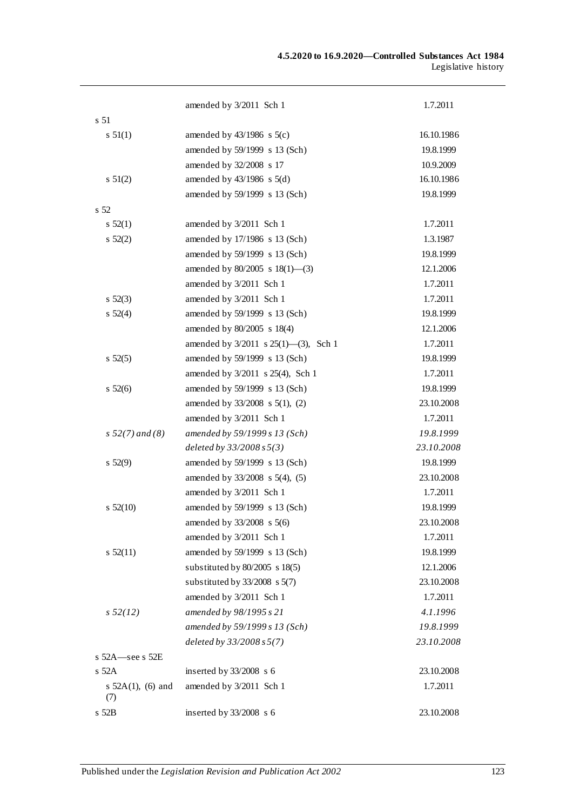|                             | amended by 3/2011 Sch 1                   | 1.7.2011   |
|-----------------------------|-------------------------------------------|------------|
| s 51                        |                                           |            |
| $s \, 51(1)$                | amended by $43/1986$ s $5(c)$             | 16.10.1986 |
|                             | amended by 59/1999 s 13 (Sch)             | 19.8.1999  |
|                             | amended by 32/2008 s 17                   | 10.9.2009  |
| $s \, 51(2)$                | amended by $43/1986$ s $5(d)$             | 16.10.1986 |
|                             | amended by 59/1999 s 13 (Sch)             | 19.8.1999  |
| s 52                        |                                           |            |
| $s\,52(1)$                  | amended by 3/2011 Sch 1                   | 1.7.2011   |
| $s\,52(2)$                  | amended by 17/1986 s 13 (Sch)             | 1.3.1987   |
|                             | amended by 59/1999 s 13 (Sch)             | 19.8.1999  |
|                             | amended by 80/2005 s 18(1)-(3)            | 12.1.2006  |
|                             | amended by 3/2011 Sch 1                   | 1.7.2011   |
| $s\,52(3)$                  | amended by 3/2011 Sch 1                   | 1.7.2011   |
| $s\,52(4)$                  | amended by 59/1999 s 13 (Sch)             | 19.8.1999  |
|                             | amended by 80/2005 s 18(4)                | 12.1.2006  |
|                             | amended by $3/2011$ s $25(1)$ —(3), Sch 1 | 1.7.2011   |
| $s\,52(5)$                  | amended by 59/1999 s 13 (Sch)             | 19.8.1999  |
|                             | amended by 3/2011 s 25(4), Sch 1          | 1.7.2011   |
| $s\,52(6)$                  | amended by 59/1999 s 13 (Sch)             | 19.8.1999  |
|                             | amended by 33/2008 s 5(1), (2)            | 23.10.2008 |
|                             | amended by 3/2011 Sch 1                   | 1.7.2011   |
| $s\,52(7)$ and (8)          | amended by 59/1999 s 13 (Sch)             | 19.8.1999  |
|                             | deleted by $33/2008 s 5(3)$               | 23.10.2008 |
| $s\,52(9)$                  | amended by 59/1999 s 13 (Sch)             | 19.8.1999  |
|                             | amended by 33/2008 s 5(4), (5)            | 23.10.2008 |
|                             | amended by 3/2011 Sch 1                   | 1.7.2011   |
| $s\ 52(10)$                 | amended by 59/1999 s 13 (Sch)             | 19.8.1999  |
|                             | amended by $33/2008$ s $5(6)$             | 23.10.2008 |
|                             | amended by 3/2011 Sch 1                   | 1.7.2011   |
| $s\,52(11)$                 | amended by 59/1999 s 13 (Sch)             | 19.8.1999  |
|                             | substituted by 80/2005 s 18(5)            | 12.1.2006  |
|                             | substituted by $33/2008$ s $5(7)$         | 23.10.2008 |
|                             | amended by 3/2011 Sch 1                   | 1.7.2011   |
| s 52(12)                    | amended by 98/1995 s 21                   | 4.1.1996   |
|                             | amended by 59/1999 s 13 (Sch)             | 19.8.1999  |
|                             | deleted by $33/2008 s 5(7)$               | 23.10.2008 |
| s 52A-see s 52E             |                                           |            |
| $s$ 52A                     | inserted by 33/2008 s 6                   | 23.10.2008 |
| s $52A(1)$ , (6) and<br>(7) | amended by 3/2011 Sch 1                   | 1.7.2011   |
| s 52B                       | inserted by 33/2008 s 6                   | 23.10.2008 |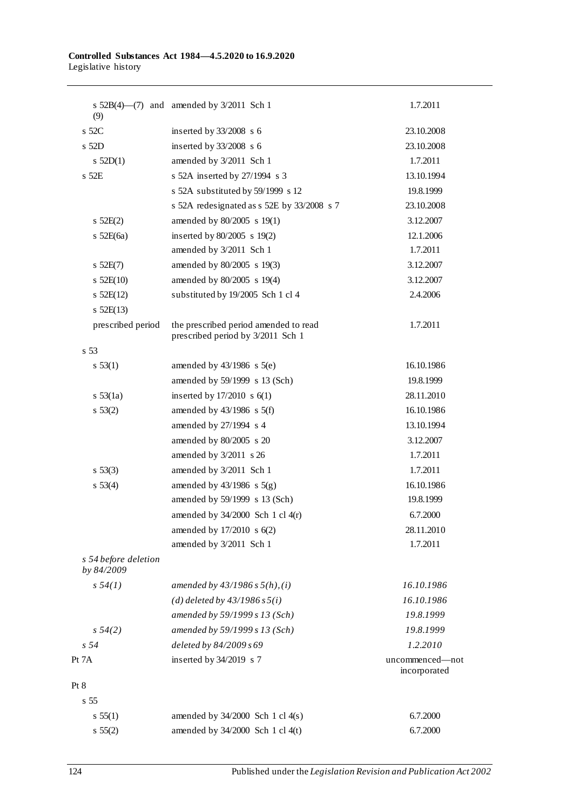| (9)                                | s $52B(4)$ (7) and amended by $3/2011$ Sch 1                               | 1.7.2011                        |
|------------------------------------|----------------------------------------------------------------------------|---------------------------------|
| s 52C                              | inserted by $33/2008$ s 6                                                  | 23.10.2008                      |
| s 52D                              | inserted by $33/2008$ s 6                                                  | 23.10.2008                      |
| $s$ 52D(1)                         | amended by 3/2011 Sch 1                                                    | 1.7.2011                        |
| s 52E                              | s 52A inserted by 27/1994 s 3                                              | 13.10.1994                      |
|                                    | s 52A substituted by 59/1999 s 12                                          | 19.8.1999                       |
|                                    | s 52A redesignated as s 52E by 33/2008 s 7                                 | 23.10.2008                      |
| 52E(2)                             | amended by 80/2005 s 19(1)                                                 | 3.12.2007                       |
| s $52E(6a)$                        | inserted by $80/2005$ s 19(2)                                              | 12.1.2006                       |
|                                    | amended by 3/2011 Sch 1                                                    | 1.7.2011                        |
| $s$ 52E(7)                         | amended by 80/2005 s 19(3)                                                 | 3.12.2007                       |
| 52E(10)                            | amended by 80/2005 s 19(4)                                                 | 3.12.2007                       |
| $s$ 52E(12)                        | substituted by 19/2005 Sch 1 cl 4                                          | 2.4.2006                        |
| s 52E(13)                          |                                                                            |                                 |
| prescribed period                  | the prescribed period amended to read<br>prescribed period by 3/2011 Sch 1 | 1.7.2011                        |
| s <sub>53</sub>                    |                                                                            |                                 |
| s 53(1)                            | amended by $43/1986$ s $5(e)$                                              | 16.10.1986                      |
|                                    | amended by 59/1999 s 13 (Sch)                                              | 19.8.1999                       |
| $s \, 53(1a)$                      | inserted by $17/2010$ s $6(1)$                                             | 28.11.2010                      |
| s 53(2)                            | amended by $43/1986$ s $5(f)$                                              | 16.10.1986                      |
|                                    | amended by 27/1994 s 4                                                     | 13.10.1994                      |
|                                    | amended by 80/2005 s 20                                                    | 3.12.2007                       |
|                                    | amended by $3/2011$ s 26                                                   | 1.7.2011                        |
| $s\,53(3)$                         | amended by 3/2011 Sch 1                                                    | 1.7.2011                        |
| s 53(4)                            | amended by $43/1986$ s $5(g)$                                              | 16.10.1986                      |
|                                    | amended by 59/1999 s 13 (Sch)                                              | 19.8.1999                       |
|                                    | amended by $34/2000$ Sch 1 cl $4(r)$                                       | 6.7.2000                        |
|                                    | amended by 17/2010 s 6(2)                                                  | 28.11.2010                      |
|                                    | amended by 3/2011 Sch 1                                                    | 1.7.2011                        |
| s 54 before deletion<br>by 84/2009 |                                                                            |                                 |
| s 54(1)                            | amended by $43/1986 s 5(h), (i)$                                           | 16.10.1986                      |
|                                    | (d) deleted by $43/1986 s 5(i)$                                            | 16.10.1986                      |
|                                    | amended by 59/1999 s 13 (Sch)                                              | 19.8.1999                       |
| $s\,54(2)$                         | amended by 59/1999 s 13 (Sch)                                              | 19.8.1999                       |
| s <sub>54</sub>                    | deleted by 84/2009 s 69                                                    | 1.2.2010                        |
| Pt 7A                              | inserted by 34/2019 s 7                                                    | uncommenced-not<br>incorporated |
| Pt 8                               |                                                                            |                                 |
| s <sub>55</sub>                    |                                                                            |                                 |
| s 55(1)                            | amended by $34/2000$ Sch 1 cl $4(s)$                                       | 6.7.2000                        |
| s 55(2)                            | amended by 34/2000 Sch 1 cl 4(t)                                           | 6.7.2000                        |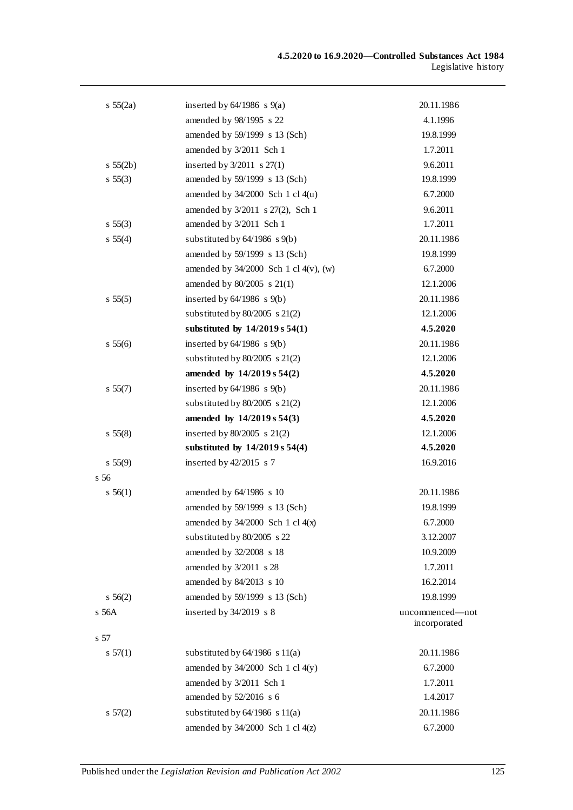| $s\,55(2a)$     | inserted by $64/1986$ s $9(a)$             | 20.11.1986                      |
|-----------------|--------------------------------------------|---------------------------------|
|                 | amended by 98/1995 s 22                    | 4.1.1996                        |
|                 | amended by 59/1999 s 13 (Sch)              | 19.8.1999                       |
|                 | amended by 3/2011 Sch 1                    | 1.7.2011                        |
| s 55(2b)        | inserted by $3/2011$ s $27(1)$             | 9.6.2011                        |
| $s\,55(3)$      | amended by 59/1999 s 13 (Sch)              | 19.8.1999                       |
|                 | amended by $34/2000$ Sch 1 cl $4(u)$       | 6.7.2000                        |
|                 | amended by 3/2011 s 27(2), Sch 1           | 9.6.2011                        |
| $s\,55(3)$      | amended by 3/2011 Sch 1                    | 1.7.2011                        |
| s 55(4)         | substituted by $64/1986$ s $9(b)$          | 20.11.1986                      |
|                 | amended by 59/1999 s 13 (Sch)              | 19.8.1999                       |
|                 | amended by $34/2000$ Sch 1 cl $4(v)$ , (w) | 6.7.2000                        |
|                 | amended by $80/2005$ s $21(1)$             | 12.1.2006                       |
| s 55(5)         | inserted by $64/1986$ s $9(b)$             | 20.11.1986                      |
|                 | substituted by $80/2005$ s $21(2)$         | 12.1.2006                       |
|                 | substituted by $14/2019 s 54(1)$           | 4.5.2020                        |
| s 55(6)         | inserted by $64/1986$ s $9(b)$             | 20.11.1986                      |
|                 | substituted by $80/2005$ s $21(2)$         | 12.1.2006                       |
|                 | amended by $14/2019 s 54(2)$               | 4.5.2020                        |
| s 55(7)         | inserted by $64/1986$ s $9(b)$             | 20.11.1986                      |
|                 | substituted by $80/2005$ s $21(2)$         | 12.1.2006                       |
|                 | amended by $14/2019 s 54(3)$               | 4.5.2020                        |
| $s\,55(8)$      | inserted by $80/2005$ s $21(2)$            | 12.1.2006                       |
|                 | substituted by $14/2019 s 54(4)$           | 4.5.2020                        |
| s 55(9)         | inserted by $42/2015$ s 7                  | 16.9.2016                       |
| s <sub>56</sub> |                                            |                                 |
| $s\,56(1)$      | amended by 64/1986 s 10                    | 20.11.1986                      |
|                 | amended by 59/1999 s 13 (Sch)              | 19.8.1999                       |
|                 | amended by $34/2000$ Sch 1 cl $4(x)$       | 6.7.2000                        |
|                 | substituted by 80/2005 s 22                | 3.12.2007                       |
|                 | amended by 32/2008 s 18                    | 10.9.2009                       |
|                 | amended by 3/2011 s 28                     | 1.7.2011                        |
|                 | amended by 84/2013 s 10                    | 16.2.2014                       |
| $s\,56(2)$      | amended by 59/1999 s 13 (Sch)              | 19.8.1999                       |
| s 56A           | inserted by $34/2019$ s 8                  | uncommenced—not<br>incorporated |
| s 57            |                                            |                                 |
| s 57(1)         | substituted by $64/1986$ s $11(a)$         | 20.11.1986                      |
|                 | amended by $34/2000$ Sch 1 cl $4(y)$       | 6.7.2000                        |
|                 | amended by 3/2011 Sch 1                    | 1.7.2011                        |
|                 | amended by 52/2016 s 6                     | 1.4.2017                        |
| $s\,57(2)$      | substituted by $64/1986$ s $11(a)$         | 20.11.1986                      |
|                 | amended by 34/2000 Sch 1 cl 4(z)           | 6.7.2000                        |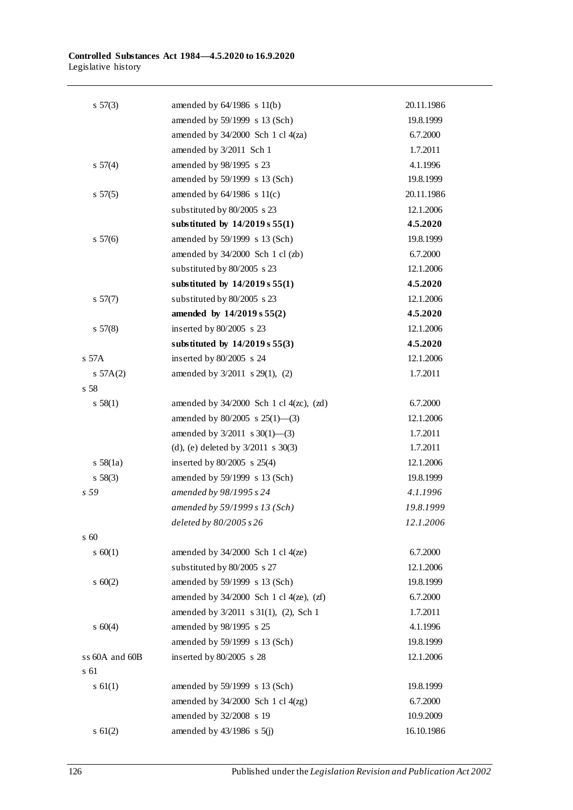| $s\,57(3)$      | amended by $64/1986$ s $11(b)$                 | 20.11.1986 |
|-----------------|------------------------------------------------|------------|
|                 | amended by 59/1999 s 13 (Sch)                  | 19.8.1999  |
|                 | amended by $34/2000$ Sch 1 cl $4(za)$          | 6.7.2000   |
|                 | amended by 3/2011 Sch 1                        | 1.7.2011   |
| s 57(4)         | amended by 98/1995 s 23                        | 4.1.1996   |
|                 | amended by 59/1999 s 13 (Sch)                  | 19.8.1999  |
| $s\,57(5)$      | amended by $64/1986$ s $11(c)$                 | 20.11.1986 |
|                 | substituted by 80/2005 s 23                    | 12.1.2006  |
|                 | substituted by $14/2019 s 55(1)$               | 4.5.2020   |
| $s\,57(6)$      | amended by 59/1999 s 13 (Sch)                  | 19.8.1999  |
|                 | amended by 34/2000 Sch 1 cl (zb)               | 6.7.2000   |
|                 | substituted by 80/2005 s 23                    | 12.1.2006  |
|                 | substituted by $14/2019 s 55(1)$               | 4.5.2020   |
| $s\,57(7)$      | substituted by 80/2005 s 23                    | 12.1.2006  |
|                 | amended by 14/2019 s 55(2)                     | 4.5.2020   |
| $s\,57(8)$      | inserted by 80/2005 s 23                       | 12.1.2006  |
|                 | substituted by $14/2019 s 55(3)$               | 4.5.2020   |
| $s$ 57 $A$      | inserted by 80/2005 s 24                       | 12.1.2006  |
| 57A(2)          | amended by 3/2011 s 29(1), (2)                 | 1.7.2011   |
| s 58            |                                                |            |
| s 58(1)         | amended by $34/2000$ Sch 1 cl $4(zc)$ , $(zd)$ | 6.7.2000   |
|                 | amended by $80/2005$ s $25(1)$ —(3)            | 12.1.2006  |
|                 | amended by $3/2011$ s $30(1)$ —(3)             | 1.7.2011   |
|                 | (d), (e) deleted by $3/2011$ s $30(3)$         | 1.7.2011   |
| $s\ 58(1a)$     | inserted by $80/2005$ s $25(4)$                | 12.1.2006  |
| $s\,58(3)$      | amended by 59/1999 s 13 (Sch)                  | 19.8.1999  |
| s <sub>59</sub> | amended by 98/1995 s 24                        | 4.1.1996   |
|                 | amended by 59/1999 s 13 (Sch)                  | 19.8.1999  |
|                 | deleted by 80/2005 s 26                        | 12.1.2006  |
| $\,$ s 60       |                                                |            |
| $s \ 60(1)$     | amended by $34/2000$ Sch 1 cl $4(ze)$          | 6.7.2000   |
|                 | substituted by 80/2005 s 27                    | 12.1.2006  |
| 560(2)          | amended by 59/1999 s 13 (Sch)                  | 19.8.1999  |
|                 | amended by $34/2000$ Sch 1 cl $4(ze)$ , $(zf)$ | 6.7.2000   |
|                 | amended by 3/2011 s 31(1), (2), Sch 1          | 1.7.2011   |
| $s \ 60(4)$     | amended by 98/1995 s 25                        | 4.1.1996   |
|                 | amended by 59/1999 s 13 (Sch)                  | 19.8.1999  |
| ss 60A and 60B  | inserted by 80/2005 s 28                       | 12.1.2006  |
| s 61            |                                                |            |
| $s \ 61(1)$     | amended by 59/1999 s 13 (Sch)                  | 19.8.1999  |
|                 | amended by $34/2000$ Sch 1 cl $4(zg)$          | 6.7.2000   |
|                 | amended by 32/2008 s 19                        | 10.9.2009  |
| $s \ 61(2)$     | amended by $43/1986$ s $5(j)$                  | 16.10.1986 |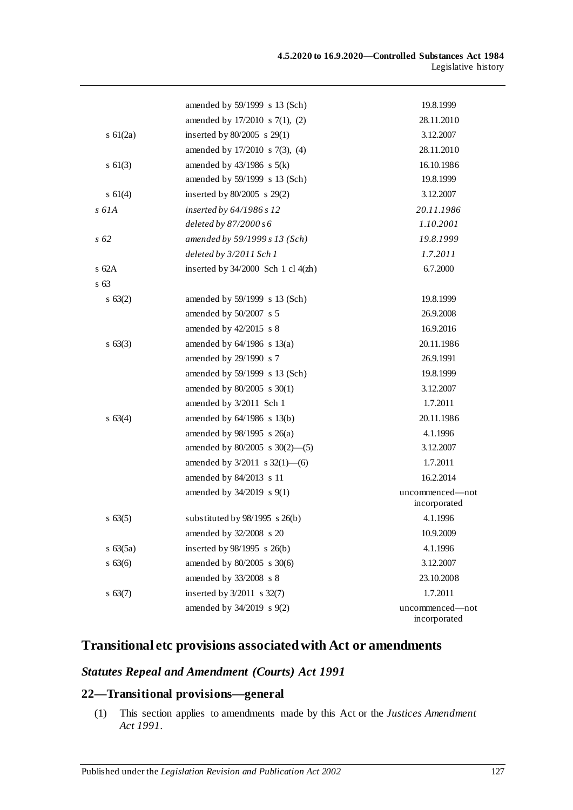|               | amended by 59/1999 s 13 (Sch)          | 19.8.1999                       |
|---------------|----------------------------------------|---------------------------------|
|               | amended by 17/2010 s 7(1), (2)         | 28.11.2010                      |
| s $61(2a)$    | inserted by $80/2005$ s $29(1)$        | 3.12.2007                       |
|               | amended by 17/2010 s 7(3), (4)         | 28.11.2010                      |
| $s \ 61(3)$   | amended by $43/1986$ s $5(k)$          | 16.10.1986                      |
|               | amended by 59/1999 s 13 (Sch)          | 19.8.1999                       |
| $s \ 61(4)$   | inserted by $80/2005$ s $29(2)$        | 3.12.2007                       |
| s 61A         | inserted by 64/1986 s 12               | 20.11.1986                      |
|               | deleted by $87/2000s6$                 | 1.10.2001                       |
| s 62          | amended by 59/1999 s 13 (Sch)          | 19.8.1999                       |
|               | deleted by 3/2011 Sch 1                | 1.7.2011                        |
| $s$ 62A       | inserted by $34/2000$ Sch 1 cl $4(zh)$ | 6.7.2000                        |
| s 63          |                                        |                                 |
| $s \; 63(2)$  | amended by 59/1999 s 13 (Sch)          | 19.8.1999                       |
|               | amended by $50/2007$ s 5               | 26.9.2008                       |
|               | amended by $42/2015$ s 8               | 16.9.2016                       |
| $s \; 63(3)$  | amended by $64/1986$ s $13(a)$         | 20.11.1986                      |
|               | amended by 29/1990 s 7                 | 26.9.1991                       |
|               | amended by 59/1999 s 13 (Sch)          | 19.8.1999                       |
|               | amended by 80/2005 s 30(1)             | 3.12.2007                       |
|               | amended by 3/2011 Sch 1                | 1.7.2011                        |
| $s \; 63(4)$  | amended by $64/1986$ s $13(b)$         | 20.11.1986                      |
|               | amended by $98/1995$ s $26(a)$         | 4.1.1996                        |
|               | amended by $80/2005$ s $30(2)$ —(5)    | 3.12.2007                       |
|               | amended by $3/2011$ s $32(1)$ —(6)     | 1.7.2011                        |
|               | amended by 84/2013 s 11                | 16.2.2014                       |
|               | amended by 34/2019 s 9(1)              | uncommenced-not<br>incorporated |
| $s \; 63(5)$  | substituted by 98/1995 s 26(b)         | 4.1.1996                        |
|               | amended by 32/2008 s 20                | 10.9.2009                       |
| $s \; 63(5a)$ | inserted by 98/1995 s 26(b)            | 4.1.1996                        |
| s 63(6)       | amended by 80/2005 s 30(6)             | 3.12.2007                       |
|               | amended by 33/2008 s 8                 | 23.10.2008                      |
| $s \, 63(7)$  | inserted by $3/2011$ s $32(7)$         | 1.7.2011                        |
|               | amended by 34/2019 s 9(2)              | uncommenced—not<br>incorporated |

# **Transitional etc provisions associated with Act or amendments**

# *Statutes Repeal and Amendment (Courts) Act 1991*

# **22—Transitional provisions—general**

(1) This section applies to amendments made by this Act or the *[Justices Amendment](http://www.legislation.sa.gov.au/index.aspx?action=legref&type=act&legtitle=Justices%20Amendment%20Act%201991)  Act [1991](http://www.legislation.sa.gov.au/index.aspx?action=legref&type=act&legtitle=Justices%20Amendment%20Act%201991)*.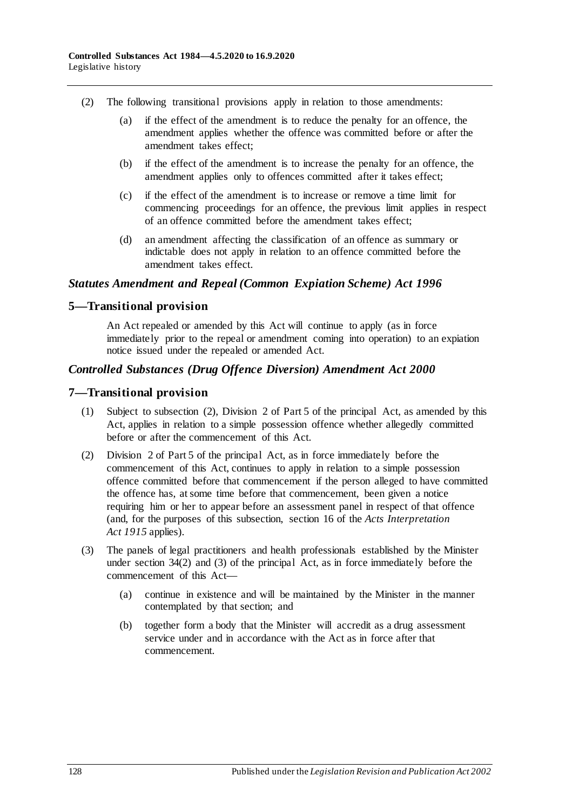- (2) The following transitional provisions apply in relation to those amendments:
	- (a) if the effect of the amendment is to reduce the penalty for an offence, the amendment applies whether the offence was committed before or after the amendment takes effect;
	- (b) if the effect of the amendment is to increase the penalty for an offence, the amendment applies only to offences committed after it takes effect;
	- (c) if the effect of the amendment is to increase or remove a time limit for commencing proceedings for an offence, the previous limit applies in respect of an offence committed before the amendment takes effect;
	- (d) an amendment affecting the classification of an offence as summary or indictable does not apply in relation to an offence committed before the amendment takes effect.

# *Statutes Amendment and Repeal (Common Expiation Scheme) Act 1996*

### **5—Transitional provision**

An Act repealed or amended by this Act will continue to apply (as in force immediately prior to the repeal or amendment coming into operation) to an expiation notice issued under the repealed or amended Act.

### *Controlled Substances (Drug Offence Diversion) Amendment Act 2000*

### **7—Transitional provision**

- (1) Subject to subsection (2), Division 2 of Part 5 of the principal Act, as amended by this Act, applies in relation to a simple possession offence whether allegedly committed before or after the commencement of this Act.
- (2) Division 2 of Part 5 of the principal Act, as in force immediately before the commencement of this Act, continues to apply in relation to a simple possession offence committed before that commencement if the person alleged to have committed the offence has, at some time before that commencement, been given a notice requiring him or her to appear before an assessment panel in respect of that offence (and, for the purposes of this subsection, section 16 of the *[Acts Interpretation](http://www.legislation.sa.gov.au/index.aspx?action=legref&type=act&legtitle=Acts%20Interpretation%20Act%201915)  Act [1915](http://www.legislation.sa.gov.au/index.aspx?action=legref&type=act&legtitle=Acts%20Interpretation%20Act%201915)* applies).
- (3) The panels of legal practitioners and health professionals established by the Minister under section 34(2) and (3) of the principal Act, as in force immediately before the commencement of this Act—
	- (a) continue in existence and will be maintained by the Minister in the manner contemplated by that section; and
	- (b) together form a body that the Minister will accredit as a drug assessment service under and in accordance with the Act as in force after that commencement.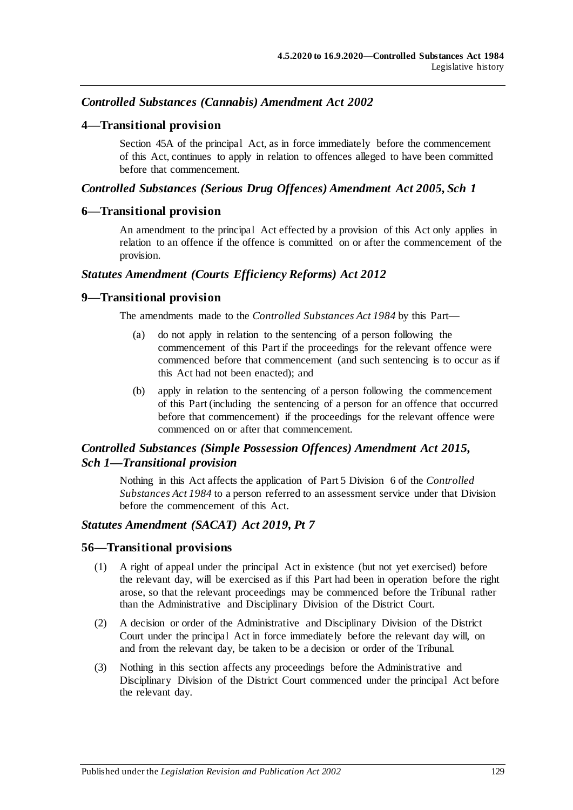# *Controlled Substances (Cannabis) Amendment Act 2002*

### **4—Transitional provision**

Section 45A of the principal Act, as in force immediately before the commencement of this Act, continues to apply in relation to offences alleged to have been committed before that commencement.

### *Controlled Substances (Serious Drug Offences) Amendment Act 2005, Sch 1*

### **6—Transitional provision**

An amendment to the principal Act effected by a provision of this Act only applies in relation to an offence if the offence is committed on or after the commencement of the provision.

### *Statutes Amendment (Courts Efficiency Reforms) Act 2012*

### **9—Transitional provision**

The amendments made to the *[Controlled Substances Act](http://www.legislation.sa.gov.au/index.aspx?action=legref&type=act&legtitle=Controlled%20Substances%20Act%201984) 1984* by this Part—

- (a) do not apply in relation to the sentencing of a person following the commencement of this Part if the proceedings for the relevant offence were commenced before that commencement (and such sentencing is to occur as if this Act had not been enacted); and
- (b) apply in relation to the sentencing of a person following the commencement of this Part (including the sentencing of a person for an offence that occurred before that commencement) if the proceedings for the relevant offence were commenced on or after that commencement.

## *Controlled Substances (Simple Possession Offences) Amendment Act 2015, Sch 1—Transitional provision*

Nothing in this Act affects the application of Part 5 Division 6 of the *[Controlled](http://www.legislation.sa.gov.au/index.aspx?action=legref&type=act&legtitle=Controlled%20Substances%20Act%201984)  [Substances Act](http://www.legislation.sa.gov.au/index.aspx?action=legref&type=act&legtitle=Controlled%20Substances%20Act%201984) 1984* to a person referred to an assessment service under that Division before the commencement of this Act.

### *Statutes Amendment (SACAT) Act 2019, Pt 7*

#### **56—Transitional provisions**

- (1) A right of appeal under the principal Act in existence (but not yet exercised) before the relevant day, will be exercised as if this Part had been in operation before the right arose, so that the relevant proceedings may be commenced before the Tribunal rather than the Administrative and Disciplinary Division of the District Court.
- (2) A decision or order of the Administrative and Disciplinary Division of the District Court under the principal Act in force immediately before the relevant day will, on and from the relevant day, be taken to be a decision or order of the Tribunal.
- (3) Nothing in this section affects any proceedings before the Administrative and Disciplinary Division of the District Court commenced under the principal Act before the relevant day.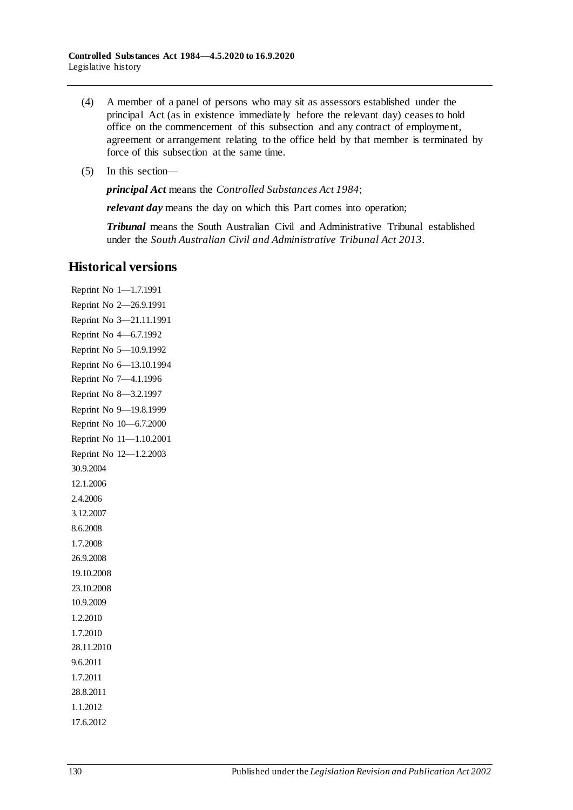- (4) A member of a panel of persons who may sit as assessors established under the principal Act (as in existence immediately before the relevant day) ceases to hold office on the commencement of this subsection and any contract of employment, agreement or arrangement relating to the office held by that member is terminated by force of this subsection at the same time.
- (5) In this section—

*principal Act* means the *[Controlled Substances Act](http://www.legislation.sa.gov.au/index.aspx?action=legref&type=act&legtitle=Controlled%20Substances%20Act%201984) 1984*;

*relevant day* means the day on which this Part comes into operation;

*Tribunal* means the South Australian Civil and Administrative Tribunal established under the *[South Australian Civil and Administrative Tribunal Act](http://www.legislation.sa.gov.au/index.aspx?action=legref&type=act&legtitle=South%20Australian%20Civil%20and%20Administrative%20Tribunal%20Act%202013) 2013*.

# **Historical versions**

Reprint No 1—1.7.1991 Reprint No 2—26.9.1991 Reprint No 3—21.11.1991 Reprint No 4—6.7.1992 Reprint No 5—10.9.1992 Reprint No 6—13.10.1994 Reprint No 7—4.1.1996 Reprint No 8—3.2.1997 Reprint No 9—19.8.1999 Reprint No 10—6.7.2000 Reprint No 11—1.10.2001 Reprint No 12—1.2.2003 30.9.2004 12.1.2006 2.4.2006 3.12.2007 8.6.2008 1.7.2008 26.9.2008 19.10.2008 23.10.2008 10.9.2009 1.2.2010 1.7.2010 28.11.2010 9.6.2011 1.7.2011 28.8.2011 1.1.2012 17.6.2012